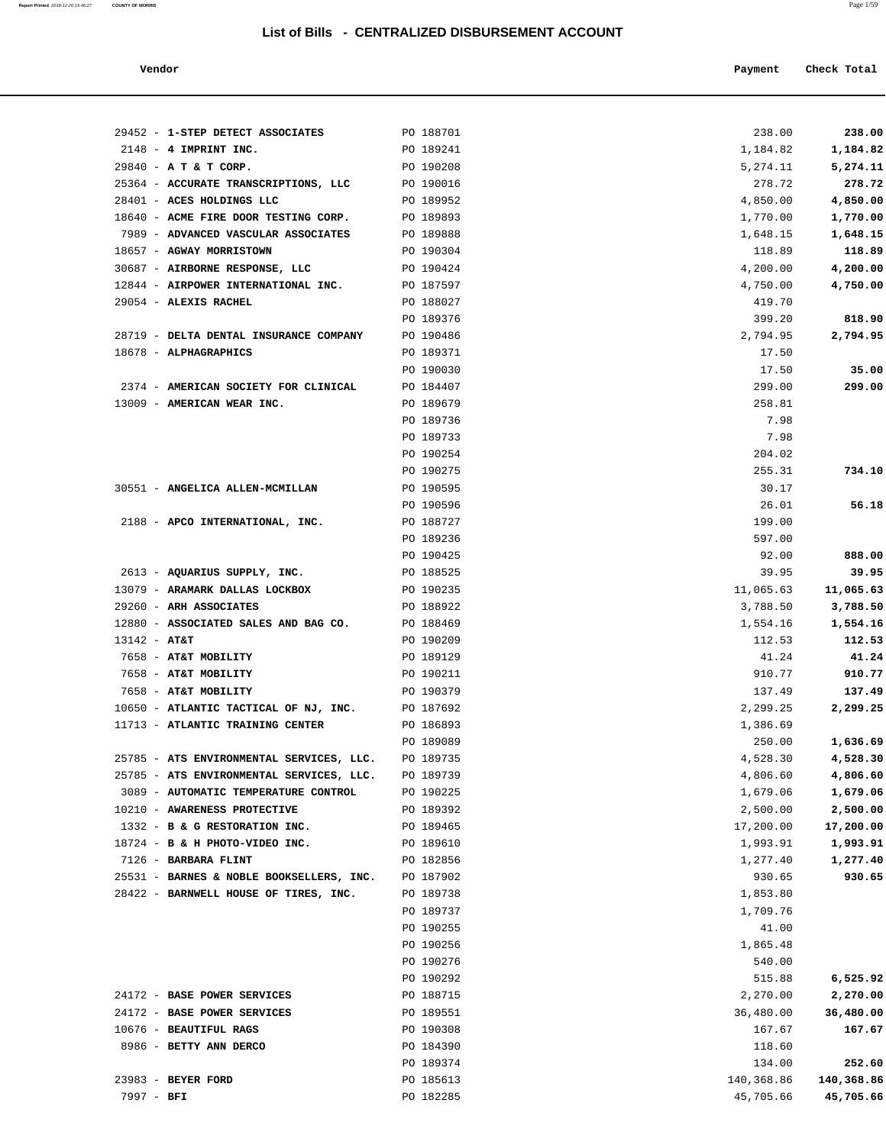### **Vendor Payment** Check Total

| 29452 - 1-STEP DETECT ASSOCIATES                         | PO 188701              | 238.00             | 238.00             |
|----------------------------------------------------------|------------------------|--------------------|--------------------|
| $2148$ - 4 IMPRINT INC.                                  | PO 189241              | 1,184.82           | 1,184.82           |
| 29840 - A T & T CORP.                                    | PO 190208              | 5,274.11           | 5, 274.11          |
| 25364 - ACCURATE TRANSCRIPTIONS, LLC                     | PO 190016              | 278.72             | 278.72             |
| 28401 - ACES HOLDINGS LLC                                | PO 189952              | 4,850.00           | 4,850.00           |
| 18640 - ACME FIRE DOOR TESTING CORP.                     | PO 189893              | 1,770.00           | 1,770.00           |
| 7989 - ADVANCED VASCULAR ASSOCIATES                      | PO 189888              | 1,648.15           | 1,648.15           |
| 18657 - AGWAY MORRISTOWN                                 | PO 190304              | 118.89             | 118.89             |
| 30687 - AIRBORNE RESPONSE, LLC                           | PO 190424              | 4,200.00           | 4,200.00           |
| 12844 - AIRPOWER INTERNATIONAL INC.                      | PO 187597              | 4,750.00           | 4,750.00           |
| 29054 - ALEXIS RACHEL                                    | PO 188027              | 419.70             |                    |
|                                                          | PO 189376              | 399.20             | 818.90             |
| 28719 - DELTA DENTAL INSURANCE COMPANY                   | PO 190486              | 2,794.95           | 2,794.95           |
| 18678 - ALPHAGRAPHICS                                    | PO 189371              | 17.50              |                    |
|                                                          | PO 190030              | 17.50              | 35.00              |
| 2374 - AMERICAN SOCIETY FOR CLINICAL                     | PO 184407              | 299.00             | 299.00             |
| 13009 - AMERICAN WEAR INC.                               | PO 189679              | 258.81             |                    |
|                                                          | PO 189736              | 7.98               |                    |
|                                                          | PO 189733              | 7.98               |                    |
|                                                          | PO 190254              | 204.02             |                    |
|                                                          | PO 190275              | 255.31             | 734.10             |
| 30551 - ANGELICA ALLEN-MCMILLAN                          | PO 190595              | 30.17              |                    |
|                                                          | PO 190596              | 26.01              | 56.18              |
| 2188 - APCO INTERNATIONAL, INC.                          | PO 188727              | 199.00             |                    |
|                                                          | PO 189236              | 597.00             |                    |
|                                                          | PO 190425              | 92.00              | 888.00             |
| 2613 - AQUARIUS SUPPLY, INC.                             | PO 188525              | 39.95              | 39.95              |
| 13079 - ARAMARK DALLAS LOCKBOX<br>29260 - ARH ASSOCIATES | PO 190235<br>PO 188922 | 11,065.63          | 11,065.63          |
| 12880 - ASSOCIATED SALES AND BAG CO.                     | PO 188469              | 3,788.50           | 3,788.50           |
| $13142 - AT&T$                                           | PO 190209              | 1,554.16<br>112.53 | 1,554.16<br>112.53 |
| 7658 - AT&T MOBILITY                                     | PO 189129              | 41.24              | 41.24              |
| 7658 - AT&T MOBILITY                                     | PO 190211              | 910.77             | 910.77             |
| 7658 - AT&T MOBILITY                                     | PO 190379              | 137.49             | 137.49             |
| 10650 - ATLANTIC TACTICAL OF NJ, INC.                    | PO 187692              | 2,299.25           | 2,299.25           |
| 11713 - ATLANTIC TRAINING CENTER                         | PO 186893              | 1,386.69           |                    |
|                                                          | PO 189089              | 250.00             | 1,636.69           |
| 25785 - ATS ENVIRONMENTAL SERVICES, LLC.                 | PO 189735              | 4,528.30           | 4,528.30           |
| 25785 - ATS ENVIRONMENTAL SERVICES, LLC.                 | PO 189739              | 4,806.60           | 4,806.60           |
| 3089 - AUTOMATIC TEMPERATURE CONTROL                     | PO 190225              | 1,679.06           | 1,679.06           |
| 10210 - AWARENESS PROTECTIVE                             | PO 189392              | 2,500.00           | 2,500.00           |
| 1332 - B & G RESTORATION INC.                            | PO 189465              | 17,200.00          | 17,200.00          |
| 18724 - B & H PHOTO-VIDEO INC.                           | PO 189610              | 1,993.91           | 1,993.91           |
| 7126 - BARBARA FLINT                                     | PO 182856              | 1,277.40           | 1,277.40           |
| 25531 - BARNES & NOBLE BOOKSELLERS, INC.                 | PO 187902              | 930.65             | 930.65             |
| 28422 - BARNWELL HOUSE OF TIRES, INC.                    | PO 189738              | 1,853.80           |                    |
|                                                          | PO 189737              | 1,709.76           |                    |
|                                                          | PO 190255              | 41.00              |                    |
|                                                          | PO 190256              | 1,865.48           |                    |
|                                                          | PO 190276              | 540.00             |                    |
|                                                          | PO 190292              | 515.88             | 6,525.92           |
| 24172 - BASE POWER SERVICES                              | PO 188715              | 2,270.00           | 2,270.00           |
| 24172 - BASE POWER SERVICES                              | PO 189551              | 36,480.00          | 36,480.00          |
| 10676 - BEAUTIFUL RAGS                                   | PO 190308              | 167.67             | 167.67             |
| 8986 - BETTY ANN DERCO                                   | PO 184390              | 118.60             |                    |
|                                                          | PO 189374              | 134.00             | 252.60             |

 23983 - **BEYER FORD** PO 185613 140,368.86 **140,368.86** 7997 - **BFI** PO 182285 45,705.66 **45,705.66**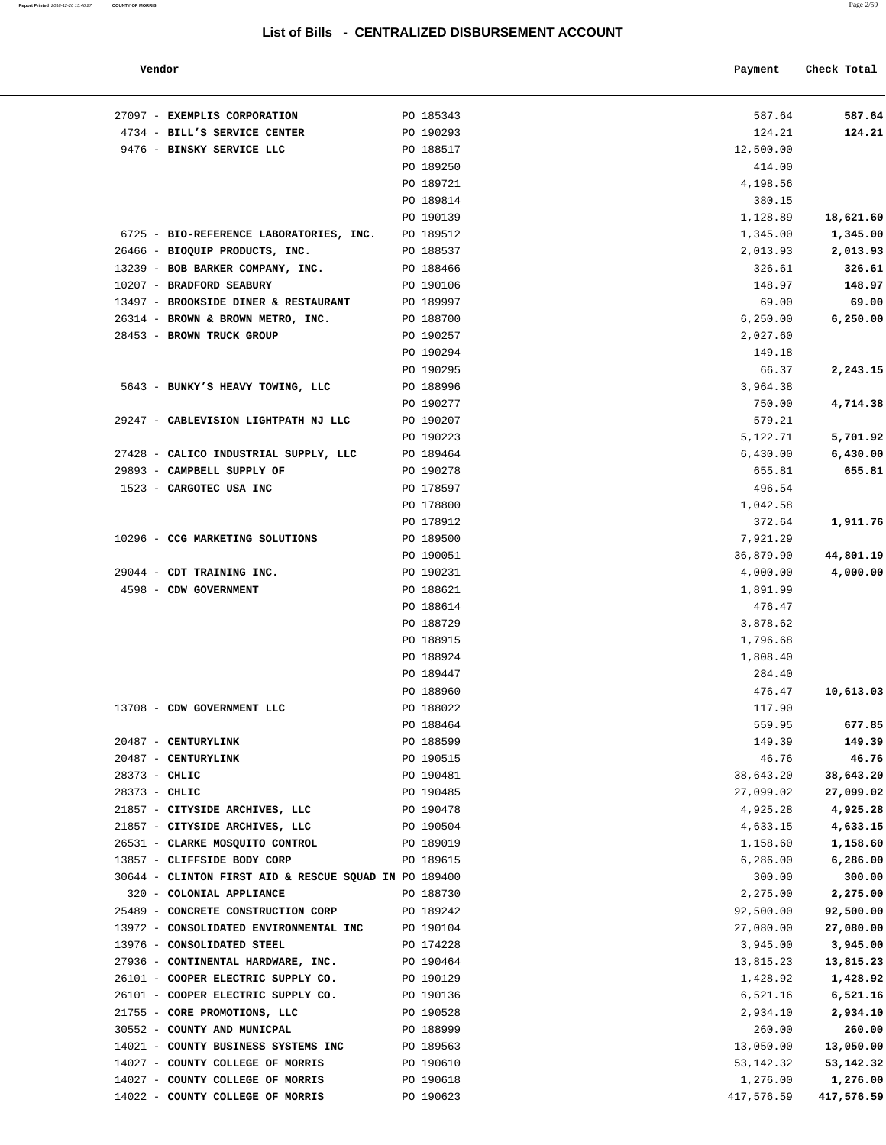**Report Printed** 2018-12-20 15:46:27 **COUNTY OF MORRIS** Page 2/59

| 27097 - EXEMPLIS CORPORATION                          | PO 185343 | 587.64    | 587.64    |
|-------------------------------------------------------|-----------|-----------|-----------|
| 4734 - BILL'S SERVICE CENTER                          | PO 190293 | 124.21    | 124.21    |
| 9476 - BINSKY SERVICE LLC                             | PO 188517 | 12,500.00 |           |
|                                                       | PO 189250 | 414.00    |           |
|                                                       | PO 189721 | 4,198.56  |           |
|                                                       | PO 189814 | 380.15    |           |
|                                                       | PO 190139 | 1,128.89  | 18,621.60 |
| 6725 - BIO-REFERENCE LABORATORIES, INC.               | PO 189512 | 1,345.00  | 1,345.00  |
| 26466 - BIOQUIP PRODUCTS, INC.                        | PO 188537 | 2,013.93  | 2,013.93  |
| 13239 - BOB BARKER COMPANY, INC.                      | PO 188466 | 326.61    | 326.61    |
| 10207 - BRADFORD SEABURY                              | PO 190106 | 148.97    | 148.97    |
| 13497 - BROOKSIDE DINER & RESTAURANT                  | PO 189997 | 69.00     | 69.00     |
| 26314 - BROWN & BROWN METRO, INC.                     | PO 188700 | 6, 250.00 | 6,250.00  |
| 28453 - BROWN TRUCK GROUP                             | PO 190257 | 2,027.60  |           |
|                                                       | PO 190294 | 149.18    |           |
|                                                       | PO 190295 | 66.37     | 2,243.15  |
| 5643 - BUNKY'S HEAVY TOWING, LLC                      | PO 188996 | 3,964.38  |           |
|                                                       | PO 190277 | 750.00    | 4,714.38  |
| 29247 - CABLEVISION LIGHTPATH NJ LLC                  | PO 190207 | 579.21    |           |
|                                                       | PO 190223 | 5,122.71  | 5,701.92  |
| 27428 - CALICO INDUSTRIAL SUPPLY, LLC                 | PO 189464 | 6,430.00  | 6,430.00  |
| 29893 - CAMPBELL SUPPLY OF                            | PO 190278 | 655.81    | 655.81    |
| 1523 - CARGOTEC USA INC                               | PO 178597 | 496.54    |           |
|                                                       | PO 178800 | 1,042.58  |           |
|                                                       | PO 178912 | 372.64    | 1,911.76  |
|                                                       | PO 189500 |           |           |
| 10296 - CCG MARKETING SOLUTIONS                       |           | 7,921.29  |           |
|                                                       | PO 190051 | 36,879.90 | 44,801.19 |
| 29044 - CDT TRAINING INC.                             | PO 190231 | 4,000.00  | 4,000.00  |
| 4598 - CDW GOVERNMENT                                 | PO 188621 | 1,891.99  |           |
|                                                       | PO 188614 | 476.47    |           |
|                                                       | PO 188729 | 3,878.62  |           |
|                                                       | PO 188915 | 1,796.68  |           |
|                                                       | PO 188924 | 1,808.40  |           |
|                                                       | PO 189447 | 284.40    |           |
|                                                       | PO 188960 | 476.47    | 10,613.03 |
| 13708 - CDW GOVERNMENT LLC                            | PO 188022 | 117.90    |           |
|                                                       | PO 188464 | 559.95    | 677.85    |
| 20487 - CENTURYLINK                                   | PO 188599 | 149.39    | 149.39    |
| 20487 - CENTURYLINK                                   | PO 190515 | 46.76     | 46.76     |
| $28373 - CHLIC$                                       | PO 190481 | 38,643.20 | 38,643.20 |
| 28373 - CHLIC                                         | PO 190485 | 27,099.02 | 27,099.02 |
| 21857 - CITYSIDE ARCHIVES, LLC                        | PO 190478 | 4,925.28  | 4,925.28  |
| 21857 - CITYSIDE ARCHIVES, LLC                        | PO 190504 | 4,633.15  | 4,633.15  |
| 26531 - CLARKE MOSQUITO CONTROL                       | PO 189019 | 1,158.60  | 1,158.60  |
| 13857 - CLIFFSIDE BODY CORP                           | PO 189615 | 6,286.00  | 6,286.00  |
| 30644 - CLINTON FIRST AID & RESCUE SQUAD IN PO 189400 |           | 300.00    | 300.00    |
| 320 - COLONIAL APPLIANCE                              | PO 188730 | 2,275.00  | 2,275.00  |
| 25489 - CONCRETE CONSTRUCTION CORP                    | PO 189242 | 92,500.00 | 92,500.00 |
| 13972 - CONSOLIDATED ENVIRONMENTAL INC                | PO 190104 | 27,080.00 | 27,080.00 |
| 13976 - CONSOLIDATED STEEL                            | PO 174228 | 3,945.00  | 3,945.00  |
| 27936 - CONTINENTAL HARDWARE, INC.                    | PO 190464 | 13,815.23 | 13,815.23 |
| 26101 - COOPER ELECTRIC SUPPLY CO.                    | PO 190129 | 1,428.92  | 1,428.92  |
| 26101 - COOPER ELECTRIC SUPPLY CO.                    | PO 190136 | 6,521.16  | 6,521.16  |
| 21755 - CORE PROMOTIONS, LLC                          | PO 190528 | 2,934.10  | 2,934.10  |
| 30552 - COUNTY AND MUNICPAL                           | PO 188999 | 260.00    | 260.00    |
| 14021 - COUNTY BUSINESS SYSTEMS INC                   | PO 189563 | 13,050.00 | 13,050.00 |
| 14027 - COUNTY COLLEGE OF MORRIS                      | PO 190610 | 53,142.32 | 53,142.32 |
| 14027 - COUNTY COLLEGE OF MORRIS                      | PO 190618 | 1,276.00  | 1,276.00  |
|                                                       |           |           |           |

| Vendor                                                |           | Payment   | Check Total |
|-------------------------------------------------------|-----------|-----------|-------------|
| 27097 - EXEMPLIS CORPORATION                          | PO 185343 | 587.64    | 587.64      |
| 4734 - BILL'S SERVICE CENTER                          | PO 190293 | 124.21    | 124.21      |
| 9476 - BINSKY SERVICE LLC                             | PO 188517 | 12,500.00 |             |
|                                                       | PO 189250 | 414.00    |             |
|                                                       | PO 189721 | 4,198.56  |             |
|                                                       | PO 189814 | 380.15    |             |
|                                                       | PO 190139 | 1,128.89  | 18,621.60   |
| 6725 - BIO-REFERENCE LABORATORIES, INC.               | PO 189512 | 1,345.00  | 1,345.00    |
| 26466 - BIOQUIP PRODUCTS, INC.                        | PO 188537 | 2,013.93  | 2,013.93    |
| 13239 - BOB BARKER COMPANY, INC.                      | PO 188466 | 326.61    | 326.61      |
| 10207 - BRADFORD SEABURY                              | PO 190106 | 148.97    | 148.97      |
| 13497 - BROOKSIDE DINER & RESTAURANT                  | PO 189997 | 69.00     | 69.00       |
| 26314 - BROWN & BROWN METRO, INC.                     | PO 188700 | 6, 250.00 | 6,250.00    |
| 28453 - BROWN TRUCK GROUP                             | PO 190257 | 2,027.60  |             |
|                                                       | PO 190294 | 149.18    |             |
|                                                       | PO 190295 | 66.37     | 2,243.15    |
| 5643 - BUNKY'S HEAVY TOWING, LLC                      | PO 188996 | 3,964.38  |             |
|                                                       | PO 190277 | 750.00    | 4,714.38    |
| 29247 - CABLEVISION LIGHTPATH NJ LLC                  | PO 190207 | 579.21    |             |
|                                                       | PO 190223 | 5,122.71  | 5,701.92    |
| 27428 - CALICO INDUSTRIAL SUPPLY, LLC                 | PO 189464 | 6,430.00  | 6,430.00    |
| 29893 - CAMPBELL SUPPLY OF                            | PO 190278 | 655.81    | 655.81      |
| 1523 - CARGOTEC USA INC                               | PO 178597 | 496.54    |             |
|                                                       | PO 178800 | 1,042.58  |             |
|                                                       | PO 178912 | 372.64    | 1,911.76    |
| 10296 - CCG MARKETING SOLUTIONS                       | PO 189500 | 7,921.29  |             |
|                                                       | PO 190051 | 36,879.90 | 44,801.19   |
| 29044 - CDT TRAINING INC.                             | PO 190231 | 4,000.00  | 4,000.00    |
| 4598 - CDW GOVERNMENT                                 | PO 188621 | 1,891.99  |             |
|                                                       | PO 188614 | 476.47    |             |
|                                                       | PO 188729 | 3,878.62  |             |
|                                                       | PO 188915 | 1,796.68  |             |
|                                                       | PO 188924 | 1,808.40  |             |
|                                                       | PO 189447 | 284.40    |             |
|                                                       | PO 188960 | 476.47    | 10,613.03   |
| 13708 - CDW GOVERNMENT LLC                            | PO 188022 | 117.90    |             |
|                                                       | PO 188464 | 559.95    | 677.85      |
| 20487 - CENTURYLINK                                   | PO 188599 | 149.39    | 149.39      |
| 20487 - CENTURYLINK                                   | PO 190515 | 46.76     | 46.76       |
| 28373 - CHLIC                                         | PO 190481 | 38,643.20 | 38,643.20   |
| $28373 - CHLIC$                                       | PO 190485 | 27,099.02 | 27,099.02   |
| 21857 - CITYSIDE ARCHIVES, LLC                        | PO 190478 | 4,925.28  | 4,925.28    |
| 21857 - CITYSIDE ARCHIVES, LLC                        | PO 190504 | 4,633.15  | 4,633.15    |
| 26531 - CLARKE MOSQUITO CONTROL                       | PO 189019 | 1,158.60  | 1,158.60    |
| 13857 - CLIFFSIDE BODY CORP                           | PO 189615 | 6,286.00  | 6,286.00    |
| 30644 - CLINTON FIRST AID & RESCUE SQUAD IN PO 189400 |           | 300.00    | 300.00      |
| 320 - COLONIAL APPLIANCE                              | PO 188730 | 2,275.00  | 2,275.00    |
| 25489 - CONCRETE CONSTRUCTION CORP                    | PO 189242 | 92,500.00 | 92,500.00   |
| 13972 - CONSOLIDATED ENVIRONMENTAL INC                | PO 190104 | 27,080.00 | 27,080.00   |
| 13976 - CONSOLIDATED STEEL                            | PO 174228 | 3,945.00  | 3,945.00    |
| 27936 - CONTINENTAL HARDWARE, INC.                    | PO 190464 | 13,815.23 | 13,815.23   |
| 26101 - COOPER ELECTRIC SUPPLY CO.                    | PO 190129 | 1,428.92  | 1,428.92    |
| 26101 - COOPER ELECTRIC SUPPLY CO.                    | PO 190136 | 6,521.16  | 6,521.16    |
| 21755 - CORE PROMOTIONS, LLC                          | PO 190528 | 2,934.10  | 2,934.10    |
| 30552 - COUNTY AND MUNICPAL                           | PO 188999 | 260.00    | 260.00      |
| 14021 - COUNTY BUSINESS SYSTEMS INC                   | PO 189563 | 13,050.00 | 13,050.00   |

14027 - **COUNTY COLLEGE OF MORRIS** PO 190618 14022 - **COUNTY COLLEGE OF MORRIS** PO 190623 417,576.59 **417,576.59**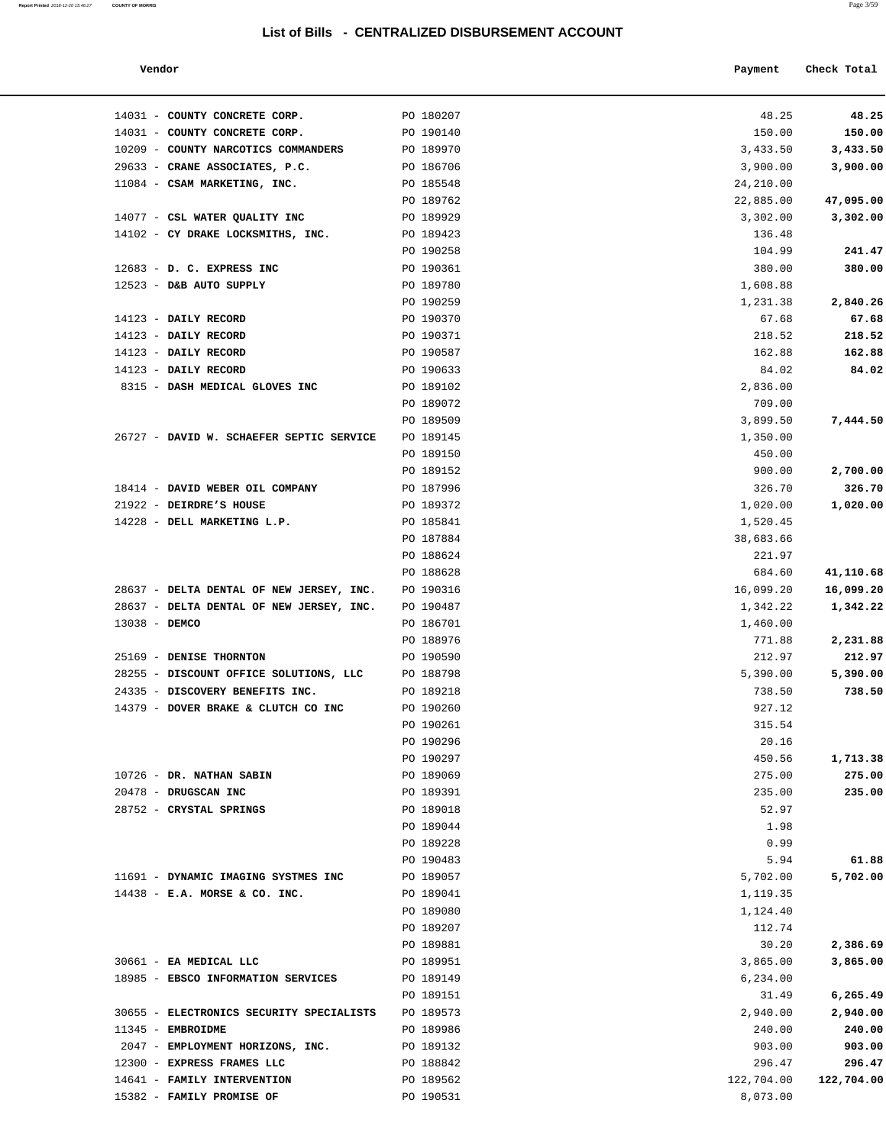**Report Printed** 2018-12-20 15:46:27 **COUNTY OF MORRIS** Page 3/59

| Vendor                        |           | Payment | Check Total |
|-------------------------------|-----------|---------|-------------|
| 14031 - COUNTY CONCRETE CORP. | PO 180207 | 48.25   | 48.25       |

| 14031 - COUNTY CONCRETE CORP.            | PO 190140 | 150.00     | 150.00           |
|------------------------------------------|-----------|------------|------------------|
| 10209 - COUNTY NARCOTICS COMMANDERS      | PO 189970 | 3,433.50   | 3,433.50         |
| 29633 - CRANE ASSOCIATES, P.C.           | PO 186706 | 3,900.00   | 3,900.00         |
| 11084 - CSAM MARKETING, INC.             | PO 185548 | 24,210.00  |                  |
|                                          | PO 189762 | 22,885.00  | 47,095.00        |
| 14077 - CSL WATER QUALITY INC            | PO 189929 | 3,302.00   | 3,302.00         |
| 14102 - CY DRAKE LOCKSMITHS, INC.        | PO 189423 | 136.48     |                  |
|                                          | PO 190258 | 104.99     | 241.47           |
| 12683 - D. C. EXPRESS INC                | PO 190361 | 380.00     | 380.00           |
| 12523 - D&B AUTO SUPPLY                  | PO 189780 | 1,608.88   |                  |
|                                          | PO 190259 | 1,231.38   | 2,840.26         |
| 14123 - DAILY RECORD                     | PO 190370 | 67.68      | 67.68            |
| 14123 - DAILY RECORD                     | PO 190371 | 218.52     | 218.52           |
| 14123 - DAILY RECORD                     | PO 190587 | 162.88     | 162.88           |
| 14123 - DAILY RECORD                     | PO 190633 | 84.02      | 84.02            |
| 8315 - DASH MEDICAL GLOVES INC           | PO 189102 | 2,836.00   |                  |
|                                          | PO 189072 | 709.00     |                  |
|                                          | PO 189509 | 3,899.50   | 7,444.50         |
| 26727 - DAVID W. SCHAEFER SEPTIC SERVICE | PO 189145 | 1,350.00   |                  |
|                                          | PO 189150 | 450.00     |                  |
|                                          | PO 189152 | 900.00     | 2,700.00         |
| 18414 - DAVID WEBER OIL COMPANY          | PO 187996 | 326.70     | 326.70           |
| 21922 - DEIRDRE'S HOUSE                  | PO 189372 | 1,020.00   | 1,020.00         |
| 14228 - DELL MARKETING L.P.              | PO 185841 | 1,520.45   |                  |
|                                          | PO 187884 | 38,683.66  |                  |
|                                          | PO 188624 | 221.97     |                  |
|                                          | PO 188628 | 684.60     | 41,110.68        |
| 28637 - DELTA DENTAL OF NEW JERSEY, INC. | PO 190316 | 16,099.20  | 16,099.20        |
| 28637 - DELTA DENTAL OF NEW JERSEY, INC. | PO 190487 | 1,342.22   | 1,342.22         |
| 13038 - DEMCO                            | PO 186701 | 1,460.00   |                  |
|                                          | PO 188976 | 771.88     | 2,231.88         |
| 25169 - DENISE THORNTON                  | PO 190590 | 212.97     | 212.97           |
| 28255 - DISCOUNT OFFICE SOLUTIONS, LLC   | PO 188798 | 5,390.00   | 5,390.00         |
| 24335 - DISCOVERY BENEFITS INC.          | PO 189218 | 738.50     | 738.50           |
| 14379 - DOVER BRAKE & CLUTCH CO INC      | PO 190260 | 927.12     |                  |
|                                          | PO 190261 | 315.54     |                  |
|                                          | PO 190296 | 20.16      |                  |
|                                          | PO 190297 | 450.56     | 1,713.38         |
| 10726 - DR. NATHAN SABIN                 | PO 189069 |            |                  |
|                                          |           | 275.00     | 275.00<br>235.00 |
| 20478 - DRUGSCAN INC                     | PO 189391 | 235.00     |                  |
| 28752 - CRYSTAL SPRINGS                  | PO 189018 | 52.97      |                  |
|                                          | PO 189044 | 1.98       |                  |
|                                          | PO 189228 | 0.99       | 61.88            |
|                                          | PO 190483 | 5.94       |                  |
| 11691 - DYNAMIC IMAGING SYSTMES INC      | PO 189057 | 5,702.00   | 5,702.00         |
| $14438$ - E.A. MORSE & CO. INC.          | PO 189041 | 1,119.35   |                  |
|                                          | PO 189080 | 1,124.40   |                  |
|                                          | PO 189207 | 112.74     |                  |
|                                          | PO 189881 | 30.20      | 2,386.69         |
| 30661 - EA MEDICAL LLC                   | PO 189951 | 3,865.00   | 3,865.00         |
| 18985 - EBSCO INFORMATION SERVICES       | PO 189149 | 6,234.00   |                  |
|                                          | PO 189151 | 31.49      | 6,265.49         |
| 30655 - ELECTRONICS SECURITY SPECIALISTS | PO 189573 | 2,940.00   | 2,940.00         |
| 11345 - EMBROIDME                        | PO 189986 | 240.00     | 240.00           |
| 2047 - EMPLOYMENT HORIZONS, INC.         | PO 189132 | 903.00     | 903.00           |
| 12300 - EXPRESS FRAMES LLC               | PO 188842 | 296.47     | 296.47           |
| 14641 - FAMILY INTERVENTION              | PO 189562 | 122,704.00 | 122,704.00       |
| 15382 - FAMILY PROMISE OF                | PO 190531 | 8,073.00   |                  |
|                                          |           |            |                  |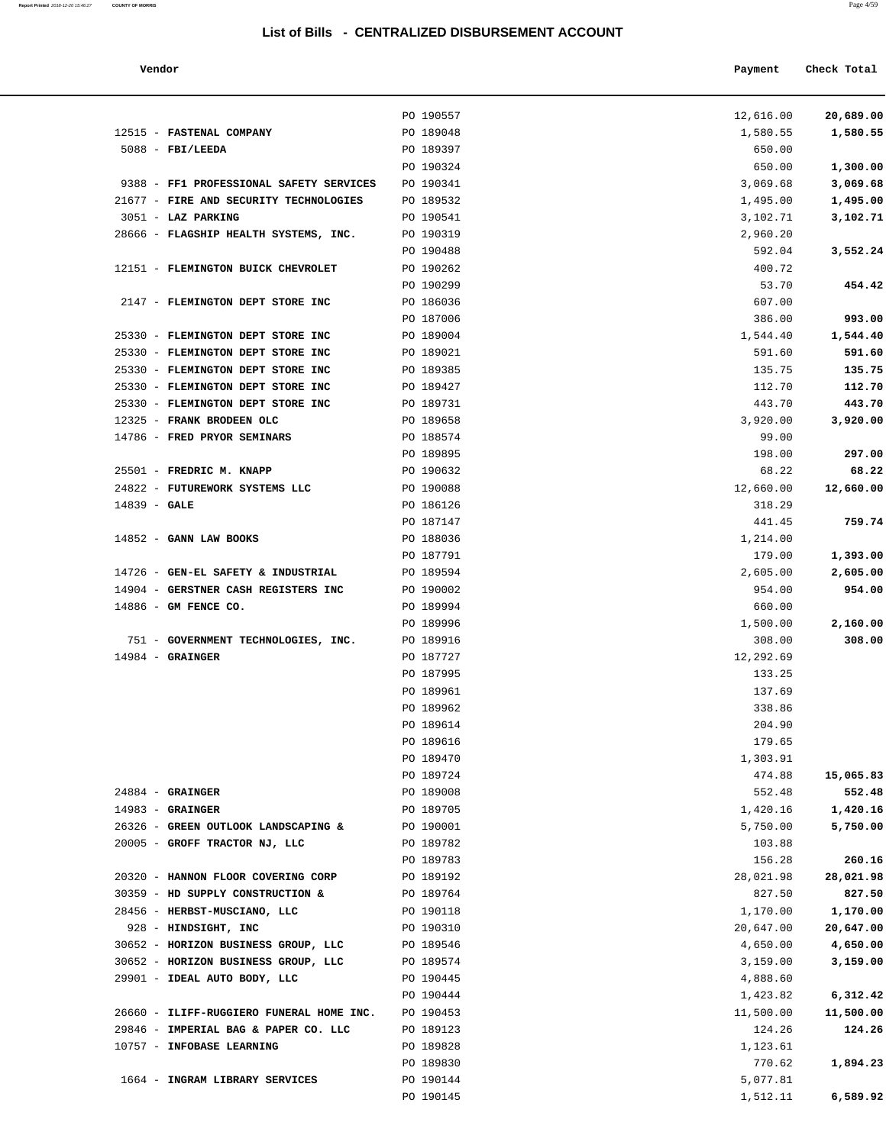| Vendor |  | the contract of the contract of the | Payment Check Total |
|--------|--|-------------------------------------|---------------------|
|        |  |                                     |                     |

|                                              | PO 190557              | 12,616.00          | 20,689.00 |
|----------------------------------------------|------------------------|--------------------|-----------|
| 12515 - FASTENAL COMPANY                     | PO 189048              | 1,580.55           | 1,580.55  |
| $5088$ - FBI/LEEDA                           | PO 189397<br>PO 190324 | 650.00             | 1,300.00  |
| 9388 - FF1 PROFESSIONAL SAFETY SERVICES      | PO 190341              | 650.00<br>3,069.68 | 3,069.68  |
| 21677 - FIRE AND SECURITY TECHNOLOGIES       | PO 189532              | 1,495.00           | 1,495.00  |
| 3051 - LAZ PARKING                           | PO 190541              | 3,102.71           | 3,102.71  |
| 28666 - FLAGSHIP HEALTH SYSTEMS, INC.        | PO 190319              | 2,960.20           |           |
|                                              | PO 190488              | 592.04             | 3,552.24  |
| 12151 - FLEMINGTON BUICK CHEVROLET           | PO 190262              | 400.72             |           |
|                                              | PO 190299              | 53.70              | 454.42    |
| 2147 - FLEMINGTON DEPT STORE INC             | PO 186036              | 607.00             |           |
|                                              | PO 187006              | 386.00             | 993.00    |
| 25330 - FLEMINGTON DEPT STORE INC            | PO 189004              | 1,544.40           | 1,544.40  |
| 25330 - FLEMINGTON DEPT STORE INC            | PO 189021              | 591.60             | 591.60    |
| 25330 - FLEMINGTON DEPT STORE INC            | PO 189385              | 135.75             | 135.75    |
| 25330 - FLEMINGTON DEPT STORE INC            | PO 189427              | 112.70             | 112.70    |
| 25330 - FLEMINGTON DEPT STORE INC            | PO 189731              | 443.70             | 443.70    |
| 12325 - FRANK BRODEEN OLC                    | PO 189658              | 3,920.00           | 3,920.00  |
| 14786 - FRED PRYOR SEMINARS                  | PO 188574              | 99.00              |           |
|                                              | PO 189895              | 198.00             | 297.00    |
| 25501 - FREDRIC M. KNAPP                     | PO 190632              | 68.22              | 68.22     |
| 24822 - FUTUREWORK SYSTEMS LLC               | PO 190088              | 12,660.00          | 12,660.00 |
| $14839 - GALE$                               | PO 186126              | 318.29             |           |
|                                              | PO 187147              | 441.45             | 759.74    |
| $14852$ - GANN LAW BOOKS                     | PO 188036              | 1,214.00           |           |
|                                              | PO 187791              | 179.00             | 1,393.00  |
| 14726 - GEN-EL SAFETY & INDUSTRIAL PO 189594 |                        | 2,605.00           | 2,605.00  |
| 14904 - GERSTNER CASH REGISTERS INC          | PO 190002              | 954.00             | 954.00    |
| 14886 - GM FENCE CO.                         | PO 189994              | 660.00             |           |
|                                              | PO 189996              | 1,500.00           | 2,160.00  |
| 751 - GOVERNMENT TECHNOLOGIES, INC.          | PO 189916              | 308.00             | 308.00    |
| $14984$ - GRAINGER                           | PO 187727              | 12,292.69          |           |
|                                              | PO 187995              | 133.25             |           |
|                                              | PO 189961              | 137.69             |           |
|                                              | PO 189962<br>PO 189614 | 338.86<br>204.90   |           |
|                                              | PO 189616              | 179.65             |           |
|                                              | PO 189470              | 1,303.91           |           |
|                                              | PO 189724              | 474.88             | 15,065.83 |
| $24884$ - GRAINGER                           | PO 189008              | 552.48             | 552.48    |
| $14983$ - GRAINGER                           | PO 189705              | 1,420.16           | 1,420.16  |
| 26326 - GREEN OUTLOOK LANDSCAPING &          | PO 190001              | 5,750.00           | 5,750.00  |
| 20005 - GROFF TRACTOR NJ, LLC                | PO 189782              | 103.88             |           |
|                                              | PO 189783              | 156.28             | 260.16    |
| 20320 - HANNON FLOOR COVERING CORP           | PO 189192              | 28,021.98          | 28,021.98 |
| 30359 - HD SUPPLY CONSTRUCTION &             | PO 189764              | 827.50             | 827.50    |
| 28456 - HERBST-MUSCIANO, LLC                 | PO 190118              | 1,170.00           | 1,170.00  |
| 928 - HINDSIGHT, INC                         | PO 190310              | 20,647.00          | 20,647.00 |
| 30652 - HORIZON BUSINESS GROUP, LLC          | PO 189546              | 4,650.00           | 4,650.00  |
| 30652 - HORIZON BUSINESS GROUP, LLC          | PO 189574              | 3,159.00           | 3,159.00  |
| 29901 - IDEAL AUTO BODY, LLC                 | PO 190445              | 4,888.60           |           |
|                                              | PO 190444              | 1,423.82           | 6,312.42  |
| 26660 - ILIFF-RUGGIERO FUNERAL HOME INC.     | PO 190453              | 11,500.00          | 11,500.00 |
| 29846 - IMPERIAL BAG & PAPER CO. LLC         | PO 189123              | 124.26             | 124.26    |
| 10757 - INFOBASE LEARNING                    | PO 189828              | 1,123.61           |           |
|                                              | PO 189830              | 770.62             | 1,894.23  |
| 1664 - INGRAM LIBRARY SERVICES               | PO 190144              | 5,077.81           |           |
|                                              | PO 190145              | 1,512.11           | 6,589.92  |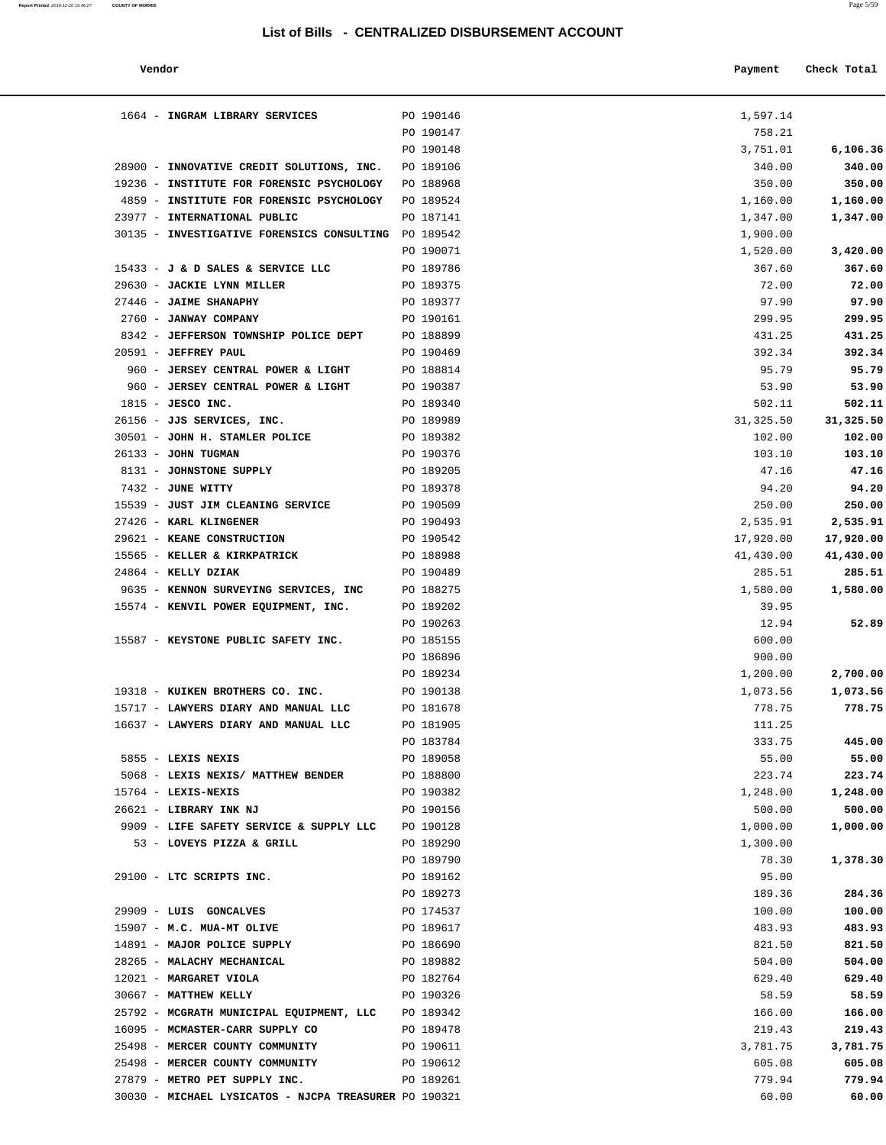| Report Printed 2018-12-20 15:46:27 | <b>COUNTY OF MORRIS</b> | Page 5/59 |
|------------------------------------|-------------------------|-----------|
|                                    |                         |           |

| Vendor                                                      |                        | Payment             | Check Total         |
|-------------------------------------------------------------|------------------------|---------------------|---------------------|
| 1664 - INGRAM LIBRARY SERVICES                              | PO 190146              | 1,597.14            |                     |
|                                                             | PO 190147              | 758.21              |                     |
|                                                             | PO 190148              | 3,751.01            | 6,106.36            |
| 28900 - INNOVATIVE CREDIT SOLUTIONS, INC.                   | PO 189106              | 340.00              | 340.00              |
| 19236 - INSTITUTE FOR FORENSIC PSYCHOLOGY                   | PO 188968              | 350.00              | 350.00              |
| 4859 - INSTITUTE FOR FORENSIC PSYCHOLOGY                    | PO 189524              | 1,160.00            | 1,160.00            |
| 23977 - INTERNATIONAL PUBLIC                                | PO 187141              | 1,347.00            | 1,347.00            |
| 30135 - INVESTIGATIVE FORENSICS CONSULTING                  | PO 189542              | 1,900.00            |                     |
|                                                             | PO 190071              | 1,520.00            | 3,420.00            |
| 15433 - J & D SALES & SERVICE LLC                           | PO 189786              | 367.60              | 367.60              |
| 29630 - JACKIE LYNN MILLER                                  | PO 189375              | 72.00               | 72.00               |
| 27446 - JAIME SHANAPHY                                      | PO 189377              | 97.90               | 97.90               |
| 2760 - JANWAY COMPANY                                       | PO 190161              | 299.95              | 299.95              |
| 8342 - JEFFERSON TOWNSHIP POLICE DEPT                       | PO 188899              | 431.25              | 431.25              |
| 20591 - JEFFREY PAUL                                        | PO 190469              | 392.34              | 392.34              |
| 960 - JERSEY CENTRAL POWER & LIGHT                          | PO 188814              | 95.79               | 95.79               |
| 960 - JERSEY CENTRAL POWER & LIGHT                          | PO 190387              | 53.90               | 53.90               |
| $1815$ - JESCO INC.                                         | PO 189340              | 502.11              | 502.11              |
| 26156 - JJS SERVICES, INC.                                  | PO 189989              | 31, 325.50          | 31,325.50           |
| 30501 - JOHN H. STAMLER POLICE                              | PO 189382              | 102.00              | 102.00              |
| $26133 - JOHN TUGMAN$                                       | PO 190376              | 103.10              | 103.10              |
| 8131 - JOHNSTONE SUPPLY                                     | PO 189205              | 47.16               | 47.16               |
| 7432 - JUNE WITTY                                           | PO 189378              | 94.20               | 94.20               |
| 15539 - JUST JIM CLEANING SERVICE<br>27426 - KARL KLINGENER | PO 190509              | 250.00              | 250.00              |
| 29621 - KEANE CONSTRUCTION                                  | PO 190493              | 2,535.91            | 2,535.91            |
| 15565 - KELLER & KIRKPATRICK                                | PO 190542<br>PO 188988 | 17,920.00           | 17,920.00           |
| 24864 - KELLY DZIAK                                         | PO 190489              | 41,430.00<br>285.51 | 41,430.00<br>285.51 |
| 9635 - KENNON SURVEYING SERVICES, INC                       | PO 188275              | 1,580.00            | 1,580.00            |
| 15574 - KENVIL POWER EQUIPMENT, INC.                        | PO 189202              | 39.95               |                     |
|                                                             | PO 190263              | 12.94               | 52.89               |
| 15587 - KEYSTONE PUBLIC SAFETY INC.                         | PO 185155              | 600.00              |                     |
|                                                             | PO 186896              | 900.00              |                     |
|                                                             | PO 189234              | 1,200.00            | 2,700.00            |
| 19318 - KUIKEN BROTHERS CO. INC.                            | PO 190138              | 1,073.56            | 1,073.56            |
| 15717 - LAWYERS DIARY AND MANUAL LLC                        | PO 181678              | 778.75              | 778.75              |
| 16637 - LAWYERS DIARY AND MANUAL LLC                        | PO 181905              | 111.25              |                     |
|                                                             | PO 183784              | 333.75              | 445.00              |
| 5855 - LEXIS NEXIS                                          | PO 189058              | 55.00               | 55.00               |
| 5068 - LEXIS NEXIS/ MATTHEW BENDER                          | PO 188800              | 223.74              | 223.74              |
| $15764$ - LEXIS-NEXIS                                       | PO 190382              | 1,248.00            | 1,248.00            |
| 26621 - LIBRARY INK NJ                                      | PO 190156              | 500.00              | 500.00              |
| 9909 - LIFE SAFETY SERVICE & SUPPLY LLC                     | PO 190128              | 1,000.00            | 1,000.00            |
| 53 - LOVEYS PIZZA & GRILL                                   | PO 189290              | 1,300.00            |                     |
|                                                             | PO 189790              | 78.30               | 1,378.30            |
| 29100 - LTC SCRIPTS INC.                                    | PO 189162              | 95.00               |                     |
|                                                             | PO 189273              | 189.36              | 284.36              |
| 29909 - LUIS GONCALVES                                      | PO 174537              | 100.00              | 100.00              |
| 15907 - M.C. MUA-MT OLIVE                                   | PO 189617              | 483.93              | 483.93              |
| 14891 - MAJOR POLICE SUPPLY                                 | PO 186690              | 821.50              | 821.50              |
| 28265 - MALACHY MECHANICAL                                  | PO 189882              | 504.00              | 504.00              |
| 12021 - MARGARET VIOLA                                      | PO 182764              | 629.40              | 629.40              |
| 30667 - MATTHEW KELLY                                       | PO 190326              | 58.59               | 58.59               |
| 25792 - MCGRATH MUNICIPAL EQUIPMENT, LLC PO 189342          |                        | 166.00              | 166.00              |
| 16095 - MCMASTER-CARR SUPPLY CO                             | PO 189478              | 219.43              | 219.43              |
| 25498 - MERCER COUNTY COMMUNITY                             | PO 190611              | 3,781.75            | 3,781.75            |
| 25498 - MERCER COUNTY COMMUNITY                             | PO 190612              | 605.08              | 605.08              |
| 27879 - METRO PET SUPPLY INC.                               | PO 189261              | 779.94              | 779.94              |
| 30030 - MICHAEL LYSICATOS - NJCPA TREASURER PO 190321       |                        | 60.00               | 60.00               |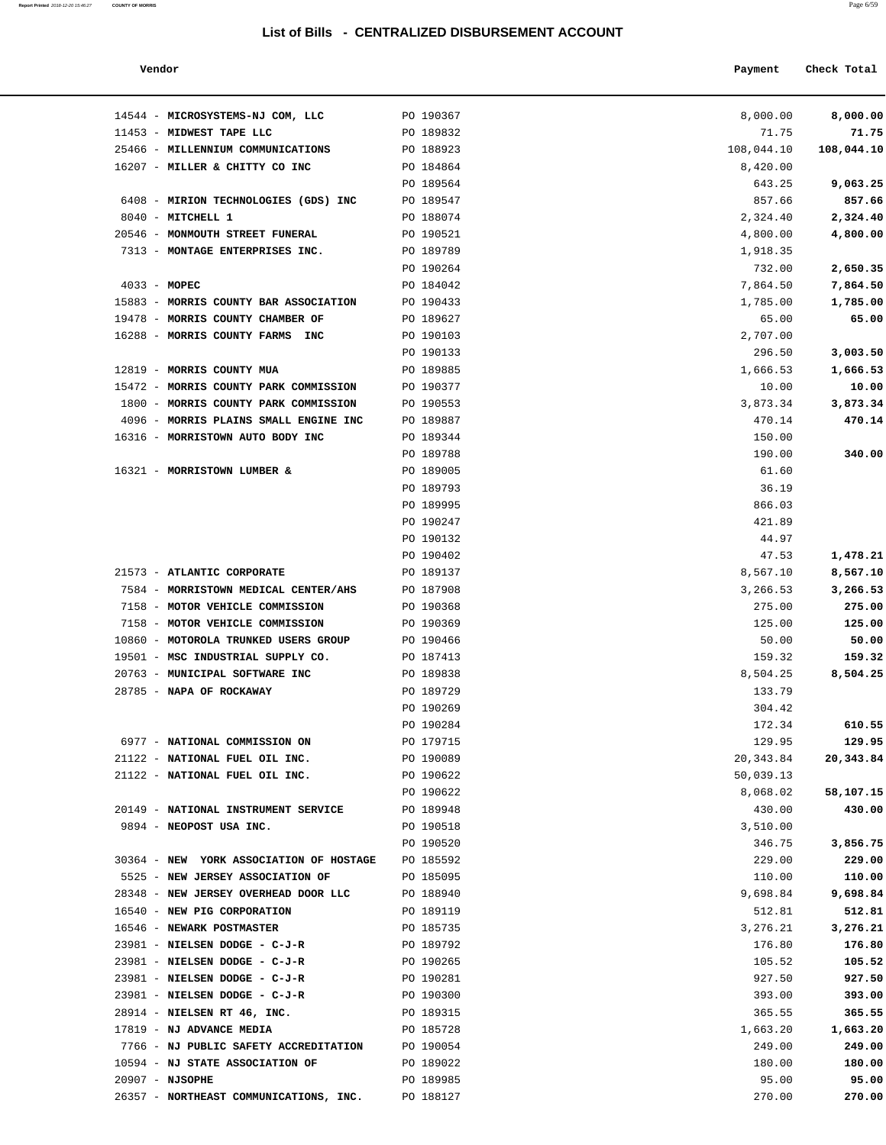**Report Printed** 2018-12-20 15:46:27 **COUNTY OF MORRIS** Page 6/59

| Vendor                                                             |                        | Payment            | Check Total        |
|--------------------------------------------------------------------|------------------------|--------------------|--------------------|
| 14544 - MICROSYSTEMS-NJ COM, LLC                                   | PO 190367              | 8,000.00           | 8,000.00           |
| 11453 - MIDWEST TAPE LLC                                           | PO 189832              | 71.75              | 71.75              |
| 25466 - MILLENNIUM COMMUNICATIONS                                  | PO 188923              | 108,044.10         | 108,044.10         |
| 16207 - MILLER & CHITTY CO INC                                     | PO 184864              | 8,420.00           |                    |
|                                                                    | PO 189564              | 643.25             | 9,063.25           |
| 6408 - MIRION TECHNOLOGIES (GDS) INC                               | PO 189547              | 857.66             | 857.66             |
| 8040 - MITCHELL 1                                                  | PO 188074              | 2,324.40           | 2,324.40           |
| 20546 - MONMOUTH STREET FUNERAL                                    | PO 190521              | 4,800.00           | 4,800.00           |
| 7313 - MONTAGE ENTERPRISES INC.                                    | PO 189789              | 1,918.35           |                    |
|                                                                    | PO 190264              | 732.00             | 2,650.35           |
| $4033 - MOPEC$                                                     | PO 184042              | 7,864.50           | 7,864.50           |
| 15883 - MORRIS COUNTY BAR ASSOCIATION                              | PO 190433              | 1,785.00           | 1,785.00           |
| 19478 - MORRIS COUNTY CHAMBER OF                                   | PO 189627              | 65.00              | 65.00              |
| 16288 - MORRIS COUNTY FARMS<br>INC                                 | PO 190103              | 2,707.00           |                    |
|                                                                    | PO 190133              | 296.50             | 3,003.50           |
| 12819 - MORRIS COUNTY MUA                                          | PO 189885              | 1,666.53           | 1,666.53           |
| 15472 - MORRIS COUNTY PARK COMMISSION                              | PO 190377              | 10.00              | 10.00              |
| 1800 - MORRIS COUNTY PARK COMMISSION                               | PO 190553              | 3,873.34           | 3,873.34           |
| 4096 - MORRIS PLAINS SMALL ENGINE INC                              | PO 189887              | 470.14             | 470.14             |
| 16316 - MORRISTOWN AUTO BODY INC                                   | PO 189344              | 150.00             |                    |
|                                                                    | PO 189788              | 190.00             | 340.00             |
| 16321 - MORRISTOWN LUMBER &                                        | PO 189005              | 61.60              |                    |
|                                                                    | PO 189793              | 36.19              |                    |
|                                                                    | PO 189995              | 866.03             |                    |
|                                                                    | PO 190247              | 421.89             |                    |
|                                                                    | PO 190132              | 44.97              |                    |
|                                                                    | PO 190402              | 47.53              | 1,478.21           |
| 21573 - ATLANTIC CORPORATE<br>7584 - MORRISTOWN MEDICAL CENTER/AHS | PO 189137<br>PO 187908 | 8,567.10           | 8,567.10           |
| 7158 - MOTOR VEHICLE COMMISSION                                    | PO 190368              | 3,266.53<br>275.00 | 3,266.53<br>275.00 |
| 7158 - MOTOR VEHICLE COMMISSION                                    | PO 190369              | 125.00             | 125.00             |
| 10860 - MOTOROLA TRUNKED USERS GROUP                               | PO 190466              | 50.00              | 50.00              |
| 19501 - MSC INDUSTRIAL SUPPLY CO.                                  | PO 187413              | 159.32             | 159.32             |
| 20763 - MUNICIPAL SOFTWARE INC                                     | PO 189838              | 8,504.25           | 8,504.25           |
| 28785 - NAPA OF ROCKAWAY                                           | PO 189729              | 133.79             |                    |
|                                                                    | PO 190269              | 304.42             |                    |
|                                                                    | PO 190284              | 172.34             | 610.55             |
| 6977 - NATIONAL COMMISSION ON                                      | PO 179715              | 129.95             | 129.95             |
| 21122 - NATIONAL FUEL OIL INC.                                     | PO 190089              | 20,343.84          | 20,343.84          |
| 21122 - NATIONAL FUEL OIL INC.                                     | PO 190622              | 50,039.13          |                    |
|                                                                    | PO 190622              | 8,068.02           | 58,107.15          |
| 20149 - NATIONAL INSTRUMENT SERVICE                                | PO 189948              | 430.00             | 430.00             |
| 9894 - NEOPOST USA INC.                                            | PO 190518              | 3,510.00           |                    |
|                                                                    | PO 190520              | 346.75             | 3,856.75           |
| 30364 - NEW YORK ASSOCIATION OF HOSTAGE                            | PO 185592              | 229.00             | 229.00             |
| 5525 - NEW JERSEY ASSOCIATION OF                                   | PO 185095              | 110.00             | 110.00             |
| 28348 - NEW JERSEY OVERHEAD DOOR LLC                               | PO 188940              | 9,698.84           | 9,698.84           |
| 16540 - NEW PIG CORPORATION                                        | PO 189119              | 512.81             | 512.81             |
| 16546 - NEWARK POSTMASTER                                          | PO 185735              | 3,276.21           | 3,276.21           |
| 23981 - NIELSEN DODGE - C-J-R                                      | PO 189792              | 176.80             | 176.80             |
| 23981 - NIELSEN DODGE - C-J-R                                      | PO 190265              | 105.52             | 105.52             |
| 23981 - NIELSEN DODGE - C-J-R                                      | PO 190281              | 927.50             | 927.50             |
| 23981 - NIELSEN DODGE - C-J-R                                      | PO 190300              | 393.00             | 393.00             |
| 28914 - NIELSEN RT 46, INC.                                        | PO 189315              | 365.55             | 365.55             |
| 17819 - NJ ADVANCE MEDIA                                           | PO 185728              | 1,663.20           | 1,663.20           |
| 7766 - NJ PUBLIC SAFETY ACCREDITATION                              | PO 190054              | 249.00             | 249.00             |
| 10594 - NJ STATE ASSOCIATION OF                                    | PO 189022              | 180.00             | 180.00             |
| $20907 - NJSOPHE$                                                  | PO 189985              | 95.00              | 95.00              |

26357 - **NORTHEAST COMMUNICATIONS, INC.** PO 188127 270.00 **270.00**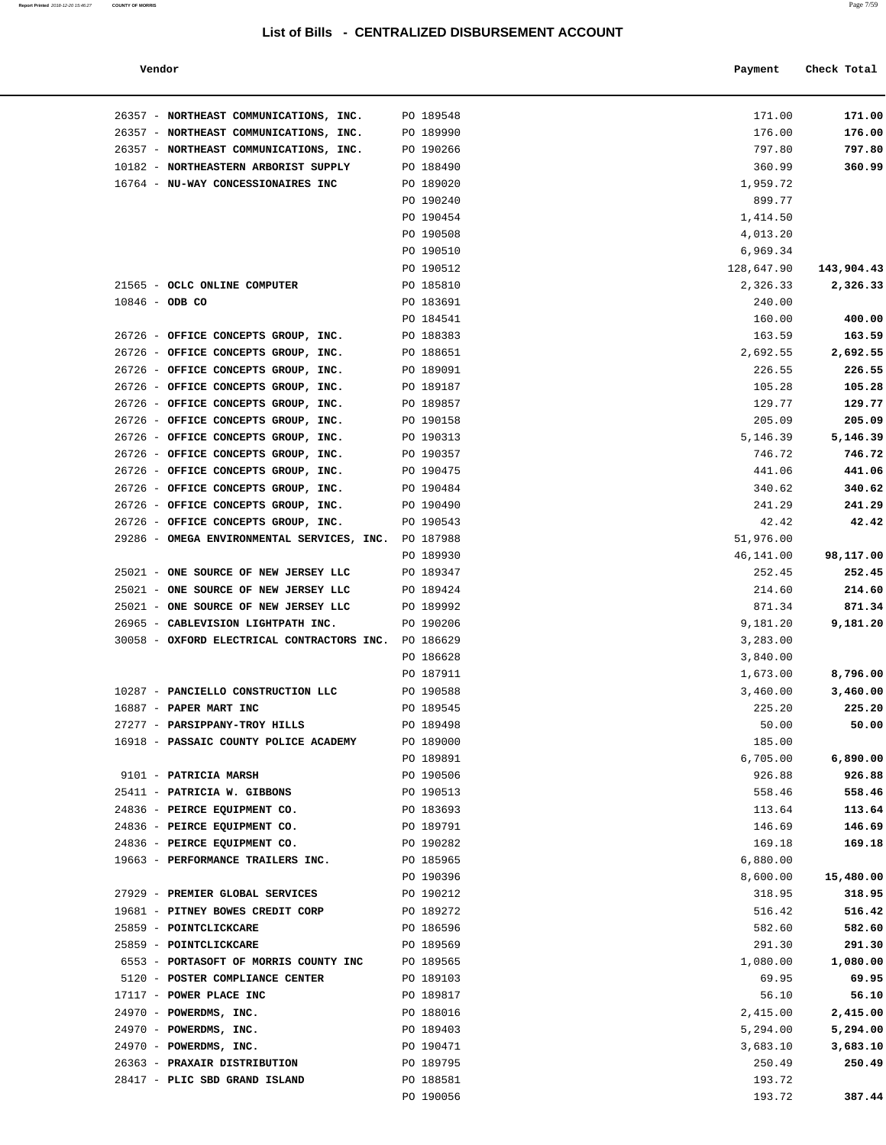### **Report Printed** 2018-12-20 15:46:27 **COUNTY OF MORRIS** Page 7/59

### **List of Bills - CENTRALIZED DISBURSEMENT ACCOUNT**

| Vendor<br>Payment | Check Total |
|-------------------|-------------|
|-------------------|-------------|

| 26357 - NORTHEAST COMMUNICATIONS, INC.                                     | PO 189548              | 171.00                 | 171.00             |
|----------------------------------------------------------------------------|------------------------|------------------------|--------------------|
| 26357 - NORTHEAST COMMUNICATIONS, INC.                                     | PO 189990              | 176.00                 | 176.00             |
| 26357 - NORTHEAST COMMUNICATIONS, INC.                                     | PO 190266              | 797.80                 | 797.80             |
| 10182 - NORTHEASTERN ARBORIST SUPPLY                                       | PO 188490              | 360.99                 | 360.99             |
| 16764 - NU-WAY CONCESSIONAIRES INC                                         | PO 189020              | 1,959.72               |                    |
|                                                                            | PO 190240              | 899.77                 |                    |
|                                                                            | PO 190454              | 1,414.50               |                    |
|                                                                            | PO 190508              | 4,013.20               |                    |
|                                                                            | PO 190510              | 6,969.34               | 143,904.43         |
| 21565 - OCLC ONLINE COMPUTER                                               | PO 190512<br>PO 185810 | 128,647.90<br>2,326.33 | 2,326.33           |
| $10846 - ODB CO$                                                           | PO 183691              | 240.00                 |                    |
|                                                                            | PO 184541              | 160.00                 | 400.00             |
| 26726 - OFFICE CONCEPTS GROUP, INC.                                        | PO 188383              | 163.59                 | 163.59             |
| 26726 - OFFICE CONCEPTS GROUP, INC.                                        | PO 188651              | 2,692.55               | 2,692.55           |
| 26726 - OFFICE CONCEPTS GROUP, INC.                                        | PO 189091              | 226.55                 | 226.55             |
| 26726 - OFFICE CONCEPTS GROUP, INC.                                        | PO 189187              | 105.28                 | 105.28             |
| 26726 - OFFICE CONCEPTS GROUP, INC.                                        | PO 189857              | 129.77                 | 129.77             |
| 26726 - OFFICE CONCEPTS GROUP, INC.                                        | PO 190158              | 205.09                 | 205.09             |
| 26726 - OFFICE CONCEPTS GROUP, INC.                                        | PO 190313              | 5,146.39               | 5,146.39           |
| 26726 - OFFICE CONCEPTS GROUP, INC.                                        | PO 190357              | 746.72                 | 746.72             |
| 26726 - OFFICE CONCEPTS GROUP, INC.                                        | PO 190475              | 441.06                 | 441.06             |
| 26726 - OFFICE CONCEPTS GROUP, INC.                                        | PO 190484              | 340.62                 | 340.62             |
| 26726 - OFFICE CONCEPTS GROUP, INC.                                        | PO 190490              | 241.29                 | 241.29             |
| 26726 - OFFICE CONCEPTS GROUP, INC.                                        | PO 190543              | 42.42                  | 42.42              |
| 29286 - OMEGA ENVIRONMENTAL SERVICES, INC. PO 187988                       |                        | 51,976.00              |                    |
|                                                                            | PO 189930              | 46,141.00              | 98,117.00          |
| 25021 - ONE SOURCE OF NEW JERSEY LLC                                       | PO 189347              | 252.45                 | 252.45             |
| 25021 - ONE SOURCE OF NEW JERSEY LLC                                       | PO 189424              | 214.60                 | 214.60             |
| 25021 - ONE SOURCE OF NEW JERSEY LLC<br>26965 - CABLEVISION LIGHTPATH INC. | PO 189992<br>PO 190206 | 871.34<br>9,181.20     | 871.34<br>9,181.20 |
| 30058 - OXFORD ELECTRICAL CONTRACTORS INC. PO 186629                       |                        | 3,283.00               |                    |
|                                                                            | PO 186628              | 3,840.00               |                    |
|                                                                            | PO 187911              | 1,673.00               | 8,796.00           |
| 10287 - PANCIELLO CONSTRUCTION LLC                                         | PO 190588              | 3,460.00               | 3,460.00           |
| 16887 - PAPER MART INC                                                     | PO 189545              | 225.20                 | 225.20             |
| 27277 - PARSIPPANY-TROY HILLS                                              | PO 189498              | 50.00                  | 50.00              |
| 16918 - PASSAIC COUNTY POLICE ACADEMY                                      | PO 189000              | 185.00                 |                    |
|                                                                            | PO 189891              | 6,705.00               | 6,890.00           |
| 9101 - PATRICIA MARSH                                                      | PO 190506              | 926.88                 | 926.88             |
| 25411 - PATRICIA W. GIBBONS                                                | PO 190513              | 558.46                 | 558.46             |
| 24836 - PEIRCE EQUIPMENT CO.                                               | PO 183693              | 113.64                 | 113.64             |
| 24836 - PEIRCE EQUIPMENT CO.                                               | PO 189791              | 146.69                 | 146.69             |
| 24836 - PEIRCE EQUIPMENT CO.                                               | PO 190282              | 169.18                 | 169.18             |
| 19663 - PERFORMANCE TRAILERS INC.                                          | PO 185965              | 6,880.00               |                    |
|                                                                            | PO 190396              | 8,600.00               | 15,480.00          |
| 27929 - PREMIER GLOBAL SERVICES                                            | PO 190212              | 318.95                 | 318.95             |
| 19681 - PITNEY BOWES CREDIT CORP                                           | PO 189272              | 516.42                 | 516.42             |
| 25859 - POINTCLICKCARE<br>25859 - POINTCLICKCARE                           | PO 186596<br>PO 189569 | 582.60<br>291.30       | 582.60<br>291.30   |
| 6553 - PORTASOFT OF MORRIS COUNTY INC                                      | PO 189565              | 1,080.00               | 1,080.00           |
| 5120 - POSTER COMPLIANCE CENTER                                            | PO 189103              | 69.95                  | 69.95              |
| 17117 - POWER PLACE INC                                                    | PO 189817              | 56.10                  | 56.10              |
| 24970 - POWERDMS, INC.                                                     | PO 188016              | 2,415.00               | 2,415.00           |
| 24970 - POWERDMS, INC.                                                     | PO 189403              | 5,294.00               | 5,294.00           |
| 24970 - POWERDMS, INC.                                                     | PO 190471              | 3,683.10               | 3,683.10           |
| 26363 - PRAXAIR DISTRIBUTION                                               | PO 189795              | 250.49                 | 250.49             |
| 28417 - PLIC SBD GRAND ISLAND                                              | PO 188581              | 193.72                 |                    |
|                                                                            | PO 190056              | 193.72                 | 387.44             |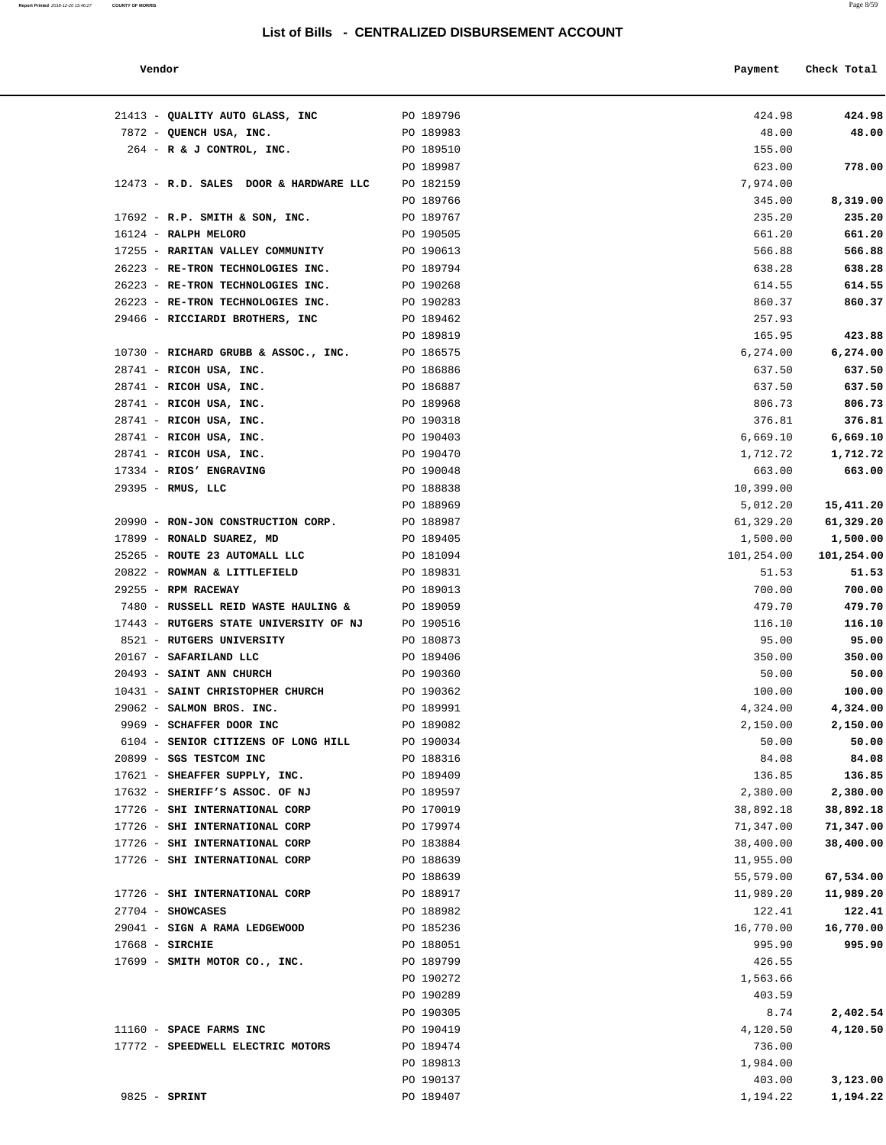**Report Printed** 2018-12-20 15:46:27 **COUNTY OF MORRIS** Page 8/59

| Vendor<br>Payment Check Total |  |  |  |  |  |  |
|-------------------------------|--|--|--|--|--|--|
|-------------------------------|--|--|--|--|--|--|

| 21413 - QUALITY AUTO GLASS, INC PO 189796        |           | 424.98     | 424.98     |
|--------------------------------------------------|-----------|------------|------------|
| 7872 - QUENCH USA, INC.                          | PO 189983 | 48.00      | 48.00      |
| 264 - R & J CONTROL, INC.                        | PO 189510 | 155.00     |            |
|                                                  | PO 189987 | 623.00     | 778.00     |
| 12473 - R.D. SALES DOOR & HARDWARE LLC PO 182159 |           | 7,974.00   |            |
|                                                  | PO 189766 | 345.00     | 8,319.00   |
| $17692$ - R.P. SMITH & SON, INC.                 | PO 189767 | 235.20     | 235.20     |
| 16124 - RALPH MELORO                             | PO 190505 | 661.20     | 661.20     |
| 17255 - RARITAN VALLEY COMMUNITY                 | PO 190613 | 566.88     | 566.88     |
| 26223 - RE-TRON TECHNOLOGIES INC.                | PO 189794 | 638.28     | 638.28     |
| 26223 - RE-TRON TECHNOLOGIES INC.                | PO 190268 | 614.55     | 614.55     |
| 26223 - RE-TRON TECHNOLOGIES INC.                | PO 190283 | 860.37     | 860.37     |
| 29466 - RICCIARDI BROTHERS, INC                  | PO 189462 | 257.93     |            |
|                                                  | PO 189819 | 165.95     | 423.88     |
| 10730 - RICHARD GRUBB & ASSOC., INC.             | PO 186575 | 6,274.00   | 6, 274.00  |
| 28741 - RICOH USA, INC.                          | PO 186886 | 637.50     | 637.50     |
| 28741 - RICOH USA, INC.                          | PO 186887 | 637.50     | 637.50     |
| 28741 - RICOH USA, INC.                          | PO 189968 | 806.73     | 806.73     |
| 28741 - RICOH USA, INC.                          | PO 190318 | 376.81     | 376.81     |
| 28741 - RICOH USA, INC.                          | PO 190403 | 6,669.10   | 6,669.10   |
| 28741 - RICOH USA, INC.                          | PO 190470 | 1,712.72   | 1,712.72   |
| 17334 - RIOS' ENGRAVING                          | PO 190048 | 663.00     | 663.00     |
| 29395 - RMUS, LLC                                | PO 188838 | 10,399.00  |            |
|                                                  | PO 188969 | 5,012.20   | 15,411.20  |
| 20990 - RON-JON CONSTRUCTION CORP. PO 188987     |           | 61,329.20  | 61,329.20  |
| 17899 - RONALD SUAREZ, MD                        | PO 189405 | 1,500.00   | 1,500.00   |
| 25265 - ROUTE 23 AUTOMALL LLC PO 181094          |           | 101,254.00 | 101,254.00 |
| 20822 - ROWMAN & LITTLEFIELD                     | PO 189831 | 51.53      | 51.53      |
| $29255 - RPM RACEWAY$                            | PO 189013 | 700.00     | 700.00     |
| 7480 - RUSSELL REID WASTE HAULING &              | PO 189059 | 479.70     | 479.70     |
| 17443 - RUTGERS STATE UNIVERSITY OF NJ           | PO 190516 | 116.10     | 116.10     |
| 8521 - RUTGERS UNIVERSITY                        | PO 180873 | 95.00      | 95.00      |
| 20167 - SAFARILAND LLC                           | PO 189406 | 350.00     | 350.00     |
| 20493 - SAINT ANN CHURCH                         | PO 190360 | 50.00      | 50.00      |
| 10431 - SAINT CHRISTOPHER CHURCH                 | PO 190362 | 100.00     | 100.00     |
| 29062 - SALMON BROS. INC.                        | PO 189991 | 4,324.00   | 4,324.00   |
| 9969 - SCHAFFER DOOR INC                         | PO 189082 | 2,150.00   | 2,150.00   |
| 6104 - SENIOR CITIZENS OF LONG HILL              | PO 190034 | 50.00      | 50.00      |
| 20899 - SGS TESTCOM INC                          | PO 188316 | 84.08      | 84.08      |
| 17621 - SHEAFFER SUPPLY, INC.                    | PO 189409 | 136.85     | 136.85     |
| 17632 - SHERIFF'S ASSOC. OF NJ                   | PO 189597 | 2,380.00   | 2,380.00   |
| 17726 - SHI INTERNATIONAL CORP                   | PO 170019 | 38,892.18  | 38,892.18  |
| 17726 - SHI INTERNATIONAL CORP                   | PO 179974 | 71,347.00  | 71,347.00  |
| 17726 - SHI INTERNATIONAL CORP                   | PO 183884 | 38,400.00  | 38,400.00  |
| 17726 - SHI INTERNATIONAL CORP                   | PO 188639 | 11,955.00  |            |
|                                                  | PO 188639 | 55,579.00  | 67,534.00  |
| 17726 - SHI INTERNATIONAL CORP                   | PO 188917 | 11,989.20  | 11,989.20  |
| $27704$ - SHOWCASES                              | PO 188982 | 122.41     | 122.41     |
| 29041 - SIGN A RAMA LEDGEWOOD                    | PO 185236 | 16,770.00  | 16,770.00  |
| $17668$ - SIRCHIE                                | PO 188051 | 995.90     | 995.90     |
| 17699 - SMITH MOTOR CO., INC.                    | PO 189799 | 426.55     |            |
|                                                  | PO 190272 | 1,563.66   |            |
|                                                  | PO 190289 | 403.59     |            |
|                                                  | PO 190305 | 8.74       | 2,402.54   |
| 11160 - SPACE FARMS INC                          | PO 190419 | 4,120.50   | 4,120.50   |
| 17772 - SPEEDWELL ELECTRIC MOTORS                | PO 189474 | 736.00     |            |
|                                                  | PO 189813 | 1,984.00   |            |
|                                                  | PO 190137 | 403.00     | 3,123.00   |
| 9825 - SPRINT                                    | PO 189407 | 1,194.22   | 1,194.22   |
|                                                  |           |            |            |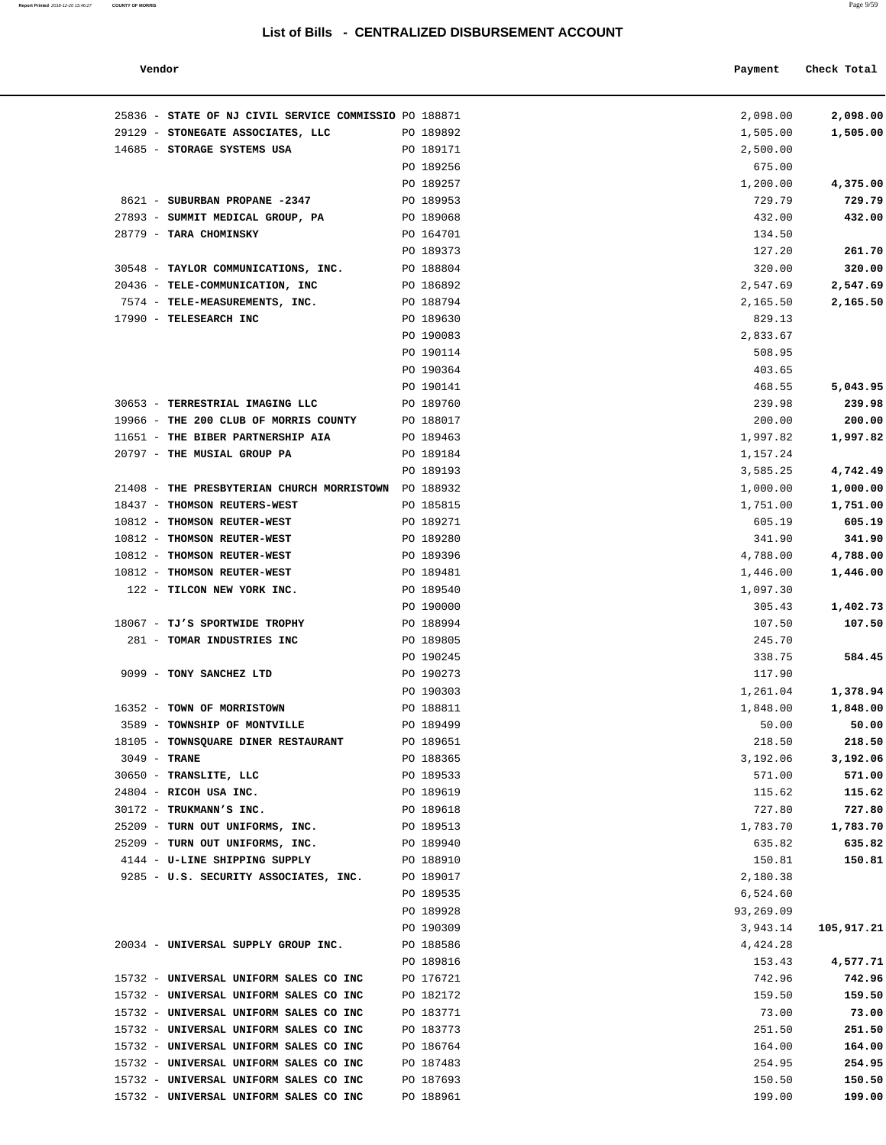### **Vendor Payment** Check Total

| 25836 - STATE OF NJ CIVIL SERVICE COMMISSIO PO 188871<br>29129 - STONEGATE ASSOCIATES, LLC | PO 189892 | 2,098.00<br>1,505.00 | 2,098.00<br>1,505.00 |
|--------------------------------------------------------------------------------------------|-----------|----------------------|----------------------|
| 14685 - STORAGE SYSTEMS USA                                                                | PO 189171 | 2,500.00             |                      |
|                                                                                            | PO 189256 | 675.00               |                      |
|                                                                                            | PO 189257 | 1,200.00             | 4,375.00             |
| 8621 - SUBURBAN PROPANE -2347                                                              | PO 189953 | 729.79               | 729.79               |
| 27893 - SUMMIT MEDICAL GROUP, PA                                                           | PO 189068 | 432.00               | 432.00               |
| 28779 - TARA CHOMINSKY                                                                     | PO 164701 | 134.50               |                      |
|                                                                                            | PO 189373 | 127.20               | 261.70               |
| 30548 - TAYLOR COMMUNICATIONS, INC.                                                        | PO 188804 | 320.00               | 320.00               |
| 20436 - TELE-COMMUNICATION, INC                                                            | PO 186892 | 2,547.69             | 2,547.69             |
| 7574 - TELE-MEASUREMENTS, INC.                                                             | PO 188794 | 2,165.50             | 2,165.50             |
| 17990 - TELESEARCH INC                                                                     | PO 189630 | 829.13               |                      |
|                                                                                            | PO 190083 | 2,833.67             |                      |
|                                                                                            | PO 190114 | 508.95               |                      |
|                                                                                            | PO 190364 | 403.65               |                      |
|                                                                                            | PO 190141 | 468.55               | 5,043.95             |
| 30653 - TERRESTRIAL IMAGING LLC                                                            | PO 189760 | 239.98               | 239.98               |
| 19966 - THE 200 CLUB OF MORRIS COUNTY                                                      | PO 188017 | 200.00               | 200.00               |
| 11651 - THE BIBER PARTNERSHIP AIA                                                          | PO 189463 | 1,997.82             | 1,997.82             |
| 20797 - THE MUSIAL GROUP PA                                                                | PO 189184 | 1,157.24             |                      |
|                                                                                            | PO 189193 | 3,585.25             | 4,742.49             |
| 21408 - THE PRESBYTERIAN CHURCH MORRISTOWN                                                 | PO 188932 | 1,000.00             | 1,000.00             |
| 18437 - THOMSON REUTERS-WEST                                                               | PO 185815 | 1,751.00             | 1,751.00             |
| 10812 - THOMSON REUTER-WEST                                                                | PO 189271 | 605.19               | 605.19               |
| 10812 - THOMSON REUTER-WEST                                                                | PO 189280 | 341.90               | 341.90               |
| 10812 - THOMSON REUTER-WEST                                                                | PO 189396 | 4,788.00             | 4,788.00             |
| 10812 - THOMSON REUTER-WEST                                                                | PO 189481 | 1,446.00             | 1,446.00             |
| 122 - TILCON NEW YORK INC.                                                                 | PO 189540 | 1,097.30             |                      |
|                                                                                            | PO 190000 | 305.43               | 1,402.73             |
| 18067 - TJ'S SPORTWIDE TROPHY                                                              | PO 188994 | 107.50               | 107.50               |
| 281 - TOMAR INDUSTRIES INC                                                                 | PO 189805 | 245.70               |                      |
|                                                                                            | PO 190245 | 338.75               | 584.45               |
| 9099 - TONY SANCHEZ LTD                                                                    | PO 190273 | 117.90               |                      |
|                                                                                            | PO 190303 | 1,261.04             | 1,378.94             |
| 16352 - TOWN OF MORRISTOWN                                                                 | PO 188811 | 1,848.00             | 1,848.00             |
| 3589 - TOWNSHIP OF MONTVILLE                                                               | PO 189499 | 50.00                | 50.00                |
| 18105 - TOWNSQUARE DINER RESTAURANT                                                        | PO 189651 | 218.50               | 218.50               |
| $3049$ - TRANE                                                                             | PO 188365 | 3,192.06             | 3,192.06             |
| 30650 - TRANSLITE, LLC                                                                     | PO 189533 | 571.00               | 571.00               |
| 24804 - RICOH USA INC.                                                                     | PO 189619 | 115.62               | 115.62               |
| 30172 - TRUKMANN'S INC.                                                                    | PO 189618 | 727.80               | 727.80               |
| 25209 - TURN OUT UNIFORMS, INC.                                                            | PO 189513 | 1,783.70             | 1,783.70             |
| 25209 - TURN OUT UNIFORMS, INC.                                                            | PO 189940 | 635.82               | 635.82               |
| 4144 - U-LINE SHIPPING SUPPLY                                                              | PO 188910 | 150.81               | 150.81               |
| 9285 - U.S. SECURITY ASSOCIATES, INC.                                                      | PO 189017 | 2,180.38             |                      |
|                                                                                            | PO 189535 | 6,524.60             |                      |
|                                                                                            | PO 189928 | 93,269.09            |                      |
|                                                                                            | PO 190309 | 3,943.14             | 105,917.21           |
| 20034 - UNIVERSAL SUPPLY GROUP INC.                                                        | PO 188586 | 4,424.28             |                      |
|                                                                                            | PO 189816 | 153.43               | 4,577.71             |
| 15732 - UNIVERSAL UNIFORM SALES CO INC                                                     | PO 176721 | 742.96               | 742.96               |
| 15732 - UNIVERSAL UNIFORM SALES CO INC                                                     | PO 182172 | 159.50               | 159.50               |
| 15732 - UNIVERSAL UNIFORM SALES CO INC                                                     | PO 183771 | 73.00                | 73.00                |
| 15732 - UNIVERSAL UNIFORM SALES CO INC                                                     | PO 183773 | 251.50               | 251.50               |
| 15732 - UNIVERSAL UNIFORM SALES CO INC                                                     | PO 186764 | 164.00               | 164.00               |
| 15732 - UNIVERSAL UNIFORM SALES CO INC                                                     | PO 187483 | 254.95               | 254.95               |
| 15732 - UNIVERSAL UNIFORM SALES CO INC                                                     | PO 187693 | 150.50               | 150.50               |
| 15732 - UNIVERSAL UNIFORM SALES CO INC                                                     | PO 188961 | 199.00               | 199.00               |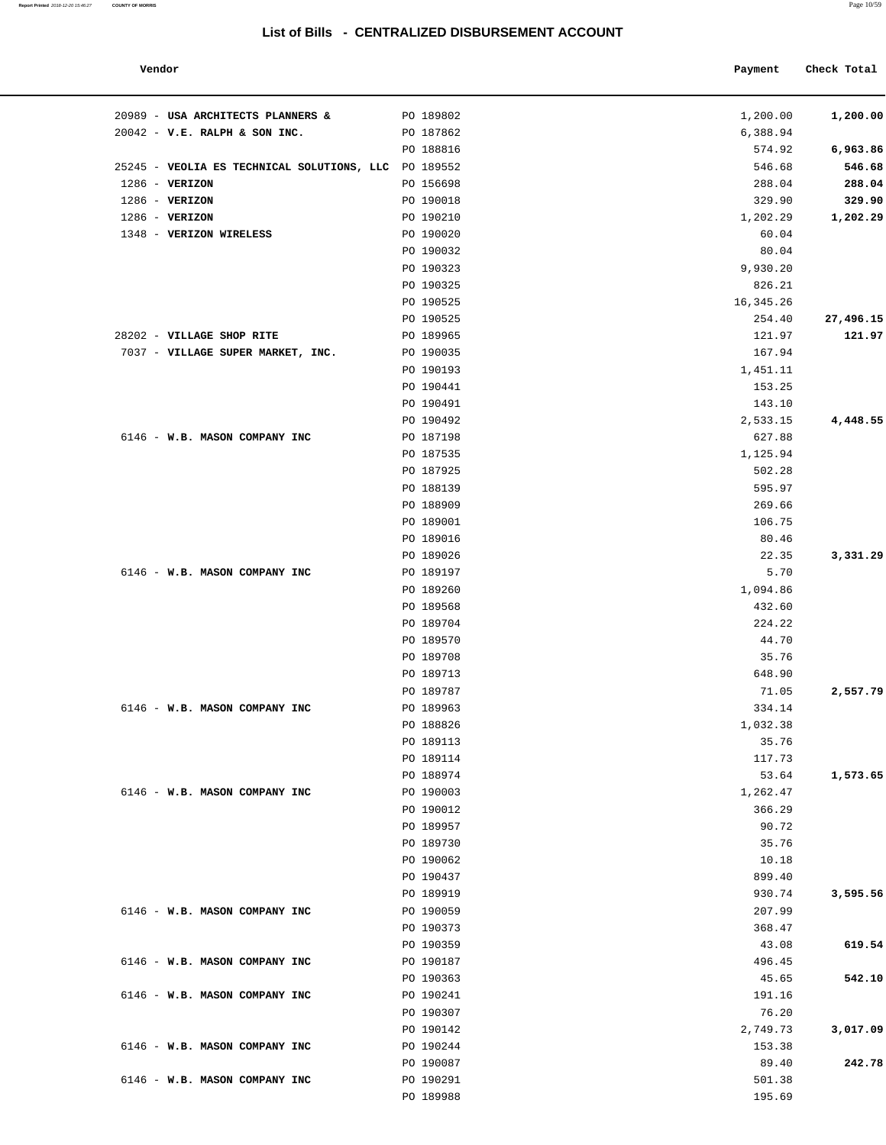### **Vendor Payment Check Total**

| 20989 - USA ARCHITECTS PLANNERS &<br>$20042$ - V.E. RALPH & SON INC. | PO 189802              | 1,200.00<br>6,388.94 | 1,200.00  |
|----------------------------------------------------------------------|------------------------|----------------------|-----------|
|                                                                      | PO 187862<br>PO 188816 | 574.92               | 6,963.86  |
| 25245 - VEOLIA ES TECHNICAL SOLUTIONS, LLC PO 189552                 |                        | 546.68               | 546.68    |
| 1286 - VERIZON                                                       | PO 156698              | 288.04               | 288.04    |
| $1286$ - VERIZON                                                     | PO 190018              | 329.90               | 329.90    |
| 1286 - VERIZON                                                       | PO 190210              | 1,202.29             | 1,202.29  |
| 1348 - VERIZON WIRELESS                                              | PO 190020              | 60.04                |           |
|                                                                      | PO 190032              | 80.04                |           |
|                                                                      | PO 190323              | 9,930.20             |           |
|                                                                      | PO 190325              | 826.21               |           |
|                                                                      | PO 190525              | 16,345.26            |           |
|                                                                      | PO 190525              | 254.40               | 27,496.15 |
| 28202 - VILLAGE SHOP RITE                                            | PO 189965              | 121.97               | 121.97    |
| 7037 - VILLAGE SUPER MARKET, INC.                                    | PO 190035              | 167.94               |           |
|                                                                      | PO 190193              | 1,451.11             |           |
|                                                                      | PO 190441              | 153.25               |           |
|                                                                      | PO 190491              | 143.10               |           |
|                                                                      | PO 190492              | 2,533.15             | 4,448.55  |
| 6146 - W.B. MASON COMPANY INC                                        | PO 187198              | 627.88               |           |
|                                                                      | PO 187535              | 1,125.94             |           |
|                                                                      | PO 187925              | 502.28               |           |
|                                                                      | PO 188139              | 595.97               |           |
|                                                                      | PO 188909              | 269.66               |           |
|                                                                      | PO 189001              | 106.75               |           |
|                                                                      | PO 189016              | 80.46                |           |
|                                                                      | PO 189026              | 22.35                | 3,331.29  |
| 6146 - W.B. MASON COMPANY INC                                        | PO 189197              | 5.70                 |           |
|                                                                      | PO 189260              | 1,094.86             |           |
|                                                                      | PO 189568              | 432.60               |           |
|                                                                      | PO 189704              | 224.22               |           |
|                                                                      | PO 189570              | 44.70                |           |
|                                                                      | PO 189708              | 35.76                |           |
|                                                                      | PO 189713              | 648.90               |           |
|                                                                      | PO 189787              | 71.05                | 2,557.79  |
| 6146 - W.B. MASON COMPANY INC                                        | PO 189963              | 334.14               |           |
|                                                                      | PO 188826              | 1,032.38             |           |
|                                                                      | PO 189113              | 35.76                |           |
|                                                                      | PO 189114              | 117.73               |           |
|                                                                      | PO 188974              | 53.64                | 1,573.65  |
| 6146 - W.B. MASON COMPANY INC                                        | PO 190003              | 1,262.47             |           |
|                                                                      | PO 190012              | 366.29               |           |
|                                                                      | PO 189957              | 90.72                |           |
|                                                                      | PO 189730              | 35.76                |           |
|                                                                      | PO 190062              | 10.18                |           |
|                                                                      | PO 190437              | 899.40               |           |
|                                                                      | PO 189919              | 930.74               | 3,595.56  |
| 6146 - W.B. MASON COMPANY INC                                        | PO 190059              | 207.99               |           |
|                                                                      | PO 190373              | 368.47               |           |
|                                                                      | PO 190359              | 43.08                | 619.54    |
| 6146 - W.B. MASON COMPANY INC                                        | PO 190187              | 496.45               |           |
|                                                                      | PO 190363              | 45.65                | 542.10    |
| 6146 - W.B. MASON COMPANY INC                                        | PO 190241              | 191.16               |           |
|                                                                      | PO 190307              | 76.20                |           |
|                                                                      | PO 190142              | 2,749.73             | 3,017.09  |
| 6146 - W.B. MASON COMPANY INC                                        | PO 190244              | 153.38               |           |
|                                                                      | PO 190087              | 89.40                | 242.78    |
| 6146 - W.B. MASON COMPANY INC                                        | PO 190291              | 501.38               |           |
|                                                                      | PO 189988              | 195.69               |           |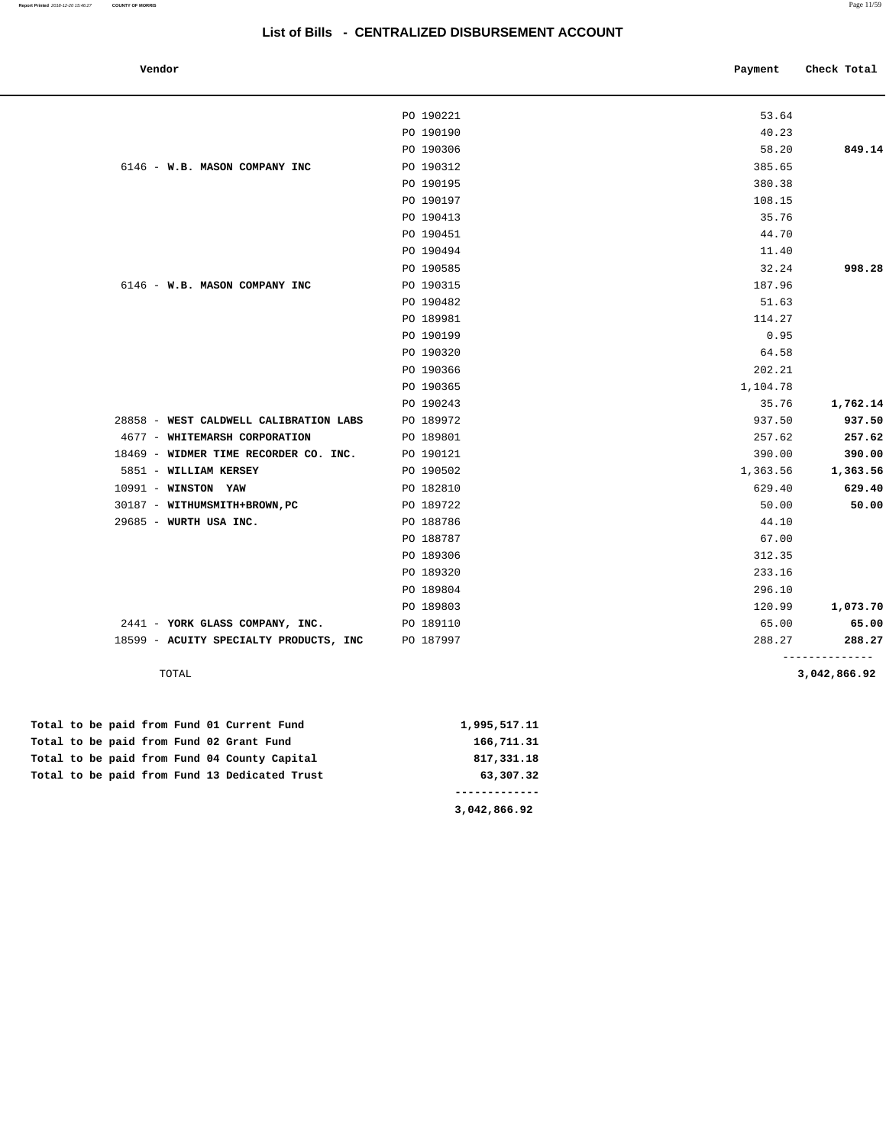| Vendor |  |
|--------|--|
|        |  |

| Vendor                                 |           | Payment  | Check Total                    |
|----------------------------------------|-----------|----------|--------------------------------|
|                                        |           |          |                                |
|                                        | PO 190221 | 53.64    |                                |
|                                        | PO 190190 | 40.23    |                                |
|                                        | PO 190306 | 58.20    | 849.14                         |
| 6146 - W.B. MASON COMPANY INC          | PO 190312 | 385.65   |                                |
|                                        | PO 190195 | 380.38   |                                |
|                                        | PO 190197 | 108.15   |                                |
|                                        | PO 190413 | 35.76    |                                |
|                                        | PO 190451 | 44.70    |                                |
|                                        | PO 190494 | 11.40    |                                |
|                                        | PO 190585 | 32.24    | 998.28                         |
| 6146 - W.B. MASON COMPANY INC          | PO 190315 | 187.96   |                                |
|                                        | PO 190482 | 51.63    |                                |
|                                        | PO 189981 | 114.27   |                                |
|                                        | PO 190199 | 0.95     |                                |
|                                        | PO 190320 | 64.58    |                                |
|                                        | PO 190366 | 202.21   |                                |
|                                        | PO 190365 | 1,104.78 |                                |
|                                        | PO 190243 | 35.76    | 1,762.14                       |
| 28858 - WEST CALDWELL CALIBRATION LABS | PO 189972 | 937.50   | 937.50                         |
| 4677 - WHITEMARSH CORPORATION          | PO 189801 | 257.62   | 257.62                         |
| 18469 - WIDMER TIME RECORDER CO. INC.  | PO 190121 | 390.00   | 390.00                         |
| 5851 - WILLIAM KERSEY                  | PO 190502 | 1,363.56 | 1,363.56                       |
| 10991 - WINSTON YAW                    | PO 182810 | 629.40   | 629.40                         |
| 30187 - WITHUMSMITH+BROWN, PC          | PO 189722 | 50.00    | 50.00                          |
| 29685 - WURTH USA INC.                 | PO 188786 | 44.10    |                                |
|                                        | PO 188787 | 67.00    |                                |
|                                        | PO 189306 | 312.35   |                                |
|                                        | PO 189320 | 233.16   |                                |
|                                        | PO 189804 | 296.10   |                                |
|                                        | PO 189803 | 120.99   | 1,073.70                       |
| 2441 - YORK GLASS COMPANY, INC.        | PO 189110 | 65.00    | 65.00                          |
| 18599 - ACUITY SPECIALTY PRODUCTS, INC | PO 187997 | 288.27   | 288.27                         |
| TOTAL                                  |           |          | --------------<br>3,042,866.92 |

**3,042,866.92** 

|  |  |  |  | Total to be paid from Fund 01 Current Fund    | 1,995,517.11 |
|--|--|--|--|-----------------------------------------------|--------------|
|  |  |  |  | Total to be paid from Fund 02 Grant Fund      | 166,711.31   |
|  |  |  |  | Total to be paid from Fund 04 County Capital  | 817,331.18   |
|  |  |  |  | Total to be paid from Fund 13 Dedicated Trust | 63,307.32    |
|  |  |  |  |                                               |              |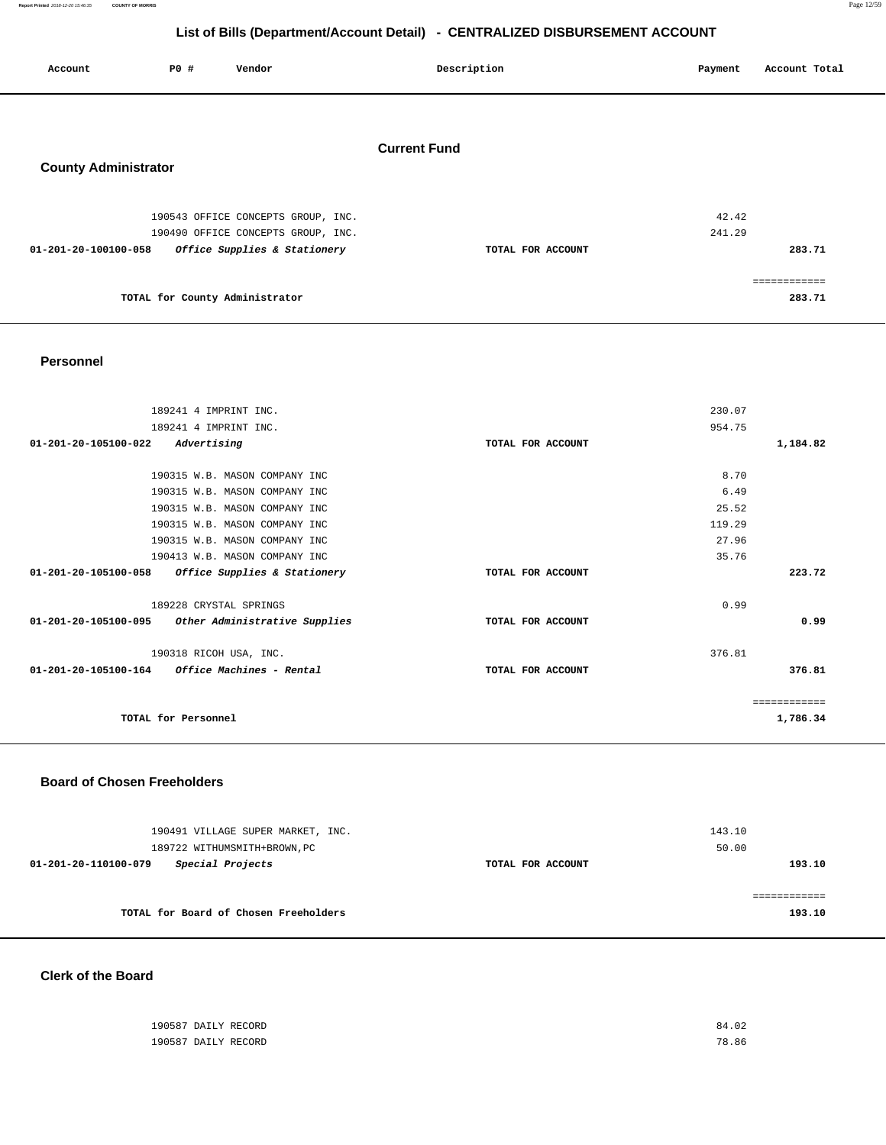**Report Printed** 2018-12-20 15:46:35 **COUNTY OF MORRIS** Page 12/59

# **List of Bills (Department/Account Detail) - CENTRALIZED DISBURSEMENT ACCOUNT**

| Account                     | P0 # | Vendor | Description         | Payment | Account Total |
|-----------------------------|------|--------|---------------------|---------|---------------|
| <b>County Administrator</b> |      |        | <b>Current Fund</b> |         |               |

| 190543 OFFICE CONCEPTS GROUP, INC.                   |                   | 42.42  |
|------------------------------------------------------|-------------------|--------|
| 190490 OFFICE CONCEPTS GROUP, INC.                   |                   | 241.29 |
| Office Supplies & Stationery<br>01-201-20-100100-058 | TOTAL FOR ACCOUNT | 283.71 |
|                                                      |                   |        |
|                                                      |                   |        |
| TOTAL for County Administrator                       |                   | 283.71 |
|                                                      |                   |        |

### **Personnel**

| 189241 4 IMPRINT INC.                                   |                   | 230.07       |
|---------------------------------------------------------|-------------------|--------------|
| 189241 4 IMPRINT INC.                                   |                   | 954.75       |
| Advertising<br>01-201-20-105100-022                     | TOTAL FOR ACCOUNT | 1,184.82     |
|                                                         |                   |              |
| 190315 W.B. MASON COMPANY INC                           |                   | 8.70         |
| 190315 W.B. MASON COMPANY INC                           |                   | 6.49         |
| 190315 W.B. MASON COMPANY INC                           |                   | 25.52        |
| 190315 W.B. MASON COMPANY INC                           |                   | 119.29       |
| 190315 W.B. MASON COMPANY INC                           |                   | 27.96        |
| 190413 W.B. MASON COMPANY INC                           |                   | 35.76        |
| 01-201-20-105100-058<br>Office Supplies & Stationery    | TOTAL FOR ACCOUNT | 223.72       |
|                                                         |                   |              |
| 189228 CRYSTAL SPRINGS                                  |                   | 0.99         |
| 01-201-20-105100-095 Other Administrative Supplies      | TOTAL FOR ACCOUNT | 0.99         |
| 190318 RICOH USA, INC.                                  |                   | 376.81       |
| $01 - 201 - 20 - 105100 - 164$ Office Machines - Rental | TOTAL FOR ACCOUNT | 376.81       |
|                                                         |                   |              |
|                                                         |                   | ============ |
| TOTAL for Personnel                                     |                   | 1,786.34     |
|                                                         |                   |              |

### **Board of Chosen Freeholders**

| 190491 VILLAGE SUPER MARKET, INC.<br>189722 WITHUMSMITH+BROWN, PC |                   | 143.10<br>50.00 |
|-------------------------------------------------------------------|-------------------|-----------------|
| Special Projects<br>01-201-20-110100-079                          | TOTAL FOR ACCOUNT | 193.10          |
| TOTAL for Board of Chosen Freeholders                             |                   | 193.10          |

**Clerk of the Board** 

| 190587 DAILY RECORD | 84.02 |
|---------------------|-------|
| 190587 DAILY RECORD | 78.86 |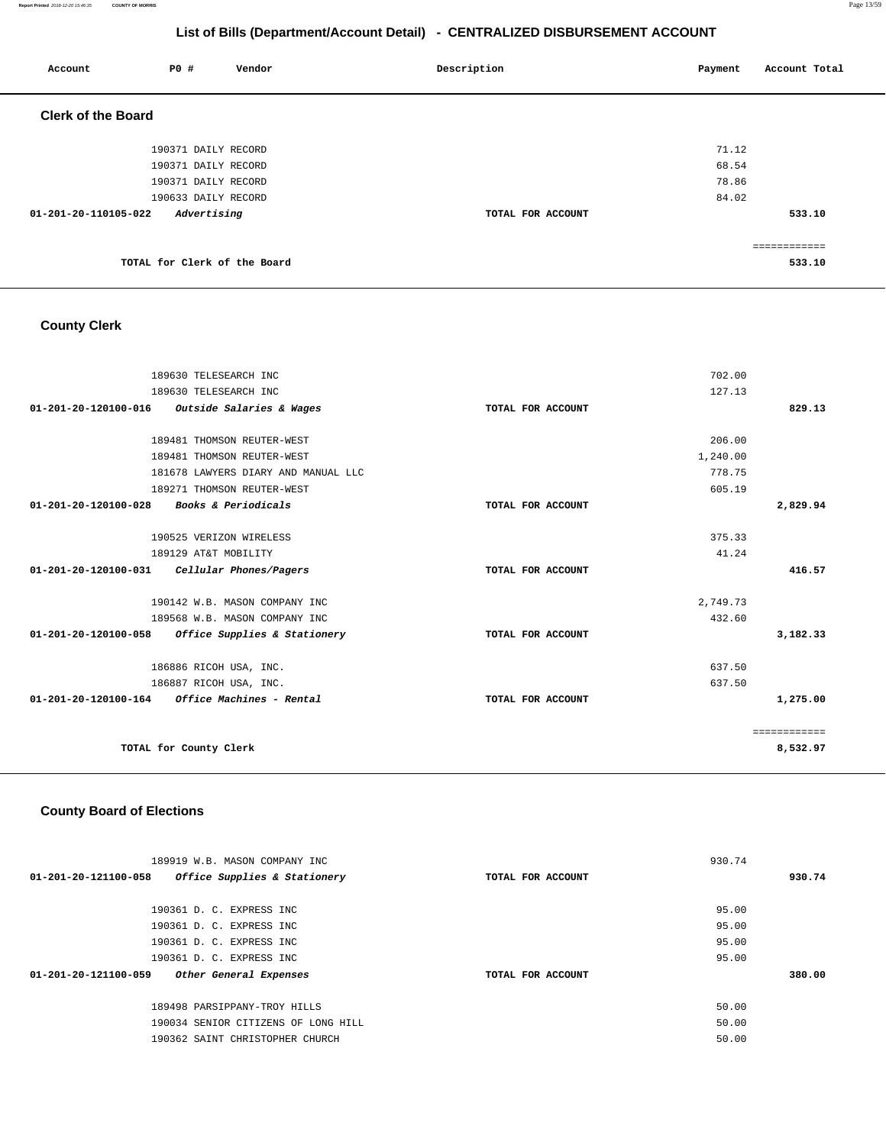**Report Printed** 2018-12-20 15:46:35 **COUNTY OF MORRIS** Page 13/59

# **List of Bills (Department/Account Detail) - CENTRALIZED DISBURSEMENT ACCOUNT**

| Account                   | P0 #                         | Vendor | Description       | Payment | Account Total |
|---------------------------|------------------------------|--------|-------------------|---------|---------------|
| <b>Clerk of the Board</b> |                              |        |                   |         |               |
|                           | 190371 DAILY RECORD          |        |                   | 71.12   |               |
|                           | 190371 DAILY RECORD          |        |                   | 68.54   |               |
|                           | 190371 DAILY RECORD          |        |                   | 78.86   |               |
|                           | 190633 DAILY RECORD          |        |                   | 84.02   |               |
| 01-201-20-110105-022      | Advertising                  |        | TOTAL FOR ACCOUNT |         | 533.10        |
|                           |                              |        |                   |         | ============  |
|                           | TOTAL for Clerk of the Board |        |                   |         | 533.10        |

# **County Clerk**

| 189630 TELESEARCH INC                                   |                   | 702.00       |
|---------------------------------------------------------|-------------------|--------------|
| 189630 TELESEARCH INC                                   |                   | 127.13       |
| 01-201-20-120100-016 Outside Salaries & Wages           | TOTAL FOR ACCOUNT | 829.13       |
|                                                         |                   |              |
| 189481 THOMSON REUTER-WEST                              |                   | 206.00       |
| 189481 THOMSON REUTER-WEST                              |                   | 1,240.00     |
| 181678 LAWYERS DIARY AND MANUAL LLC                     |                   | 778.75       |
| 189271 THOMSON REUTER-WEST                              |                   | 605.19       |
| 01-201-20-120100-028<br><i>Books &amp; Periodicals</i>  | TOTAL FOR ACCOUNT | 2,829.94     |
|                                                         |                   |              |
| 190525 VERIZON WIRELESS                                 |                   | 375.33       |
| 189129 AT&T MOBILITY                                    |                   | 41.24        |
| $01-201-20-120100-031$ Cellular Phones/Pagers           | TOTAL FOR ACCOUNT | 416.57       |
|                                                         |                   |              |
| 190142 W.B. MASON COMPANY INC                           |                   | 2,749.73     |
| 189568 W.B. MASON COMPANY INC                           |                   | 432.60       |
| 01-201-20-120100-058 Office Supplies & Stationery       | TOTAL FOR ACCOUNT | 3,182.33     |
|                                                         |                   |              |
| 186886 RICOH USA, INC.                                  |                   | 637.50       |
| 186887 RICOH USA, INC.                                  |                   | 637.50       |
| $01 - 201 - 20 - 120100 - 164$ Office Machines - Rental | TOTAL FOR ACCOUNT | 1,275.00     |
|                                                         |                   |              |
|                                                         |                   | ============ |
| TOTAL for County Clerk                                  |                   | 8,532.97     |
|                                                         |                   |              |

# **County Board of Elections**

| 189919 W.B. MASON COMPANY INC                        |                   | 930.74 |
|------------------------------------------------------|-------------------|--------|
| 01-201-20-121100-058<br>Office Supplies & Stationery | TOTAL FOR ACCOUNT | 930.74 |
|                                                      |                   |        |
| 190361 D. C. EXPRESS INC.                            |                   | 95.00  |
| 190361 D. C. EXPRESS INC                             |                   | 95.00  |
| 190361 D. C. EXPRESS INC                             |                   | 95.00  |
| 190361 D. C. EXPRESS INC                             |                   | 95.00  |
| 01-201-20-121100-059<br>Other General Expenses       | TOTAL FOR ACCOUNT | 380.00 |
|                                                      |                   |        |
| 189498 PARSIPPANY-TROY HILLS                         |                   | 50.00  |
| 190034 SENIOR CITIZENS OF LONG HILL                  |                   | 50.00  |
| 190362 SAINT CHRISTOPHER CHURCH                      |                   | 50.00  |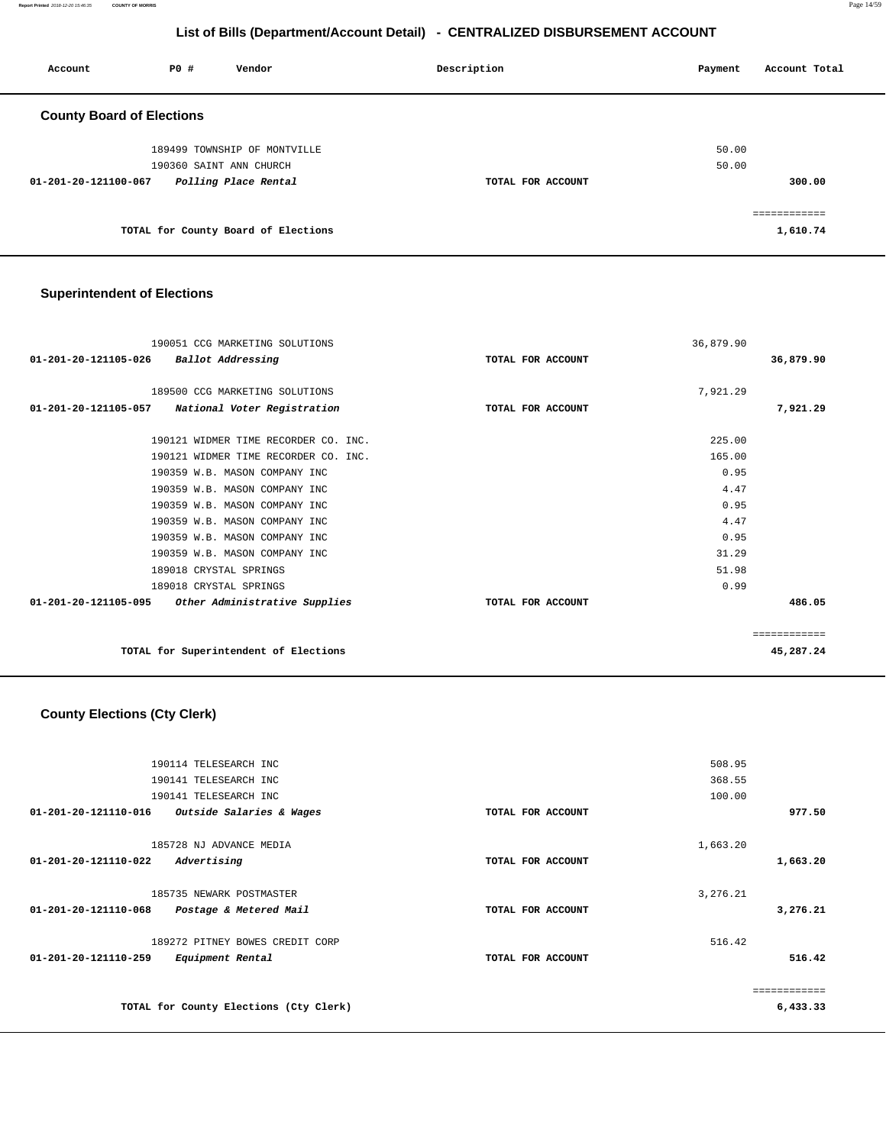**Report Printed** 2018-12-20 15:46:35 **COUNTY OF MORRIS** Page 14/59

# **List of Bills (Department/Account Detail) - CENTRALIZED DISBURSEMENT ACCOUNT**

| Account                          | PO#                     | Vendor                              | Description       | Payment        | Account Total |
|----------------------------------|-------------------------|-------------------------------------|-------------------|----------------|---------------|
| <b>County Board of Elections</b> |                         |                                     |                   |                |               |
|                                  | 190360 SAINT ANN CHURCH | 189499 TOWNSHIP OF MONTVILLE        |                   | 50.00<br>50.00 |               |
| 01-201-20-121100-067             |                         | Polling Place Rental                | TOTAL FOR ACCOUNT |                | 300.00        |
|                                  |                         | TOTAL for County Board of Elections |                   |                | 1,610.74      |

# **Superintendent of Elections**

| 190051 CCG MARKETING SOLUTIONS                        |                   | 36,879.90 |           |
|-------------------------------------------------------|-------------------|-----------|-----------|
| 01-201-20-121105-026<br>Ballot Addressing             | TOTAL FOR ACCOUNT |           | 36,879.90 |
| 189500 CCG MARKETING SOLUTIONS                        |                   | 7,921.29  |           |
|                                                       |                   |           |           |
| 01-201-20-121105-057<br>National Voter Registration   | TOTAL FOR ACCOUNT |           | 7,921.29  |
| 190121 WIDMER TIME RECORDER CO. INC.                  |                   | 225.00    |           |
| 190121 WIDMER TIME RECORDER CO. INC.                  |                   | 165.00    |           |
| 190359 W.B. MASON COMPANY INC                         |                   | 0.95      |           |
| 190359 W.B. MASON COMPANY INC                         |                   | 4.47      |           |
| 190359 W.B. MASON COMPANY INC                         |                   | 0.95      |           |
| 190359 W.B. MASON COMPANY INC                         |                   | 4.47      |           |
| 190359 W.B. MASON COMPANY INC                         |                   | 0.95      |           |
| 190359 W.B. MASON COMPANY INC                         |                   | 31.29     |           |
| 189018 CRYSTAL SPRINGS                                |                   | 51.98     |           |
| 189018 CRYSTAL SPRINGS                                |                   | 0.99      |           |
| 01-201-20-121105-095<br>Other Administrative Supplies | TOTAL FOR ACCOUNT |           | 486.05    |
|                                                       |                   |           |           |
| TOTAL for Superintendent of Elections                 |                   |           | 45,287.24 |

# **County Elections (Cty Clerk)**

|                      | 190114 TELESEARCH INC                  |                   | 508.95       |
|----------------------|----------------------------------------|-------------------|--------------|
|                      | 190141 TELESEARCH INC                  |                   | 368.55       |
|                      | 190141 TELESEARCH INC                  |                   | 100.00       |
| 01-201-20-121110-016 | Outside Salaries & Wages               | TOTAL FOR ACCOUNT | 977.50       |
|                      | 185728 NJ ADVANCE MEDIA                |                   | 1,663.20     |
| 01-201-20-121110-022 | Advertising                            | TOTAL FOR ACCOUNT | 1,663.20     |
|                      | 185735 NEWARK POSTMASTER               |                   | 3,276.21     |
| 01-201-20-121110-068 | Postage & Metered Mail                 | TOTAL FOR ACCOUNT | 3,276.21     |
|                      | 189272 PITNEY BOWES CREDIT CORP        |                   | 516.42       |
| 01-201-20-121110-259 | Equipment Rental                       | TOTAL FOR ACCOUNT | 516.42       |
|                      |                                        |                   | ============ |
|                      | TOTAL for County Elections (Cty Clerk) |                   | 6,433.33     |
|                      |                                        |                   |              |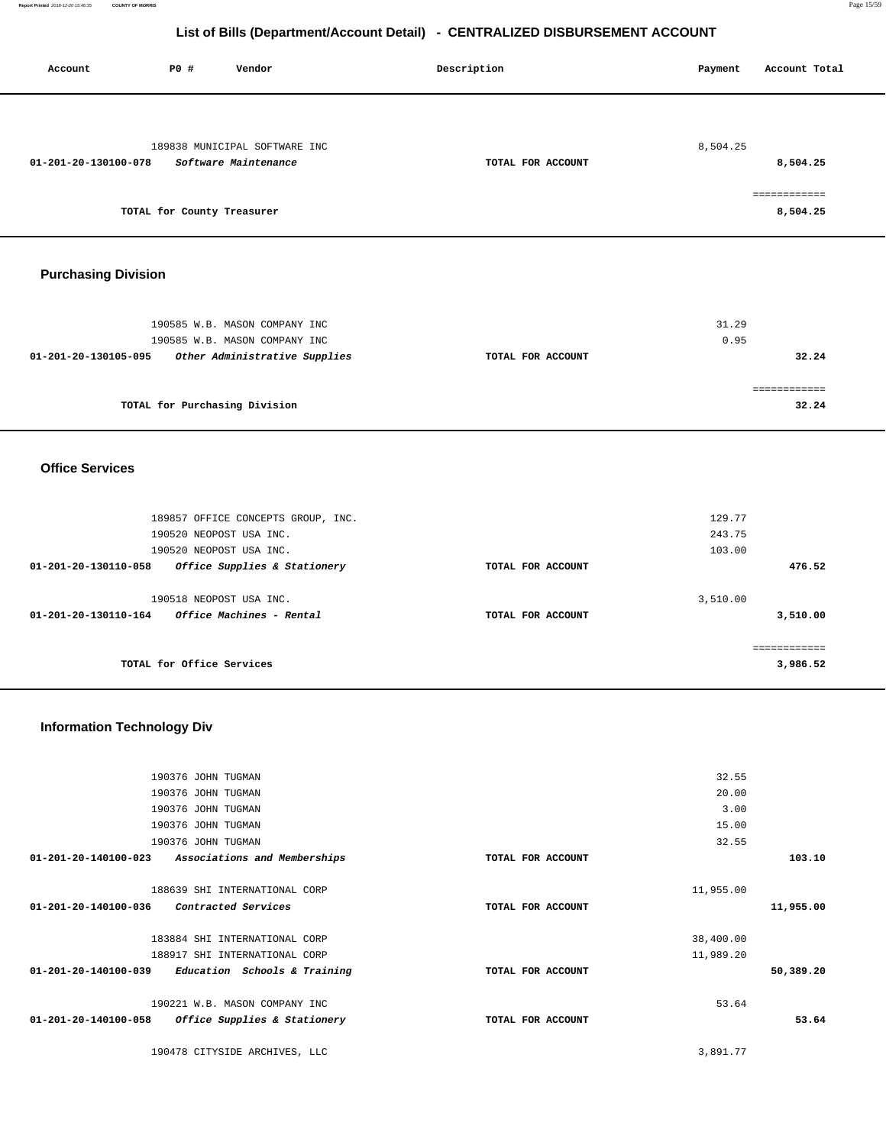**Report Printed** 2018-12-20 15:46:35 **COUNTY OF MORRIS** Page 15/59

# **List of Bills (Department/Account Detail) - CENTRALIZED DISBURSEMENT ACCOUNT**

Account **1892** PO **#** Vendor **Description Payment** Account Total

| 189838 MUNICIPAL SOFTWARE INC                         |                   | 8,504.25  |              |
|-------------------------------------------------------|-------------------|-----------|--------------|
| 01-201-20-130100-078<br>Software Maintenance          | TOTAL FOR ACCOUNT |           | 8,504.25     |
|                                                       |                   |           |              |
|                                                       |                   |           | ============ |
| TOTAL for County Treasurer                            |                   |           | 8,504.25     |
|                                                       |                   |           |              |
|                                                       |                   |           |              |
|                                                       |                   |           |              |
| <b>Purchasing Division</b>                            |                   |           |              |
|                                                       |                   |           |              |
|                                                       |                   |           |              |
|                                                       |                   | 31.29     |              |
| 190585 W.B. MASON COMPANY INC                         |                   |           |              |
| 190585 W.B. MASON COMPANY INC                         |                   | 0.95      |              |
| 01-201-20-130105-095<br>Other Administrative Supplies | TOTAL FOR ACCOUNT |           | 32.24        |
|                                                       |                   |           |              |
|                                                       |                   |           | ============ |
| TOTAL for Purchasing Division                         |                   |           | 32.24        |
|                                                       |                   |           |              |
|                                                       |                   |           |              |
|                                                       |                   |           |              |
| <b>Office Services</b>                                |                   |           |              |
|                                                       |                   |           |              |
|                                                       |                   |           |              |
| 189857 OFFICE CONCEPTS GROUP, INC.                    |                   | 129.77    |              |
| 190520 NEOPOST USA INC.                               |                   | 243.75    |              |
| 190520 NEOPOST USA INC.                               |                   | 103.00    |              |
|                                                       |                   |           |              |
| Office Supplies & Stationery<br>01-201-20-130110-058  | TOTAL FOR ACCOUNT |           | 476.52       |
|                                                       |                   |           |              |
|                                                       |                   |           |              |
| 190518 NEOPOST USA INC.                               |                   | 3,510.00  |              |
| 01-201-20-130110-164<br>Office Machines - Rental      | TOTAL FOR ACCOUNT |           | 3,510.00     |
|                                                       |                   |           |              |
|                                                       |                   |           | ============ |
| TOTAL for Office Services                             |                   |           | 3,986.52     |
|                                                       |                   |           |              |
|                                                       |                   |           |              |
|                                                       |                   |           |              |
| <b>Information Technology Div</b>                     |                   |           |              |
|                                                       |                   |           |              |
|                                                       |                   |           |              |
| 190376 JOHN TUGMAN                                    |                   | 32.55     |              |
| 190376 JOHN TUGMAN                                    |                   | 20.00     |              |
| 190376 JOHN TUGMAN                                    |                   | 3.00      |              |
|                                                       |                   |           |              |
| 190376 JOHN TUGMAN                                    |                   | 15.00     |              |
| 190376 JOHN TUGMAN                                    |                   | 32.55     |              |
| 01-201-20-140100-023<br>Associations and Memberships  | TOTAL FOR ACCOUNT |           | 103.10       |
|                                                       |                   |           |              |
| 188639 SHI INTERNATIONAL CORP                         |                   | 11,955.00 |              |
| 01-201-20-140100-036<br>Contracted Services           | TOTAL FOR ACCOUNT |           | 11,955.00    |
|                                                       |                   |           |              |
| 183884 SHI INTERNATIONAL CORP                         |                   | 38,400.00 |              |
| 188917 SHI INTERNATIONAL CORP                         |                   | 11,989.20 |              |
| 01-201-20-140100-039 Education Schools & Training     | TOTAL FOR ACCOUNT |           | 50,389.20    |
|                                                       |                   |           |              |
| 190221 W.B. MASON COMPANY INC                         |                   | 53.64     |              |
| 01-201-20-140100-058<br>Office Supplies & Stationery  | TOTAL FOR ACCOUNT |           | 53.64        |
|                                                       |                   |           |              |
| 190478 CITYSIDE ARCHIVES, LLC                         |                   | 3,891.77  |              |
|                                                       |                   |           |              |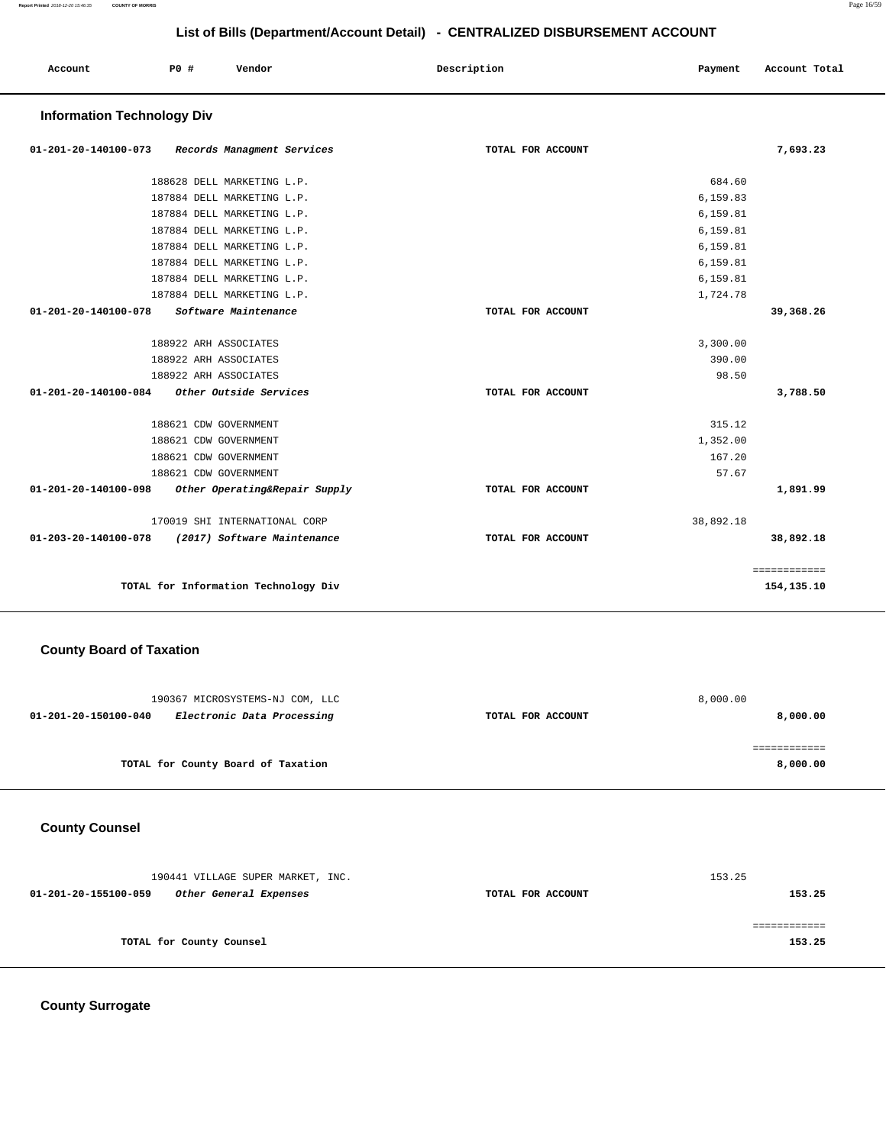| Account<br>. | P0 | Vendor | Description | Payment | Account Total |
|--------------|----|--------|-------------|---------|---------------|
|              |    |        |             |         |               |

### **Information Technology Div**

| $01 - 201 - 20 - 140100 - 073$                 | Records Managment Services    | TOTAL FOR ACCOUNT |           | 7,693.23     |
|------------------------------------------------|-------------------------------|-------------------|-----------|--------------|
| 188628 DELL MARKETING L.P.                     |                               |                   | 684.60    |              |
| 187884 DELL MARKETING L.P.                     |                               |                   | 6,159.83  |              |
| 187884 DELL MARKETING L.P.                     |                               |                   | 6,159.81  |              |
| 187884 DELL MARKETING L.P.                     |                               |                   | 6,159.81  |              |
| 187884 DELL MARKETING L.P.                     |                               |                   | 6,159.81  |              |
| 187884 DELL MARKETING L.P.                     |                               |                   | 6,159.81  |              |
| 187884 DELL MARKETING L.P.                     |                               |                   | 6,159.81  |              |
| 187884 DELL MARKETING L.P.                     |                               |                   | 1,724.78  |              |
| 01-201-20-140100-078<br>Software Maintenance   |                               | TOTAL FOR ACCOUNT |           | 39,368.26    |
| 188922 ARH ASSOCIATES                          |                               |                   | 3,300.00  |              |
| 188922 ARH ASSOCIATES                          |                               |                   | 390.00    |              |
| 188922 ARH ASSOCIATES                          |                               |                   | 98.50     |              |
| 01-201-20-140100-084<br>Other Outside Services |                               | TOTAL FOR ACCOUNT |           | 3,788.50     |
| 188621 CDW GOVERNMENT                          |                               |                   | 315.12    |              |
| 188621 CDW GOVERNMENT                          |                               |                   | 1,352.00  |              |
| 188621 CDW GOVERNMENT                          |                               |                   | 167.20    |              |
| 188621 CDW GOVERNMENT                          |                               |                   | 57.67     |              |
| 01-201-20-140100-098                           | Other Operating&Repair Supply | TOTAL FOR ACCOUNT |           | 1,891.99     |
| 170019 SHI INTERNATIONAL CORP                  |                               |                   | 38,892.18 |              |
| 01-203-20-140100-078                           | (2017) Software Maintenance   | TOTAL FOR ACCOUNT |           | 38,892.18    |
|                                                |                               |                   |           | ============ |
| TOTAL for Information Technology Div           |                               |                   |           | 154,135.10   |

# **County Board of Taxation**

|                      | 190367 MICROSYSTEMS-NJ COM, LLC    |                   | 8,000.00 |
|----------------------|------------------------------------|-------------------|----------|
| 01-201-20-150100-040 | Electronic Data Processing         | TOTAL FOR ACCOUNT | 8,000.00 |
|                      |                                    |                   |          |
|                      |                                    |                   |          |
|                      | TOTAL for County Board of Taxation |                   | 8,000.00 |

# **County Counsel**

| 190441 VILLAGE SUPER MARKET, INC.<br>01-201-20-155100-059<br>Other General Expenses | TOTAL FOR ACCOUNT | 153.25<br>153.25 |
|-------------------------------------------------------------------------------------|-------------------|------------------|
| TOTAL for County Counsel                                                            |                   | 153.25           |

# **County Surrogate**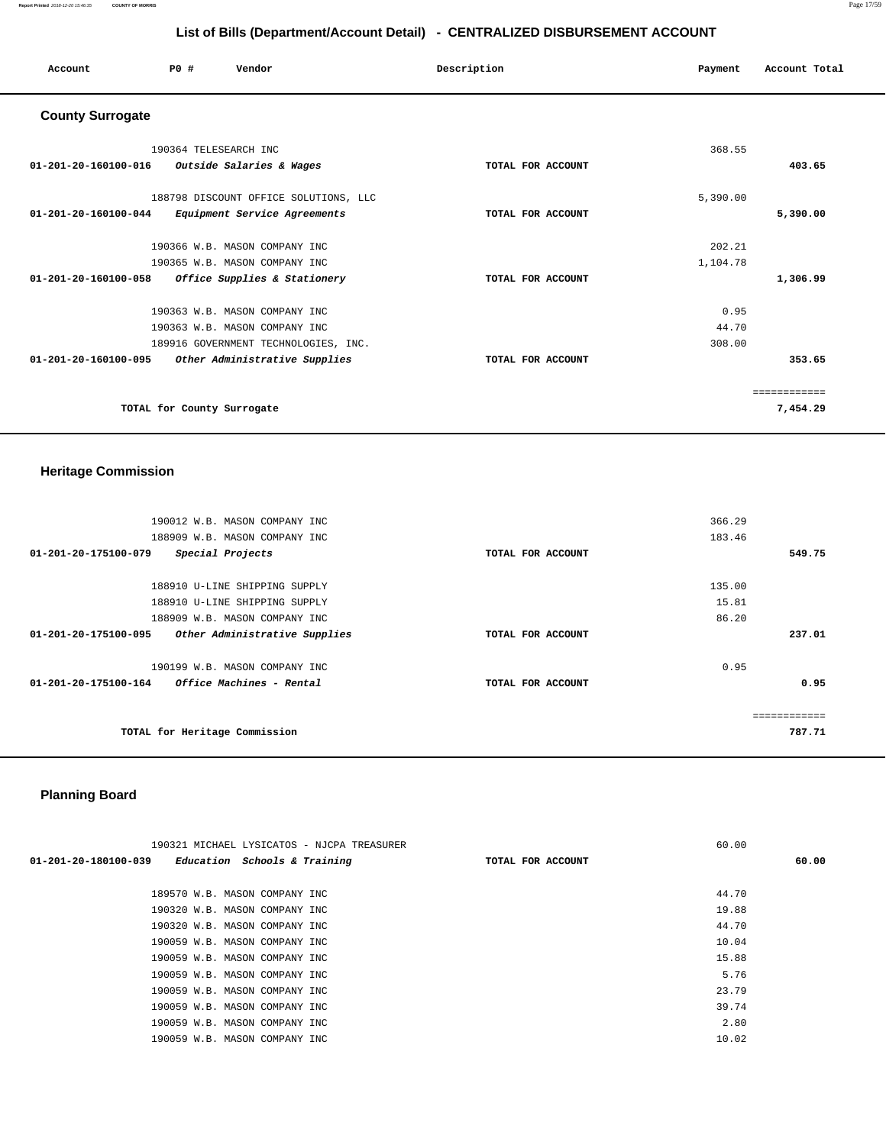### **Report Printed** 2018-12-20 15:46:35 **COUNTY OF MORRIS** Page 17/59

# **List of Bills (Department/Account Detail) - CENTRALIZED DISBURSEMENT ACCOUNT**

| Account                 | PO#                        | Vendor                                | Description       | Payment  | Account Total |
|-------------------------|----------------------------|---------------------------------------|-------------------|----------|---------------|
| <b>County Surrogate</b> |                            |                                       |                   |          |               |
|                         | 190364 TELESEARCH INC      |                                       |                   | 368.55   |               |
| 01-201-20-160100-016    |                            | <i>Outside Salaries &amp; Wages</i>   | TOTAL FOR ACCOUNT |          | 403.65        |
|                         |                            | 188798 DISCOUNT OFFICE SOLUTIONS, LLC |                   | 5,390.00 |               |
| 01-201-20-160100-044    |                            | Equipment Service Agreements          | TOTAL FOR ACCOUNT |          | 5,390.00      |
|                         |                            | 190366 W.B. MASON COMPANY INC         |                   | 202.21   |               |
|                         |                            | 190365 W.B. MASON COMPANY INC         |                   | 1,104.78 |               |
| 01-201-20-160100-058    |                            | Office Supplies & Stationery          | TOTAL FOR ACCOUNT |          | 1,306.99      |
|                         |                            | 190363 W.B. MASON COMPANY INC         |                   | 0.95     |               |
|                         |                            | 190363 W.B. MASON COMPANY INC         |                   | 44.70    |               |
|                         |                            | 189916 GOVERNMENT TECHNOLOGIES, INC.  |                   | 308.00   |               |
| 01-201-20-160100-095    |                            | Other Administrative Supplies         | TOTAL FOR ACCOUNT |          | 353.65        |
|                         |                            |                                       |                   |          | ============  |
|                         | TOTAL for County Surrogate |                                       |                   |          | 7,454.29      |

# **Heritage Commission**

| 190012 W.B. MASON COMPANY INC                                  |                   | 366.29 |
|----------------------------------------------------------------|-------------------|--------|
| 188909 W.B. MASON COMPANY INC                                  |                   | 183.46 |
| 01-201-20-175100-079<br>Special Projects                       | TOTAL FOR ACCOUNT | 549.75 |
| 188910 U-LINE SHIPPING SUPPLY                                  |                   | 135.00 |
| 188910 U-LINE SHIPPING SUPPLY                                  |                   | 15.81  |
| 188909 W.B. MASON COMPANY INC                                  |                   | 86.20  |
| Other Administrative Supplies<br>01-201-20-175100-095          | TOTAL FOR ACCOUNT | 237.01 |
| 190199 W.B. MASON COMPANY INC                                  |                   | 0.95   |
| 01-201-20-175100-164<br><i><b>Office Machines - Rental</b></i> | TOTAL FOR ACCOUNT | 0.95   |
|                                                                |                   |        |
| TOTAL for Heritage Commission                                  |                   | 787.71 |

# **Planning Board**

| 190321 MICHAEL LYSICATOS - NJCPA TREASURER          |                   | 60.00 |
|-----------------------------------------------------|-------------------|-------|
| $01-201-20-180100-039$ Education Schools & Training | TOTAL FOR ACCOUNT | 60.00 |
|                                                     |                   |       |
| 189570 W.B. MASON COMPANY INC                       |                   | 44.70 |
| 190320 W.B. MASON COMPANY INC                       |                   | 19.88 |
| 190320 W.B. MASON COMPANY INC                       |                   | 44.70 |
| 190059 W.B. MASON COMPANY INC                       |                   | 10.04 |
| 190059 W.B. MASON COMPANY INC                       |                   | 15.88 |
| 190059 W.B. MASON COMPANY INC                       |                   | 5.76  |
| 190059 W.B. MASON COMPANY INC                       |                   | 23.79 |
| 190059 W.B. MASON COMPANY INC                       |                   | 39.74 |
| 190059 W.B. MASON COMPANY INC                       |                   | 2.80  |
| 190059 W.B. MASON COMPANY INC                       |                   | 10.02 |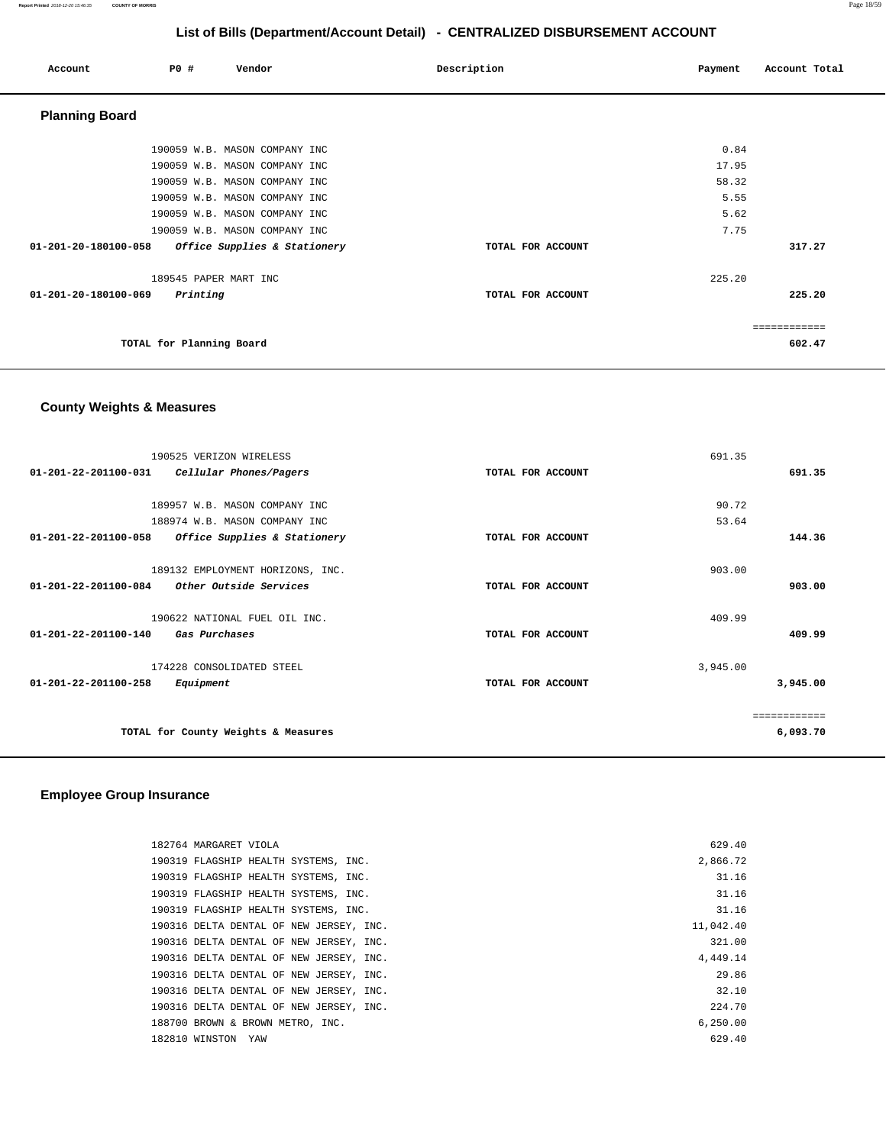| Account               | <b>PO #</b> | Vendor                        | Description       | Payment | Account Total |
|-----------------------|-------------|-------------------------------|-------------------|---------|---------------|
| <b>Planning Board</b> |             |                               |                   |         |               |
|                       |             | 190059 W.B. MASON COMPANY INC |                   | 0.84    |               |
|                       |             | 190059 W.B. MASON COMPANY INC |                   | 17.95   |               |
|                       |             | 190059 W.B. MASON COMPANY INC |                   | 58.32   |               |
|                       |             | 190059 W.B. MASON COMPANY INC |                   | 5.55    |               |
|                       |             | 190059 W.B. MASON COMPANY INC |                   | 5.62    |               |
|                       |             | 190059 W.B. MASON COMPANY INC |                   | 7.75    |               |
| 01-201-20-180100-058  |             | Office Supplies & Stationery  | TOTAL FOR ACCOUNT |         | 317.27        |
|                       |             | 189545 PAPER MART INC         |                   | 225.20  |               |
| 01-201-20-180100-069  |             | Printing                      | TOTAL FOR ACCOUNT |         | 225.20        |
|                       |             |                               |                   |         | ============  |
|                       |             | TOTAL for Planning Board      |                   |         | 602.47        |

# **County Weights & Measures**

| 190525 VERIZON WIRELESS                                  |                   | 691.35   |              |
|----------------------------------------------------------|-------------------|----------|--------------|
| $01 - 201 - 22 - 201100 - 031$<br>Cellular Phones/Pagers | TOTAL FOR ACCOUNT |          | 691.35       |
|                                                          |                   |          |              |
| 189957 W.B. MASON COMPANY INC                            |                   | 90.72    |              |
| 188974 W.B. MASON COMPANY INC                            |                   | 53.64    |              |
| 01-201-22-201100-058<br>Office Supplies & Stationery     | TOTAL FOR ACCOUNT |          | 144.36       |
|                                                          |                   |          |              |
| 189132 EMPLOYMENT HORIZONS, INC.                         |                   | 903.00   |              |
| $01 - 201 - 22 - 201100 - 084$<br>Other Outside Services | TOTAL FOR ACCOUNT |          | 903.00       |
|                                                          |                   |          |              |
| 190622 NATIONAL FUEL OIL INC.                            |                   | 409.99   |              |
| $01 - 201 - 22 - 201100 - 140$<br>Gas Purchases          | TOTAL FOR ACCOUNT |          | 409.99       |
|                                                          |                   |          |              |
| 174228 CONSOLIDATED STEEL                                |                   | 3,945.00 |              |
| 01-201-22-201100-258<br>Equipment                        | TOTAL FOR ACCOUNT |          | 3,945.00     |
|                                                          |                   |          |              |
|                                                          |                   |          | ============ |
| TOTAL for County Weights & Measures                      |                   |          | 6,093.70     |
|                                                          |                   |          |              |

### **Employee Group Insurance**

| 182764 MARGARET VIOLA                |                                         | 629.40    |
|--------------------------------------|-----------------------------------------|-----------|
| 190319 FLAGSHIP HEALTH SYSTEMS, INC. |                                         | 2,866.72  |
| 190319 FLAGSHIP HEALTH SYSTEMS, INC. |                                         | 31.16     |
| 190319 FLAGSHIP HEALTH SYSTEMS, INC. |                                         | 31.16     |
| 190319 FLAGSHIP HEALTH SYSTEMS, INC. |                                         | 31.16     |
|                                      | 190316 DELTA DENTAL OF NEW JERSEY, INC. | 11,042.40 |
|                                      | 190316 DELTA DENTAL OF NEW JERSEY, INC. | 321.00    |
|                                      | 190316 DELTA DENTAL OF NEW JERSEY, INC. | 4,449.14  |
|                                      | 190316 DELTA DENTAL OF NEW JERSEY, INC. | 29.86     |
|                                      | 190316 DELTA DENTAL OF NEW JERSEY, INC. | 32.10     |
|                                      | 190316 DELTA DENTAL OF NEW JERSEY, INC. | 224.70    |
| 188700 BROWN & BROWN METRO, INC.     |                                         | 6.250.00  |
| 182810 WINSTON YAW                   |                                         | 629.40    |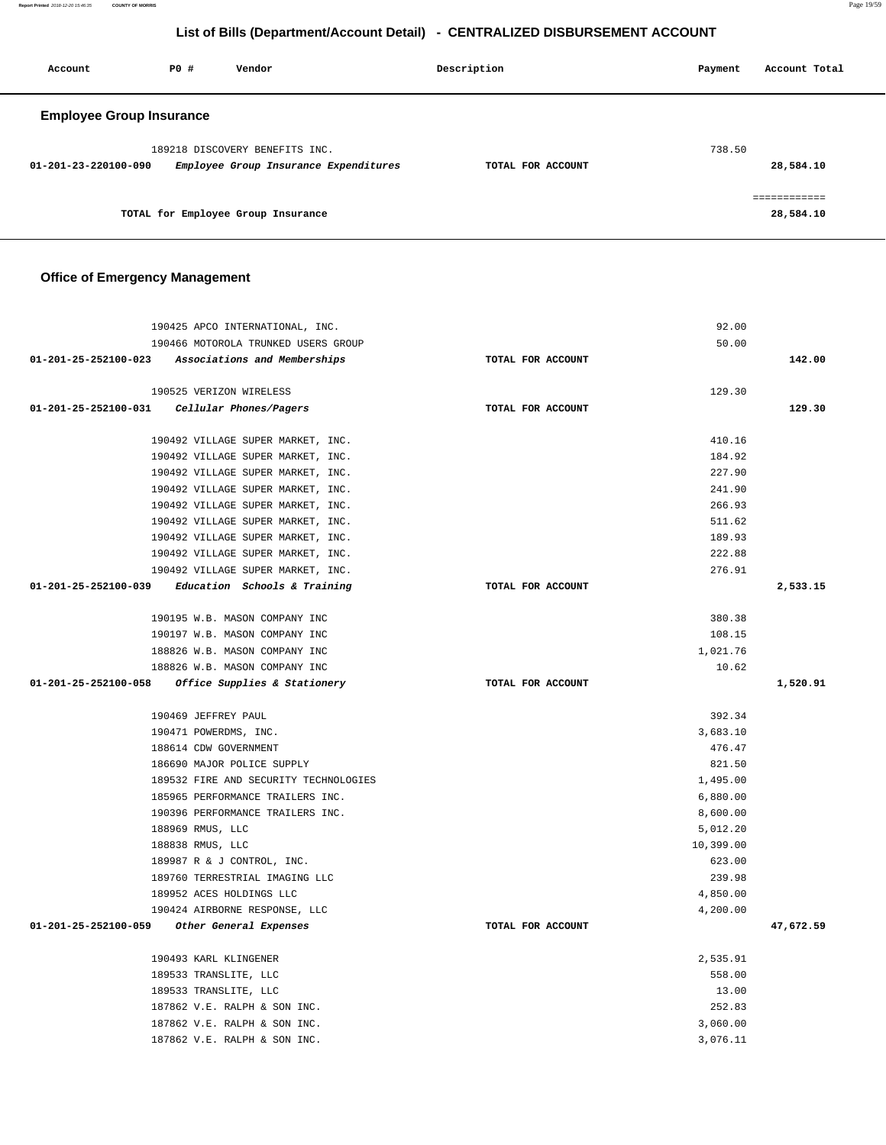**Report Printed** 2018-12-20 15:46:35 **COUNTY OF MORRIS** Page 19/59

# **List of Bills (Department/Account Detail) - CENTRALIZED DISBURSEMENT ACCOUNT**

| Account                         | PO# | Vendor                                                                  | Description       | Payment | Account Total |
|---------------------------------|-----|-------------------------------------------------------------------------|-------------------|---------|---------------|
| <b>Employee Group Insurance</b> |     |                                                                         |                   |         |               |
| 01-201-23-220100-090            |     | 189218 DISCOVERY BENEFITS INC.<br>Employee Group Insurance Expenditures | TOTAL FOR ACCOUNT | 738.50  | 28,584.10     |
|                                 |     | TOTAL for Employee Group Insurance                                      |                   |         | 28,584.10     |

### **Office of Emergency Management**

| 190425 APCO INTERNATIONAL, INC.                              |                   | 92.00                |           |
|--------------------------------------------------------------|-------------------|----------------------|-----------|
| 190466 MOTOROLA TRUNKED USERS GROUP                          |                   | 50.00                |           |
| 01-201-25-252100-023 Associations and Memberships            | TOTAL FOR ACCOUNT |                      | 142.00    |
|                                                              |                   |                      |           |
| 190525 VERIZON WIRELESS                                      |                   | 129.30               |           |
| $01-201-25-252100-031$ Cellular Phones/Pagers                | TOTAL FOR ACCOUNT |                      | 129.30    |
| 190492 VILLAGE SUPER MARKET, INC.                            |                   | 410.16               |           |
| 190492 VILLAGE SUPER MARKET, INC.                            |                   |                      |           |
| 190492 VILLAGE SUPER MARKET, INC.                            |                   | 184.92<br>227.90     |           |
|                                                              |                   | 241.90               |           |
| 190492 VILLAGE SUPER MARKET, INC.                            |                   | 266.93               |           |
| 190492 VILLAGE SUPER MARKET, INC.                            |                   |                      |           |
| 190492 VILLAGE SUPER MARKET, INC.                            |                   | 511.62               |           |
| 190492 VILLAGE SUPER MARKET, INC.                            |                   | 189.93               |           |
| 190492 VILLAGE SUPER MARKET, INC.                            |                   | 222.88               |           |
| 190492 VILLAGE SUPER MARKET, INC.                            |                   | 276.91               |           |
| $01-201-25-252100-039$ Education Schools & Training          | TOTAL FOR ACCOUNT |                      | 2,533.15  |
| 190195 W.B. MASON COMPANY INC                                |                   | 380.38               |           |
| 190197 W.B. MASON COMPANY INC                                |                   | 108.15               |           |
| 188826 W.B. MASON COMPANY INC                                |                   | 1,021.76             |           |
| 188826 W.B. MASON COMPANY INC                                |                   | 10.62                |           |
| 01-201-25-252100-058 Office Supplies & Stationery            | TOTAL FOR ACCOUNT |                      | 1,520.91  |
|                                                              |                   |                      |           |
| 190469 JEFFREY PAUL                                          |                   | 392.34               |           |
| 190471 POWERDMS, INC.                                        |                   | 3,683.10             |           |
| 188614 CDW GOVERNMENT                                        |                   | 476.47               |           |
| 186690 MAJOR POLICE SUPPLY                                   |                   | 821.50               |           |
| 189532 FIRE AND SECURITY TECHNOLOGIES                        |                   | 1,495.00             |           |
| 185965 PERFORMANCE TRAILERS INC.                             |                   | 6,880.00             |           |
| 190396 PERFORMANCE TRAILERS INC.                             |                   | 8,600.00             |           |
| 188969 RMUS, LLC                                             |                   | 5,012.20             |           |
| 188838 RMUS, LLC                                             |                   | 10,399.00            |           |
| 189987 R & J CONTROL, INC.                                   |                   | 623.00               |           |
| 189760 TERRESTRIAL IMAGING LLC                               |                   | 239.98               |           |
| 189952 ACES HOLDINGS LLC                                     |                   | 4,850.00             |           |
| 190424 AIRBORNE RESPONSE, LLC                                |                   | 4,200.00             |           |
| 01-201-25-252100-059<br>Other General Expenses               | TOTAL FOR ACCOUNT |                      | 47,672.59 |
| 190493 KARL KLINGENER                                        |                   | 2,535.91             |           |
| 189533 TRANSLITE, LLC                                        |                   | 558.00               |           |
| 189533 TRANSLITE, LLC                                        |                   | 13.00                |           |
|                                                              |                   |                      |           |
|                                                              |                   |                      |           |
| 187862 V.E. RALPH & SON INC.                                 |                   | 252.83               |           |
| 187862 V.E. RALPH & SON INC.<br>187862 V.E. RALPH & SON INC. |                   | 3,060.00<br>3,076.11 |           |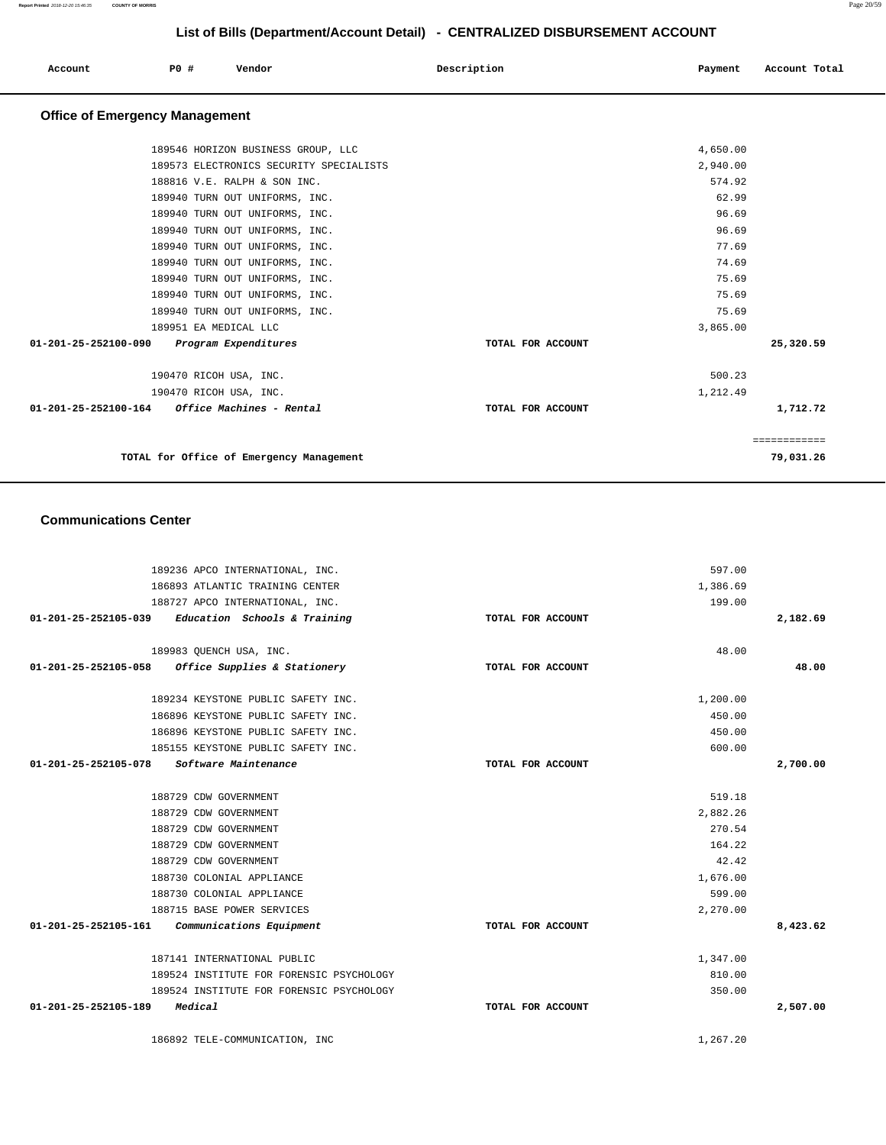**Communications Center**  189236 APCO INTERNATIONAL, INC. 186893 ATLANTIC TRAINING CENTER 188727 APCO INTERNATIONAL, INC. **01-201-25-252105-039 Education Schools & Training TOTAL FOR ACCOUNT**  597.00 1,386.69 199.00 **2,182.69** 189983 QUENCH USA, INC. **01-201-25-252105-058 Office Supplies & Stationery TOTAL FOR ACCOUNT**  48.00 **48.00** 189234 KEYSTONE PUBLIC SAFETY INC. 186896 KEYSTONE PUBLIC SAFETY INC. 186896 KEYSTONE PUBLIC SAFETY INC. 185155 KEYSTONE PUBLIC SAFETY INC. **01-201-25-252105-078 Software Maintenance TOTAL FOR ACCOUNT**  1,200.00 450.00 450.00 600.00 **2,700.00** 188729 CDW GOVERNMENT 188729 CDW GOVERNMENT 188729 CDW GOVERNMENT 188729 CDW GOVERNMENT 188729 CDW GOVERNMENT 188730 COLONIAL APPLIANCE 188730 COLONIAL APPLIANCE 188715 BASE POWER SERVICES **01-201-25-252105-161 Communications Equipment TOTAL FOR ACCOUNT**  519.18 2,882.26 270.54 164.22 42.42 1,676.00 599.00 2,270.00 **8,423.62** 187141 INTERNATIONAL PUBLIC 189524 INSTITUTE FOR FORENSIC PSYCHOLOGY 189524 INSTITUTE FOR FORENSIC PSYCHOLOGY **01-201-25-252105-189 Medical TOTAL FOR ACCOUNT**  1,347.00 810.00 350.00 **2,507.00** 186892 TELE-COMMUNICATION, INC 1,267.20

| <b>Office of Emergency Management</b>            |                   |          |              |
|--------------------------------------------------|-------------------|----------|--------------|
| 189546 HORIZON BUSINESS GROUP, LLC               |                   | 4,650.00 |              |
| 189573 ELECTRONICS SECURITY SPECIALISTS          |                   | 2,940.00 |              |
| 188816 V.E. RALPH & SON INC.                     |                   | 574.92   |              |
| 189940 TURN OUT UNIFORMS, INC.                   |                   | 62.99    |              |
| 189940 TURN OUT UNIFORMS, INC.                   |                   | 96.69    |              |
| 189940 TURN OUT UNIFORMS, INC.                   |                   | 96.69    |              |
| 189940 TURN OUT UNIFORMS, INC.                   |                   | 77.69    |              |
| 189940 TURN OUT UNIFORMS, INC.                   |                   | 74.69    |              |
| 189940 TURN OUT UNIFORMS, INC.                   |                   | 75.69    |              |
| 189940 TURN OUT UNIFORMS, INC.                   |                   | 75.69    |              |
| 189940 TURN OUT UNIFORMS, INC.                   |                   | 75.69    |              |
| 189951 EA MEDICAL LLC                            |                   | 3,865.00 |              |
| 01-201-25-252100-090<br>Program Expenditures     | TOTAL FOR ACCOUNT |          | 25,320.59    |
| 190470 RICOH USA, INC.                           |                   | 500.23   |              |
| 190470 RICOH USA, INC.                           |                   | 1,212.49 |              |
| Office Machines - Rental<br>01-201-25-252100-164 | TOTAL FOR ACCOUNT |          | 1,712.72     |
|                                                  |                   |          | ============ |
| TOTAL for Office of Emergency Management         |                   |          | 79,031.26    |

 **Account P0 # Vendor Description Payment Account Total**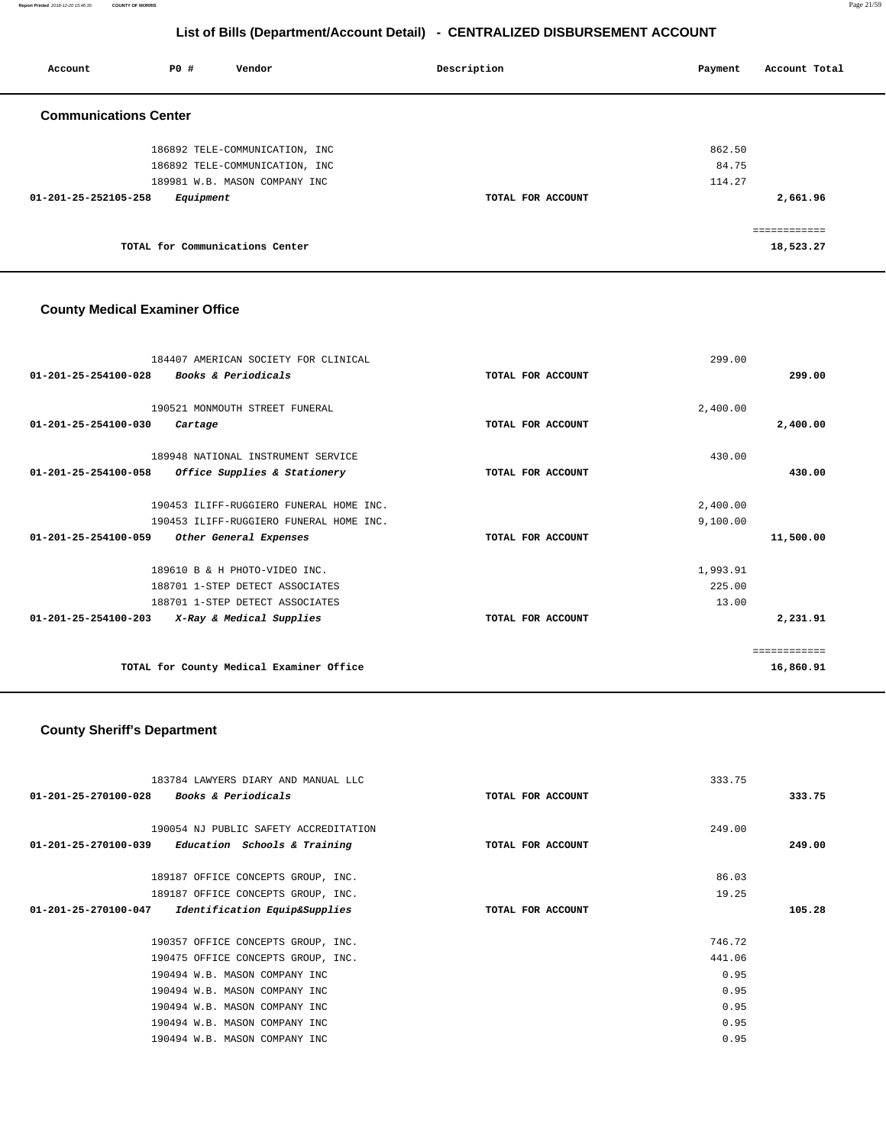**Report Printed** 2018-12-20 15:46:35 **COUNTY OF MORRIS** Page 21/59

# **List of Bills (Department/Account Detail) - CENTRALIZED DISBURSEMENT ACCOUNT**

| Account                      | PO#       | Vendor                          | Description       | Payment | Account Total |
|------------------------------|-----------|---------------------------------|-------------------|---------|---------------|
| <b>Communications Center</b> |           |                                 |                   |         |               |
|                              |           | 186892 TELE-COMMUNICATION, INC  |                   | 862.50  |               |
|                              |           | 186892 TELE-COMMUNICATION, INC  |                   | 84.75   |               |
|                              |           | 189981 W.B. MASON COMPANY INC   |                   | 114.27  |               |
| 01-201-25-252105-258         | Equipment |                                 | TOTAL FOR ACCOUNT |         | 2,661.96      |
|                              |           |                                 |                   |         | ============  |
|                              |           | TOTAL for Communications Center |                   |         | 18,523.27     |

# **County Medical Examiner Office**

| 184407 AMERICAN SOCIETY FOR CLINICAL                       |                   | 299.00    |
|------------------------------------------------------------|-------------------|-----------|
| 01-201-25-254100-028<br><b>Books &amp; Periodicals</b>     | TOTAL FOR ACCOUNT | 299.00    |
|                                                            |                   |           |
| 190521 MONMOUTH STREET FUNERAL                             |                   | 2,400.00  |
| 01-201-25-254100-030<br>Cartage                            | TOTAL FOR ACCOUNT | 2,400.00  |
| 189948 NATIONAL INSTRUMENT SERVICE                         |                   | 430.00    |
| 01-201-25-254100-058<br>Office Supplies & Stationery       | TOTAL FOR ACCOUNT | 430.00    |
|                                                            |                   |           |
| 190453 ILIFF-RUGGIERO FUNERAL HOME INC.                    |                   | 2,400.00  |
| 190453 ILIFF-RUGGIERO FUNERAL HOME INC.                    |                   | 9,100.00  |
| $01 - 201 - 25 - 254100 - 059$<br>Other General Expenses   | TOTAL FOR ACCOUNT | 11,500.00 |
| 189610 B & H PHOTO-VIDEO INC.                              |                   | 1,993.91  |
| 188701 1-STEP DETECT ASSOCIATES                            |                   | 225.00    |
| 188701 1-STEP DETECT ASSOCIATES                            |                   | 13.00     |
| $01 - 201 - 25 - 254100 - 203$<br>X-Ray & Medical Supplies | TOTAL FOR ACCOUNT | 2,231.91  |
|                                                            |                   |           |
|                                                            |                   |           |
| TOTAL for County Medical Examiner Office                   |                   | 16,860.91 |

# **County Sheriff's Department**

| 183784 LAWYERS DIARY AND MANUAL LLC                            |                   | 333.75 |        |
|----------------------------------------------------------------|-------------------|--------|--------|
| 01-201-25-270100-028 Books & Periodicals                       | TOTAL FOR ACCOUNT |        | 333.75 |
|                                                                |                   |        |        |
| 190054 NJ PUBLIC SAFETY ACCREDITATION                          |                   | 249.00 |        |
| $01 - 201 - 25 - 270100 - 039$<br>Education Schools & Training | TOTAL FOR ACCOUNT |        | 249.00 |
|                                                                |                   |        |        |
| 189187 OFFICE CONCEPTS GROUP, INC.                             |                   | 86.03  |        |
| 189187 OFFICE CONCEPTS GROUP, INC.                             |                   | 19.25  |        |
| Identification Equip&Supplies<br>01-201-25-270100-047          | TOTAL FOR ACCOUNT |        | 105.28 |
|                                                                |                   |        |        |
| 190357 OFFICE CONCEPTS GROUP, INC.                             |                   | 746.72 |        |
| 190475 OFFICE CONCEPTS GROUP, INC.                             |                   | 441.06 |        |
| 190494 W.B. MASON COMPANY INC                                  |                   | 0.95   |        |
| 190494 W.B. MASON COMPANY INC                                  |                   | 0.95   |        |
| 190494 W.B. MASON COMPANY INC                                  |                   | 0.95   |        |
| 190494 W.B. MASON COMPANY INC                                  |                   | 0.95   |        |
| 190494 W.B. MASON COMPANY INC                                  |                   | 0.95   |        |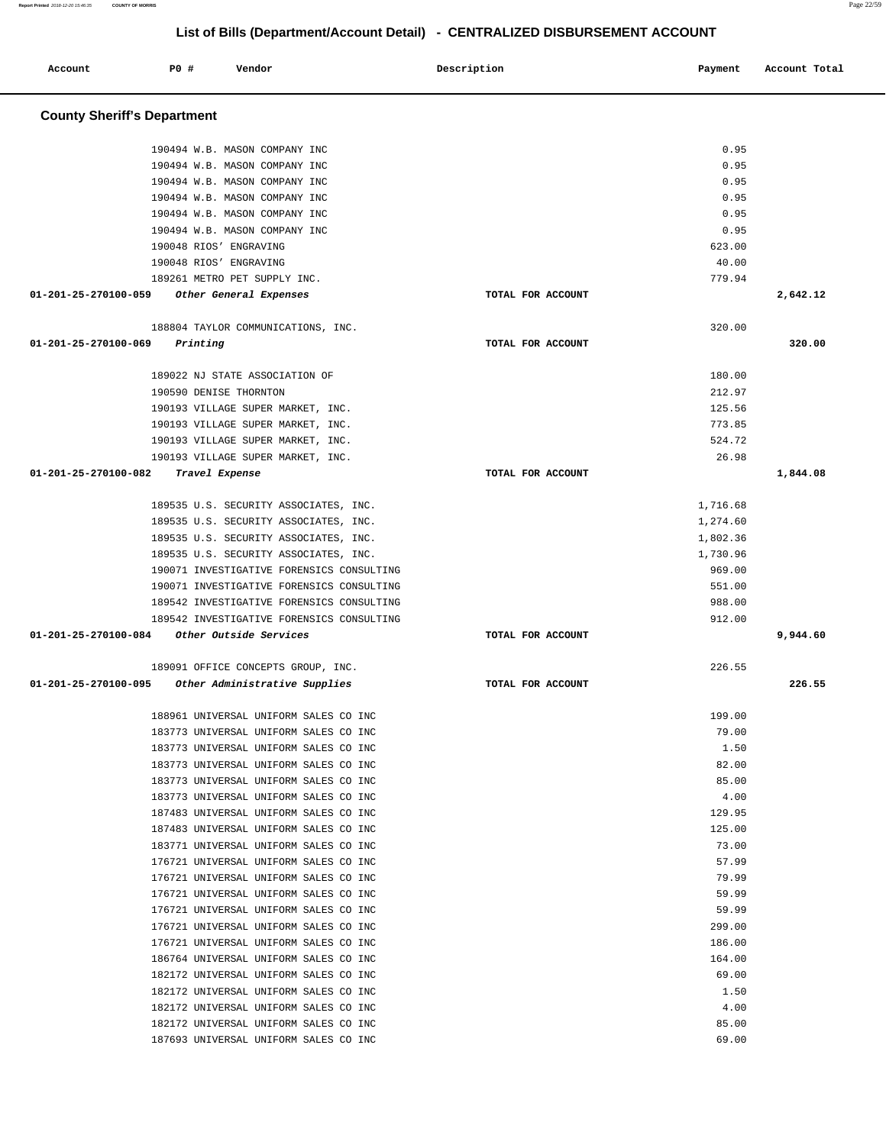**Report Printed** 2018-12-20 15:46:35 **COUNTY OF MORRIS** Page 22/59

# **List of Bills (Department/Account Detail) - CENTRALIZED DISBURSEMENT ACCOUNT**

| Account                            | P0 # | Vendor                                    | Description       | Payment  | Account Total |
|------------------------------------|------|-------------------------------------------|-------------------|----------|---------------|
| <b>County Sheriff's Department</b> |      |                                           |                   |          |               |
|                                    |      | 190494 W.B. MASON COMPANY INC             |                   | 0.95     |               |
|                                    |      | 190494 W.B. MASON COMPANY INC             |                   | 0.95     |               |
|                                    |      | 190494 W.B. MASON COMPANY INC             |                   | 0.95     |               |
|                                    |      | 190494 W.B. MASON COMPANY INC             |                   | 0.95     |               |
|                                    |      | 190494 W.B. MASON COMPANY INC             |                   | 0.95     |               |
|                                    |      | 190494 W.B. MASON COMPANY INC             |                   | 0.95     |               |
|                                    |      | 190048 RIOS' ENGRAVING                    |                   | 623.00   |               |
|                                    |      | 190048 RIOS' ENGRAVING                    |                   | 40.00    |               |
|                                    |      | 189261 METRO PET SUPPLY INC.              |                   | 779.94   |               |
| 01-201-25-270100-059               |      | Other General Expenses                    | TOTAL FOR ACCOUNT |          | 2,642.12      |
|                                    |      | 188804 TAYLOR COMMUNICATIONS, INC.        |                   | 320.00   |               |
| 01-201-25-270100-069               |      | Printing                                  | TOTAL FOR ACCOUNT |          | 320.00        |
|                                    |      | 189022 NJ STATE ASSOCIATION OF            |                   | 180.00   |               |
|                                    |      | 190590 DENISE THORNTON                    |                   | 212.97   |               |
|                                    |      | 190193 VILLAGE SUPER MARKET, INC.         |                   | 125.56   |               |
|                                    |      | 190193 VILLAGE SUPER MARKET, INC.         |                   | 773.85   |               |
|                                    |      | 190193 VILLAGE SUPER MARKET, INC.         |                   | 524.72   |               |
|                                    |      | 190193 VILLAGE SUPER MARKET, INC.         |                   | 26.98    |               |
| 01-201-25-270100-082               |      | Travel Expense                            | TOTAL FOR ACCOUNT |          | 1,844.08      |
|                                    |      | 189535 U.S. SECURITY ASSOCIATES, INC.     |                   | 1,716.68 |               |
|                                    |      | 189535 U.S. SECURITY ASSOCIATES, INC.     |                   | 1,274.60 |               |
|                                    |      | 189535 U.S. SECURITY ASSOCIATES, INC.     |                   | 1,802.36 |               |
|                                    |      | 189535 U.S. SECURITY ASSOCIATES, INC.     |                   | 1,730.96 |               |
|                                    |      | 190071 INVESTIGATIVE FORENSICS CONSULTING |                   | 969.00   |               |
|                                    |      | 190071 INVESTIGATIVE FORENSICS CONSULTING |                   | 551.00   |               |
|                                    |      | 189542 INVESTIGATIVE FORENSICS CONSULTING |                   | 988.00   |               |
|                                    |      | 189542 INVESTIGATIVE FORENSICS CONSULTING |                   | 912.00   |               |
| 01-201-25-270100-084               |      | Other Outside Services                    | TOTAL FOR ACCOUNT |          | 9,944.60      |
|                                    |      | 189091 OFFICE CONCEPTS GROUP, INC.        |                   | 226.55   |               |
| 01-201-25-270100-095               |      | Other Administrative Supplies             | TOTAL FOR ACCOUNT |          | 226.55        |
|                                    |      | 188961 UNIVERSAL UNIFORM SALES CO INC     |                   | 199.00   |               |
|                                    |      | 183773 UNIVERSAL UNIFORM SALES CO INC     |                   | 79.00    |               |
|                                    |      | 183773 UNIVERSAL UNIFORM SALES CO INC     |                   | 1.50     |               |
|                                    |      | 183773 UNIVERSAL UNIFORM SALES CO INC     |                   | 82.00    |               |
|                                    |      | 183773 UNIVERSAL UNIFORM SALES CO INC     |                   | 85.00    |               |
|                                    |      | 183773 UNIVERSAL UNIFORM SALES CO INC     |                   | 4.00     |               |
|                                    |      | 187483 UNIVERSAL UNIFORM SALES CO INC     |                   | 129.95   |               |
|                                    |      | 187483 UNIVERSAL UNIFORM SALES CO INC     |                   | 125.00   |               |
|                                    |      | 183771 UNIVERSAL UNIFORM SALES CO INC     |                   | 73.00    |               |
|                                    |      | 176721 UNIVERSAL UNIFORM SALES CO INC     |                   | 57.99    |               |
|                                    |      | 176721 UNIVERSAL UNIFORM SALES CO INC     |                   | 79.99    |               |
|                                    |      | 176721 UNIVERSAL UNIFORM SALES CO INC     |                   | 59.99    |               |
|                                    |      | 176721 UNIVERSAL UNIFORM SALES CO INC     |                   | 59.99    |               |
|                                    |      | 176721 UNIVERSAL UNIFORM SALES CO INC     |                   | 299.00   |               |
|                                    |      | 176721 UNIVERSAL UNIFORM SALES CO INC     |                   | 186.00   |               |
|                                    |      | 186764 UNIVERSAL UNIFORM SALES CO INC     |                   | 164.00   |               |
|                                    |      | 182172 UNIVERSAL UNIFORM SALES CO INC     |                   | 69.00    |               |
|                                    |      | 182172 UNIVERSAL UNIFORM SALES CO INC     |                   | 1.50     |               |
|                                    |      | 182172 UNIVERSAL UNIFORM SALES CO INC     |                   | 4.00     |               |
|                                    |      | 182172 UNIVERSAL UNIFORM SALES CO INC     |                   | 85.00    |               |
|                                    |      | 187693 UNIVERSAL UNIFORM SALES CO INC     |                   | 69.00    |               |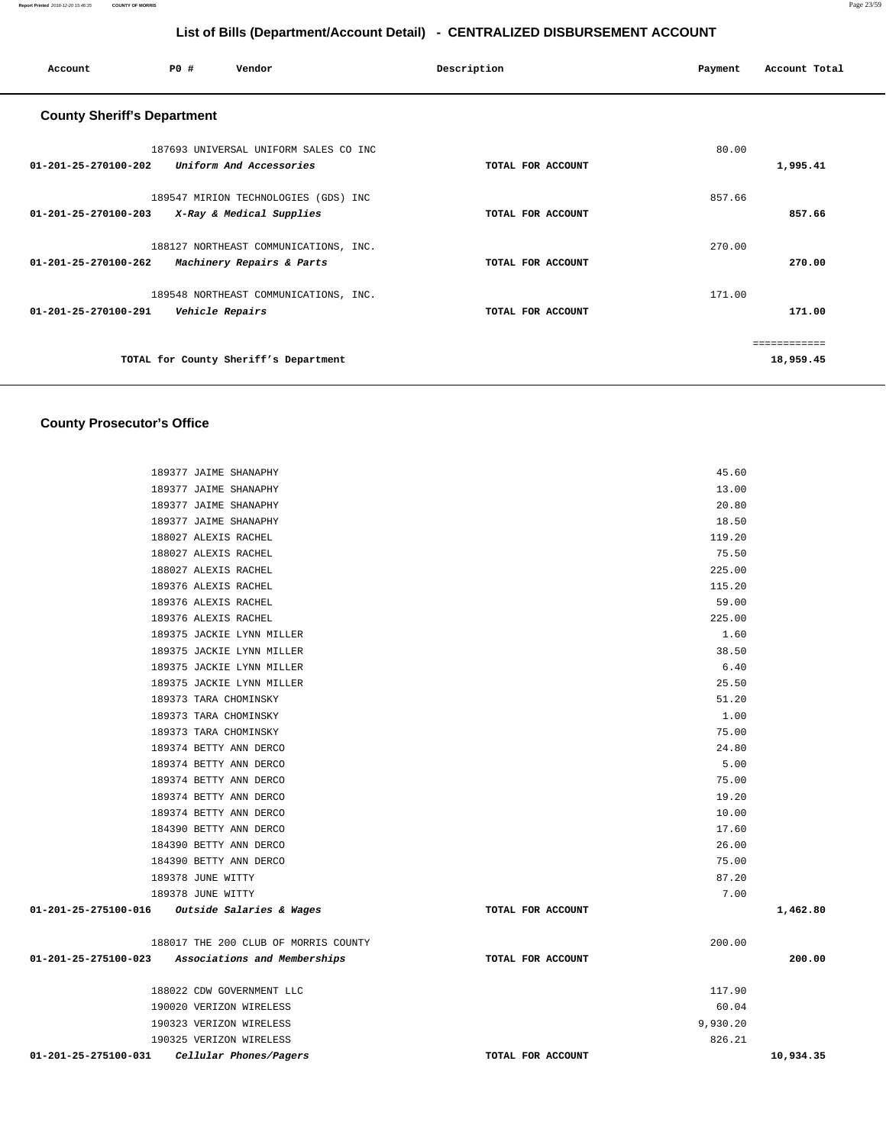| Account                            | PO#             | Vendor                                                             | Description       | Payment | Account Total |
|------------------------------------|-----------------|--------------------------------------------------------------------|-------------------|---------|---------------|
| <b>County Sheriff's Department</b> |                 |                                                                    |                   |         |               |
| 01-201-25-270100-202               |                 | 187693 UNIVERSAL UNIFORM SALES CO INC<br>Uniform And Accessories   | TOTAL FOR ACCOUNT | 80.00   | 1,995.41      |
| 01-201-25-270100-203               |                 | 189547 MIRION TECHNOLOGIES (GDS) INC<br>X-Ray & Medical Supplies   | TOTAL FOR ACCOUNT | 857.66  | 857.66        |
| $01 - 201 - 25 - 270100 - 262$     |                 | 188127 NORTHEAST COMMUNICATIONS, INC.<br>Machinery Repairs & Parts | TOTAL FOR ACCOUNT | 270.00  | 270.00        |
| 01-201-25-270100-291               | Vehicle Repairs | 189548 NORTHEAST COMMUNICATIONS, INC.                              | TOTAL FOR ACCOUNT | 171.00  | 171.00        |
|                                    |                 |                                                                    |                   |         | ============  |
|                                    |                 | TOTAL for County Sheriff's Department                              |                   |         | 18,959.45     |

# **County Prosecutor's Office**

|                                                   | 189377 JAIME SHANAPHY                | 45.60             |           |
|---------------------------------------------------|--------------------------------------|-------------------|-----------|
|                                                   | 189377 JAIME SHANAPHY                | 13.00             |           |
|                                                   | 189377 JAIME SHANAPHY                | 20.80             |           |
|                                                   | 189377 JAIME SHANAPHY                | 18.50             |           |
|                                                   | 188027 ALEXIS RACHEL                 | 119.20            |           |
|                                                   | 188027 ALEXIS RACHEL                 | 75.50             |           |
|                                                   | 188027 ALEXIS RACHEL                 | 225.00            |           |
|                                                   | 189376 ALEXIS RACHEL                 | 115.20            |           |
|                                                   | 189376 ALEXIS RACHEL                 | 59.00             |           |
|                                                   | 189376 ALEXIS RACHEL                 | 225.00            |           |
|                                                   | 189375 JACKIE LYNN MILLER            | 1.60              |           |
|                                                   | 189375 JACKIE LYNN MILLER            | 38.50             |           |
|                                                   | 189375 JACKIE LYNN MILLER            | 6.40              |           |
|                                                   | 189375 JACKIE LYNN MILLER            | 25.50             |           |
|                                                   | 189373 TARA CHOMINSKY                | 51.20             |           |
|                                                   | 189373 TARA CHOMINSKY                | 1.00              |           |
|                                                   | 189373 TARA CHOMINSKY                | 75.00             |           |
|                                                   | 189374 BETTY ANN DERCO               | 24.80             |           |
|                                                   | 189374 BETTY ANN DERCO               | 5.00              |           |
|                                                   | 189374 BETTY ANN DERCO               | 75.00             |           |
|                                                   | 189374 BETTY ANN DERCO               | 19.20             |           |
|                                                   | 189374 BETTY ANN DERCO               | 10.00             |           |
|                                                   | 184390 BETTY ANN DERCO               | 17.60             |           |
|                                                   | 184390 BETTY ANN DERCO               | 26.00             |           |
|                                                   | 184390 BETTY ANN DERCO               | 75.00             |           |
|                                                   | 189378 JUNE WITTY                    | 87.20             |           |
|                                                   | 189378 JUNE WITTY                    | 7.00              |           |
| $01-201-25-275100-016$ Outside Salaries & Wages   |                                      | TOTAL FOR ACCOUNT | 1,462.80  |
|                                                   | 188017 THE 200 CLUB OF MORRIS COUNTY | 200.00            |           |
| 01-201-25-275100-023 Associations and Memberships |                                      | TOTAL FOR ACCOUNT | 200.00    |
|                                                   | 188022 CDW GOVERNMENT LLC            | 117.90            |           |
|                                                   | 190020 VERIZON WIRELESS              | 60.04             |           |
|                                                   | 190323 VERIZON WIRELESS              | 9,930.20          |           |
|                                                   | 190325 VERIZON WIRELESS              | 826.21            |           |
| 01-201-25-275100-031                              | Cellular Phones/Pagers               | TOTAL FOR ACCOUNT | 10,934.35 |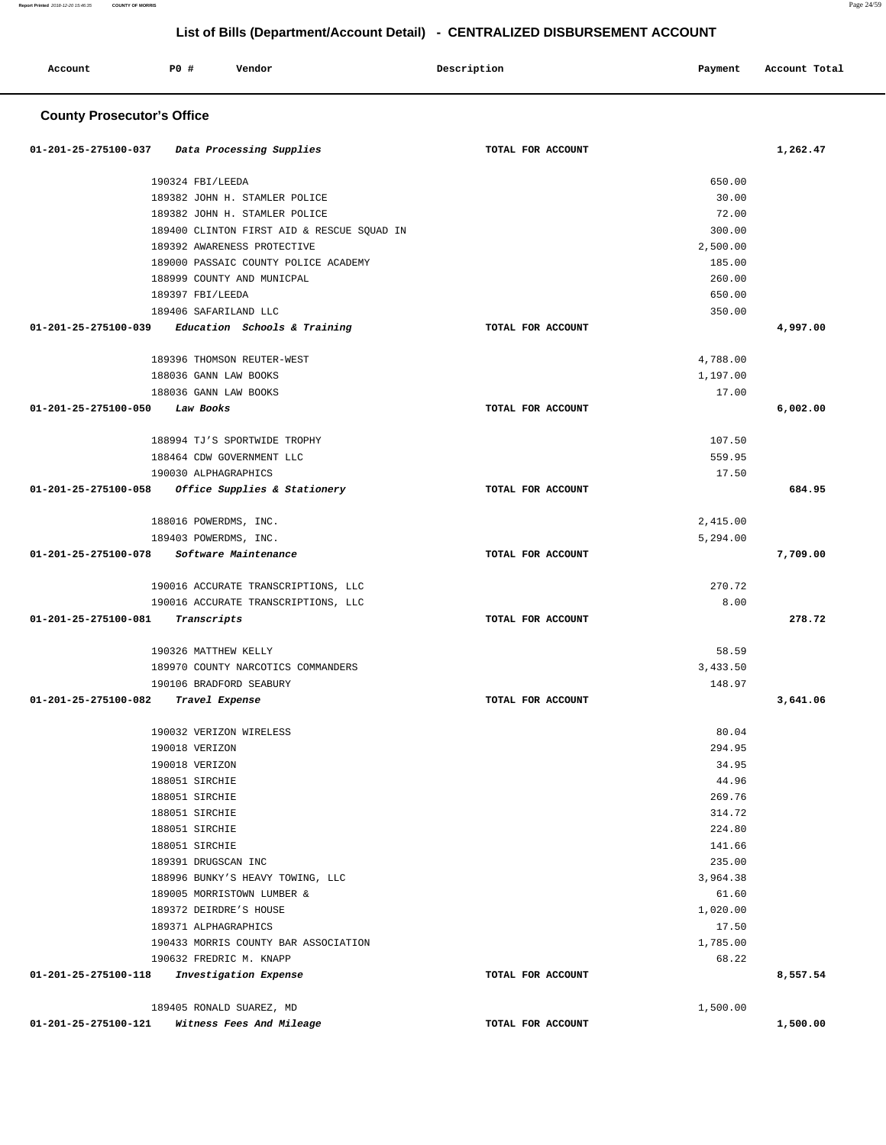**Report Printed** 2018-12-20 15:46:35 **COUNTY OF MORRIS** Page 24/59

**1,500.00** 

# **List of Bills (Department/Account Detail) - CENTRALIZED DISBURSEMENT ACCOUNT**

| Account                             | <b>PO #</b> | Vendor                                               |  | Description       | Payment           | Account Total |  |
|-------------------------------------|-------------|------------------------------------------------------|--|-------------------|-------------------|---------------|--|
| <b>County Prosecutor's Office</b>   |             |                                                      |  |                   |                   |               |  |
| 01-201-25-275100-037                |             | Data Processing Supplies                             |  | TOTAL FOR ACCOUNT |                   | 1,262.47      |  |
|                                     |             | 190324 FBI/LEEDA                                     |  |                   | 650.00            |               |  |
|                                     |             | 189382 JOHN H. STAMLER POLICE                        |  |                   | 30.00             |               |  |
|                                     |             | 189382 JOHN H. STAMLER POLICE                        |  |                   | 72.00             |               |  |
|                                     |             | 189400 CLINTON FIRST AID & RESCUE SOUAD IN           |  |                   | 300.00            |               |  |
|                                     |             | 189392 AWARENESS PROTECTIVE                          |  |                   | 2,500.00          |               |  |
|                                     |             | 189000 PASSAIC COUNTY POLICE ACADEMY                 |  |                   | 185.00            |               |  |
|                                     |             | 188999 COUNTY AND MUNICPAL                           |  |                   | 260.00            |               |  |
|                                     |             | 189397 FBI/LEEDA                                     |  |                   | 650.00            |               |  |
|                                     |             | 189406 SAFARILAND LLC                                |  |                   | 350.00            |               |  |
| 01-201-25-275100-039                |             | Education Schools & Training                         |  | TOTAL FOR ACCOUNT |                   | 4,997.00      |  |
|                                     |             | 189396 THOMSON REUTER-WEST                           |  |                   | 4,788.00          |               |  |
|                                     |             | 188036 GANN LAW BOOKS                                |  |                   | 1,197.00          |               |  |
|                                     |             | 188036 GANN LAW BOOKS                                |  |                   | 17.00             |               |  |
| 01-201-25-275100-050                |             | Law Books                                            |  | TOTAL FOR ACCOUNT |                   | 6,002.00      |  |
|                                     |             | 188994 TJ'S SPORTWIDE TROPHY                         |  |                   | 107.50            |               |  |
|                                     |             | 188464 CDW GOVERNMENT LLC                            |  |                   | 559.95            |               |  |
|                                     |             | 190030 ALPHAGRAPHICS                                 |  |                   | 17.50             |               |  |
| 01-201-25-275100-058                |             | Office Supplies & Stationery                         |  | TOTAL FOR ACCOUNT |                   | 684.95        |  |
|                                     |             | 188016 POWERDMS, INC.                                |  |                   | 2,415.00          |               |  |
|                                     |             | 189403 POWERDMS, INC.                                |  |                   | 5,294.00          |               |  |
| 01-201-25-275100-078                |             | <i>Software Maintenance</i>                          |  | TOTAL FOR ACCOUNT |                   | 7,709.00      |  |
|                                     |             | 190016 ACCURATE TRANSCRIPTIONS, LLC                  |  |                   | 270.72            |               |  |
|                                     |             | 190016 ACCURATE TRANSCRIPTIONS, LLC                  |  |                   | 8.00              |               |  |
| 01-201-25-275100-081                |             | Transcripts                                          |  | TOTAL FOR ACCOUNT |                   | 278.72        |  |
|                                     |             | 190326 MATTHEW KELLY                                 |  |                   | 58.59             |               |  |
|                                     |             | 189970 COUNTY NARCOTICS COMMANDERS                   |  |                   | 3,433.50          |               |  |
|                                     |             | 190106 BRADFORD SEABURY                              |  |                   | 148.97            |               |  |
| 01-201-25-275100-082 Travel Expense |             |                                                      |  | TOTAL FOR ACCOUNT |                   | 3,641.06      |  |
|                                     |             | 190032 VERIZON WIRELESS                              |  |                   | 80.04             |               |  |
|                                     |             | 190018 VERIZON                                       |  |                   | 294.95            |               |  |
|                                     |             | 190018 VERIZON                                       |  |                   | 34.95             |               |  |
|                                     |             | 188051 SIRCHIE                                       |  |                   | 44.96             |               |  |
|                                     |             | 188051 SIRCHIE                                       |  |                   | 269.76            |               |  |
|                                     |             | 188051 SIRCHIE                                       |  |                   | 314.72            |               |  |
|                                     |             | 188051 SIRCHIE                                       |  |                   | 224.80            |               |  |
|                                     |             | 188051 SIRCHIE                                       |  |                   | 141.66            |               |  |
|                                     |             | 189391 DRUGSCAN INC                                  |  |                   | 235.00            |               |  |
|                                     |             | 188996 BUNKY'S HEAVY TOWING, LLC                     |  |                   | 3,964.38          |               |  |
|                                     |             | 189005 MORRISTOWN LUMBER &<br>189372 DEIRDRE'S HOUSE |  |                   | 61.60<br>1,020.00 |               |  |
|                                     |             | 189371 ALPHAGRAPHICS                                 |  |                   | 17.50             |               |  |
|                                     |             | 190433 MORRIS COUNTY BAR ASSOCIATION                 |  |                   | 1,785.00          |               |  |
|                                     |             | 190632 FREDRIC M. KNAPP                              |  |                   | 68.22             |               |  |
| 01-201-25-275100-118                |             | Investigation Expense                                |  | TOTAL FOR ACCOUNT |                   | 8,557.54      |  |
|                                     |             | 189405 RONALD SUAREZ, MD                             |  |                   | 1,500.00          |               |  |

**01-201-25-275100-121 Witness Fees And Mileage TOTAL FOR ACCOUNT**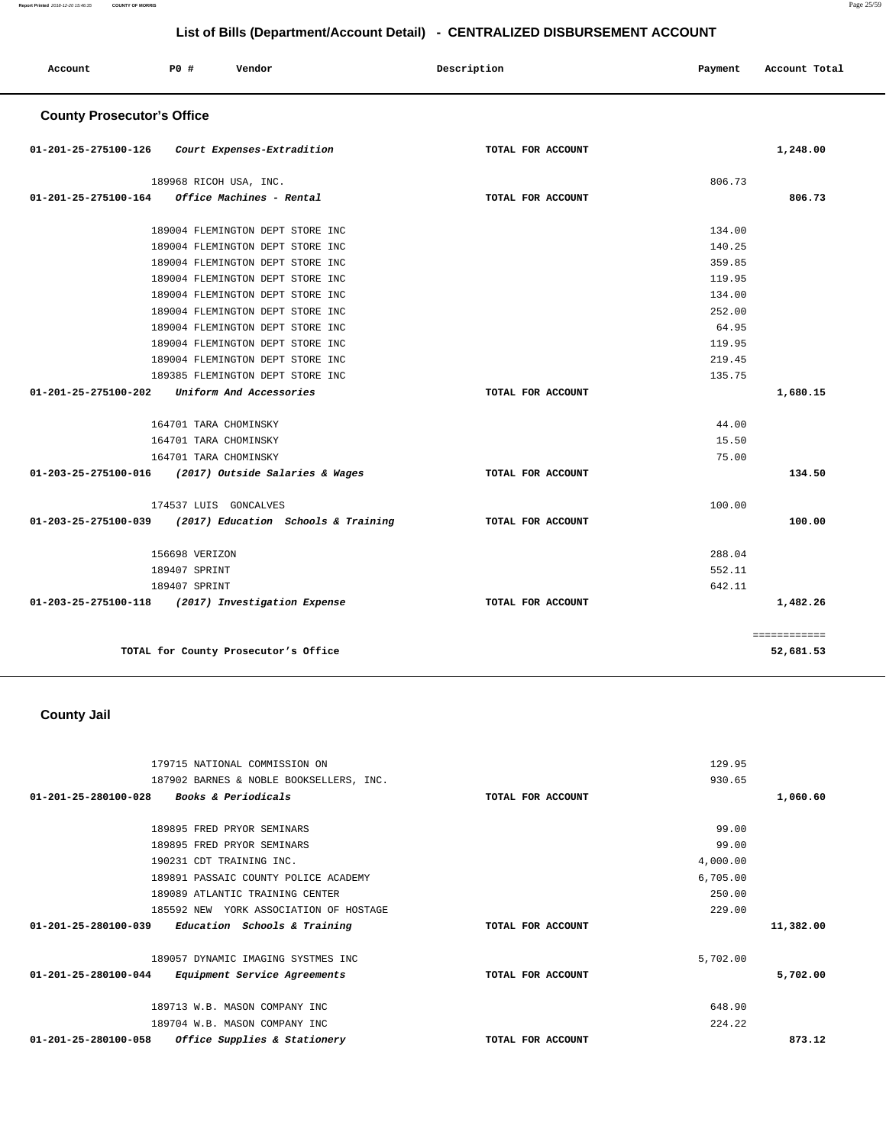**Report Printed** 2018-12-20 15:46:35 **COUNTY OF MORRIS** Page 25/59

|                                   |                        |                                  | List of Bills (Department/Account Detail) - CENTRALIZED DISBURSEMENT ACCOUNT |         |               |
|-----------------------------------|------------------------|----------------------------------|------------------------------------------------------------------------------|---------|---------------|
| Account                           | <b>PO #</b>            | Vendor                           | Description                                                                  | Payment | Account Total |
| <b>County Prosecutor's Office</b> |                        |                                  |                                                                              |         |               |
| 01-201-25-275100-126              |                        | Court Expenses-Extradition       | TOTAL FOR ACCOUNT                                                            |         | 1,248.00      |
|                                   | 189968 RICOH USA, INC. |                                  |                                                                              | 806.73  |               |
| 01-201-25-275100-164              |                        | Office Machines - Rental         | TOTAL FOR ACCOUNT                                                            |         | 806.73        |
|                                   |                        | 189004 FLEMINGTON DEPT STORE INC |                                                                              | 134.00  |               |
|                                   |                        | 189004 FLEMINGTON DEPT STORE INC |                                                                              | 140.25  |               |
|                                   |                        | 189004 FLEMINGTON DEPT STORE INC |                                                                              | 359.85  |               |
|                                   |                        | 189004 FLEMINGTON DEPT STORE INC |                                                                              | 119.95  |               |
|                                   |                        | 189004 FLEMINGTON DEPT STORE INC |                                                                              | 134.00  |               |
|                                   |                        | 189004 FLEMINGTON DEPT STORE INC |                                                                              | 252.00  |               |
|                                   |                        | 189004 FLEMINGTON DEPT STORE INC |                                                                              | 64.95   |               |
|                                   |                        | 189004 FLEMINGTON DEPT STORE INC |                                                                              | 119.95  |               |
|                                   |                        | 189004 FLEMINGTON DEPT STORE INC |                                                                              | 219.45  |               |
|                                   |                        | 189385 FLEMINGTON DEPT STORE INC |                                                                              | 135.75  |               |
| 01-201-25-275100-202              |                        | Uniform And Accessories          | TOTAL FOR ACCOUNT                                                            |         | 1,680.15      |

| 164701 TARA CHOMINSKY                                       |                   | 44.00     |
|-------------------------------------------------------------|-------------------|-----------|
| 164701 TARA CHOMINSKY                                       |                   | 15.50     |
| 164701 TARA CHOMINSKY                                       |                   | 75.00     |
| 01-203-25-275100-016<br>(2017) Outside Salaries & Wages     | TOTAL FOR ACCOUNT | 134.50    |
| 174537 LUIS GONCALVES                                       |                   | 100.00    |
| 01-203-25-275100-039<br>(2017) Education Schools & Training | TOTAL FOR ACCOUNT | 100.00    |
|                                                             |                   |           |
| 156698 VERIZON                                              |                   | 288.04    |
| 189407 SPRINT                                               |                   | 552.11    |
| 189407 SPRINT                                               |                   | 642.11    |
| 01-203-25-275100-118<br>(2017) Investigation Expense        | TOTAL FOR ACCOUNT | 1,482.26  |
|                                                             |                   |           |
| TOTAL for County Prosecutor's Office                        |                   | 52,681.53 |

**County Jail** 

| 179715 NATIONAL COMMISSION ON                                  | 129.95            |           |
|----------------------------------------------------------------|-------------------|-----------|
|                                                                |                   |           |
| 187902 BARNES & NOBLE BOOKSELLERS, INC.                        | 930.65            |           |
| Books & Periodicals<br>$01 - 201 - 25 - 280100 - 028$          | TOTAL FOR ACCOUNT | 1,060.60  |
| 189895 FRED PRYOR SEMINARS                                     | 99.00             |           |
| 189895 FRED PRYOR SEMINARS                                     | 99.00             |           |
| 190231 CDT TRAINING INC.                                       | 4,000.00          |           |
| 189891 PASSAIC COUNTY POLICE ACADEMY                           | 6,705.00          |           |
| 189089 ATLANTIC TRAINING CENTER                                | 250.00            |           |
| 185592 NEW YORK ASSOCIATION OF HOSTAGE                         | 229.00            |           |
| $01 - 201 - 25 - 280100 - 039$<br>Education Schools & Training | TOTAL FOR ACCOUNT | 11,382.00 |
| 189057 DYNAMIC IMAGING SYSTMES INC                             | 5,702.00          |           |
| 01-201-25-280100-044<br>Equipment Service Agreements           | TOTAL FOR ACCOUNT | 5,702.00  |
| 189713 W.B. MASON COMPANY INC                                  | 648.90            |           |
| 189704 W.B. MASON COMPANY INC                                  | 224.22            |           |
| $01 - 201 - 25 - 280100 - 058$<br>Office Supplies & Stationery | TOTAL FOR ACCOUNT | 873.12    |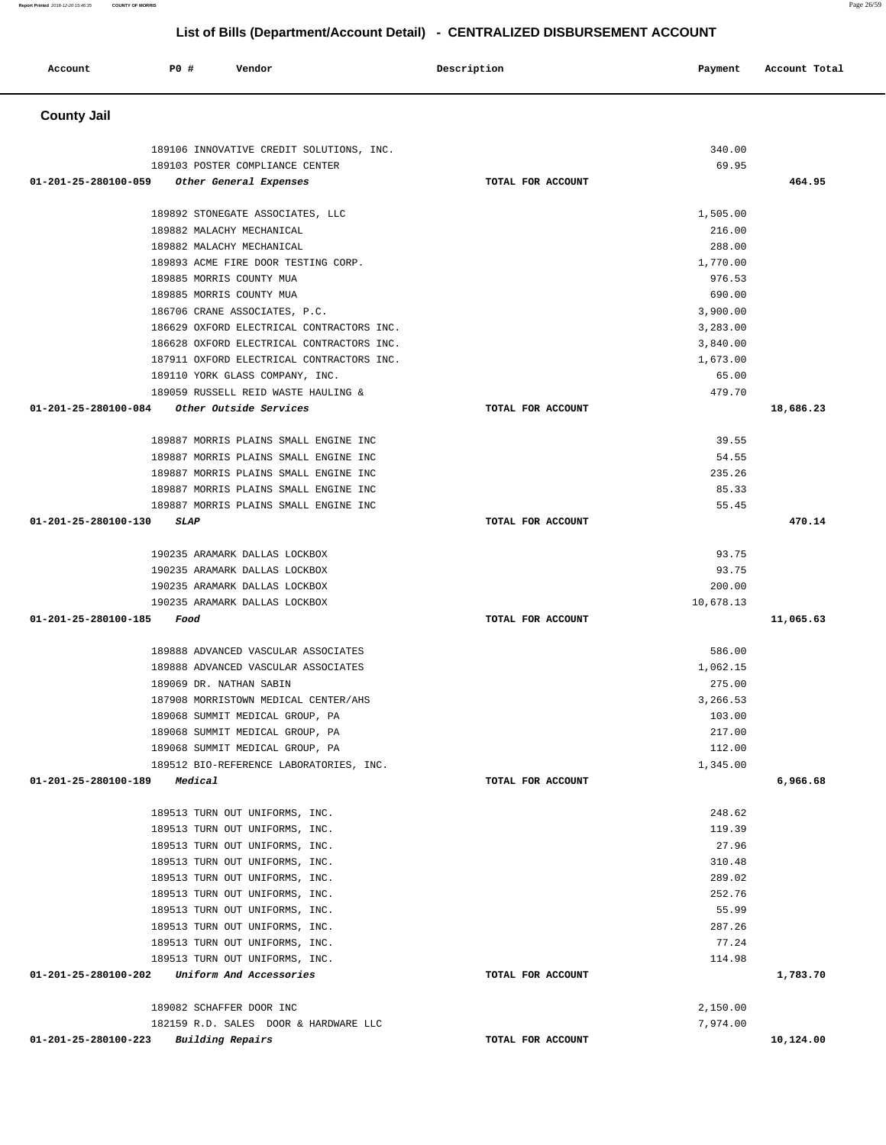| Account              | <b>PO #</b><br>Vendor                     | Description       | Payment   | Account Total |
|----------------------|-------------------------------------------|-------------------|-----------|---------------|
| <b>County Jail</b>   |                                           |                   |           |               |
|                      | 189106 INNOVATIVE CREDIT SOLUTIONS, INC.  |                   | 340.00    |               |
|                      | 189103 POSTER COMPLIANCE CENTER           |                   | 69.95     |               |
| 01-201-25-280100-059 | Other General Expenses                    | TOTAL FOR ACCOUNT |           | 464.95        |
|                      | 189892 STONEGATE ASSOCIATES, LLC          |                   | 1,505.00  |               |
|                      | 189882 MALACHY MECHANICAL                 |                   | 216.00    |               |
|                      | 189882 MALACHY MECHANICAL                 |                   | 288.00    |               |
|                      | 189893 ACME FIRE DOOR TESTING CORP.       |                   | 1,770.00  |               |
|                      | 189885 MORRIS COUNTY MUA                  |                   | 976.53    |               |
|                      | 189885 MORRIS COUNTY MUA                  |                   | 690.00    |               |
|                      | 186706 CRANE ASSOCIATES, P.C.             |                   | 3,900.00  |               |
|                      | 186629 OXFORD ELECTRICAL CONTRACTORS INC. |                   | 3,283.00  |               |
|                      | 186628 OXFORD ELECTRICAL CONTRACTORS INC. |                   | 3,840.00  |               |
|                      | 187911 OXFORD ELECTRICAL CONTRACTORS INC. |                   | 1,673.00  |               |
|                      | 189110 YORK GLASS COMPANY, INC.           |                   | 65.00     |               |
|                      | 189059 RUSSELL REID WASTE HAULING &       |                   | 479.70    |               |
| 01-201-25-280100-084 | Other Outside Services                    | TOTAL FOR ACCOUNT |           | 18,686.23     |
|                      | 189887 MORRIS PLAINS SMALL ENGINE INC     |                   | 39.55     |               |
|                      | 189887 MORRIS PLAINS SMALL ENGINE INC     |                   | 54.55     |               |
|                      | 189887 MORRIS PLAINS SMALL ENGINE INC     |                   | 235.26    |               |
|                      | 189887 MORRIS PLAINS SMALL ENGINE INC     |                   | 85.33     |               |
|                      | 189887 MORRIS PLAINS SMALL ENGINE INC     |                   | 55.45     |               |
| 01-201-25-280100-130 | <b>SLAP</b>                               | TOTAL FOR ACCOUNT |           | 470.14        |
|                      | 190235 ARAMARK DALLAS LOCKBOX             |                   | 93.75     |               |
|                      | 190235 ARAMARK DALLAS LOCKBOX             |                   | 93.75     |               |
|                      | 190235 ARAMARK DALLAS LOCKBOX             |                   | 200.00    |               |
|                      | 190235 ARAMARK DALLAS LOCKBOX             |                   | 10,678.13 |               |
| 01-201-25-280100-185 | Food                                      | TOTAL FOR ACCOUNT |           | 11,065.63     |
|                      |                                           |                   |           |               |
|                      | 189888 ADVANCED VASCULAR ASSOCIATES       |                   | 586.00    |               |
|                      | 189888 ADVANCED VASCULAR ASSOCIATES       |                   | 1,062.15  |               |
|                      | 189069 DR. NATHAN SABIN                   |                   | 275.00    |               |
|                      | 187908 MORRISTOWN MEDICAL CENTER/AHS      |                   | 3,266.53  |               |
|                      | 189068 SUMMIT MEDICAL GROUP, PA           |                   | 103.00    |               |
|                      | 189068 SUMMIT MEDICAL GROUP, PA           |                   | 217.00    |               |
|                      | 189068 SUMMIT MEDICAL GROUP, PA           |                   | 112.00    |               |
|                      | 189512 BIO-REFERENCE LABORATORIES, INC.   |                   | 1,345.00  |               |
| 01-201-25-280100-189 | Medical                                   | TOTAL FOR ACCOUNT |           | 6,966.68      |
|                      | 189513 TURN OUT UNIFORMS, INC.            |                   | 248.62    |               |
|                      | 189513 TURN OUT UNIFORMS, INC.            |                   | 119.39    |               |
|                      | 189513 TURN OUT UNIFORMS, INC.            |                   | 27.96     |               |
|                      | 189513 TURN OUT UNIFORMS, INC.            |                   | 310.48    |               |
|                      | 189513 TURN OUT UNIFORMS, INC.            |                   | 289.02    |               |
|                      | 189513 TURN OUT UNIFORMS, INC.            |                   | 252.76    |               |
|                      | 189513 TURN OUT UNIFORMS, INC.            |                   | 55.99     |               |
|                      | 189513 TURN OUT UNIFORMS, INC.            |                   | 287.26    |               |
|                      | 189513 TURN OUT UNIFORMS, INC.            |                   | 77.24     |               |
|                      | 189513 TURN OUT UNIFORMS, INC.            |                   | 114.98    |               |
| 01-201-25-280100-202 | Uniform And Accessories                   | TOTAL FOR ACCOUNT |           | 1,783.70      |
|                      | 189082 SCHAFFER DOOR INC                  |                   | 2,150.00  |               |
|                      | 182159 R.D. SALES DOOR & HARDWARE LLC     |                   | 7,974.00  |               |
| 01-201-25-280100-223 | <b>Building Repairs</b>                   | TOTAL FOR ACCOUNT |           | 10,124.00     |

**Report Printed** 2018-12-20 15:46:35 **COUNTY OF MORRIS** Page 26/59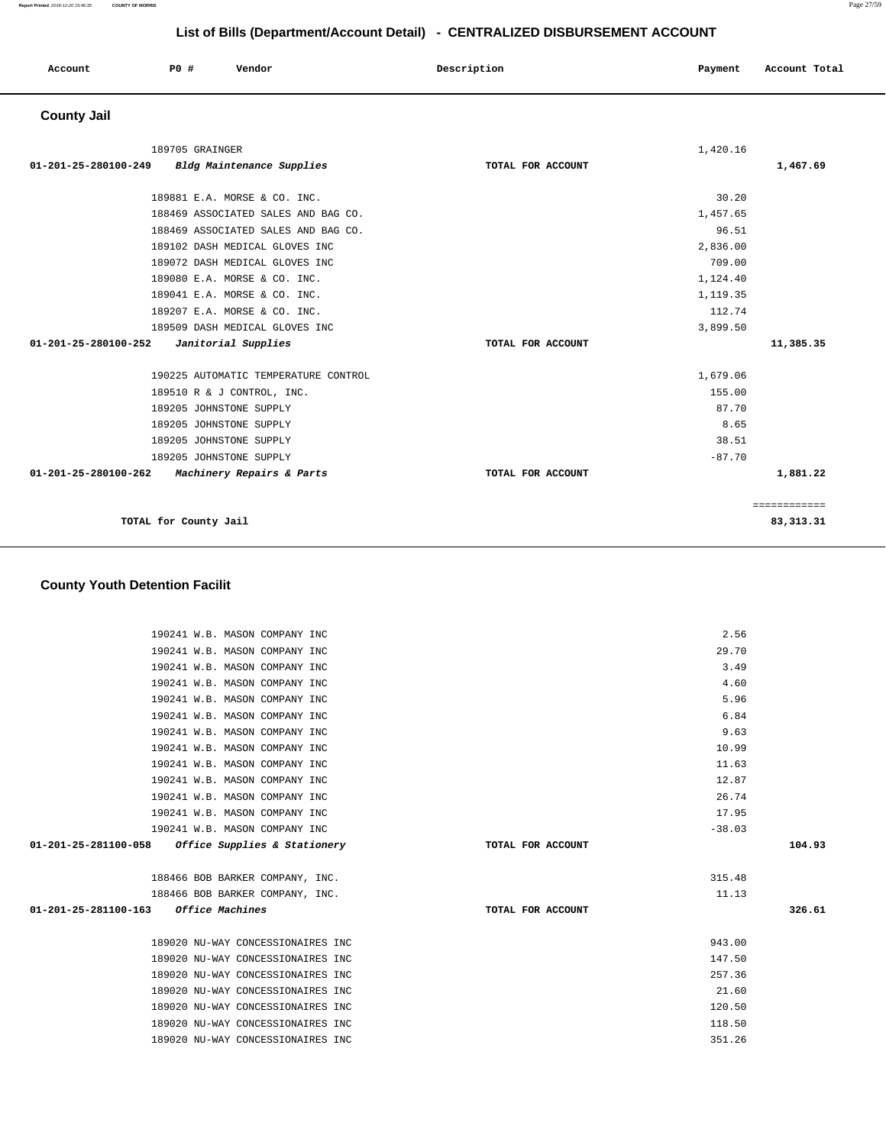| Account | PO# | Vendor | Description | Payment | Account Total |
|---------|-----|--------|-------------|---------|---------------|
|         |     |        |             |         |               |

# **County Jail**

| 189705 GRAINGER                                   |                   | 1,420.16 |              |
|---------------------------------------------------|-------------------|----------|--------------|
| 01-201-25-280100-249<br>Bldg Maintenance Supplies | TOTAL FOR ACCOUNT |          | 1,467.69     |
| 189881 E.A. MORSE & CO. INC.                      |                   | 30.20    |              |
| 188469 ASSOCIATED SALES AND BAG CO.               |                   | 1,457.65 |              |
| 188469 ASSOCIATED SALES AND BAG CO.               |                   | 96.51    |              |
| 189102 DASH MEDICAL GLOVES INC                    |                   | 2,836.00 |              |
| 189072 DASH MEDICAL GLOVES INC                    |                   | 709.00   |              |
| 189080 E.A. MORSE & CO. INC.                      |                   | 1,124.40 |              |
| 189041 E.A. MORSE & CO. INC.                      |                   | 1,119.35 |              |
| 189207 E.A. MORSE & CO. INC.                      |                   | 112.74   |              |
| 189509 DASH MEDICAL GLOVES INC                    |                   | 3,899.50 |              |
| 01-201-25-280100-252<br>Janitorial Supplies       | TOTAL FOR ACCOUNT |          | 11,385.35    |
|                                                   |                   |          |              |
| 190225 AUTOMATIC TEMPERATURE CONTROL              |                   | 1,679.06 |              |
| 189510 R & J CONTROL, INC.                        |                   | 155.00   |              |
| 189205 JOHNSTONE SUPPLY                           |                   | 87.70    |              |
| 189205 JOHNSTONE SUPPLY                           |                   | 8.65     |              |
| 189205 JOHNSTONE SUPPLY                           |                   | 38.51    |              |
| 189205 JOHNSTONE SUPPLY                           |                   | $-87.70$ |              |
| 01-201-25-280100-262<br>Machinery Repairs & Parts | TOTAL FOR ACCOUNT |          | 1,881.22     |
|                                                   |                   |          | ============ |
| TOTAL for County Jail                             |                   |          | 83, 313. 31  |

# **County Youth Detention Facilit**

| 190241 W.B. MASON COMPANY INC                     |                   | 2.56     |        |
|---------------------------------------------------|-------------------|----------|--------|
| 190241 W.B. MASON COMPANY INC                     |                   | 29.70    |        |
| 190241 W.B. MASON COMPANY INC                     |                   | 3.49     |        |
| 190241 W.B. MASON COMPANY INC                     |                   | 4.60     |        |
| 190241 W.B. MASON COMPANY INC                     |                   | 5.96     |        |
| 190241 W.B. MASON COMPANY INC                     |                   | 6.84     |        |
| 190241 W.B. MASON COMPANY INC                     |                   | 9.63     |        |
| 190241 W.B. MASON COMPANY INC                     |                   | 10.99    |        |
| 190241 W.B. MASON COMPANY INC                     |                   | 11.63    |        |
| 190241 W.B. MASON COMPANY INC                     |                   | 12.87    |        |
| 190241 W.B. MASON COMPANY INC                     |                   | 26.74    |        |
| 190241 W.B. MASON COMPANY INC                     |                   | 17.95    |        |
| 190241 W.B. MASON COMPANY INC                     |                   | $-38.03$ |        |
| 01-201-25-281100-058 Office Supplies & Stationery | TOTAL FOR ACCOUNT |          | 104.93 |
|                                                   |                   |          |        |
| 188466 BOB BARKER COMPANY, INC.                   |                   | 315.48   |        |
| 188466 BOB BARKER COMPANY, INC.                   |                   | 11.13    |        |
| 01-201-25-281100-163 Office Machines              | TOTAL FOR ACCOUNT |          | 326.61 |
|                                                   |                   |          |        |
| 189020 NU-WAY CONCESSIONAIRES INC                 |                   | 943.00   |        |
| 189020 NU-WAY CONCESSIONAIRES INC                 |                   | 147.50   |        |
| 189020 NU-WAY CONCESSIONAIRES INC                 |                   | 257.36   |        |
| 189020 NU-WAY CONCESSIONAIRES INC                 |                   | 21.60    |        |
| 189020 NU-WAY CONCESSIONAIRES INC                 |                   | 120.50   |        |
| 189020 NU-WAY CONCESSIONAIRES INC                 |                   | 118.50   |        |
| 189020 NU-WAY CONCESSIONAIRES INC                 |                   | 351.26   |        |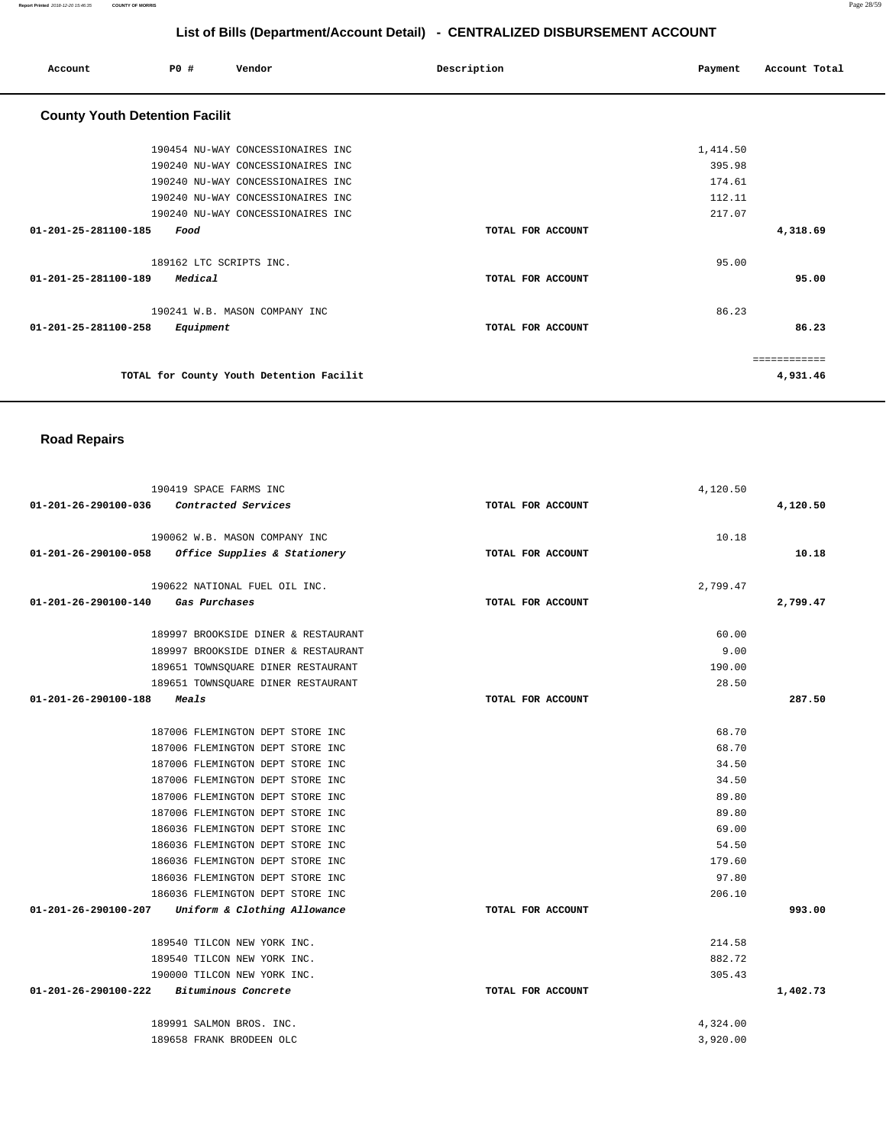**Report Printed** 2018-12-20 15:46:35 **COUNTY OF MORRIS** Page 28/59

# **List of Bills (Department/Account Detail) - CENTRALIZED DISBURSEMENT ACCOUNT**

| Account                               | PO#  |           | Vendor                                   | Description       | Payment  | Account Total |
|---------------------------------------|------|-----------|------------------------------------------|-------------------|----------|---------------|
| <b>County Youth Detention Facilit</b> |      |           |                                          |                   |          |               |
|                                       |      |           | 190454 NU-WAY CONCESSIONAIRES INC        |                   | 1,414.50 |               |
|                                       |      |           | 190240 NU-WAY CONCESSIONAIRES INC        |                   | 395.98   |               |
|                                       |      |           | 190240 NU-WAY CONCESSIONAIRES INC        |                   | 174.61   |               |
|                                       |      |           | 190240 NU-WAY CONCESSIONAIRES INC        |                   | 112.11   |               |
|                                       |      |           | 190240 NU-WAY CONCESSIONAIRES INC        |                   | 217.07   |               |
| 01-201-25-281100-185                  | Food |           |                                          | TOTAL FOR ACCOUNT |          | 4,318.69      |
|                                       |      |           | 189162 LTC SCRIPTS INC.                  |                   | 95.00    |               |
| $01 - 201 - 25 - 281100 - 189$        |      | Medical   |                                          | TOTAL FOR ACCOUNT |          | 95.00         |
|                                       |      |           | 190241 W.B. MASON COMPANY INC            |                   | 86.23    |               |
| 01-201-25-281100-258                  |      | Equipment |                                          | TOTAL FOR ACCOUNT |          | 86.23         |
|                                       |      |           |                                          |                   |          | ============  |
|                                       |      |           | TOTAL for County Youth Detention Facilit |                   |          | 4,931.46      |

# **Road Repairs**

| 190419 SPACE FARMS INC                            |                   | 4,120.50 |          |
|---------------------------------------------------|-------------------|----------|----------|
| 01-201-26-290100-036<br>Contracted Services       | TOTAL FOR ACCOUNT |          | 4,120.50 |
|                                                   |                   |          |          |
| 190062 W.B. MASON COMPANY INC                     |                   | 10.18    |          |
| 01-201-26-290100-058 Office Supplies & Stationery | TOTAL FOR ACCOUNT |          | 10.18    |
| 190622 NATIONAL FUEL OIL INC.                     |                   | 2,799.47 |          |
| 01-201-26-290100-140 Gas Purchases                | TOTAL FOR ACCOUNT |          | 2,799.47 |
|                                                   |                   |          |          |
| 189997 BROOKSIDE DINER & RESTAURANT               |                   | 60.00    |          |
| 189997 BROOKSIDE DINER & RESTAURANT               |                   | 9.00     |          |
| 189651 TOWNSQUARE DINER RESTAURANT                |                   | 190.00   |          |
| 189651 TOWNSQUARE DINER RESTAURANT                |                   | 28.50    |          |
| 01-201-26-290100-188<br>Meals                     | TOTAL FOR ACCOUNT |          | 287.50   |
|                                                   |                   |          |          |
| 187006 FLEMINGTON DEPT STORE INC                  |                   | 68.70    |          |
| 187006 FLEMINGTON DEPT STORE INC                  |                   | 68.70    |          |
| 187006 FLEMINGTON DEPT STORE INC                  |                   | 34.50    |          |
| 187006 FLEMINGTON DEPT STORE INC                  |                   | 34.50    |          |
| 187006 FLEMINGTON DEPT STORE INC                  |                   | 89.80    |          |
| 187006 FLEMINGTON DEPT STORE INC                  |                   | 89.80    |          |
| 186036 FLEMINGTON DEPT STORE INC                  |                   | 69.00    |          |
| 186036 FLEMINGTON DEPT STORE INC                  |                   | 54.50    |          |
| 186036 FLEMINGTON DEPT STORE INC                  |                   | 179.60   |          |
| 186036 FLEMINGTON DEPT STORE INC                  |                   | 97.80    |          |
| 186036 FLEMINGTON DEPT STORE INC                  |                   | 206.10   |          |
| 01-201-26-290100-207 Uniform & Clothing Allowance | TOTAL FOR ACCOUNT |          | 993.00   |
| 189540 TILCON NEW YORK INC.                       |                   | 214.58   |          |
| 189540 TILCON NEW YORK INC.                       |                   | 882.72   |          |
| 190000 TILCON NEW YORK INC.                       |                   | 305.43   |          |
| 01-201-26-290100-222 Bituminous Concrete          | TOTAL FOR ACCOUNT |          | 1,402.73 |
|                                                   |                   |          |          |
| 189991 SALMON BROS. INC.                          |                   | 4,324.00 |          |
| 189658 FRANK BRODEEN OLC                          |                   | 3,920.00 |          |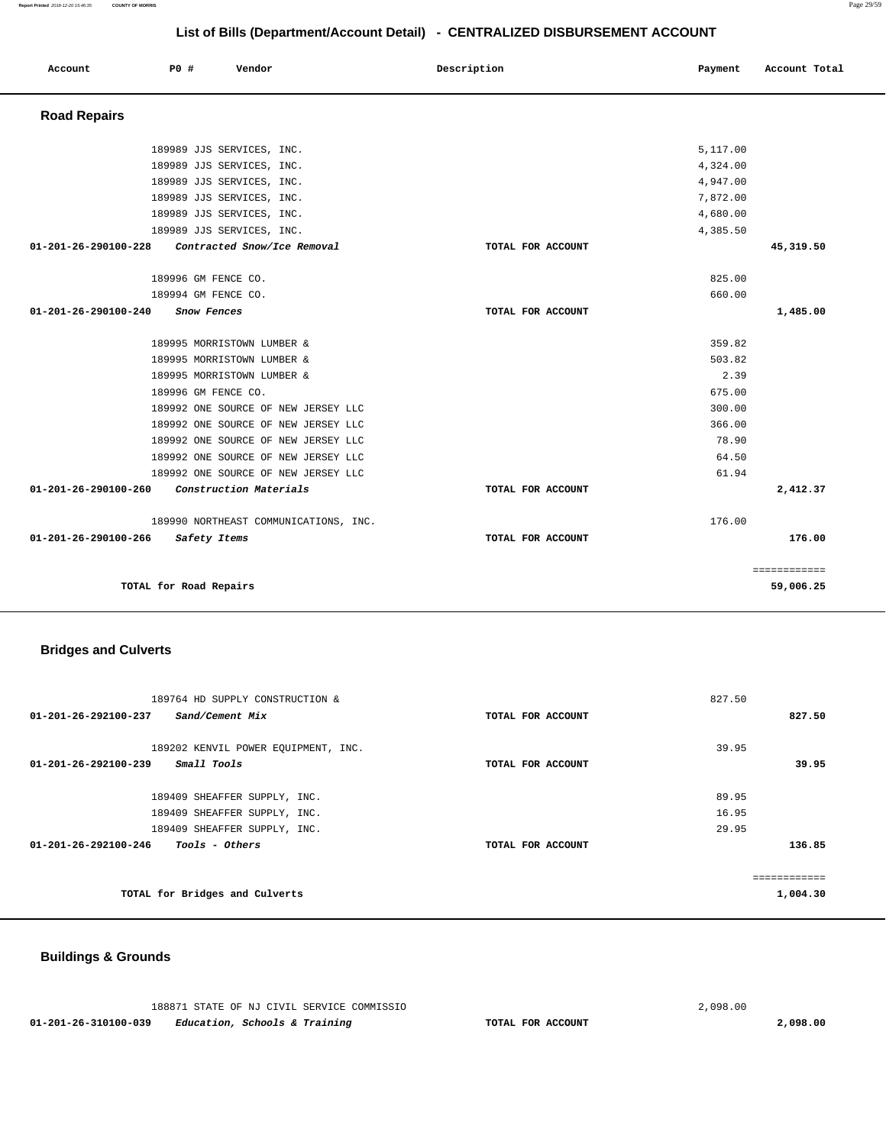**Report Printed** 2018-12-20 15:46:35 **COUNTY OF MORRIS** Page 29/59

# **List of Bills (Department/Account Detail) - CENTRALIZED DISBURSEMENT ACCOUNT**

| Account              | <b>PO #</b><br>Vendor                 | Description       | Payment  | Account Total |
|----------------------|---------------------------------------|-------------------|----------|---------------|
| <b>Road Repairs</b>  |                                       |                   |          |               |
|                      | 189989 JJS SERVICES, INC.             |                   | 5,117.00 |               |
|                      | 189989 JJS SERVICES, INC.             |                   | 4,324.00 |               |
|                      | 189989 JJS SERVICES, INC.             |                   | 4,947.00 |               |
|                      | 189989 JJS SERVICES, INC.             |                   | 7,872.00 |               |
|                      | 189989 JJS SERVICES, INC.             |                   | 4,680.00 |               |
|                      | 189989 JJS SERVICES, INC.             |                   | 4,385.50 |               |
| 01-201-26-290100-228 | Contracted Snow/Ice Removal           | TOTAL FOR ACCOUNT |          | 45,319.50     |
|                      | 189996 GM FENCE CO.                   |                   | 825.00   |               |
|                      | 189994 GM FENCE CO.                   |                   | 660.00   |               |
| 01-201-26-290100-240 | Snow Fences                           | TOTAL FOR ACCOUNT |          | 1,485.00      |
|                      | 189995 MORRISTOWN LUMBER &            |                   | 359.82   |               |
|                      | 189995 MORRISTOWN LUMBER &            |                   | 503.82   |               |
|                      | 189995 MORRISTOWN LUMBER &            |                   | 2.39     |               |
|                      | 189996 GM FENCE CO.                   |                   | 675.00   |               |
|                      | 189992 ONE SOURCE OF NEW JERSEY LLC   |                   | 300.00   |               |
|                      | 189992 ONE SOURCE OF NEW JERSEY LLC   |                   | 366.00   |               |
|                      | 189992 ONE SOURCE OF NEW JERSEY LLC   |                   | 78.90    |               |
|                      | 189992 ONE SOURCE OF NEW JERSEY LLC   |                   | 64.50    |               |
|                      | 189992 ONE SOURCE OF NEW JERSEY LLC   |                   | 61.94    |               |
| 01-201-26-290100-260 | Construction Materials                | TOTAL FOR ACCOUNT |          | 2,412.37      |
|                      | 189990 NORTHEAST COMMUNICATIONS, INC. |                   | 176.00   |               |
| 01-201-26-290100-266 | Safety Items                          | TOTAL FOR ACCOUNT |          | 176.00        |
|                      |                                       |                   |          | ============  |
|                      | TOTAL for Road Repairs                |                   |          | 59,006.25     |

# **Bridges and Culverts**

| 189764 HD SUPPLY CONSTRUCTION &                         |                   | 827.50       |
|---------------------------------------------------------|-------------------|--------------|
| 01-201-26-292100-237<br>Sand/Cement Mix                 | TOTAL FOR ACCOUNT | 827.50       |
|                                                         |                   |              |
| 189202 KENVIL POWER EQUIPMENT, INC.                     |                   | 39.95        |
| 01-201-26-292100-239<br>Small Tools                     | TOTAL FOR ACCOUNT | 39.95        |
|                                                         |                   |              |
| 189409 SHEAFFER SUPPLY, INC.                            |                   | 89.95        |
| 189409 SHEAFFER SUPPLY, INC.                            |                   | 16.95        |
| 189409 SHEAFFER SUPPLY, INC.                            |                   | 29.95        |
| $01 - 201 - 26 - 292100 - 246$<br><i>Tools - Others</i> | TOTAL FOR ACCOUNT | 136.85       |
|                                                         |                   |              |
|                                                         |                   | ------------ |
| TOTAL for Bridges and Culverts                          |                   | 1,004.30     |

# **Buildings & Grounds**

|                      | 188871 STATE OF NJ CIVIL SERVICE COMMISSIO |                   | 2,098.00 |
|----------------------|--------------------------------------------|-------------------|----------|
| 01-201-26-310100-039 | Education, Schools & Training              | TOTAL FOR ACCOUNT | 2,098.00 |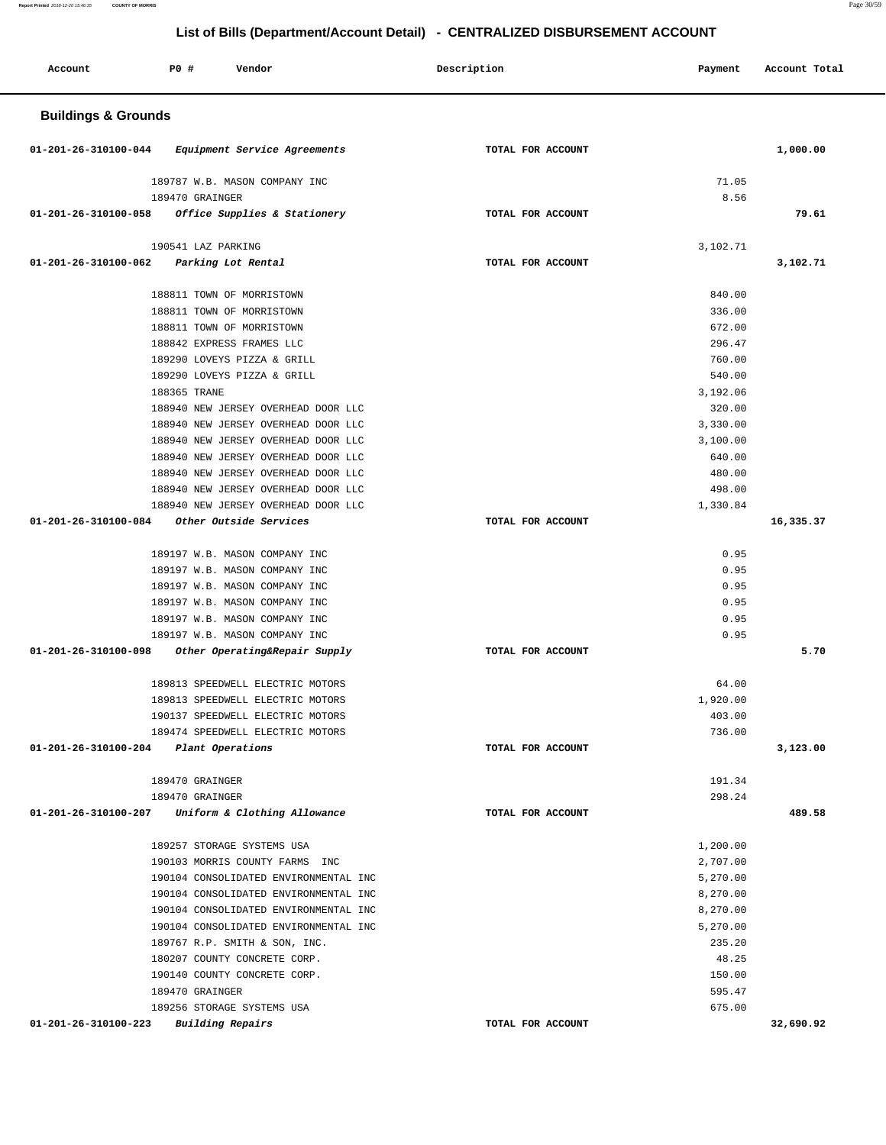**List of Bills (Department/Account Detail) - CENTRALIZED DISBURSEMENT ACCOUNT Account P0 # Vendor Description Payment Account Total Buildings & Grounds 01-201-26-310100-044 Equipment Service Agreements TOTAL FOR ACCOUNT 1,000.00** 189787 W.B. MASON COMPANY INC 189470 GRAINGER **01-201-26-310100-058 Office Supplies & Stationery TOTAL FOR ACCOUNT**  71.05 8.56 **79.61** 190541 LAZ PARKING **01-201-26-310100-062 Parking Lot Rental TOTAL FOR ACCOUNT**  3,102.71 **3,102.71** 188811 TOWN OF MORRISTOWN 188811 TOWN OF MORRISTOWN 188811 TOWN OF MORRISTOWN 188842 EXPRESS FRAMES LLC 189290 LOVEYS PIZZA & GRILL 189290 LOVEYS PIZZA & GRILL 188365 TRANE 188940 NEW JERSEY OVERHEAD DOOR LLC 188940 NEW JERSEY OVERHEAD DOOR LLC 188940 NEW JERSEY OVERHEAD DOOR LLC 188940 NEW JERSEY OVERHEAD DOOR LLC 188940 NEW JERSEY OVERHEAD DOOR LLC 188940 NEW JERSEY OVERHEAD DOOR LLC 188940 NEW JERSEY OVERHEAD DOOR LLC **01-201-26-310100-084 Other Outside Services TOTAL FOR ACCOUNT**  840.00 336.00 672.00 296.47 760.00 540.00 3,192.06 320.00 3,330.00 3,100.00 640.00 480.00 498.00 1,330.84 **16,335.37** 189197 W.B. MASON COMPANY INC 189197 W.B. MASON COMPANY INC 189197 W.B. MASON COMPANY INC 189197 W.B. MASON COMPANY INC 189197 W.B. MASON COMPANY INC 189197 W.B. MASON COMPANY INC **01-201-26-310100-098 Other Operating&Repair Supply TOTAL FOR ACCOUNT**  0.95 0.95 0.95 0.95 0.95 0.95 **5.70** 189813 SPEEDWELL ELECTRIC MOTORS 189813 SPEEDWELL ELECTRIC MOTORS 190137 SPEEDWELL ELECTRIC MOTORS 189474 SPEEDWELL ELECTRIC MOTORS **01-201-26-310100-204 Plant Operations TOTAL FOR ACCOUNT**  64.00 1,920.00 403.00 736.00 **3,123.00** 189470 GRAINGER 189470 GRAINGER **01-201-26-310100-207 Uniform & Clothing Allowance TOTAL FOR ACCOUNT**  191.34 298.24 **489.58** 189257 STORAGE SYSTEMS USA 190103 MORRIS COUNTY FARMS INC 190104 CONSOLIDATED ENVIRONMENTAL INC 190104 CONSOLIDATED ENVIRONMENTAL INC 190104 CONSOLIDATED ENVIRONMENTAL INC 190104 CONSOLIDATED ENVIRONMENTAL INC 189767 R.P. SMITH & SON, INC. 180207 COUNTY CONCRETE CORP. 190140 COUNTY CONCRETE CORP. 189470 GRAINGER 189256 STORAGE SYSTEMS USA **01-201-26-310100-223 Building Repairs TOTAL FOR ACCOUNT**  1,200.00 2,707.00 5,270.00 8,270.00 8,270.00 5,270.00 235.20 48.25 150.00 595.47 675.00 **32,690.92**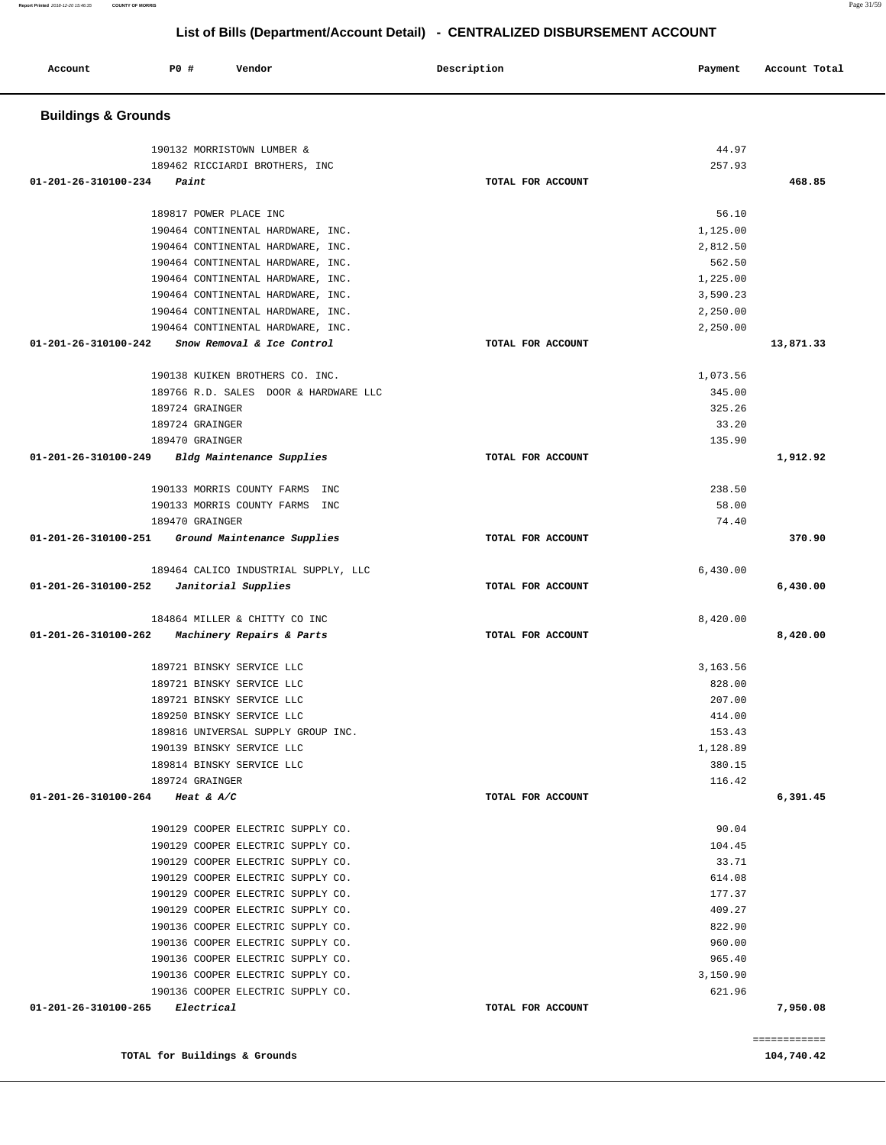**TOTAL for Buildings & Grounds 104,740.42** 

| 104,740.42 |  |  |  |  |
|------------|--|--|--|--|

| <b>Buildings &amp; Grounds</b>                                         |                   |                    |           |
|------------------------------------------------------------------------|-------------------|--------------------|-----------|
| 190132 MORRISTOWN LUMBER &                                             |                   | 44.97              |           |
| 189462 RICCIARDI BROTHERS, INC                                         |                   | 257.93             |           |
| 01-201-26-310100-234<br>Paint                                          | TOTAL FOR ACCOUNT |                    | 468.85    |
|                                                                        |                   |                    |           |
| 189817 POWER PLACE INC                                                 |                   | 56.10              |           |
| 190464 CONTINENTAL HARDWARE, INC.                                      |                   | 1,125.00           |           |
| 190464 CONTINENTAL HARDWARE, INC.<br>190464 CONTINENTAL HARDWARE, INC. |                   | 2,812.50<br>562.50 |           |
| 190464 CONTINENTAL HARDWARE, INC.                                      |                   | 1,225.00           |           |
| 190464 CONTINENTAL HARDWARE, INC.                                      |                   | 3,590.23           |           |
| 190464 CONTINENTAL HARDWARE, INC.                                      |                   | 2,250.00           |           |
| 190464 CONTINENTAL HARDWARE, INC.                                      |                   | 2,250.00           |           |
| 01-201-26-310100-242<br>Snow Removal & Ice Control                     | TOTAL FOR ACCOUNT |                    | 13,871.33 |
|                                                                        |                   |                    |           |
| 190138 KUIKEN BROTHERS CO. INC.                                        |                   | 1,073.56           |           |
| 189766 R.D. SALES DOOR & HARDWARE LLC                                  |                   | 345.00             |           |
| 189724 GRAINGER                                                        |                   | 325.26             |           |
| 189724 GRAINGER                                                        |                   | 33.20              |           |
| 189470 GRAINGER<br>01-201-26-310100-249                                | TOTAL FOR ACCOUNT | 135.90             | 1,912.92  |
| Bldg Maintenance Supplies                                              |                   |                    |           |
| 190133 MORRIS COUNTY FARMS INC                                         |                   | 238.50             |           |
| 190133 MORRIS COUNTY FARMS INC                                         |                   | 58.00              |           |
| 189470 GRAINGER                                                        |                   | 74.40              |           |
| Ground Maintenance Supplies<br>01-201-26-310100-251                    | TOTAL FOR ACCOUNT |                    | 370.90    |
| 189464 CALICO INDUSTRIAL SUPPLY, LLC                                   |                   | 6,430.00           |           |
| Janitorial Supplies<br>01-201-26-310100-252                            | TOTAL FOR ACCOUNT |                    | 6,430.00  |
| 184864 MILLER & CHITTY CO INC                                          |                   | 8,420.00           |           |
| 01-201-26-310100-262<br><i>Machinery Repairs &amp; Parts</i>           | TOTAL FOR ACCOUNT |                    | 8,420.00  |
| 189721 BINSKY SERVICE LLC                                              |                   | 3,163.56           |           |
| 189721 BINSKY SERVICE LLC                                              |                   | 828.00             |           |
| 189721 BINSKY SERVICE LLC                                              |                   | 207.00             |           |
| 189250 BINSKY SERVICE LLC                                              |                   | 414.00             |           |
| 189816 UNIVERSAL SUPPLY GROUP INC.                                     |                   | 153.43             |           |
| 190139 BINSKY SERVICE LLC                                              |                   | 1,128.89           |           |
| 189814 BINSKY SERVICE LLC                                              |                   | 380.15             |           |
| 189724 GRAINGER                                                        |                   | 116.42             |           |
| 01-201-26-310100-264<br>Heat & $A/C$                                   | TOTAL FOR ACCOUNT |                    | 6,391.45  |
| 190129 COOPER ELECTRIC SUPPLY CO.                                      |                   | 90.04              |           |
| 190129 COOPER ELECTRIC SUPPLY CO.                                      |                   | 104.45             |           |
| 190129 COOPER ELECTRIC SUPPLY CO.                                      |                   | 33.71              |           |
| 190129 COOPER ELECTRIC SUPPLY CO.                                      |                   | 614.08             |           |
| 190129 COOPER ELECTRIC SUPPLY CO.                                      |                   | 177.37             |           |
| 190129 COOPER ELECTRIC SUPPLY CO.                                      |                   | 409.27             |           |
| 190136 COOPER ELECTRIC SUPPLY CO.                                      |                   | 822.90             |           |
| 190136 COOPER ELECTRIC SUPPLY CO.                                      |                   | 960.00             |           |
| 190136 COOPER ELECTRIC SUPPLY CO.                                      |                   | 965.40             |           |
| 190136 COOPER ELECTRIC SUPPLY CO.                                      |                   | 3,150.90           |           |
| 190136 COOPER ELECTRIC SUPPLY CO.                                      |                   | 621.96             |           |
| 01-201-26-310100-265<br>Electrical                                     | TOTAL FOR ACCOUNT |                    | 7,950.08  |

# **List of Bills (Department/Account Detail) - CENTRALIZED DISBURSEMENT ACCOUNT**

 **Account P0 # Vendor Description Payment Account Total**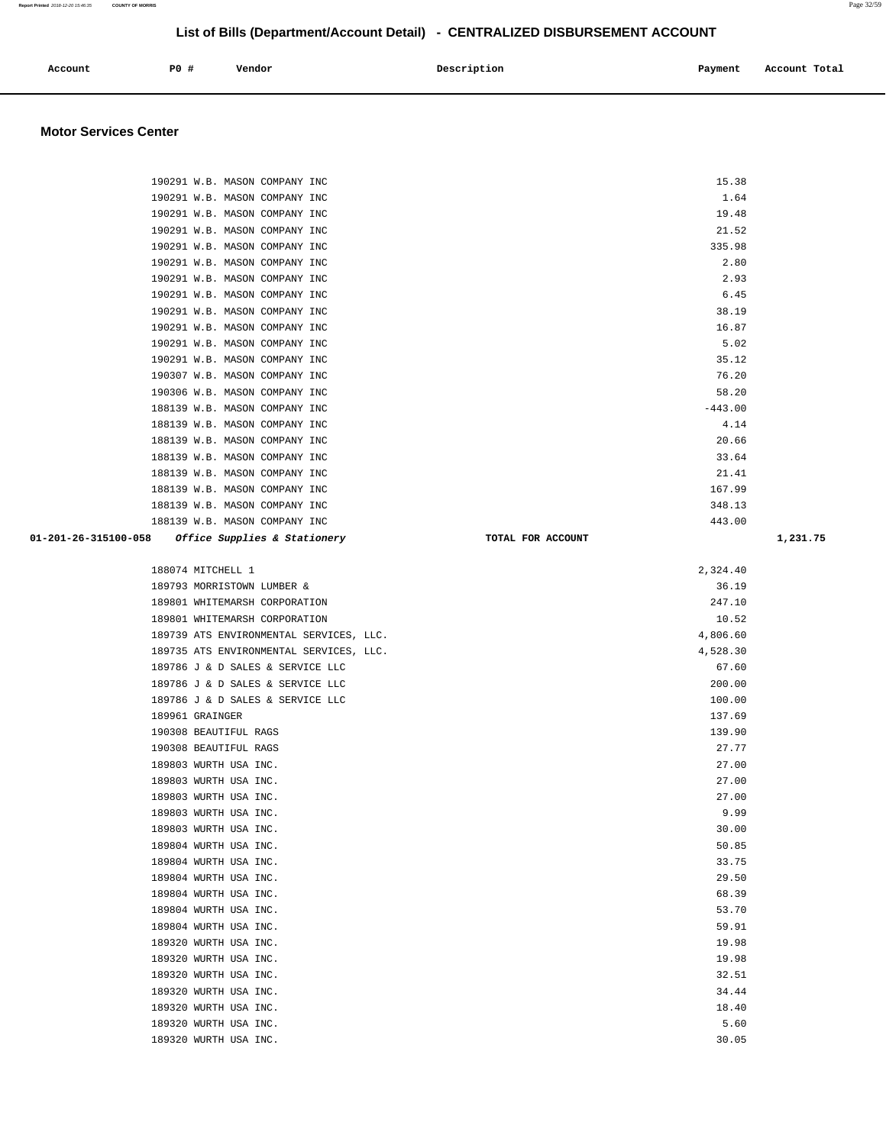| Account | <b>PO #</b> | Vendor<br>. | Description | Payment | Account Total |
|---------|-------------|-------------|-------------|---------|---------------|
|         |             |             |             |         |               |

### **Motor Services Center**

| 190291 W.B. MASON COMPANY INC                     |                   | 15.38     |          |
|---------------------------------------------------|-------------------|-----------|----------|
| 190291 W.B. MASON COMPANY INC                     |                   | 1.64      |          |
| 190291 W.B. MASON COMPANY INC                     |                   | 19.48     |          |
| 190291 W.B. MASON COMPANY INC                     |                   | 21.52     |          |
| 190291 W.B. MASON COMPANY INC                     |                   | 335.98    |          |
| 190291 W.B. MASON COMPANY INC                     |                   | 2.80      |          |
| 190291 W.B. MASON COMPANY INC                     |                   | 2.93      |          |
| 190291 W.B. MASON COMPANY INC                     |                   | 6.45      |          |
| 190291 W.B. MASON COMPANY INC                     |                   | 38.19     |          |
| 190291 W.B. MASON COMPANY INC                     |                   | 16.87     |          |
| 190291 W.B. MASON COMPANY INC                     |                   | 5.02      |          |
| 190291 W.B. MASON COMPANY INC                     |                   | 35.12     |          |
| 190307 W.B. MASON COMPANY INC                     |                   | 76.20     |          |
| 190306 W.B. MASON COMPANY INC                     |                   | 58.20     |          |
| 188139 W.B. MASON COMPANY INC                     |                   | $-443.00$ |          |
| 188139 W.B. MASON COMPANY INC                     |                   | 4.14      |          |
| 188139 W.B. MASON COMPANY INC                     |                   | 20.66     |          |
| 188139 W.B. MASON COMPANY INC                     |                   | 33.64     |          |
| 188139 W.B. MASON COMPANY INC                     |                   | 21.41     |          |
| 188139 W.B. MASON COMPANY INC                     |                   | 167.99    |          |
| 188139 W.B. MASON COMPANY INC                     |                   | 348.13    |          |
| 188139 W.B. MASON COMPANY INC                     |                   | 443.00    |          |
| 01-201-26-315100-058 Office Supplies & Stationery | TOTAL FOR ACCOUNT |           | 1,231.75 |
|                                                   |                   |           |          |
| 188074 MITCHELL 1                                 |                   | 2,324.40  |          |
| 189793 MORRISTOWN LUMBER &                        |                   | 36.19     |          |
| 189801 WHITEMARSH CORPORATION                     |                   | 247.10    |          |
| 189801 WHITEMARSH CORPORATION                     |                   | 10.52     |          |
| 189739 ATS ENVIRONMENTAL SERVICES, LLC.           |                   | 4,806.60  |          |
| 189735 ATS ENVIRONMENTAL SERVICES, LLC.           |                   | 4,528.30  |          |
| 189786 J & D SALES & SERVICE LLC                  |                   | 67.60     |          |
| 189786 J & D SALES & SERVICE LLC                  |                   | 200.00    |          |
| 189786 J & D SALES & SERVICE LLC                  |                   | 100.00    |          |
| 189961 GRAINGER                                   |                   | 137.69    |          |
| 190308 BEAUTIFUL RAGS                             |                   | 139.90    |          |
| 190308 BEAUTIFUL RAGS                             |                   | 27.77     |          |
| 189803 WURTH USA INC.                             |                   | 27.00     |          |
| 189803 WURTH USA INC.                             |                   | 27.00     |          |
| 189803 WURTH USA INC.                             |                   | 27.00     |          |
| 189803 WURTH USA INC.                             |                   | 9.99      |          |
| 189803 WURTH USA INC.                             |                   | 30.00     |          |
| 189804 WURTH USA INC.                             |                   | 50.85     |          |
| 189804 WURTH USA INC.                             |                   | 33.75     |          |
| 189804 WURTH USA INC.                             |                   | 29.50     |          |
| 189804 WURTH USA INC.                             |                   | 68.39     |          |
| 189804 WURTH USA INC.                             |                   | 53.70     |          |
| 189804 WURTH USA INC.                             |                   | 59.91     |          |
| 189320 WURTH USA INC.                             |                   | 19.98     |          |
| 189320 WURTH USA INC.                             |                   | 19.98     |          |
| 189320 WURTH USA INC.                             |                   | 32.51     |          |
| 189320 WURTH USA INC.                             |                   | 34.44     |          |
| 189320 WURTH USA INC.                             |                   | 18.40     |          |
| 189320 WURTH USA INC.                             |                   | 5.60      |          |
| 189320 WURTH USA INC.                             |                   | 30.05     |          |

**Report Printed** 2018-12-20 15:46:35 **COUNTY OF MORRIS** Page 32/59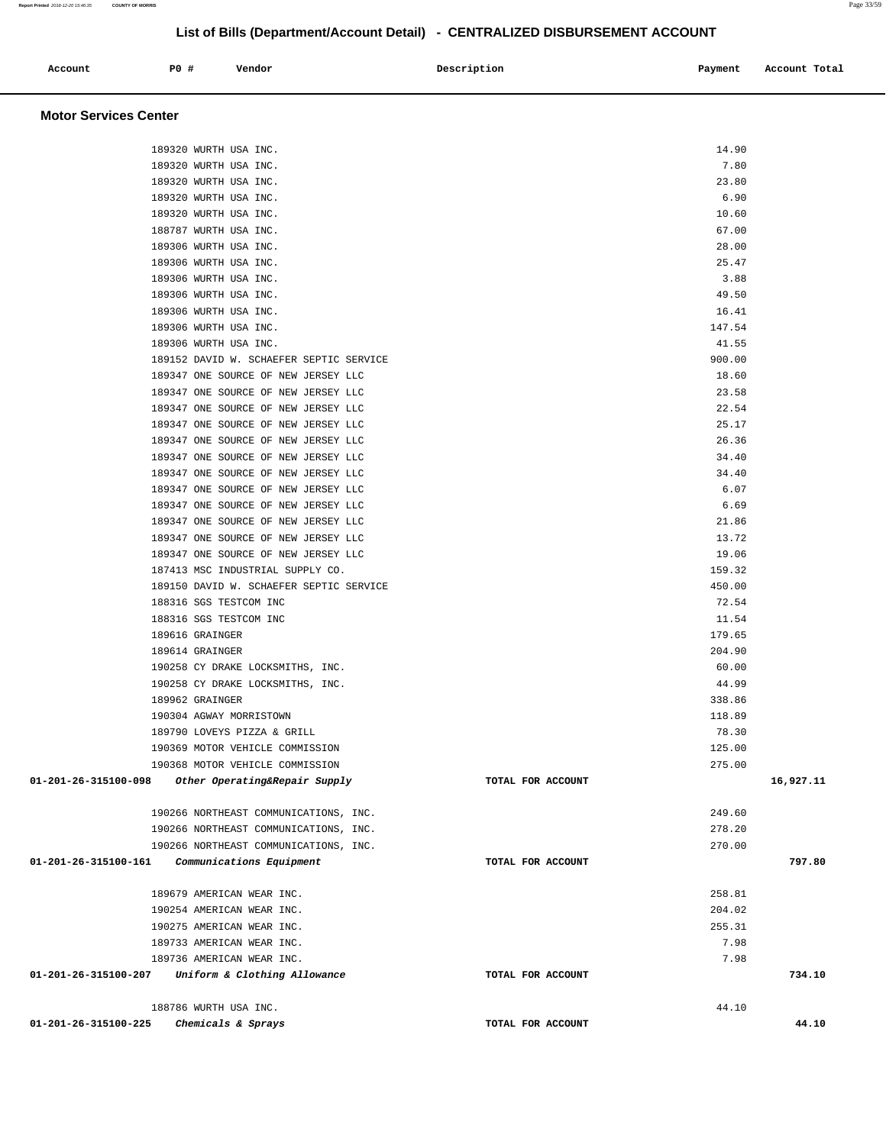| 189320 WURTH USA INC.                                 |                   | 14.90  |           |
|-------------------------------------------------------|-------------------|--------|-----------|
| 189320 WURTH USA INC.                                 |                   | 7.80   |           |
| 189320 WURTH USA INC.                                 |                   | 23.80  |           |
| 189320 WURTH USA INC.                                 |                   | 6.90   |           |
| 189320 WURTH USA INC.                                 |                   | 10.60  |           |
| 188787 WURTH USA INC.                                 |                   | 67.00  |           |
| 189306 WURTH USA INC.                                 |                   | 28.00  |           |
| 189306 WURTH USA INC.                                 |                   | 25.47  |           |
| 189306 WURTH USA INC.                                 |                   | 3.88   |           |
| 189306 WURTH USA INC.                                 |                   | 49.50  |           |
| 189306 WURTH USA INC.                                 |                   | 16.41  |           |
| 189306 WURTH USA INC.                                 |                   | 147.54 |           |
| 189306 WURTH USA INC.                                 |                   | 41.55  |           |
| 189152 DAVID W. SCHAEFER SEPTIC SERVICE               |                   | 900.00 |           |
| 189347 ONE SOURCE OF NEW JERSEY LLC                   |                   | 18.60  |           |
| 189347 ONE SOURCE OF NEW JERSEY LLC                   |                   | 23.58  |           |
| 189347 ONE SOURCE OF NEW JERSEY LLC                   |                   | 22.54  |           |
| 189347 ONE SOURCE OF NEW JERSEY LLC                   |                   | 25.17  |           |
| 189347 ONE SOURCE OF NEW JERSEY LLC                   |                   | 26.36  |           |
| 189347 ONE SOURCE OF NEW JERSEY LLC                   |                   | 34.40  |           |
| 189347 ONE SOURCE OF NEW JERSEY LLC                   |                   | 34.40  |           |
|                                                       |                   |        |           |
| 189347 ONE SOURCE OF NEW JERSEY LLC                   |                   | 6.07   |           |
| 189347 ONE SOURCE OF NEW JERSEY LLC                   |                   | 6.69   |           |
| 189347 ONE SOURCE OF NEW JERSEY LLC                   |                   | 21.86  |           |
| 189347 ONE SOURCE OF NEW JERSEY LLC                   |                   | 13.72  |           |
| 189347 ONE SOURCE OF NEW JERSEY LLC                   |                   | 19.06  |           |
| 187413 MSC INDUSTRIAL SUPPLY CO.                      |                   | 159.32 |           |
| 189150 DAVID W. SCHAEFER SEPTIC SERVICE               |                   | 450.00 |           |
| 188316 SGS TESTCOM INC                                |                   | 72.54  |           |
| 188316 SGS TESTCOM INC                                |                   | 11.54  |           |
| 189616 GRAINGER                                       |                   | 179.65 |           |
| 189614 GRAINGER                                       |                   | 204.90 |           |
| 190258 CY DRAKE LOCKSMITHS, INC.                      |                   | 60.00  |           |
| 190258 CY DRAKE LOCKSMITHS, INC.                      |                   | 44.99  |           |
| 189962 GRAINGER                                       |                   | 338.86 |           |
| 190304 AGWAY MORRISTOWN                               |                   | 118.89 |           |
| 189790 LOVEYS PIZZA & GRILL                           |                   | 78.30  |           |
| 190369 MOTOR VEHICLE COMMISSION                       |                   | 125.00 |           |
| 190368 MOTOR VEHICLE COMMISSION                       |                   | 275.00 |           |
| 01-201-26-315100-098<br>Other Operating&Repair Supply | TOTAL FOR ACCOUNT |        | 16,927.11 |
| 190266 NORTHEAST COMMUNICATIONS, INC.                 |                   | 249.60 |           |
| 190266 NORTHEAST COMMUNICATIONS, INC.                 |                   | 278.20 |           |
| 190266 NORTHEAST COMMUNICATIONS, INC.                 |                   | 270.00 |           |
| 01-201-26-315100-161<br>Communications Equipment      | TOTAL FOR ACCOUNT |        | 797.80    |
| 189679 AMERICAN WEAR INC.                             |                   | 258.81 |           |
| 190254 AMERICAN WEAR INC.                             |                   | 204.02 |           |
| 190275 AMERICAN WEAR INC.                             |                   | 255.31 |           |
| 189733 AMERICAN WEAR INC.                             |                   | 7.98   |           |
| 189736 AMERICAN WEAR INC.                             |                   | 7.98   |           |
| 01-201-26-315100-207<br>Uniform & Clothing Allowance  | TOTAL FOR ACCOUNT |        | 734.10    |
|                                                       |                   |        |           |
| 188786 WURTH USA INC.                                 |                   | 44.10  | 44.10     |
| 01-201-26-315100-225<br>Chemicals & Sprays            | TOTAL FOR ACCOUNT |        |           |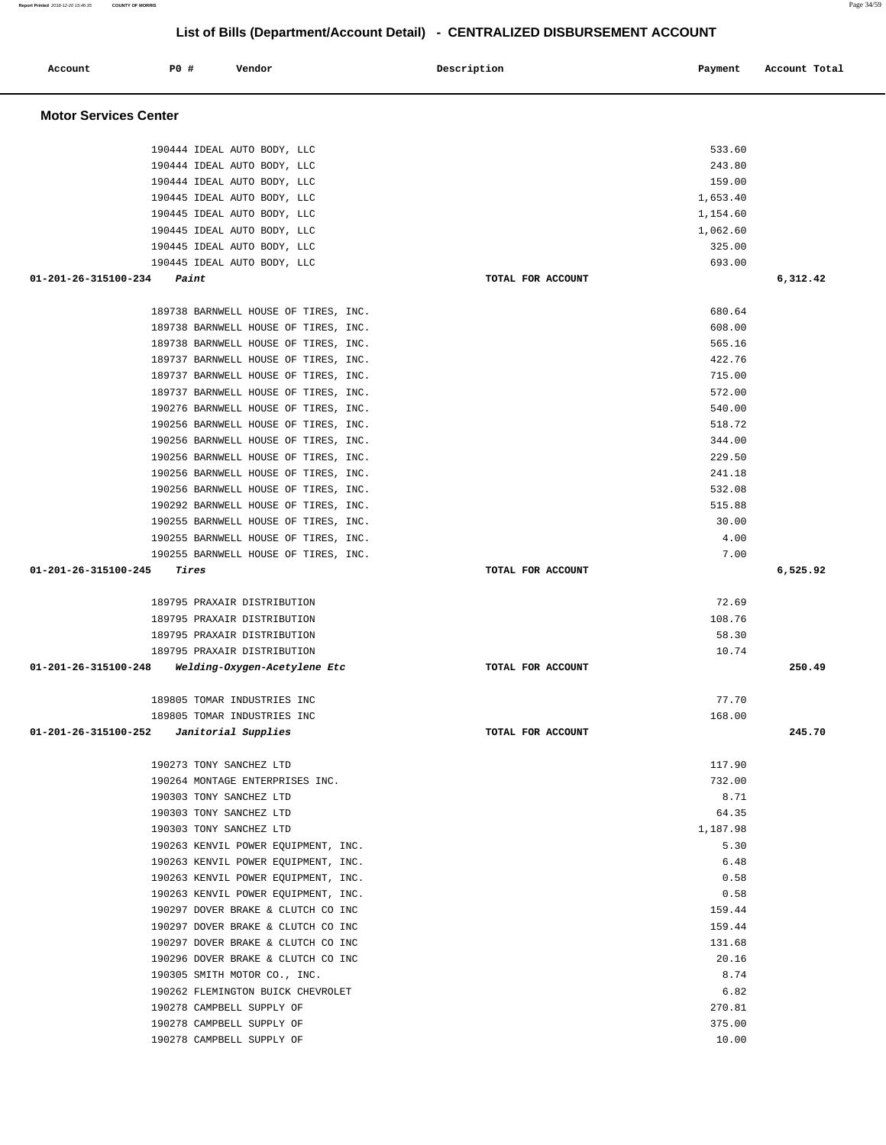**Report Printed** 2018-12-20 15:46:35 **COUNTY OF MORRIS** Page 34/59

# **List of Bills (Department/Account Detail) - CENTRALIZED DISBURSEMENT ACCOUNT**

| Account                                    | P0 # | Vendor                                                                       | Description |                   | Payment          | Account Total |
|--------------------------------------------|------|------------------------------------------------------------------------------|-------------|-------------------|------------------|---------------|
| <b>Motor Services Center</b>               |      |                                                                              |             |                   |                  |               |
|                                            |      | 190444 IDEAL AUTO BODY, LLC<br>190444 IDEAL AUTO BODY, LLC                   |             |                   | 533.60<br>243.80 |               |
|                                            |      | 190444 IDEAL AUTO BODY, LLC                                                  |             |                   | 159.00           |               |
|                                            |      | 190445 IDEAL AUTO BODY, LLC                                                  |             |                   | 1,653.40         |               |
|                                            |      | 190445 IDEAL AUTO BODY, LLC                                                  |             |                   | 1,154.60         |               |
|                                            |      | 190445 IDEAL AUTO BODY, LLC                                                  |             |                   | 1,062.60         |               |
|                                            |      | 190445 IDEAL AUTO BODY, LLC                                                  |             |                   | 325.00           |               |
|                                            |      | 190445 IDEAL AUTO BODY, LLC                                                  |             |                   | 693.00           |               |
| 01-201-26-315100-234                       |      | Paint                                                                        |             | TOTAL FOR ACCOUNT |                  | 6,312.42      |
|                                            |      | 189738 BARNWELL HOUSE OF TIRES, INC.                                         |             |                   | 680.64           |               |
|                                            |      | 189738 BARNWELL HOUSE OF TIRES, INC.                                         |             |                   | 608.00           |               |
|                                            |      | 189738 BARNWELL HOUSE OF TIRES, INC.                                         |             |                   | 565.16           |               |
|                                            |      | 189737 BARNWELL HOUSE OF TIRES, INC.                                         |             |                   | 422.76           |               |
|                                            |      | 189737 BARNWELL HOUSE OF TIRES, INC.                                         |             |                   | 715.00           |               |
|                                            |      | 189737 BARNWELL HOUSE OF TIRES, INC.                                         |             |                   | 572.00           |               |
|                                            |      | 190276 BARNWELL HOUSE OF TIRES, INC.                                         |             |                   | 540.00           |               |
|                                            |      | 190256 BARNWELL HOUSE OF TIRES, INC.                                         |             |                   | 518.72           |               |
|                                            |      | 190256 BARNWELL HOUSE OF TIRES, INC.                                         |             |                   | 344.00           |               |
|                                            |      | 190256 BARNWELL HOUSE OF TIRES, INC.<br>190256 BARNWELL HOUSE OF TIRES, INC. |             |                   | 229.50<br>241.18 |               |
|                                            |      | 190256 BARNWELL HOUSE OF TIRES, INC.                                         |             |                   | 532.08           |               |
|                                            |      | 190292 BARNWELL HOUSE OF TIRES, INC.                                         |             |                   | 515.88           |               |
|                                            |      | 190255 BARNWELL HOUSE OF TIRES, INC.                                         |             |                   | 30.00            |               |
|                                            |      | 190255 BARNWELL HOUSE OF TIRES, INC.                                         |             |                   | 4.00             |               |
|                                            |      | 190255 BARNWELL HOUSE OF TIRES, INC.                                         |             |                   | 7.00             |               |
| 01-201-26-315100-245                       |      | <i><b>Tires</b></i>                                                          |             | TOTAL FOR ACCOUNT |                  | 6,525.92      |
|                                            |      | 189795 PRAXAIR DISTRIBUTION                                                  |             |                   | 72.69            |               |
|                                            |      | 189795 PRAXAIR DISTRIBUTION                                                  |             |                   | 108.76           |               |
|                                            |      | 189795 PRAXAIR DISTRIBUTION                                                  |             |                   | 58.30            |               |
|                                            |      | 189795 PRAXAIR DISTRIBUTION                                                  |             |                   | 10.74            |               |
| 01-201-26-315100-248                       |      | Welding-Oxygen-Acetylene Etc                                                 |             | TOTAL FOR ACCOUNT |                  | 250.49        |
|                                            |      | 189805 TOMAR INDUSTRIES INC                                                  |             |                   | 77.70            |               |
| $01-201-26-315100-252$ Janitorial Supplies |      | 189805 TOMAR INDUSTRIES INC                                                  |             | TOTAL FOR ACCOUNT | 168.00           | 245.70        |
|                                            |      |                                                                              |             |                   |                  |               |
|                                            |      | 190273 TONY SANCHEZ LTD                                                      |             |                   | 117.90           |               |
|                                            |      | 190264 MONTAGE ENTERPRISES INC.                                              |             |                   | 732.00           |               |
|                                            |      | 190303 TONY SANCHEZ LTD<br>190303 TONY SANCHEZ LTD                           |             |                   | 8.71<br>64.35    |               |
|                                            |      | 190303 TONY SANCHEZ LTD                                                      |             |                   | 1,187.98         |               |
|                                            |      | 190263 KENVIL POWER EOUIPMENT, INC.                                          |             |                   | 5.30             |               |
|                                            |      | 190263 KENVIL POWER EQUIPMENT, INC.                                          |             |                   | 6.48             |               |
|                                            |      | 190263 KENVIL POWER EQUIPMENT, INC.                                          |             |                   | 0.58             |               |
|                                            |      | 190263 KENVIL POWER EQUIPMENT, INC.                                          |             |                   | 0.58             |               |
|                                            |      | 190297 DOVER BRAKE & CLUTCH CO INC                                           |             |                   | 159.44           |               |
|                                            |      | 190297 DOVER BRAKE & CLUTCH CO INC                                           |             |                   | 159.44           |               |
|                                            |      | 190297 DOVER BRAKE & CLUTCH CO INC                                           |             |                   | 131.68           |               |
|                                            |      | 190296 DOVER BRAKE & CLUTCH CO INC                                           |             |                   | 20.16            |               |
|                                            |      | 190305 SMITH MOTOR CO., INC.                                                 |             |                   | 8.74             |               |
|                                            |      | 190262 FLEMINGTON BUICK CHEVROLET                                            |             |                   | 6.82             |               |
|                                            |      | 190278 CAMPBELL SUPPLY OF                                                    |             |                   | 270.81           |               |
|                                            |      | 190278 CAMPBELL SUPPLY OF                                                    |             |                   | 375.00           |               |
|                                            |      | 190278 CAMPBELL SUPPLY OF                                                    |             |                   | 10.00            |               |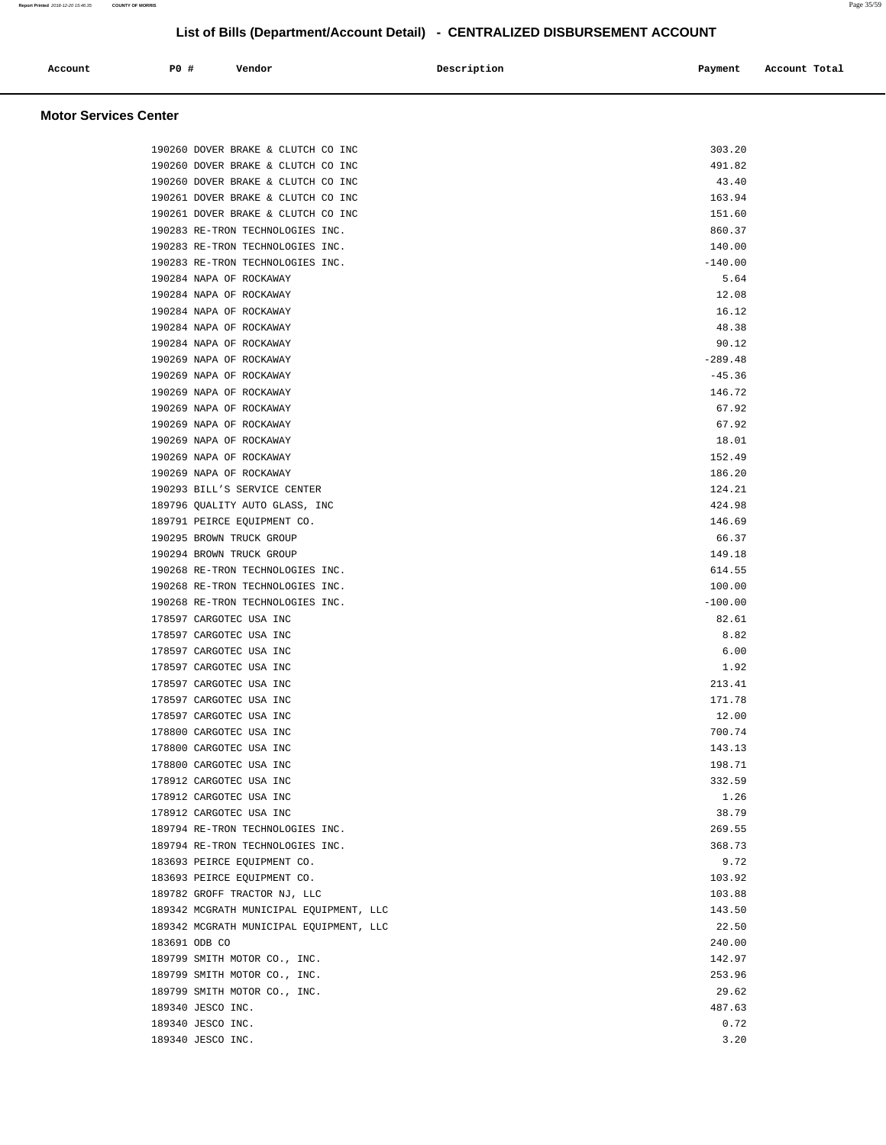| Account<br>. | PO# | Vendor | Description | Payment | Account Total<br>.<br>. |
|--------------|-----|--------|-------------|---------|-------------------------|
|              |     |        |             |         |                         |

### **Motor Services Center**

| 190260 DOVER BRAKE & CLUTCH CO INC      | 303.20    |
|-----------------------------------------|-----------|
| 190260 DOVER BRAKE & CLUTCH CO INC      | 491.82    |
| 190260 DOVER BRAKE & CLUTCH CO INC      | 43.40     |
| 190261 DOVER BRAKE & CLUTCH CO INC      | 163.94    |
| 190261 DOVER BRAKE & CLUTCH CO INC      | 151.60    |
| 190283 RE-TRON TECHNOLOGIES INC.        | 860.37    |
| 190283 RE-TRON TECHNOLOGIES INC.        | 140.00    |
| 190283 RE-TRON TECHNOLOGIES INC.        | $-140.00$ |
| 190284 NAPA OF ROCKAWAY                 | 5.64      |
| 190284 NAPA OF ROCKAWAY                 | 12.08     |
| 190284 NAPA OF ROCKAWAY                 | 16.12     |
| 190284 NAPA OF ROCKAWAY                 | 48.38     |
| 190284 NAPA OF ROCKAWAY                 | 90.12     |
| 190269 NAPA OF ROCKAWAY                 | $-289.48$ |
| 190269 NAPA OF ROCKAWAY                 | $-45.36$  |
| 190269 NAPA OF ROCKAWAY                 | 146.72    |
| 190269 NAPA OF ROCKAWAY                 | 67.92     |
| 190269 NAPA OF ROCKAWAY                 | 67.92     |
| 190269 NAPA OF ROCKAWAY                 | 18.01     |
| 190269 NAPA OF ROCKAWAY                 | 152.49    |
| 190269 NAPA OF ROCKAWAY                 | 186.20    |
| 190293 BILL'S SERVICE CENTER            | 124.21    |
| 189796 QUALITY AUTO GLASS, INC          | 424.98    |
| 189791 PEIRCE EQUIPMENT CO.             | 146.69    |
| 190295 BROWN TRUCK GROUP                | 66.37     |
| 190294 BROWN TRUCK GROUP                | 149.18    |
| 190268 RE-TRON TECHNOLOGIES INC.        | 614.55    |
| 190268 RE-TRON TECHNOLOGIES INC.        | 100.00    |
| 190268 RE-TRON TECHNOLOGIES INC.        | $-100.00$ |
| 178597 CARGOTEC USA INC                 | 82.61     |
| 178597 CARGOTEC USA INC                 | 8.82      |
| 178597 CARGOTEC USA INC                 | 6.00      |
| 178597 CARGOTEC USA INC                 | 1.92      |
| 178597 CARGOTEC USA INC                 | 213.41    |
| 178597 CARGOTEC USA INC                 | 171.78    |
| 178597 CARGOTEC USA INC                 | 12.00     |
| 178800 CARGOTEC USA INC                 | 700.74    |
| 178800 CARGOTEC USA INC                 | 143.13    |
| 178800 CARGOTEC USA INC                 | 198.71    |
| 178912 CARGOTEC USA INC                 | 332.59    |
| 178912 CARGOTEC USA INC                 | 1.26      |
| 178912 CARGOTEC USA INC                 | 38.79     |
| 189794 RE-TRON TECHNOLOGIES INC.        | 269.55    |
| 189794 RE-TRON TECHNOLOGIES INC.        | 368.73    |
| 183693 PEIRCE EQUIPMENT CO.             | 9.72      |
| 183693 PEIRCE EQUIPMENT CO.             | 103.92    |
| 189782 GROFF TRACTOR NJ, LLC            | 103.88    |
| 189342 MCGRATH MUNICIPAL EQUIPMENT, LLC | 143.50    |
| 189342 MCGRATH MUNICIPAL EQUIPMENT, LLC | 22.50     |
| 183691 ODB CO                           | 240.00    |
| 189799 SMITH MOTOR CO., INC.            | 142.97    |
| 189799 SMITH MOTOR CO., INC.            | 253.96    |
| 189799 SMITH MOTOR CO., INC.            | 29.62     |
| 189340 JESCO INC.                       | 487.63    |
| 189340 JESCO INC.                       | 0.72      |
| 189340 JESCO INC.                       | 3.20      |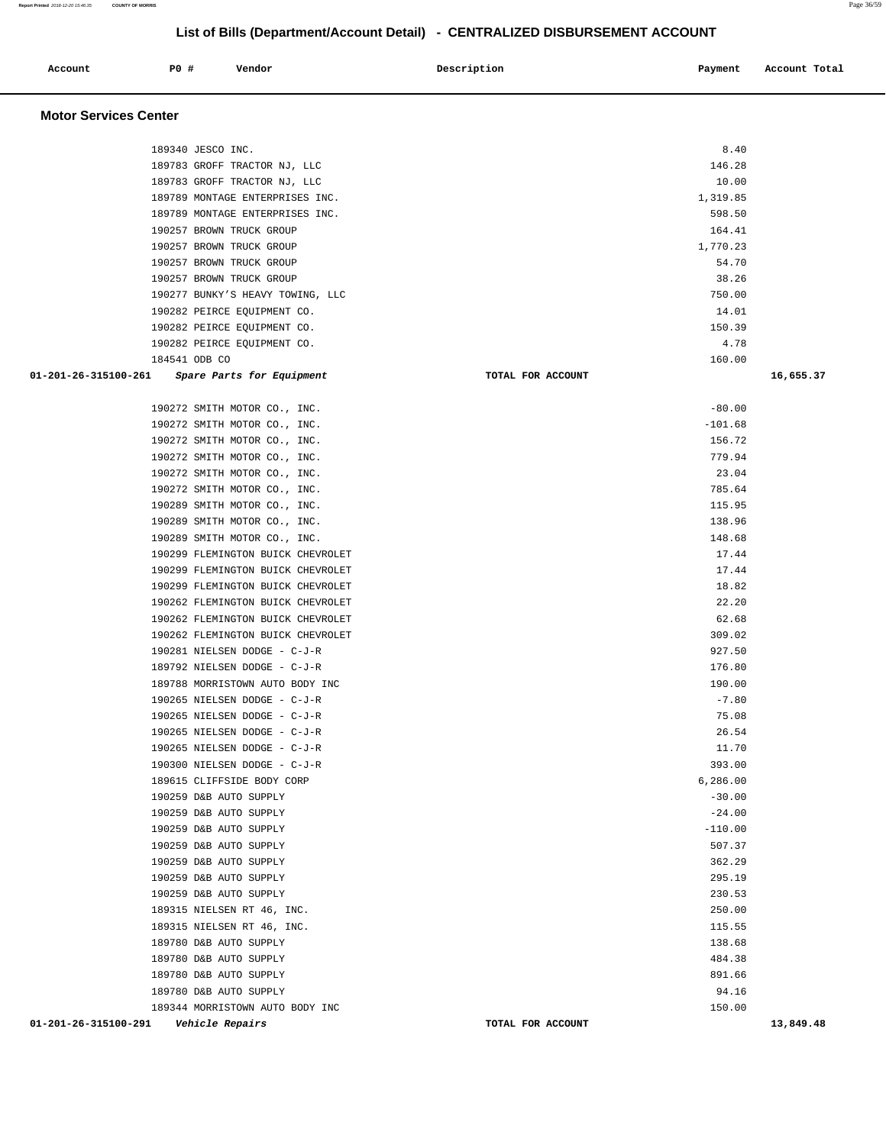|                              |                               |                                   | List of Dilis (DepartmentAccount Detail) - CENTRALIZED DISDORSEMENT ACCOUNT |           |               |
|------------------------------|-------------------------------|-----------------------------------|-----------------------------------------------------------------------------|-----------|---------------|
| Account                      | P0 #                          | Vendor                            | Description                                                                 | Payment   | Account Total |
| <b>Motor Services Center</b> |                               |                                   |                                                                             |           |               |
|                              | 189340 JESCO INC.             |                                   |                                                                             | 8.40      |               |
|                              |                               | 189783 GROFF TRACTOR NJ, LLC      |                                                                             | 146.28    |               |
|                              |                               | 189783 GROFF TRACTOR NJ, LLC      |                                                                             | 10.00     |               |
|                              |                               | 189789 MONTAGE ENTERPRISES INC.   |                                                                             | 1,319.85  |               |
|                              |                               | 189789 MONTAGE ENTERPRISES INC.   |                                                                             | 598.50    |               |
|                              |                               | 190257 BROWN TRUCK GROUP          |                                                                             | 164.41    |               |
|                              |                               | 190257 BROWN TRUCK GROUP          |                                                                             | 1,770.23  |               |
|                              |                               | 190257 BROWN TRUCK GROUP          |                                                                             | 54.70     |               |
|                              |                               | 190257 BROWN TRUCK GROUP          |                                                                             | 38.26     |               |
|                              |                               | 190277 BUNKY'S HEAVY TOWING, LLC  |                                                                             | 750.00    |               |
|                              |                               | 190282 PEIRCE EQUIPMENT CO.       |                                                                             | 14.01     |               |
|                              |                               | 190282 PEIRCE EQUIPMENT CO.       |                                                                             | 150.39    |               |
|                              |                               | 190282 PEIRCE EQUIPMENT CO.       |                                                                             | 4.78      |               |
|                              | 184541 ODB CO                 |                                   |                                                                             | 160.00    |               |
| 01-201-26-315100-261         |                               | Spare Parts for Equipment         | TOTAL FOR ACCOUNT                                                           |           | 16,655.37     |
|                              |                               |                                   |                                                                             |           |               |
|                              |                               | 190272 SMITH MOTOR CO., INC.      |                                                                             | $-80.00$  |               |
|                              |                               | 190272 SMITH MOTOR CO., INC.      |                                                                             | $-101.68$ |               |
|                              |                               | 190272 SMITH MOTOR CO., INC.      |                                                                             | 156.72    |               |
|                              |                               | 190272 SMITH MOTOR CO., INC.      |                                                                             | 779.94    |               |
|                              |                               | 190272 SMITH MOTOR CO., INC.      |                                                                             | 23.04     |               |
|                              |                               | 190272 SMITH MOTOR CO., INC.      |                                                                             | 785.64    |               |
|                              |                               | 190289 SMITH MOTOR CO., INC.      |                                                                             | 115.95    |               |
|                              |                               | 190289 SMITH MOTOR CO., INC.      |                                                                             | 138.96    |               |
|                              |                               | 190289 SMITH MOTOR CO., INC.      |                                                                             | 148.68    |               |
|                              |                               | 190299 FLEMINGTON BUICK CHEVROLET |                                                                             | 17.44     |               |
|                              |                               | 190299 FLEMINGTON BUICK CHEVROLET |                                                                             | 17.44     |               |
|                              |                               | 190299 FLEMINGTON BUICK CHEVROLET |                                                                             | 18.82     |               |
|                              |                               | 190262 FLEMINGTON BUICK CHEVROLET |                                                                             | 22.20     |               |
|                              |                               | 190262 FLEMINGTON BUICK CHEVROLET |                                                                             | 62.68     |               |
|                              |                               | 190262 FLEMINGTON BUICK CHEVROLET |                                                                             | 309.02    |               |
|                              |                               | 190281 NIELSEN DODGE - C-J-R      |                                                                             | 927.50    |               |
|                              |                               | 189792 NIELSEN DODGE - C-J-R      |                                                                             | 176.80    |               |
|                              |                               | 189788 MORRISTOWN AUTO BODY INC   |                                                                             | 190.00    |               |
|                              |                               | 190265 NIELSEN DODGE - C-J-R      |                                                                             | $-7.80$   |               |
|                              |                               | 190265 NIELSEN DODGE - C-J-R      |                                                                             | 75.08     |               |
|                              |                               | 190265 NIELSEN DODGE - C-J-R      |                                                                             | 26.54     |               |
|                              |                               | 190265 NIELSEN DODGE - C-J-R      |                                                                             | 11.70     |               |
|                              |                               | 190300 NIELSEN DODGE - C-J-R      |                                                                             | 393.00    |               |
|                              |                               | 189615 CLIFFSIDE BODY CORP        |                                                                             | 6,286.00  |               |
|                              |                               | 190259 D&B AUTO SUPPLY            |                                                                             | $-30.00$  |               |
|                              |                               | 190259 D&B AUTO SUPPLY            |                                                                             | $-24.00$  |               |
|                              |                               | 190259 D&B AUTO SUPPLY            |                                                                             | $-110.00$ |               |
|                              |                               | 190259 D&B AUTO SUPPLY            |                                                                             | 507.37    |               |
|                              |                               | 190259 D&B AUTO SUPPLY            |                                                                             | 362.29    |               |
|                              |                               | 190259 D&B AUTO SUPPLY            |                                                                             | 295.19    |               |
|                              |                               | 190259 D&B AUTO SUPPLY            |                                                                             | 230.53    |               |
|                              |                               | 189315 NIELSEN RT 46, INC.        |                                                                             | 250.00    |               |
|                              |                               | 189315 NIELSEN RT 46, INC.        |                                                                             | 115.55    |               |
|                              |                               | 189780 D&B AUTO SUPPLY            |                                                                             | 138.68    |               |
|                              |                               | 189780 D&B AUTO SUPPLY            |                                                                             | 484.38    |               |
|                              |                               | 189780 D&B AUTO SUPPLY            |                                                                             | 891.66    |               |
|                              |                               | 189780 D&B AUTO SUPPLY            |                                                                             | 94.16     |               |
|                              |                               | 189344 MORRISTOWN AUTO BODY INC   |                                                                             | 150.00    |               |
| 01-201-26-315100-291         | <i><b>Vehicle Repairs</b></i> |                                   | TOTAL FOR ACCOUNT                                                           |           | 13,849.48     |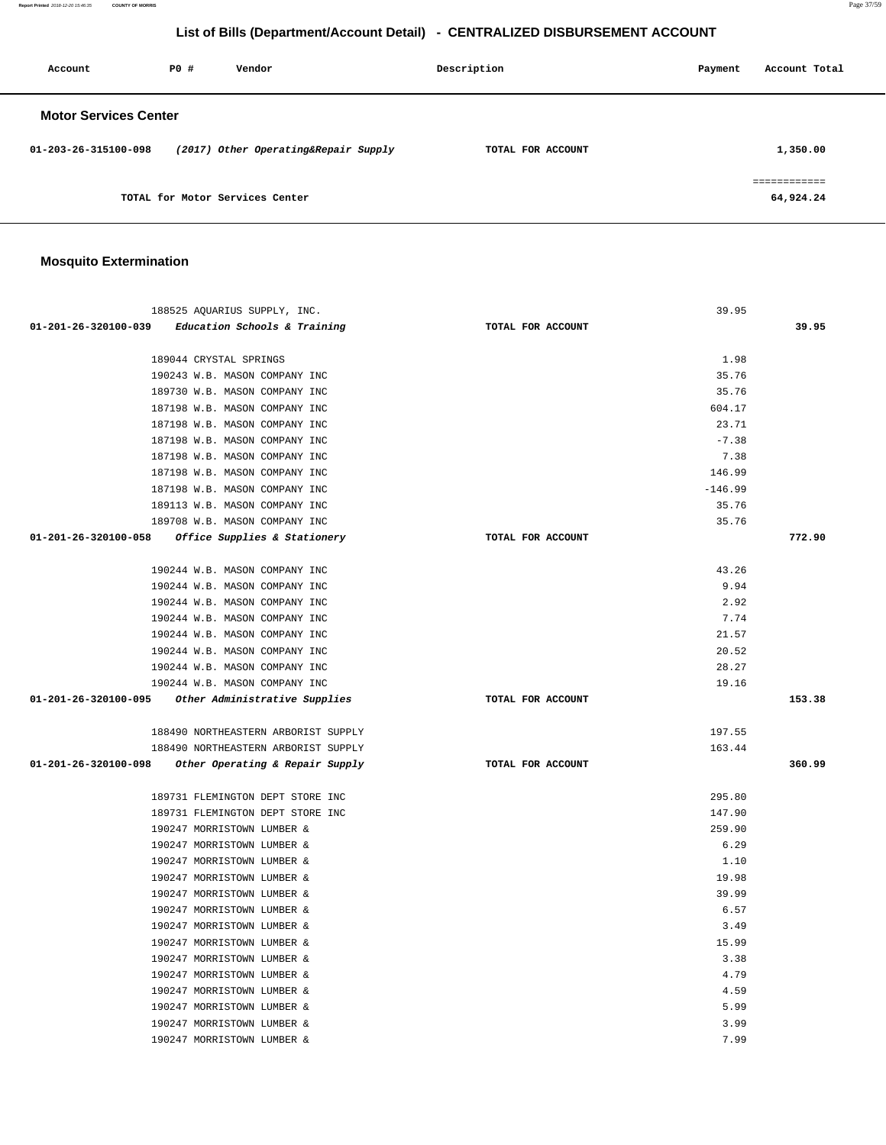**Report Printed** 2018-12-20 15:46:35 **COUNTY OF MORRIS** Page 37/59

# **List of Bills (Department/Account Detail) - CENTRALIZED DISBURSEMENT ACCOUNT**

| Account                        | PO# | Vendor                               | Description       | Payment | Account Total |
|--------------------------------|-----|--------------------------------------|-------------------|---------|---------------|
| <b>Motor Services Center</b>   |     |                                      |                   |         |               |
| $01 - 203 - 26 - 315100 - 098$ |     | (2017) Other Operating&Repair Supply | TOTAL FOR ACCOUNT |         | 1,350.00      |
|                                |     |                                      |                   |         | eeeeeeeeeee   |
|                                |     | TOTAL for Motor Services Center      |                   |         | 64,924.24     |

# **Mosquito Extermination**

| 188525 AQUARIUS SUPPLY, INC.                         |                   | 39.95     |        |
|------------------------------------------------------|-------------------|-----------|--------|
| 01-201-26-320100-039 Education Schools & Training    | TOTAL FOR ACCOUNT |           | 39.95  |
| 189044 CRYSTAL SPRINGS                               |                   | 1.98      |        |
| 190243 W.B. MASON COMPANY INC                        |                   | 35.76     |        |
| 189730 W.B. MASON COMPANY INC                        |                   | 35.76     |        |
| 187198 W.B. MASON COMPANY INC                        |                   | 604.17    |        |
| 187198 W.B. MASON COMPANY INC                        |                   | 23.71     |        |
| 187198 W.B. MASON COMPANY INC                        |                   | $-7.38$   |        |
| 187198 W.B. MASON COMPANY INC                        |                   | 7.38      |        |
| 187198 W.B. MASON COMPANY INC                        |                   | 146.99    |        |
| 187198 W.B. MASON COMPANY INC                        |                   | $-146.99$ |        |
| 189113 W.B. MASON COMPANY INC                        |                   | 35.76     |        |
| 189708 W.B. MASON COMPANY INC                        |                   | 35.76     |        |
| 01-201-26-320100-058 Office Supplies & Stationery    | TOTAL FOR ACCOUNT |           | 772.90 |
|                                                      |                   |           |        |
| 190244 W.B. MASON COMPANY INC                        |                   | 43.26     |        |
| 190244 W.B. MASON COMPANY INC                        |                   | 9.94      |        |
| 190244 W.B. MASON COMPANY INC                        |                   | 2.92      |        |
| 190244 W.B. MASON COMPANY INC                        |                   | 7.74      |        |
| 190244 W.B. MASON COMPANY INC                        |                   | 21.57     |        |
| 190244 W.B. MASON COMPANY INC                        |                   | 20.52     |        |
| 190244 W.B. MASON COMPANY INC                        |                   | 28.27     |        |
| 190244 W.B. MASON COMPANY INC                        |                   | 19.16     |        |
| 01-201-26-320100-095 Other Administrative Supplies   | TOTAL FOR ACCOUNT |           | 153.38 |
| 188490 NORTHEASTERN ARBORIST SUPPLY                  |                   | 197.55    |        |
| 188490 NORTHEASTERN ARBORIST SUPPLY                  |                   | 163.44    |        |
| 01-201-26-320100-098 Other Operating & Repair Supply | TOTAL FOR ACCOUNT |           | 360.99 |
|                                                      |                   |           |        |
| 189731 FLEMINGTON DEPT STORE INC                     |                   | 295.80    |        |
| 189731 FLEMINGTON DEPT STORE INC                     |                   | 147.90    |        |
| 190247 MORRISTOWN LUMBER &                           |                   | 259.90    |        |
| 190247 MORRISTOWN LUMBER &                           |                   | 6.29      |        |
| 190247 MORRISTOWN LUMBER &                           |                   | 1.10      |        |
| 190247 MORRISTOWN LUMBER &                           |                   | 19.98     |        |
| 190247 MORRISTOWN LUMBER &                           |                   | 39.99     |        |
| 190247 MORRISTOWN LUMBER &                           |                   | 6.57      |        |
| 190247 MORRISTOWN LUMBER &                           |                   | 3.49      |        |
| 190247 MORRISTOWN LUMBER &                           |                   | 15.99     |        |
| 190247 MORRISTOWN LUMBER &                           |                   | 3.38      |        |
| 190247 MORRISTOWN LUMBER &                           |                   | 4.79      |        |
| 190247 MORRISTOWN LUMBER &                           |                   | 4.59      |        |
| 190247 MORRISTOWN LUMBER &                           |                   | 5.99      |        |
| 190247 MORRISTOWN LUMBER &                           |                   | 3.99      |        |
| 190247 MORRISTOWN LUMBER &                           |                   | 7.99      |        |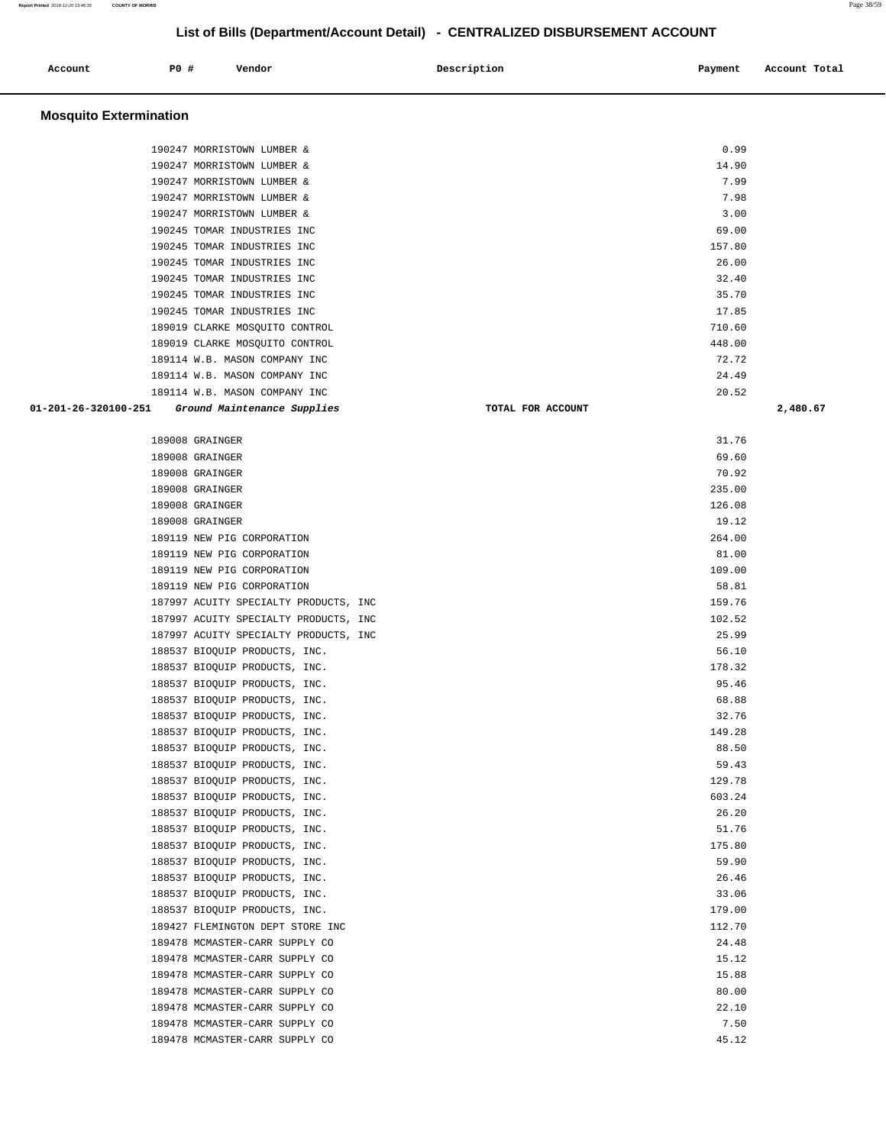| Account | <b>PO #</b> | Vendor | Description | Payment | Account Total |
|---------|-------------|--------|-------------|---------|---------------|
|         |             |        |             |         |               |

### **Mosquito Extermination**

| 190247 MORRISTOWN LUMBER &     | 0.99   |
|--------------------------------|--------|
| 190247 MORRISTOWN LUMBER &     | 14.90  |
| 190247 MORRISTOWN LUMBER &     | 7.99   |
| 190247 MORRISTOWN LUMBER &     | 7.98   |
| 190247 MORRISTOWN LUMBER &     | 3.00   |
| 190245 TOMAR INDUSTRIES INC    | 69.00  |
| 190245 TOMAR INDUSTRIES INC    | 157.80 |
| 190245 TOMAR INDUSTRIES INC    | 26.00  |
| 190245 TOMAR INDUSTRIES INC    | 32.40  |
| 190245 TOMAR INDUSTRIES INC    | 35.70  |
| 190245 TOMAR INDUSTRIES INC    | 17.85  |
| 189019 CLARKE MOSOUITO CONTROL | 710.60 |
| 189019 CLARKE MOSOUITO CONTROL | 448.00 |
| 189114 W.B. MASON COMPANY INC  | 72.72  |
| 189114 W.B. MASON COMPANY INC  | 24.49  |
| 189114 W.B. MASON COMPANY INC  | 20.52  |

| 189008 GRAINGER                       | 31.76  |
|---------------------------------------|--------|
| 189008 GRAINGER                       | 69.60  |
| 189008 GRAINGER                       | 70.92  |
| 189008 GRAINGER                       | 235.00 |
| 189008 GRAINGER                       | 126.08 |
| 189008 GRAINGER                       | 19.12  |
| 189119 NEW PIG CORPORATION            | 264.00 |
| 189119 NEW PIG CORPORATION            | 81.00  |
| 189119 NEW PIG CORPORATION            | 109.00 |
| 189119 NEW PIG CORPORATION            | 58.81  |
| 187997 ACUITY SPECIALTY PRODUCTS, INC | 159.76 |
| 187997 ACUITY SPECIALTY PRODUCTS, INC | 102.52 |
| 187997 ACUITY SPECIALTY PRODUCTS, INC | 25.99  |
| 188537 BIOQUIP PRODUCTS, INC.         | 56.10  |
| 188537 BIOQUIP PRODUCTS, INC.         | 178.32 |
| 188537 BIOQUIP PRODUCTS, INC.         | 95.46  |
| 188537 BIOQUIP PRODUCTS, INC.         | 68.88  |
| 188537 BIOQUIP PRODUCTS, INC.         | 32.76  |
| 188537 BIOQUIP PRODUCTS, INC.         | 149.28 |
| 188537 BIOQUIP PRODUCTS, INC.         | 88.50  |
| 188537 BIOQUIP PRODUCTS, INC.         | 59.43  |
| 188537 BIOQUIP PRODUCTS, INC.         | 129.78 |
| 188537 BIOQUIP PRODUCTS, INC.         | 603.24 |
| 188537 BIOQUIP PRODUCTS, INC.         | 26.20  |
| 188537 BIOQUIP PRODUCTS, INC.         | 51.76  |
| 188537 BIOQUIP PRODUCTS, INC.         | 175.80 |
| 188537 BIOQUIP PRODUCTS, INC.         | 59.90  |
| 188537 BIOQUIP PRODUCTS, INC.         | 26.46  |
| 188537 BIOQUIP PRODUCTS, INC.         | 33.06  |
| 188537 BIOQUIP PRODUCTS, INC.         | 179.00 |
| 189427 FLEMINGTON DEPT STORE INC      | 112.70 |
| 189478 MCMASTER-CARR SUPPLY CO        | 24.48  |
| 189478 MCMASTER-CARR SUPPLY CO        | 15.12  |
| 189478 MCMASTER-CARR SUPPLY CO        | 15.88  |
| 189478 MCMASTER-CARR SUPPLY CO        | 80.00  |
| 189478 MCMASTER-CARR SUPPLY CO        | 22.10  |
| 189478 MCMASTER-CARR SUPPLY CO        | 7.50   |
| 189478 MCMASTER-CARR SUPPLY CO        | 45.12  |

 **01-201-26-320100-251 Ground Maintenance Supplies TOTAL FOR ACCOUNT 2,480.67**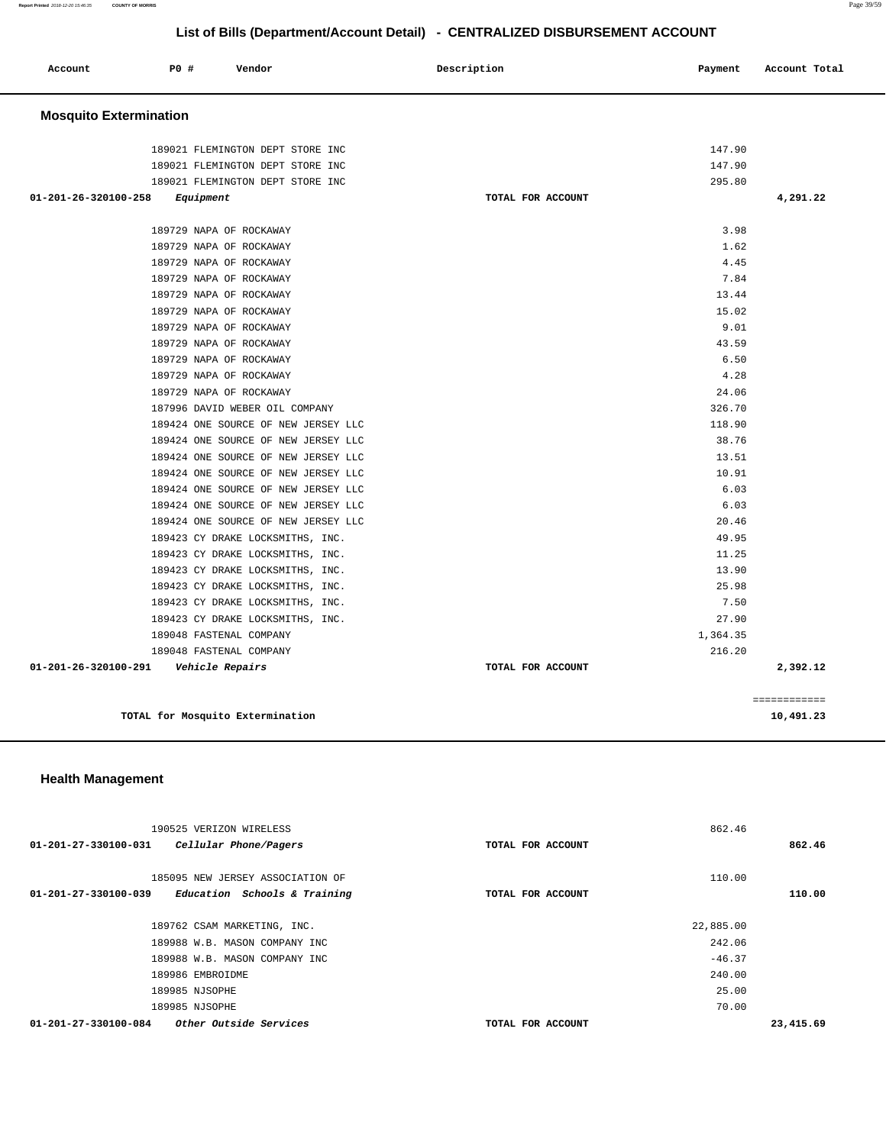**Report Printed** 2018-12-20 15:46:35 **COUNTY OF MORRIS** Page 39/59

# **List of Bills (Department/Account Detail) - CENTRALIZED DISBURSEMENT ACCOUNT**

| Account<br>. | P0 # | Vendor | Description | Payment | Account Total |
|--------------|------|--------|-------------|---------|---------------|
|              |      |        |             |         |               |

### **Mosquito Extermination**

| 189021 FLEMINGTON DEPT STORE INC        | 147.90            |              |
|-----------------------------------------|-------------------|--------------|
| 189021 FLEMINGTON DEPT STORE INC        | 147.90            |              |
| 189021 FLEMINGTON DEPT STORE INC        | 295.80            |              |
| 01-201-26-320100-258<br>Equipment       | TOTAL FOR ACCOUNT | 4,291.22     |
| 189729 NAPA OF ROCKAWAY                 | 3.98              |              |
| 189729 NAPA OF ROCKAWAY                 | 1.62              |              |
| 189729 NAPA OF ROCKAWAY                 | 4.45              |              |
| 189729 NAPA OF ROCKAWAY                 | 7.84              |              |
| 189729 NAPA OF ROCKAWAY                 | 13.44             |              |
| 189729 NAPA OF ROCKAWAY                 | 15.02             |              |
| 189729 NAPA OF ROCKAWAY                 | 9.01              |              |
| 189729 NAPA OF ROCKAWAY                 | 43.59             |              |
| 189729 NAPA OF ROCKAWAY                 | 6.50              |              |
| 189729 NAPA OF ROCKAWAY                 | 4.28              |              |
| 189729 NAPA OF ROCKAWAY                 | 24.06             |              |
| 187996 DAVID WEBER OIL COMPANY          | 326.70            |              |
| 189424 ONE SOURCE OF NEW JERSEY LLC     | 118.90            |              |
|                                         | 38.76             |              |
| 189424 ONE SOURCE OF NEW JERSEY LLC     |                   |              |
| 189424 ONE SOURCE OF NEW JERSEY LLC     | 13.51             |              |
| 189424 ONE SOURCE OF NEW JERSEY LLC     | 10.91             |              |
| 189424 ONE SOURCE OF NEW JERSEY LLC     | 6.03              |              |
| 189424 ONE SOURCE OF NEW JERSEY LLC     | 6.03              |              |
| 189424 ONE SOURCE OF NEW JERSEY LLC     | 20.46             |              |
| 189423 CY DRAKE LOCKSMITHS, INC.        | 49.95             |              |
| 189423 CY DRAKE LOCKSMITHS, INC.        | 11.25             |              |
| 189423 CY DRAKE LOCKSMITHS, INC.        | 13.90             |              |
| 189423 CY DRAKE LOCKSMITHS, INC.        | 25.98             |              |
| 189423 CY DRAKE LOCKSMITHS, INC.        | 7.50              |              |
| 189423 CY DRAKE LOCKSMITHS, INC.        | 27.90             |              |
| 189048 FASTENAL COMPANY                 | 1,364.35          |              |
| 189048 FASTENAL COMPANY                 | 216.20            |              |
| 01-201-26-320100-291    Vehicle Repairs | TOTAL FOR ACCOUNT | 2,392.12     |
|                                         |                   |              |
|                                         |                   | ============ |
| TOTAL for Mosquito Extermination        |                   | 10,491.23    |

### **Health Management**

| 190525 VERIZON WIRELESS                                                                  |                   | 862.46    |           |
|------------------------------------------------------------------------------------------|-------------------|-----------|-----------|
| $01 - 201 - 27 - 330100 - 031$<br>Cellular Phone/Pagers                                  | TOTAL FOR ACCOUNT |           | 862.46    |
| 185095 NEW JERSEY ASSOCIATION OF<br>01-201-27-330100-039<br>Education Schools & Training | TOTAL FOR ACCOUNT | 110.00    | 110.00    |
| 189762 CSAM MARKETING, INC.                                                              |                   | 22,885.00 |           |
| 189988 W.B. MASON COMPANY INC                                                            |                   | 242.06    |           |
| 189988 W.B. MASON COMPANY INC                                                            |                   | $-46.37$  |           |
| 189986 EMBROIDME                                                                         |                   | 240.00    |           |
| 189985 NJSOPHE                                                                           |                   | 25.00     |           |
| 189985 NJSOPHE                                                                           |                   | 70.00     |           |
| Other Outside Services<br>01-201-27-330100-084                                           | TOTAL FOR ACCOUNT |           | 23,415.69 |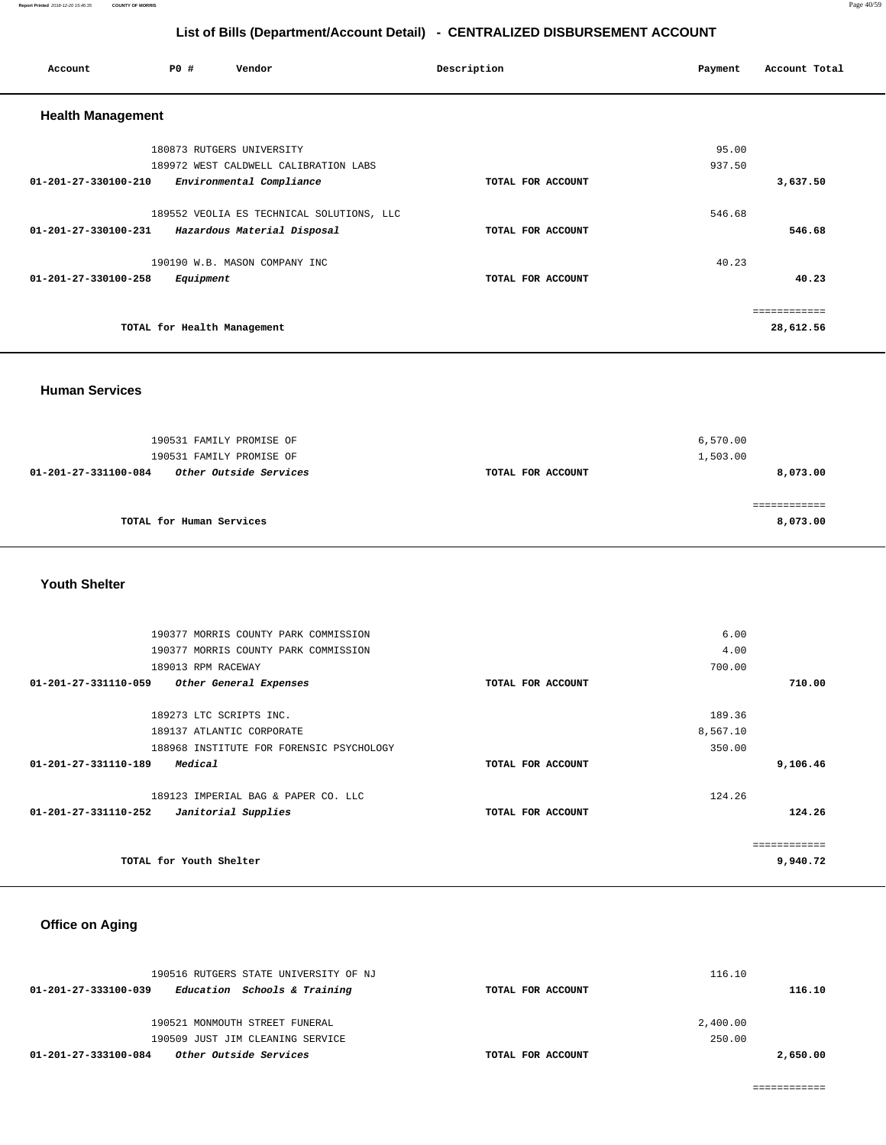**Report Printed** 2018-12-20 15:46:35 **COUNTY OF MORRIS** Page 40/59

# **List of Bills (Department/Account Detail) - CENTRALIZED DISBURSEMENT ACCOUNT**

| Account                  | P0 #                        | Vendor                                                             | Description       | Payment         | Account Total |
|--------------------------|-----------------------------|--------------------------------------------------------------------|-------------------|-----------------|---------------|
| <b>Health Management</b> |                             |                                                                    |                   |                 |               |
|                          |                             | 180873 RUTGERS UNIVERSITY<br>189972 WEST CALDWELL CALIBRATION LABS |                   | 95.00<br>937.50 |               |
| 01-201-27-330100-210     |                             | Environmental Compliance                                           | TOTAL FOR ACCOUNT |                 | 3,637.50      |
|                          |                             | 189552 VEOLIA ES TECHNICAL SOLUTIONS, LLC                          |                   | 546.68          |               |
| 01-201-27-330100-231     |                             | Hazardous Material Disposal                                        | TOTAL FOR ACCOUNT |                 | 546.68        |
|                          |                             | 190190 W.B. MASON COMPANY INC                                      |                   | 40.23           |               |
| 01-201-27-330100-258     | Equipment                   |                                                                    | TOTAL FOR ACCOUNT |                 | 40.23         |
|                          |                             |                                                                    |                   |                 | ----------    |
|                          | TOTAL for Health Management |                                                                    |                   |                 | 28,612.56     |

**Human Services** 

| 190531 FAMILY PROMISE OF<br>190531 FAMILY PROMISE OF |                   | 6,570.00<br>1,503.00 |
|------------------------------------------------------|-------------------|----------------------|
| Other Outside Services<br>01-201-27-331100-084       | TOTAL FOR ACCOUNT | 8,073.00             |
|                                                      |                   |                      |
|                                                      |                   |                      |
| TOTAL for Human Services                             |                   | 8,073.00             |

### **Youth Shelter**

| 190377 MORRIS COUNTY PARK COMMISSION           |                   | 6.00     |        |
|------------------------------------------------|-------------------|----------|--------|
|                                                |                   |          |        |
| 190377 MORRIS COUNTY PARK COMMISSION           |                   | 4.00     |        |
| 189013 RPM RACEWAY                             |                   | 700.00   |        |
| 01-201-27-331110-059<br>Other General Expenses | TOTAL FOR ACCOUNT |          | 710.00 |
| 189273 LTC SCRIPTS INC.                        |                   | 189.36   |        |
| 189137 ATLANTIC CORPORATE                      |                   | 8,567.10 |        |
| 188968 INSTITUTE FOR FORENSIC PSYCHOLOGY       |                   | 350.00   |        |
| 01-201-27-331110-189<br>Medical                | TOTAL FOR ACCOUNT | 9,106.46 |        |
| 189123 IMPERIAL BAG & PAPER CO. LLC            |                   | 124.26   |        |
| 01-201-27-331110-252<br>Janitorial Supplies    | TOTAL FOR ACCOUNT | 124.26   |        |
|                                                |                   |          |        |
| TOTAL for Youth Shelter                        |                   | 9,940.72 |        |
|                                                |                   |          |        |

# **Office on Aging**

| 190516 RUTGERS STATE UNIVERSITY OF NJ                 | 116.10            |          |
|-------------------------------------------------------|-------------------|----------|
| 01-201-27-333100-039<br>Education Schools & Training  | TOTAL FOR ACCOUNT | 116.10   |
|                                                       |                   |          |
| 190521 MONMOUTH STREET FUNERAL                        | 2,400.00          |          |
| 190509 JUST JIM CLEANING SERVICE                      | 250.00            |          |
| <i>Other Outside Services</i><br>01-201-27-333100-084 | TOTAL FOR ACCOUNT | 2,650.00 |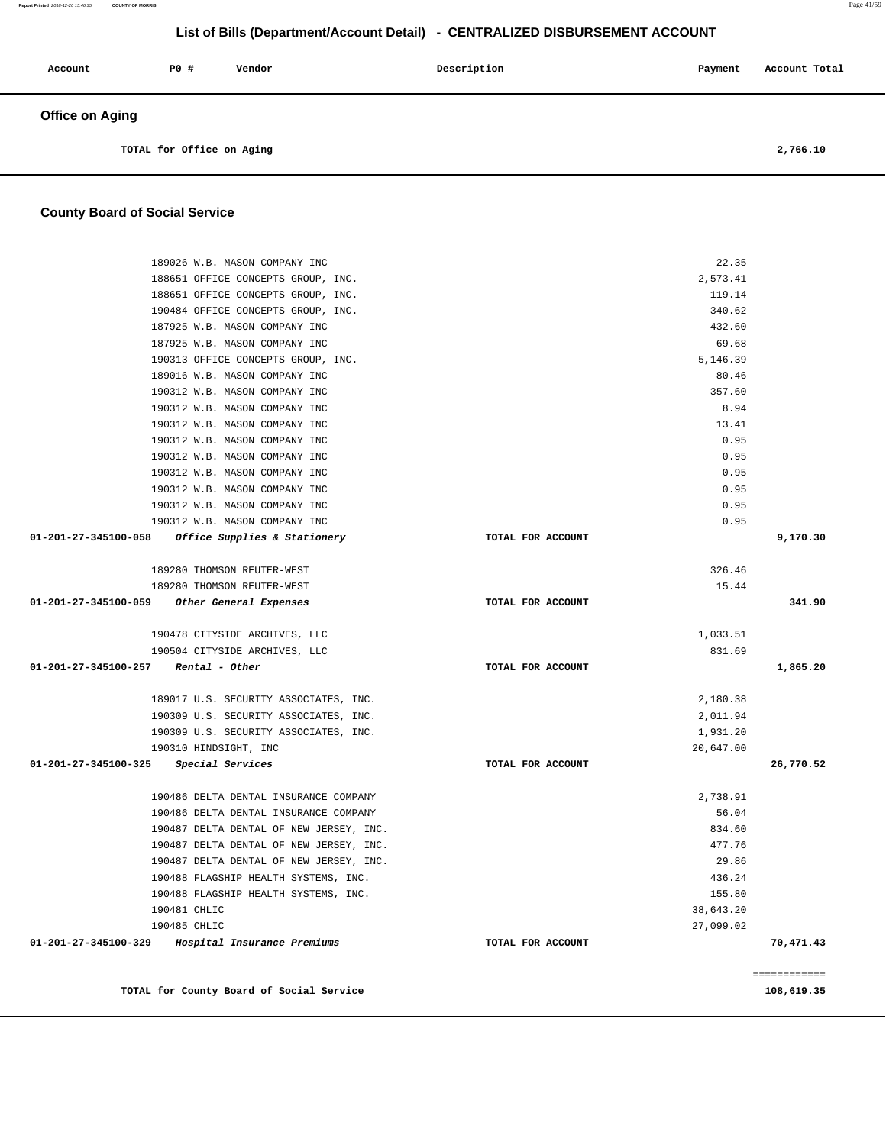| Account                | P0 #                      | Vendor | Description | Payment | Account Total |
|------------------------|---------------------------|--------|-------------|---------|---------------|
| <b>Office on Aging</b> |                           |        |             |         |               |
|                        | TOTAL for Office on Aging |        |             |         | 2,766.10      |

### **County Board of Social Service**

| 189026 W.B. MASON COMPANY INC                       |                   | 22.35     |              |
|-----------------------------------------------------|-------------------|-----------|--------------|
| 188651 OFFICE CONCEPTS GROUP, INC.                  |                   | 2,573.41  |              |
| 188651 OFFICE CONCEPTS GROUP, INC.                  |                   | 119.14    |              |
| 190484 OFFICE CONCEPTS GROUP, INC.                  |                   | 340.62    |              |
| 187925 W.B. MASON COMPANY INC                       |                   | 432.60    |              |
| 187925 W.B. MASON COMPANY INC                       |                   | 69.68     |              |
| 190313 OFFICE CONCEPTS GROUP, INC.                  |                   | 5,146.39  |              |
| 189016 W.B. MASON COMPANY INC                       |                   | 80.46     |              |
| 190312 W.B. MASON COMPANY INC                       |                   | 357.60    |              |
| 190312 W.B. MASON COMPANY INC                       |                   | 8.94      |              |
| 190312 W.B. MASON COMPANY INC                       |                   | 13.41     |              |
| 190312 W.B. MASON COMPANY INC                       |                   | 0.95      |              |
| 190312 W.B. MASON COMPANY INC                       |                   | 0.95      |              |
| 190312 W.B. MASON COMPANY INC                       |                   | 0.95      |              |
| 190312 W.B. MASON COMPANY INC                       |                   | 0.95      |              |
| 190312 W.B. MASON COMPANY INC                       |                   | 0.95      |              |
| 190312 W.B. MASON COMPANY INC                       |                   | 0.95      |              |
| 01-201-27-345100-058 Office Supplies & Stationery   | TOTAL FOR ACCOUNT |           | 9,170.30     |
| 189280 THOMSON REUTER-WEST                          |                   | 326.46    |              |
| 189280 THOMSON REUTER-WEST                          |                   | 15.44     |              |
| 01-201-27-345100-059 Other General Expenses         | TOTAL FOR ACCOUNT |           | 341.90       |
|                                                     |                   |           |              |
| 190478 CITYSIDE ARCHIVES, LLC                       |                   | 1,033.51  |              |
| 190504 CITYSIDE ARCHIVES, LLC                       |                   | 831.69    |              |
| $01-201-27-345100-257$ Rental - Other               | TOTAL FOR ACCOUNT |           | 1,865.20     |
| 189017 U.S. SECURITY ASSOCIATES, INC.               |                   | 2,180.38  |              |
| 190309 U.S. SECURITY ASSOCIATES, INC.               |                   | 2,011.94  |              |
| 190309 U.S. SECURITY ASSOCIATES, INC.               |                   | 1,931.20  |              |
| 190310 HINDSIGHT, INC                               |                   | 20,647.00 |              |
| 01-201-27-345100-325 Special Services               | TOTAL FOR ACCOUNT |           | 26,770.52    |
| 190486 DELTA DENTAL INSURANCE COMPANY               |                   | 2,738.91  |              |
| 190486 DELTA DENTAL INSURANCE COMPANY               |                   | 56.04     |              |
| 190487 DELTA DENTAL OF NEW JERSEY, INC.             |                   | 834.60    |              |
| 190487 DELTA DENTAL OF NEW JERSEY, INC.             |                   | 477.76    |              |
| 190487 DELTA DENTAL OF NEW JERSEY, INC.             |                   | 29.86     |              |
| 190488 FLAGSHIP HEALTH SYSTEMS, INC.                |                   | 436.24    |              |
| 190488 FLAGSHIP HEALTH SYSTEMS, INC.                |                   | 155.80    |              |
| 190481 CHLIC                                        |                   | 38,643.20 |              |
| 190485 CHLIC                                        |                   | 27,099.02 |              |
| 01-201-27-345100-329<br>Hospital Insurance Premiums | TOTAL FOR ACCOUNT |           | 70,471.43    |
|                                                     |                   |           | ============ |
| TOTAL for County Board of Social Service            |                   |           | 108,619.35   |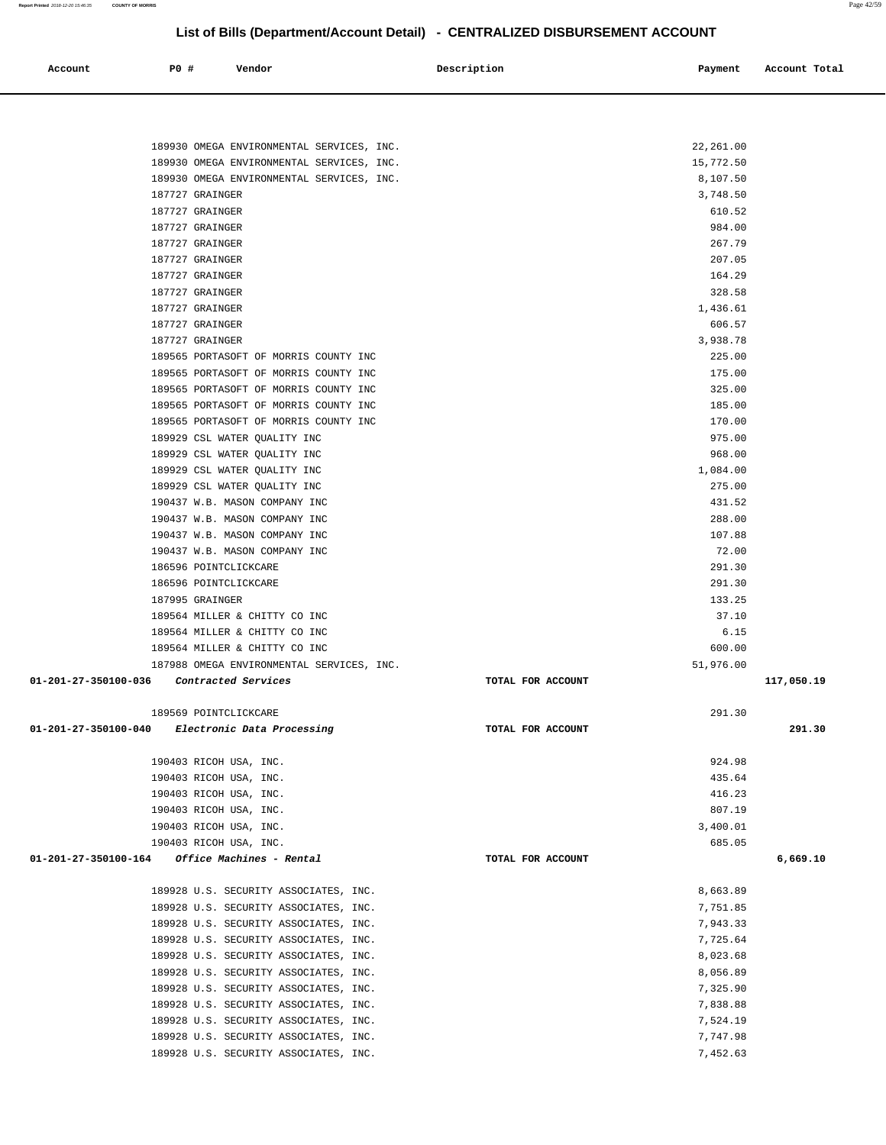**Report Printed** 2018-12-20 15:46:35 **COUNTY OF MORRIS** Page 42/59

# **List of Bills (Department/Account Detail) - CENTRALIZED DISBURSEMENT ACCOUNT**

| Account<br>. | <b>PO #</b> | Vendor<br>. | Description | Payment | Account Total |
|--------------|-------------|-------------|-------------|---------|---------------|
|              |             |             |             |         |               |

| 189930 OMEGA ENVIRONMENTAL SERVICES, INC.                                      |                   | 22,261.00            |            |
|--------------------------------------------------------------------------------|-------------------|----------------------|------------|
| 189930 OMEGA ENVIRONMENTAL SERVICES, INC.                                      |                   | 15,772.50            |            |
| 189930 OMEGA ENVIRONMENTAL SERVICES, INC.                                      |                   | 8,107.50             |            |
| 187727 GRAINGER                                                                |                   | 3,748.50             |            |
| 187727 GRAINGER                                                                |                   | 610.52               |            |
| 187727 GRAINGER                                                                |                   | 984.00               |            |
| 187727 GRAINGER                                                                |                   | 267.79               |            |
| 187727 GRAINGER                                                                |                   | 207.05               |            |
| 187727 GRAINGER                                                                |                   | 164.29               |            |
| 187727 GRAINGER                                                                |                   | 328.58               |            |
| 187727 GRAINGER                                                                |                   | 1,436.61             |            |
| 187727 GRAINGER                                                                |                   | 606.57               |            |
| 187727 GRAINGER                                                                |                   | 3,938.78             |            |
| 189565 PORTASOFT OF MORRIS COUNTY INC                                          |                   | 225.00               |            |
| 189565 PORTASOFT OF MORRIS COUNTY INC                                          |                   | 175.00               |            |
| 189565 PORTASOFT OF MORRIS COUNTY INC                                          |                   | 325.00               |            |
| 189565 PORTASOFT OF MORRIS COUNTY INC                                          |                   | 185.00               |            |
| 189565 PORTASOFT OF MORRIS COUNTY INC                                          |                   | 170.00               |            |
| 189929 CSL WATER QUALITY INC                                                   |                   | 975.00               |            |
| 189929 CSL WATER QUALITY INC                                                   |                   | 968.00               |            |
| 189929 CSL WATER QUALITY INC                                                   |                   | 1,084.00             |            |
| 189929 CSL WATER OUALITY INC                                                   |                   | 275.00               |            |
| 190437 W.B. MASON COMPANY INC                                                  |                   | 431.52               |            |
| 190437 W.B. MASON COMPANY INC                                                  |                   | 288.00               |            |
| 190437 W.B. MASON COMPANY INC                                                  |                   | 107.88               |            |
| 190437 W.B. MASON COMPANY INC                                                  |                   | 72.00                |            |
| 186596 POINTCLICKCARE                                                          |                   | 291.30               |            |
| 186596 POINTCLICKCARE                                                          |                   | 291.30               |            |
| 187995 GRAINGER                                                                |                   | 133.25               |            |
| 189564 MILLER & CHITTY CO INC                                                  |                   | 37.10                |            |
| 189564 MILLER & CHITTY CO INC                                                  |                   | 6.15                 |            |
| 189564 MILLER & CHITTY CO INC                                                  |                   | 600.00               |            |
| 187988 OMEGA ENVIRONMENTAL SERVICES, INC.                                      |                   | 51,976.00            |            |
| 01-201-27-350100-036 Contracted Services                                       | TOTAL FOR ACCOUNT |                      | 117,050.19 |
|                                                                                |                   |                      |            |
| 189569 POINTCLICKCARE                                                          |                   | 291.30               |            |
| 01-201-27-350100-040 Electronic Data Processing                                | TOTAL FOR ACCOUNT |                      | 291.30     |
|                                                                                |                   |                      |            |
| 190403 RICOH USA, INC.                                                         |                   | 924.98               |            |
| 190403 RICOH USA, INC.                                                         |                   | 435.64               |            |
| 190403 RICOH USA, INC.                                                         |                   | 416.23               |            |
| 190403 RICOH USA, INC.                                                         |                   | 807.19               |            |
| 190403 RICOH USA, INC.                                                         |                   | 3,400.01             |            |
| 190403 RICOH USA, INC.                                                         |                   | 685.05               |            |
| 01-201-27-350100-164<br>Office Machines - Rental                               | TOTAL FOR ACCOUNT |                      | 6,669.10   |
|                                                                                |                   |                      |            |
| 189928 U.S. SECURITY ASSOCIATES, INC.<br>189928 U.S. SECURITY ASSOCIATES, INC. |                   | 8,663.89<br>7,751.85 |            |
| 189928 U.S. SECURITY ASSOCIATES, INC.                                          |                   |                      |            |
| 189928 U.S. SECURITY ASSOCIATES, INC.                                          |                   | 7,943.33<br>7,725.64 |            |
| 189928 U.S. SECURITY ASSOCIATES, INC.                                          |                   | 8,023.68             |            |
| 189928 U.S. SECURITY ASSOCIATES, INC.                                          |                   | 8,056.89             |            |
| 189928 U.S. SECURITY ASSOCIATES, INC.                                          |                   | 7,325.90             |            |
| 189928 U.S. SECURITY ASSOCIATES, INC.                                          |                   | 7,838.88             |            |
| 189928 U.S. SECURITY ASSOCIATES, INC.                                          |                   | 7,524.19             |            |
| 189928 U.S. SECURITY ASSOCIATES, INC.                                          |                   | 7,747.98             |            |
| 189928 U.S. SECURITY ASSOCIATES, INC.                                          |                   | 7,452.63             |            |
|                                                                                |                   |                      |            |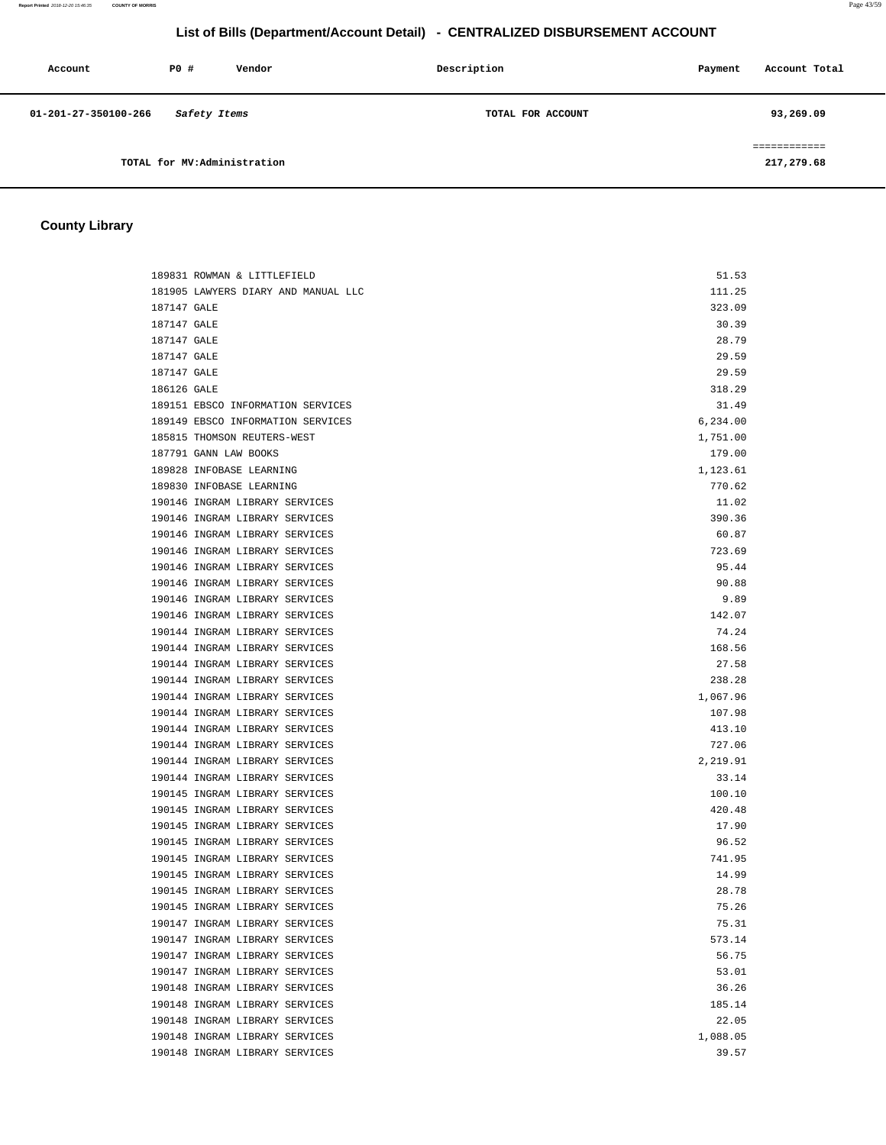**Report Printed** 2018-12-20 15:46:35 **COUNTY OF MORRIS** Page 43/59

# **List of Bills (Department/Account Detail) - CENTRALIZED DISBURSEMENT ACCOUNT**

| Account              | PO#                         | Vendor | Description       | Payment | Account Total           |
|----------------------|-----------------------------|--------|-------------------|---------|-------------------------|
| 01-201-27-350100-266 | Safety Items                |        | TOTAL FOR ACCOUNT |         | 93,269.09               |
|                      | TOTAL for MV:Administration |        |                   |         | ---------<br>217,279.68 |

# **County Library**

|             | 189831 ROWMAN & LITTLEFIELD         | 51.53    |
|-------------|-------------------------------------|----------|
|             | 181905 LAWYERS DIARY AND MANUAL LLC | 111.25   |
| 187147 GALE |                                     | 323.09   |
| 187147 GALE |                                     | 30.39    |
| 187147 GALE |                                     | 28.79    |
| 187147 GALE |                                     | 29.59    |
| 187147 GALE |                                     | 29.59    |
| 186126 GALE |                                     | 318.29   |
|             | 189151 EBSCO INFORMATION SERVICES   | 31.49    |
|             | 189149 EBSCO INFORMATION SERVICES   | 6,234.00 |
|             | 185815 THOMSON REUTERS-WEST         | 1,751.00 |
|             | 187791 GANN LAW BOOKS               | 179.00   |
|             | 189828 INFOBASE LEARNING            | 1,123.61 |
|             | 189830 INFOBASE LEARNING            | 770.62   |
|             | 190146 INGRAM LIBRARY SERVICES      | 11.02    |
|             | 190146 INGRAM LIBRARY SERVICES      | 390.36   |
|             | 190146 INGRAM LIBRARY SERVICES      | 60.87    |
|             | 190146 INGRAM LIBRARY SERVICES      | 723.69   |
|             | 190146 INGRAM LIBRARY SERVICES      | 95.44    |
|             | 190146 INGRAM LIBRARY SERVICES      | 90.88    |
|             | 190146 INGRAM LIBRARY SERVICES      | 9.89     |
|             | 190146 INGRAM LIBRARY SERVICES      | 142.07   |
|             | 190144 INGRAM LIBRARY SERVICES      | 74.24    |
|             | 190144 INGRAM LIBRARY SERVICES      | 168.56   |
|             | 190144 INGRAM LIBRARY SERVICES      | 27.58    |
|             | 190144 INGRAM LIBRARY SERVICES      | 238.28   |
|             | 190144 INGRAM LIBRARY SERVICES      | 1,067.96 |
|             | 190144 INGRAM LIBRARY SERVICES      | 107.98   |
|             | 190144 INGRAM LIBRARY SERVICES      | 413.10   |
|             | 190144 INGRAM LIBRARY SERVICES      | 727.06   |
|             | 190144 INGRAM LIBRARY SERVICES      | 2,219.91 |
|             | 190144 INGRAM LIBRARY SERVICES      | 33.14    |
|             | 190145 INGRAM LIBRARY SERVICES      | 100.10   |
|             | 190145 INGRAM LIBRARY SERVICES      | 420.48   |
|             | 190145 INGRAM LIBRARY SERVICES      | 17.90    |
|             | 190145 INGRAM LIBRARY SERVICES      | 96.52    |
|             | 190145 INGRAM LIBRARY SERVICES      | 741.95   |
|             | 190145 INGRAM LIBRARY SERVICES      | 14.99    |
|             | 190145 INGRAM LIBRARY SERVICES      | 28.78    |
|             | 190145 INGRAM LIBRARY SERVICES      | 75.26    |
|             | 190147 INGRAM LIBRARY SERVICES      | 75.31    |
|             | 190147 INGRAM LIBRARY SERVICES      | 573.14   |
|             | 190147 INGRAM LIBRARY SERVICES      | 56.75    |
|             | 190147 INGRAM LIBRARY SERVICES      | 53.01    |
|             | 190148 INGRAM LIBRARY SERVICES      | 36.26    |
|             | 190148 INGRAM LIBRARY SERVICES      | 185.14   |
|             | 190148 INGRAM LIBRARY SERVICES      | 22.05    |
|             | 190148 INGRAM LIBRARY SERVICES      | 1,088.05 |
|             | 190148 INGRAM LIBRARY SERVICES      | 39.57    |
|             |                                     |          |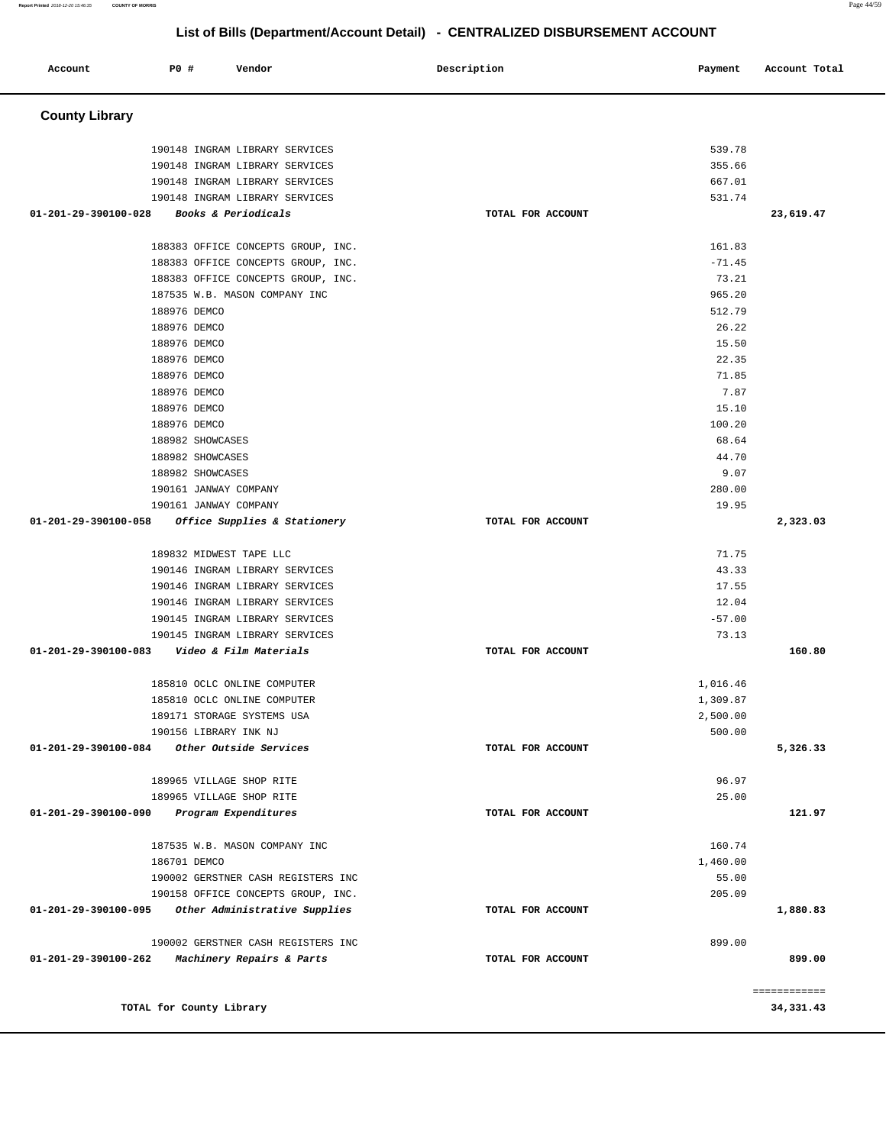| Account               | P0 #         | Vendor                                                                   | Description       | Payment         | Account Total |
|-----------------------|--------------|--------------------------------------------------------------------------|-------------------|-----------------|---------------|
| <b>County Library</b> |              |                                                                          |                   |                 |               |
|                       |              | 190148 INGRAM LIBRARY SERVICES                                           |                   | 539.78          |               |
|                       |              | 190148 INGRAM LIBRARY SERVICES                                           |                   | 355.66          |               |
|                       |              | 190148 INGRAM LIBRARY SERVICES                                           |                   | 667.01          |               |
|                       |              | 190148 INGRAM LIBRARY SERVICES                                           |                   | 531.74          |               |
| 01-201-29-390100-028  |              | <i>Books &amp; Periodicals</i>                                           | TOTAL FOR ACCOUNT |                 | 23,619.47     |
|                       |              | 188383 OFFICE CONCEPTS GROUP, INC.                                       |                   | 161.83          |               |
|                       |              | 188383 OFFICE CONCEPTS GROUP, INC.                                       |                   | $-71.45$        |               |
|                       |              | 188383 OFFICE CONCEPTS GROUP, INC.                                       |                   | 73.21           |               |
|                       |              | 187535 W.B. MASON COMPANY INC                                            |                   | 965.20          |               |
|                       | 188976 DEMCO |                                                                          |                   | 512.79          |               |
|                       | 188976 DEMCO |                                                                          |                   | 26.22           |               |
|                       | 188976 DEMCO |                                                                          |                   | 15.50           |               |
|                       | 188976 DEMCO |                                                                          |                   | 22.35           |               |
|                       | 188976 DEMCO |                                                                          |                   | 71.85           |               |
|                       | 188976 DEMCO |                                                                          |                   | 7.87            |               |
|                       | 188976 DEMCO |                                                                          |                   | 15.10           |               |
|                       | 188976 DEMCO |                                                                          |                   | 100.20          |               |
|                       |              | 188982 SHOWCASES                                                         |                   | 68.64           |               |
|                       |              | 188982 SHOWCASES                                                         |                   | 44.70           |               |
|                       |              | 188982 SHOWCASES                                                         |                   | 9.07            |               |
|                       |              | 190161 JANWAY COMPANY<br>190161 JANWAY COMPANY                           |                   | 280.00<br>19.95 |               |
| 01-201-29-390100-058  |              | Office Supplies & Stationery                                             | TOTAL FOR ACCOUNT |                 | 2,323.03      |
|                       |              |                                                                          |                   |                 |               |
|                       |              | 189832 MIDWEST TAPE LLC                                                  |                   | 71.75           |               |
|                       |              | 190146 INGRAM LIBRARY SERVICES                                           |                   | 43.33           |               |
|                       |              | 190146 INGRAM LIBRARY SERVICES                                           |                   | 17.55           |               |
|                       |              | 190146 INGRAM LIBRARY SERVICES                                           |                   | 12.04           |               |
|                       |              | 190145 INGRAM LIBRARY SERVICES                                           |                   | $-57.00$        |               |
|                       |              | 190145 INGRAM LIBRARY SERVICES                                           |                   | 73.13           |               |
| 01-201-29-390100-083  |              | Video & Film Materials                                                   | TOTAL FOR ACCOUNT |                 | 160.80        |
|                       |              | 185810 OCLC ONLINE COMPUTER                                              |                   | 1,016.46        |               |
|                       |              | 185810 OCLC ONLINE COMPUTER                                              |                   | 1,309.87        |               |
|                       |              | 189171 STORAGE SYSTEMS USA                                               |                   | 2,500.00        |               |
|                       |              | 190156 LIBRARY INK NJ                                                    |                   | 500.00          |               |
| 01-201-29-390100-084  |              | Other Outside Services                                                   | TOTAL FOR ACCOUNT |                 | 5,326.33      |
|                       |              | 189965 VILLAGE SHOP RITE                                                 |                   | 96.97           |               |
|                       |              | 189965 VILLAGE SHOP RITE                                                 |                   | 25.00           |               |
| 01-201-29-390100-090  |              | Program Expenditures                                                     | TOTAL FOR ACCOUNT |                 | 121.97        |
|                       |              |                                                                          |                   |                 |               |
|                       |              | 187535 W.B. MASON COMPANY INC                                            |                   | 160.74          |               |
|                       | 186701 DEMCO |                                                                          |                   | 1,460.00        |               |
|                       |              | 190002 GERSTNER CASH REGISTERS INC<br>190158 OFFICE CONCEPTS GROUP, INC. |                   | 55.00<br>205.09 |               |
| 01-201-29-390100-095  |              | Other Administrative Supplies                                            |                   |                 | 1,880.83      |
|                       |              |                                                                          | TOTAL FOR ACCOUNT |                 |               |
|                       |              | 190002 GERSTNER CASH REGISTERS INC                                       |                   | 899.00          |               |
| 01-201-29-390100-262  |              | Machinery Repairs & Parts                                                | TOTAL FOR ACCOUNT |                 | 899.00        |
|                       |              |                                                                          |                   |                 | ============  |
|                       |              | TOTAL for County Library                                                 |                   |                 | 34, 331.43    |
|                       |              |                                                                          |                   |                 |               |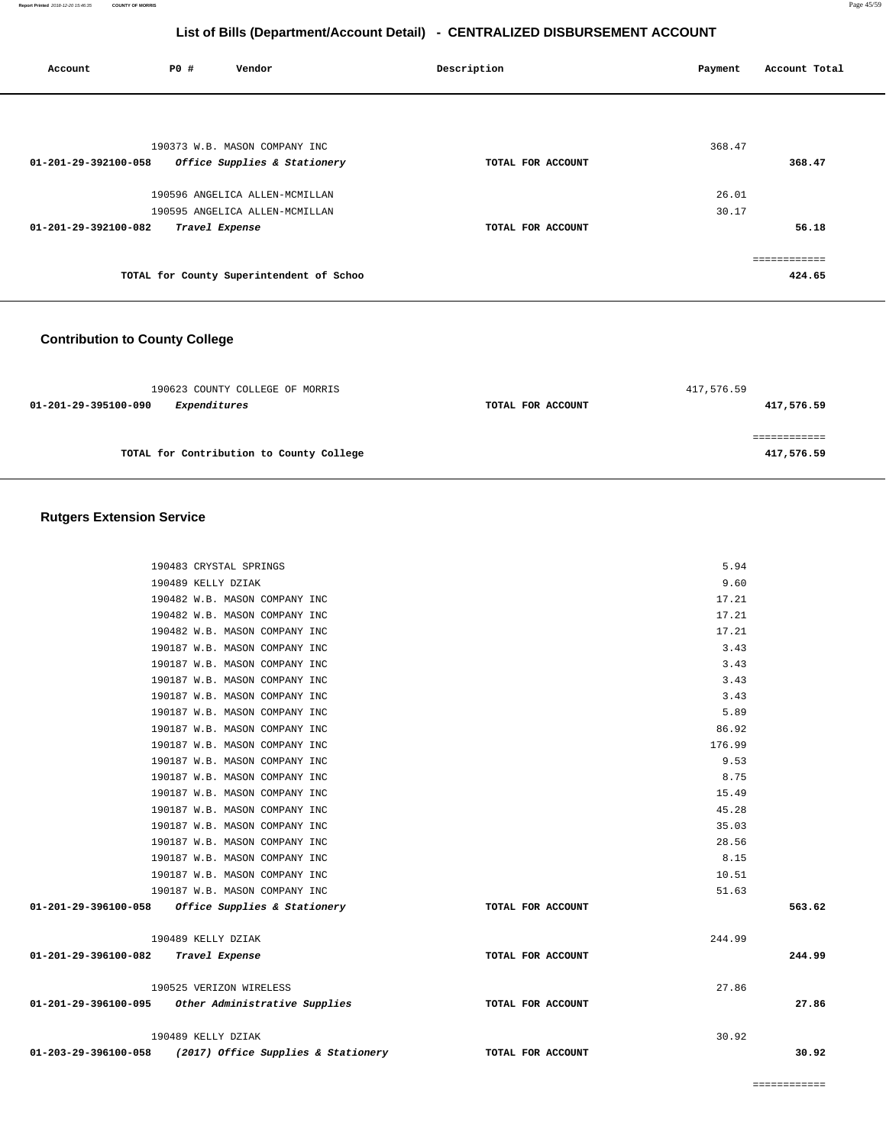| Account              | P0 # | Vendor                                   | Description       | Payment | Account Total |
|----------------------|------|------------------------------------------|-------------------|---------|---------------|
|                      |      |                                          |                   |         |               |
|                      |      | 190373 W.B. MASON COMPANY INC            |                   | 368.47  |               |
| 01-201-29-392100-058 |      | Office Supplies & Stationery             | TOTAL FOR ACCOUNT |         | 368.47        |
|                      |      | 190596 ANGELICA ALLEN-MCMILLAN           |                   | 26.01   |               |
|                      |      | 190595 ANGELICA ALLEN-MCMILLAN           |                   | 30.17   |               |
| 01-201-29-392100-082 |      | Travel Expense                           | TOTAL FOR ACCOUNT |         | 56.18         |
|                      |      |                                          |                   |         | eeeeeeeeee    |
|                      |      | TOTAL for County Superintendent of Schoo |                   |         | 424.65        |

# **Contribution to County College**

| 190623 COUNTY COLLEGE OF MORRIS          |                   | 417,576.59 |
|------------------------------------------|-------------------|------------|
| 01-201-29-395100-090<br>Expenditures     | TOTAL FOR ACCOUNT | 417,576.59 |
|                                          |                   |            |
|                                          |                   |            |
| TOTAL for Contribution to County College |                   | 417,576.59 |

### **Rutgers Extension Service**

|                                     | 190483 CRYSTAL SPRINGS                             |                                                                            | 5.94   |        |
|-------------------------------------|----------------------------------------------------|----------------------------------------------------------------------------|--------|--------|
|                                     | 190489 KELLY DZIAK                                 |                                                                            | 9.60   |        |
|                                     | 190482 W.B. MASON COMPANY INC                      |                                                                            | 17.21  |        |
|                                     | 190482 W.B. MASON COMPANY INC                      |                                                                            | 17.21  |        |
|                                     | 190482 W.B. MASON COMPANY INC                      |                                                                            | 17.21  |        |
|                                     | 190187 W.B. MASON COMPANY INC                      |                                                                            | 3.43   |        |
|                                     | 190187 W.B. MASON COMPANY INC                      |                                                                            | 3.43   |        |
|                                     | 190187 W.B. MASON COMPANY INC                      |                                                                            | 3.43   |        |
|                                     | 190187 W.B. MASON COMPANY INC                      |                                                                            | 3.43   |        |
|                                     | 190187 W.B. MASON COMPANY INC                      |                                                                            | 5.89   |        |
|                                     | 190187 W.B. MASON COMPANY INC                      |                                                                            | 86.92  |        |
|                                     | 190187 W.B. MASON COMPANY INC                      |                                                                            | 176.99 |        |
|                                     | 190187 W.B. MASON COMPANY INC                      |                                                                            | 9.53   |        |
|                                     | 190187 W.B. MASON COMPANY INC                      |                                                                            | 8.75   |        |
|                                     | 190187 W.B. MASON COMPANY INC                      |                                                                            | 15.49  |        |
|                                     | 190187 W.B. MASON COMPANY INC                      |                                                                            | 45.28  |        |
|                                     | 190187 W.B. MASON COMPANY INC                      |                                                                            | 35.03  |        |
|                                     | 190187 W.B. MASON COMPANY INC                      |                                                                            | 28.56  |        |
|                                     | 190187 W.B. MASON COMPANY INC                      |                                                                            | 8.15   |        |
|                                     | 190187 W.B. MASON COMPANY INC                      |                                                                            | 10.51  |        |
|                                     | 190187 W.B. MASON COMPANY INC                      |                                                                            | 51.63  |        |
|                                     | 01-201-29-396100-058 Office Supplies & Stationery  | TOTAL FOR ACCOUNT                                                          |        | 563.62 |
|                                     | 190489 KELLY DZIAK                                 |                                                                            | 244.99 |        |
| 01-201-29-396100-082 Travel Expense |                                                    | TOTAL FOR ACCOUNT                                                          |        | 244.99 |
|                                     | 190525 VERIZON WIRELESS                            |                                                                            | 27.86  |        |
|                                     | 01-201-29-396100-095 Other Administrative Supplies | TOTAL FOR ACCOUNT                                                          |        | 27.86  |
|                                     | 190489 KELLY DZIAK                                 |                                                                            | 30.92  |        |
|                                     |                                                    | 01-203-29-396100-058 (2017) Office Supplies & Stationery TOTAL FOR ACCOUNT |        | 30.92  |
|                                     |                                                    |                                                                            |        |        |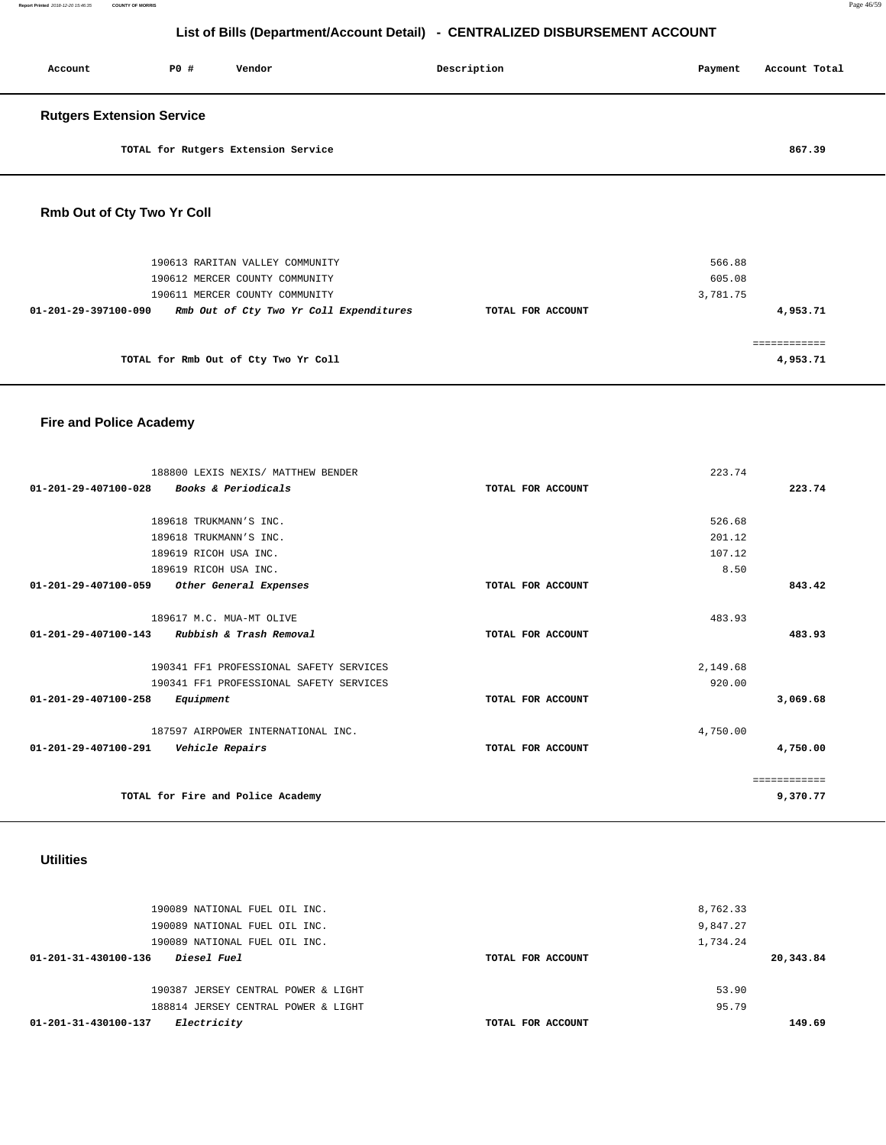| Account                    | P0 #<br>Vendor                                 |  | Description |  | Payment | Account Total |  |
|----------------------------|------------------------------------------------|--|-------------|--|---------|---------------|--|
|                            | <b>Rutgers Extension Service</b>               |  |             |  |         |               |  |
|                            | TOTAL for Rutgers Extension Service            |  |             |  |         | 867.39        |  |
| Rmb Out of Cty Two Yr Coll |                                                |  |             |  |         |               |  |
|                            | $100712$ manufacturers and more constructions. |  |             |  | $-220$  |               |  |

| 190613 RARITAN VALLEY COMMUNITY                                 |                   | 566.88   |
|-----------------------------------------------------------------|-------------------|----------|
| 190612 MERCER COUNTY COMMUNITY                                  |                   | 605.08   |
| 190611 MERCER COUNTY COMMUNITY                                  |                   | 3,781.75 |
| Rmb Out of Cty Two Yr Coll Expenditures<br>01-201-29-397100-090 | TOTAL FOR ACCOUNT | 4,953.71 |
|                                                                 |                   |          |
|                                                                 |                   |          |
| TOTAL for Rmb Out of Cty Two Yr Coll                            |                   | 4,953.71 |
|                                                                 |                   |          |

# **Fire and Police Academy**

| 188800 LEXIS NEXIS/ MATTHEW BENDER<br>$01 - 201 - 29 - 407100 - 028$<br>Books & Periodicals | TOTAL FOR ACCOUNT | 223.74<br>223.74 |
|---------------------------------------------------------------------------------------------|-------------------|------------------|
|                                                                                             |                   |                  |
| 189618 TRUKMANN'S INC.                                                                      |                   | 526.68           |
| 189618 TRUKMANN'S INC.                                                                      |                   | 201.12           |
| 189619 RICOH USA INC.                                                                       |                   | 107.12           |
| 189619 RICOH USA INC.                                                                       |                   | 8.50             |
| 01-201-29-407100-059<br>Other General Expenses                                              | TOTAL FOR ACCOUNT | 843.42           |
|                                                                                             |                   |                  |
| 189617 M.C. MUA-MT OLIVE                                                                    |                   | 483.93           |
| 01-201-29-407100-143<br>Rubbish & Trash Removal                                             | TOTAL FOR ACCOUNT | 483.93           |
|                                                                                             |                   |                  |
| 190341 FF1 PROFESSIONAL SAFETY SERVICES                                                     |                   | 2,149.68         |
| 190341 FF1 PROFESSIONAL SAFETY SERVICES                                                     |                   | 920.00           |
| $01 - 201 - 29 - 407100 - 258$<br>Equipment                                                 | TOTAL FOR ACCOUNT | 3,069.68         |
|                                                                                             |                   |                  |
| 187597 AIRPOWER INTERNATIONAL INC.                                                          |                   | 4,750.00         |
| 01-201-29-407100-291<br>Vehicle Repairs                                                     | TOTAL FOR ACCOUNT | 4,750.00         |
|                                                                                             |                   |                  |
|                                                                                             |                   | ============     |
| TOTAL for Fire and Police Academy                                                           |                   | 9,370.77         |
|                                                                                             |                   |                  |

### **Utilities**

| 190089 NATIONAL FUEL OIL INC.<br>190089 NATIONAL FUEL OIL INC.<br>190089 NATIONAL FUEL OIL INC. |                   | 8,762.33<br>9,847.27<br>1,734.24 |
|-------------------------------------------------------------------------------------------------|-------------------|----------------------------------|
| 01-201-31-430100-136<br><i>Diesel Fuel</i>                                                      | TOTAL FOR ACCOUNT | 20,343.84                        |
| 190387 JERSEY CENTRAL POWER & LIGHT<br>188814 JERSEY CENTRAL POWER & LIGHT                      |                   | 53.90<br>95.79                   |
| Electricity<br>01-201-31-430100-137                                                             | TOTAL FOR ACCOUNT | 149.69                           |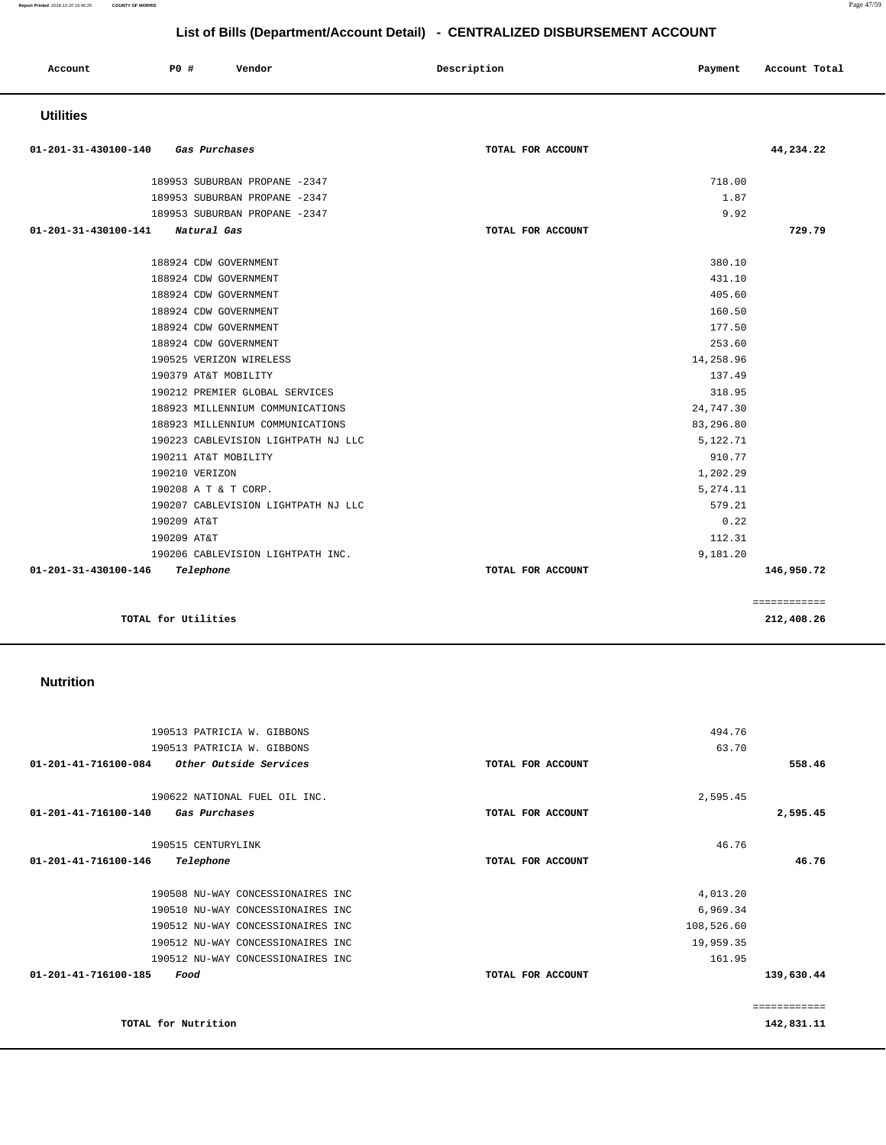**Report Printed** 2018-12-20 15:46:35 **COUNTY OF MORRIS** Page 47/59

# **List of Bills (Department/Account Detail) - CENTRALIZED DISBURSEMENT ACCOUNT**

| Account              | <b>PO #</b>         | Vendor                              | Description       | Payment   | Account Total |
|----------------------|---------------------|-------------------------------------|-------------------|-----------|---------------|
| <b>Utilities</b>     |                     |                                     |                   |           |               |
| 01-201-31-430100-140 |                     | Gas Purchases                       | TOTAL FOR ACCOUNT |           | 44,234.22     |
|                      |                     | 189953 SUBURBAN PROPANE -2347       |                   | 718.00    |               |
|                      |                     | 189953 SUBURBAN PROPANE -2347       |                   | 1.87      |               |
|                      |                     | 189953 SUBURBAN PROPANE -2347       |                   | 9.92      |               |
| 01-201-31-430100-141 |                     | Natural Gas                         | TOTAL FOR ACCOUNT |           | 729.79        |
|                      |                     | 188924 CDW GOVERNMENT               |                   | 380.10    |               |
|                      |                     | 188924 CDW GOVERNMENT               |                   | 431.10    |               |
|                      |                     | 188924 CDW GOVERNMENT               |                   | 405.60    |               |
|                      |                     | 188924 CDW GOVERNMENT               |                   | 160.50    |               |
|                      |                     | 188924 CDW GOVERNMENT               |                   | 177.50    |               |
|                      |                     | 188924 CDW GOVERNMENT               |                   | 253.60    |               |
|                      |                     | 190525 VERIZON WIRELESS             |                   | 14,258.96 |               |
|                      |                     | 190379 AT&T MOBILITY                |                   | 137.49    |               |
|                      |                     | 190212 PREMIER GLOBAL SERVICES      |                   | 318.95    |               |
|                      |                     | 188923 MILLENNIUM COMMUNICATIONS    |                   | 24,747.30 |               |
|                      |                     | 188923 MILLENNIUM COMMUNICATIONS    |                   | 83,296.80 |               |
|                      |                     | 190223 CABLEVISION LIGHTPATH NJ LLC |                   | 5,122.71  |               |
|                      |                     | 190211 AT&T MOBILITY                |                   | 910.77    |               |
|                      | 190210 VERIZON      |                                     |                   | 1,202.29  |               |
|                      |                     | 190208 A T & T CORP.                |                   | 5,274.11  |               |
|                      |                     | 190207 CABLEVISION LIGHTPATH NJ LLC |                   | 579.21    |               |
|                      | 190209 AT&T         |                                     |                   | 0.22      |               |
|                      | 190209 AT&T         |                                     |                   | 112.31    |               |
|                      |                     | 190206 CABLEVISION LIGHTPATH INC.   |                   | 9,181.20  |               |
| 01-201-31-430100-146 | Telephone           |                                     | TOTAL FOR ACCOUNT |           | 146,950.72    |
|                      |                     |                                     |                   |           | ============  |
|                      | TOTAL for Utilities |                                     |                   |           | 212,408.26    |

### **Nutrition**

| 190513 PATRICIA W. GIBBONS                      |                   | 494.76     |              |
|-------------------------------------------------|-------------------|------------|--------------|
| 190513 PATRICIA W. GIBBONS                      |                   | 63.70      |              |
| 01-201-41-716100-084<br>Other Outside Services  | TOTAL FOR ACCOUNT |            | 558.46       |
| 190622 NATIONAL FUEL OIL INC.                   |                   |            |              |
|                                                 |                   | 2,595.45   |              |
| $01 - 201 - 41 - 716100 - 140$<br>Gas Purchases | TOTAL FOR ACCOUNT |            | 2,595.45     |
| 190515 CENTURYLINK                              |                   | 46.76      |              |
| 01-201-41-716100-146<br>Telephone               | TOTAL FOR ACCOUNT |            | 46.76        |
| 190508 NU-WAY CONCESSIONAIRES INC               |                   | 4,013.20   |              |
| 190510 NU-WAY CONCESSIONAIRES INC               |                   | 6,969.34   |              |
| 190512 NU-WAY CONCESSIONAIRES INC               |                   | 108,526.60 |              |
| 190512 NU-WAY CONCESSIONAIRES INC               |                   | 19,959.35  |              |
| 190512 NU-WAY CONCESSIONAIRES INC               |                   | 161.95     |              |
| 01-201-41-716100-185<br>Food                    | TOTAL FOR ACCOUNT |            | 139,630.44   |
|                                                 |                   |            | ------------ |
| TOTAL for Nutrition                             |                   |            | 142,831.11   |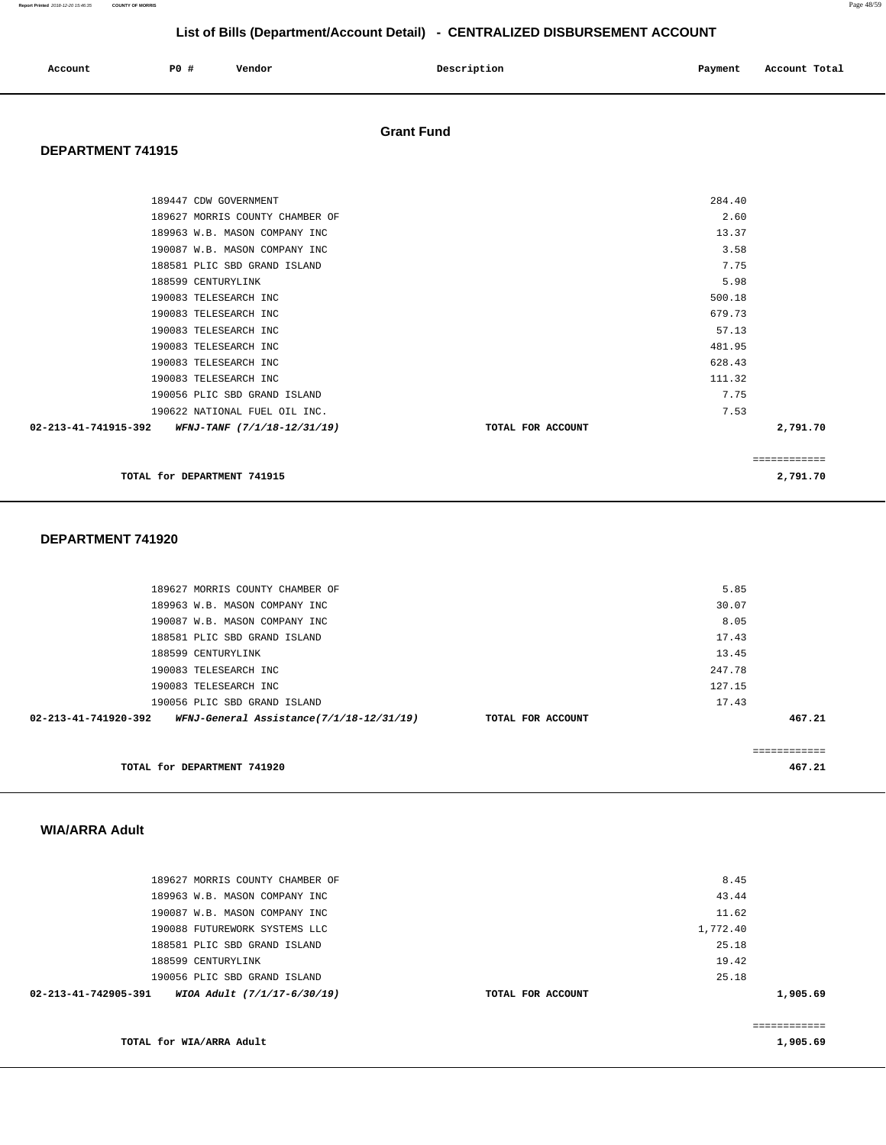**Report Printed** 2018-12-20 15:46:35 **COUNTY OF MORRIS** Page 48/59

# **List of Bills (Department/Account Detail) - CENTRALIZED DISBURSEMENT ACCOUNT**

| Account | PO# | Vendor | Description | Payment | Account Total |
|---------|-----|--------|-------------|---------|---------------|
|         |     |        |             |         |               |

### **Grant Fund**

### **DEPARTMENT 741915**

| 189447 CDW GOVERNMENT                                      |                   | 284.40 |              |
|------------------------------------------------------------|-------------------|--------|--------------|
| 189627 MORRIS COUNTY CHAMBER OF                            |                   | 2.60   |              |
| 189963 W.B. MASON COMPANY INC                              |                   | 13.37  |              |
| 190087 W.B. MASON COMPANY INC                              |                   | 3.58   |              |
| 188581 PLIC SBD GRAND ISLAND                               |                   | 7.75   |              |
| 188599 CENTURYLINK                                         |                   | 5.98   |              |
| 190083 TELESEARCH INC                                      |                   | 500.18 |              |
| 190083 TELESEARCH INC                                      |                   | 679.73 |              |
| 190083 TELESEARCH INC                                      |                   | 57.13  |              |
| 190083 TELESEARCH INC                                      |                   | 481.95 |              |
| 190083 TELESEARCH INC                                      |                   | 628.43 |              |
| 190083 TELESEARCH INC                                      |                   | 111.32 |              |
| 190056 PLIC SBD GRAND ISLAND                               |                   | 7.75   |              |
| 190622 NATIONAL FUEL OIL INC.                              |                   | 7.53   |              |
| $02 - 213 - 41 - 741915 - 392$ WFNJ-TANF (7/1/18-12/31/19) | TOTAL FOR ACCOUNT |        | 2,791.70     |
|                                                            |                   |        | ============ |
| TOTAL for DEPARTMENT 741915                                |                   |        | 2,791.70     |

### **DEPARTMENT 741920**

| 189627 MORRIS COUNTY CHAMBER OF                                  |                   | 5.85   |        |
|------------------------------------------------------------------|-------------------|--------|--------|
| 189963 W.B. MASON COMPANY INC                                    |                   | 30.07  |        |
| 190087 W.B. MASON COMPANY INC                                    |                   | 8.05   |        |
| 188581 PLIC SBD GRAND ISLAND                                     |                   | 17.43  |        |
| 188599 CENTURYLINK                                               |                   | 13.45  |        |
| 190083 TELESEARCH INC                                            |                   | 247.78 |        |
| 190083 TELESEARCH INC                                            |                   | 127.15 |        |
| 190056 PLIC SBD GRAND ISLAND                                     |                   | 17.43  |        |
| 02-213-41-741920-392<br>WFNJ-General Assistance(7/1/18-12/31/19) | TOTAL FOR ACCOUNT |        | 467.21 |
|                                                                  |                   |        |        |
|                                                                  |                   |        |        |
| TOTAL for DEPARTMENT 741920                                      |                   |        | 467.21 |
|                                                                  |                   |        |        |

### **WIA/ARRA Adult**

| 189627 MORRIS COUNTY CHAMBER OF                     |                   | 8.45     |  |
|-----------------------------------------------------|-------------------|----------|--|
| 189963 W.B. MASON COMPANY INC                       |                   | 43.44    |  |
| 190087 W.B. MASON COMPANY INC                       |                   | 11.62    |  |
| 190088 FUTUREWORK SYSTEMS LLC                       |                   | 1,772.40 |  |
| 188581 PLIC SBD GRAND ISLAND                        |                   | 25.18    |  |
| 188599 CENTURYLINK                                  |                   | 19.42    |  |
| 190056 PLIC SBD GRAND ISLAND                        |                   | 25.18    |  |
| WIOA Adult (7/1/17-6/30/19)<br>02-213-41-742905-391 | TOTAL FOR ACCOUNT | 1,905.69 |  |
|                                                     |                   |          |  |
|                                                     |                   |          |  |

**TOTAL for WIA/ARRA Adult** 

**1,905.69**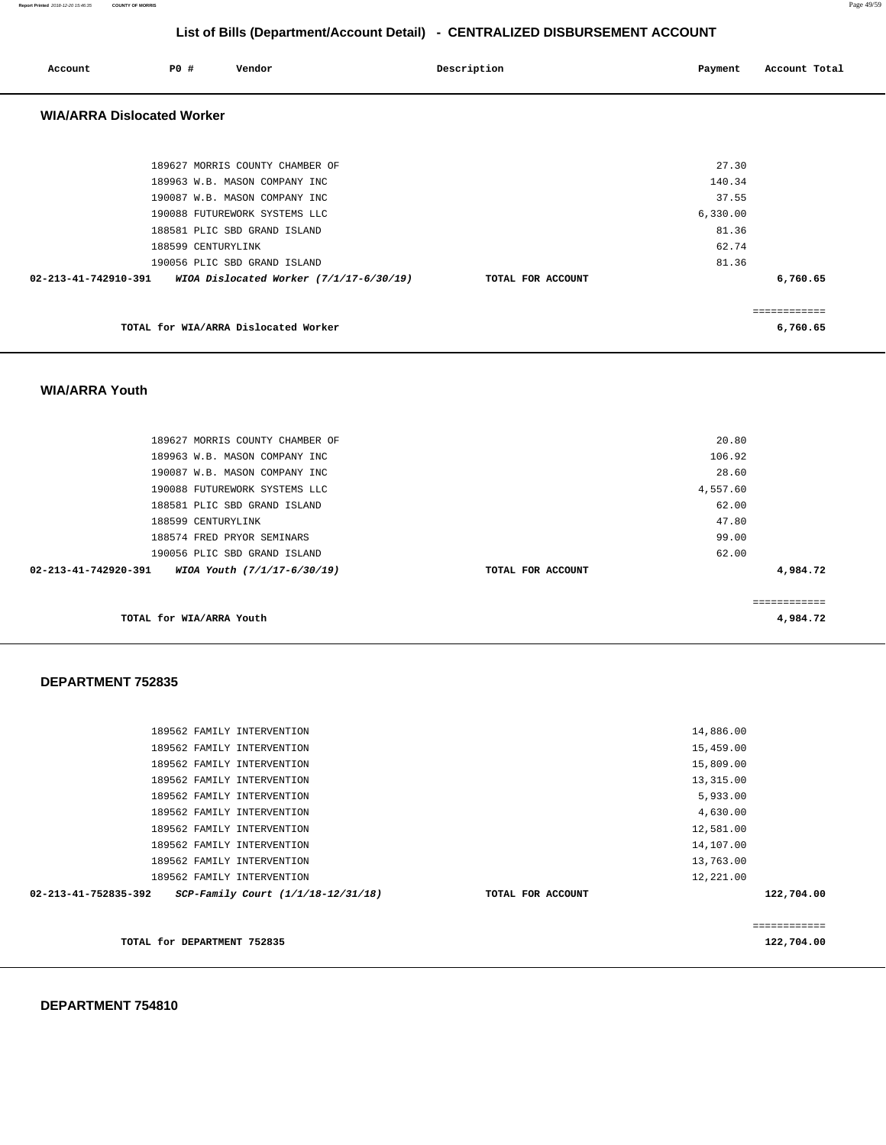**Report Printed** 2018-12-20 15:46:35 **COUNTY OF MORRIS** Page 49/59

# **List of Bills (Department/Account Detail) - CENTRALIZED DISBURSEMENT ACCOUNT**

| Account                           | P0 #               | Vendor                                                       | Description       | Payment  | Account Total |  |
|-----------------------------------|--------------------|--------------------------------------------------------------|-------------------|----------|---------------|--|
| <b>WIA/ARRA Dislocated Worker</b> |                    |                                                              |                   |          |               |  |
|                                   |                    |                                                              |                   |          |               |  |
|                                   |                    | 189627 MORRIS COUNTY CHAMBER OF                              |                   | 27.30    |               |  |
|                                   |                    | 189963 W.B. MASON COMPANY INC                                |                   | 140.34   |               |  |
|                                   |                    | 190087 W.B. MASON COMPANY INC                                |                   | 37.55    |               |  |
|                                   |                    | 190088 FUTUREWORK SYSTEMS LLC                                |                   | 6,330.00 |               |  |
|                                   |                    | 188581 PLIC SBD GRAND ISLAND                                 |                   | 81.36    |               |  |
|                                   | 188599 CENTURYLINK |                                                              |                   | 62.74    |               |  |
|                                   |                    | 190056 PLIC SBD GRAND ISLAND                                 |                   | 81.36    |               |  |
|                                   |                    | 02-213-41-742910-391 WIOA Dislocated Worker (7/1/17-6/30/19) | TOTAL FOR ACCOUNT |          | 6,760.65      |  |
|                                   |                    |                                                              |                   |          | ============  |  |
|                                   |                    | TOTAL for WIA/ARRA Dislocated Worker                         |                   |          | 6,760.65      |  |

### **WIA/ARRA Youth**

| 189627 MORRIS COUNTY CHAMBER OF                               |                   | 20.80    |          |
|---------------------------------------------------------------|-------------------|----------|----------|
| 189963 W.B. MASON COMPANY INC                                 |                   | 106.92   |          |
| 190087 W.B. MASON COMPANY INC                                 |                   | 28.60    |          |
| 190088 FUTUREWORK SYSTEMS LLC                                 |                   | 4,557.60 |          |
| 188581 PLIC SBD GRAND ISLAND                                  |                   | 62.00    |          |
| 188599 CENTURYLINK                                            |                   | 47.80    |          |
| 188574 FRED PRYOR SEMINARS                                    |                   | 99.00    |          |
| 190056 PLIC SBD GRAND ISLAND                                  |                   | 62.00    |          |
| $02 - 213 - 41 - 742920 - 391$<br>WIOA Youth (7/1/17-6/30/19) | TOTAL FOR ACCOUNT |          | 4,984.72 |
|                                                               |                   |          |          |
|                                                               |                   |          |          |
| TOTAL for WIA/ARRA Youth                                      |                   |          | 4,984.72 |

### **DEPARTMENT 752835**

| 189562 FAMILY INTERVENTION                                 |                   | 14,886.00  |
|------------------------------------------------------------|-------------------|------------|
| 189562 FAMILY INTERVENTION                                 |                   | 15,459.00  |
|                                                            |                   |            |
| 189562 FAMILY INTERVENTION                                 |                   | 15,809.00  |
| 189562 FAMILY INTERVENTION                                 |                   | 13,315.00  |
| 189562 FAMILY INTERVENTION                                 |                   | 5,933.00   |
| 189562 FAMILY INTERVENTION                                 |                   | 4,630.00   |
| 189562 FAMILY INTERVENTION                                 |                   | 12,581.00  |
| 189562 FAMILY INTERVENTION                                 |                   | 14,107.00  |
| 189562 FAMILY INTERVENTION                                 |                   | 13,763.00  |
| 189562 FAMILY INTERVENTION                                 |                   | 12,221.00  |
| 02-213-41-752835-392<br>SCP-Family Court (1/1/18-12/31/18) | TOTAL FOR ACCOUNT | 122,704.00 |
|                                                            |                   |            |
|                                                            |                   |            |
| TOTAL for DEPARTMENT 752835                                |                   | 122,704.00 |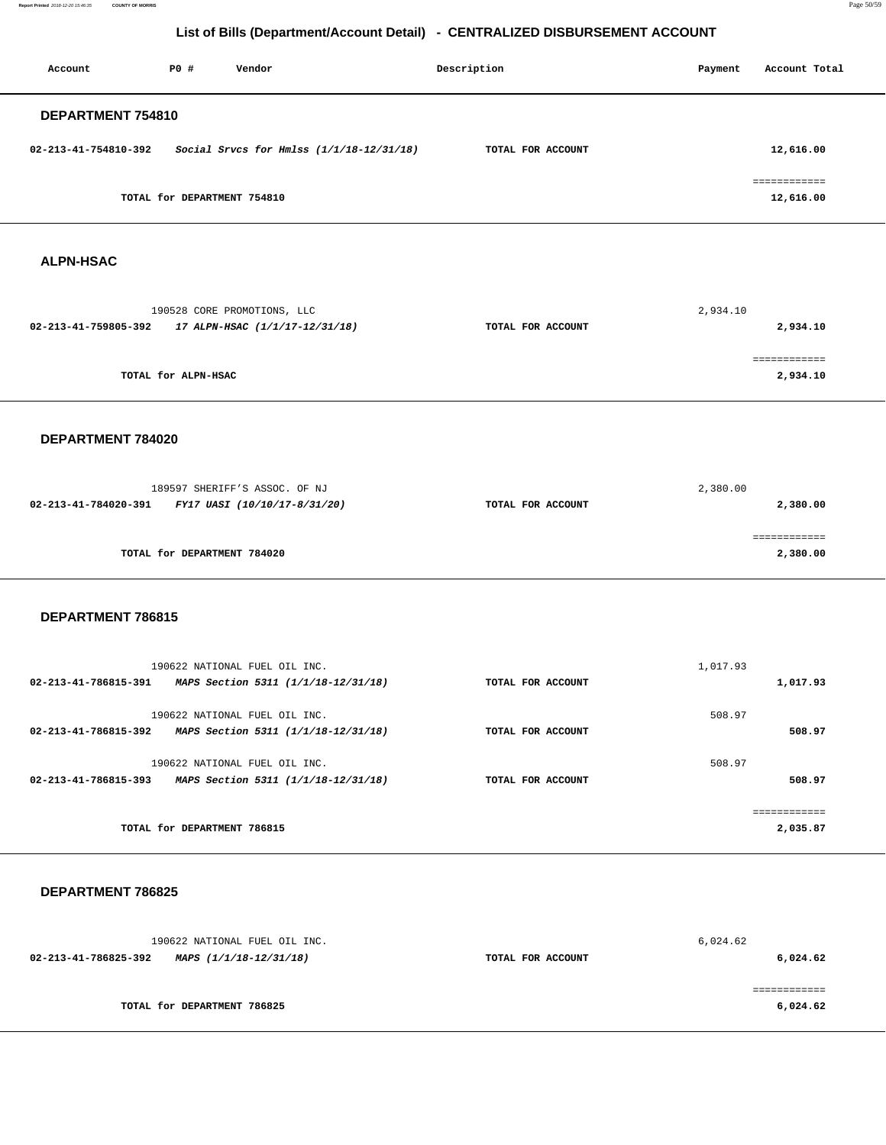**Report Printed** 2018-12-20 15:46:35 **COUNTY OF MORRIS** Page 50/59

# **List of Bills (Department/Account Detail) - CENTRALIZED DISBURSEMENT ACCOUNT**

| Account              | P0 #                        | Vendor                                   | Description       | Payment | Account Total |
|----------------------|-----------------------------|------------------------------------------|-------------------|---------|---------------|
| DEPARTMENT 754810    |                             |                                          |                   |         |               |
| 02-213-41-754810-392 |                             | Social Srvcs for Hmlss (1/1/18-12/31/18) | TOTAL FOR ACCOUNT |         | 12,616.00     |
|                      | TOTAL for DEPARTMENT 754810 |                                          |                   |         | 12,616.00     |
| <b>ALPN-HSAC</b>     |                             |                                          |                   |         |               |

| 190528 CORE PROMOTIONS, LLC                            |                   | 2,934.10 |
|--------------------------------------------------------|-------------------|----------|
| 17 ALPN-HSAC (1/1/17-12/31/18)<br>02-213-41-759805-392 | TOTAL FOR ACCOUNT | 2,934.10 |
|                                                        |                   |          |
|                                                        |                   |          |
| TOTAL for ALPN-HSAC                                    |                   | 2,934.10 |
|                                                        |                   |          |

### **DEPARTMENT 784020**

| 189597 SHERIFF'S ASSOC. OF NJ                        |                   | 2,380.00 |
|------------------------------------------------------|-------------------|----------|
| 02-213-41-784020-391<br>FY17 UASI (10/10/17-8/31/20) | TOTAL FOR ACCOUNT | 2,380.00 |
|                                                      |                   |          |
|                                                      |                   |          |
| TOTAL for DEPARTMENT 784020                          |                   | 2,380.00 |
|                                                      |                   |          |

### **DEPARTMENT 786815**

| 190622 NATIONAL FUEL OIL INC.<br>02-213-41-786815-391<br>MAPS Section 5311 (1/1/18-12/31/18) | 1,017.93<br>TOTAL FOR ACCOUNT | 1,017.93 |
|----------------------------------------------------------------------------------------------|-------------------------------|----------|
| 190622 NATIONAL FUEL OIL INC.                                                                | 508.97                        |          |
| 02-213-41-786815-392<br>MAPS Section 5311 (1/1/18-12/31/18)                                  | TOTAL FOR ACCOUNT             | 508.97   |
| 190622 NATIONAL FUEL OIL INC.                                                                | 508.97                        |          |
| 02-213-41-786815-393<br>MAPS Section 5311 (1/1/18-12/31/18)                                  | TOTAL FOR ACCOUNT             | 508.97   |
|                                                                                              |                               |          |
| TOTAL for DEPARTMENT 786815                                                                  |                               | 2,035.87 |

### **DEPARTMENT 786825**

| 190622 NATIONAL FUEL OIL INC.                  |                   | 6,024.62 |
|------------------------------------------------|-------------------|----------|
| 02-213-41-786825-392<br>MAPS (1/1/18-12/31/18) | TOTAL FOR ACCOUNT | 6,024.62 |
|                                                |                   |          |
|                                                |                   |          |
| TOTAL for DEPARTMENT 786825                    |                   | 6,024.62 |
|                                                |                   |          |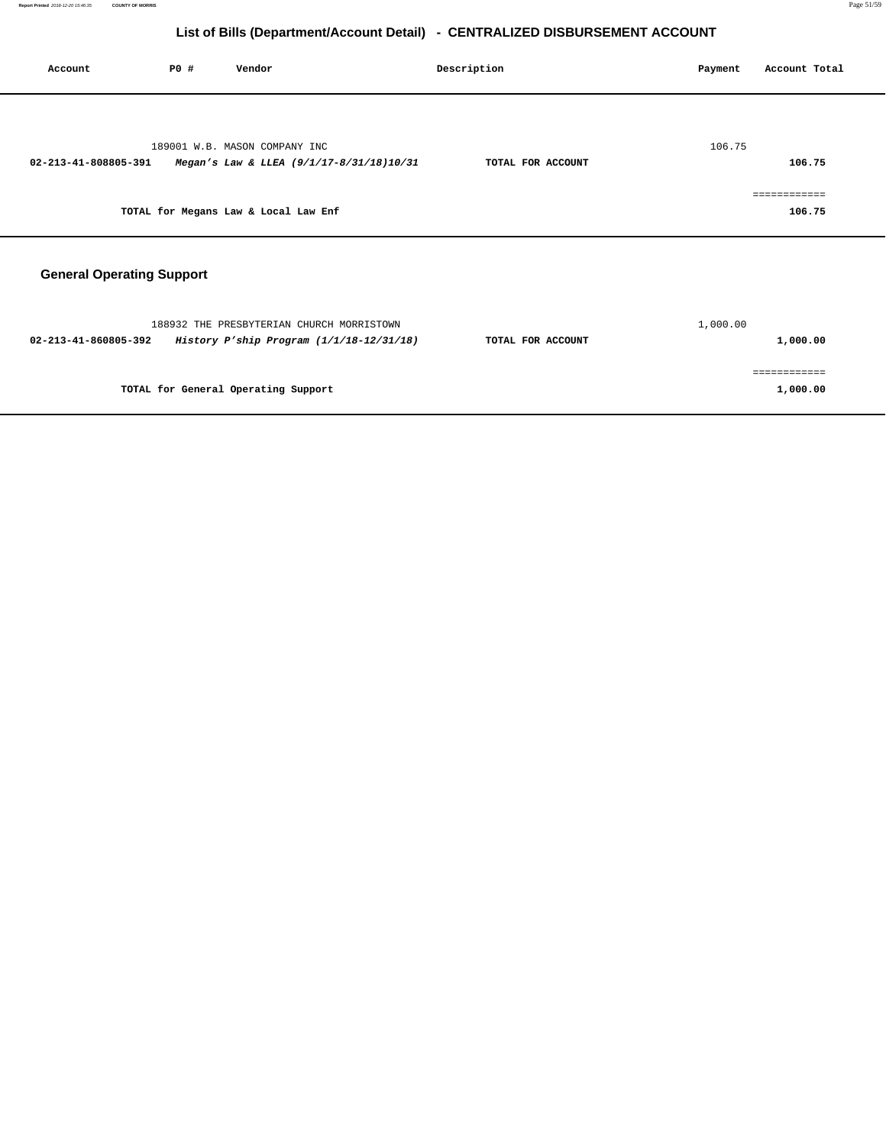| Account                          | PO# | Vendor                                                                                | Description       | Payment  | Account Total            |
|----------------------------------|-----|---------------------------------------------------------------------------------------|-------------------|----------|--------------------------|
| 02-213-41-808805-391             |     | 189001 W.B. MASON COMPANY INC<br>Megan's Law & LLEA (9/1/17-8/31/18)10/31             | TOTAL FOR ACCOUNT | 106.75   | 106.75                   |
|                                  |     | TOTAL for Megans Law & Local Law Enf                                                  |                   |          | ============<br>106.75   |
| <b>General Operating Support</b> |     |                                                                                       |                   |          |                          |
| 02-213-41-860805-392             |     | 188932 THE PRESBYTERIAN CHURCH MORRISTOWN<br>History P'ship Program (1/1/18-12/31/18) | TOTAL FOR ACCOUNT | 1,000.00 | 1,000.00                 |
|                                  |     | TOTAL for General Operating Support                                                   |                   |          | ============<br>1,000.00 |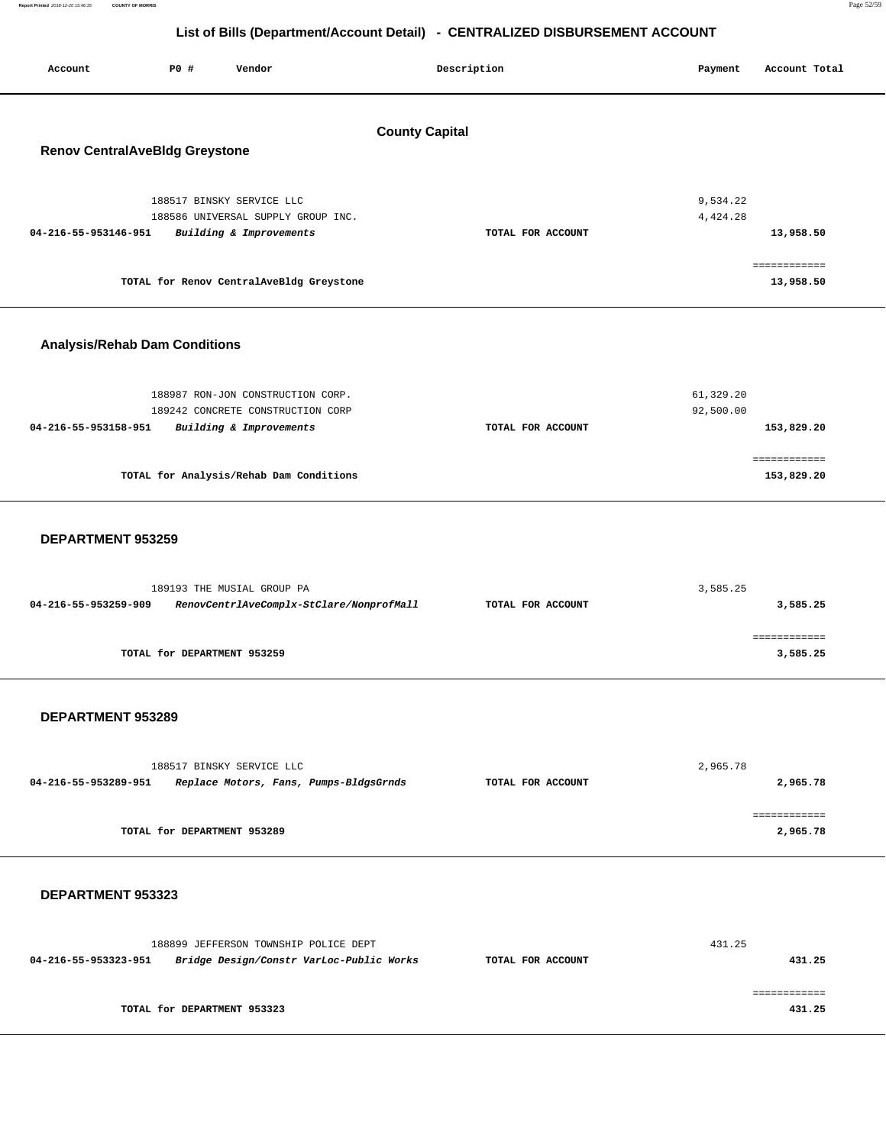| Report Printed 2018-12-20 15:46:35 | <b>COUNTY OF MORRIS</b>                                                      |     |        |             |         |               | Page 52/59 |  |
|------------------------------------|------------------------------------------------------------------------------|-----|--------|-------------|---------|---------------|------------|--|
|                                    | List of Bills (Department/Account Detail) - CENTRALIZED DISBURSEMENT ACCOUNT |     |        |             |         |               |            |  |
| Account                            |                                                                              | PO# | Vendor | Description | Payment | Account Total |            |  |
| <b>County Capital</b>              |                                                                              |     |        |             |         |               |            |  |

# **Renov CentralAveBldg Greystone**

| 188517 BINSKY SERVICE LLC<br>188586 UNIVERSAL SUPPLY GROUP INC. |                   | 9,534.22<br>4,424.28 |
|-----------------------------------------------------------------|-------------------|----------------------|
| Building & Improvements<br>04-216-55-953146-951                 | TOTAL FOR ACCOUNT | 13,958.50            |
| TOTAL for Renov CentralAveBldg Greystone                        |                   | 13,958.50            |

### **Analysis/Rehab Dam Conditions**

| 188987 RON-JON CONSTRUCTION CORP.<br>189242 CONCRETE CONSTRUCTION CORP |                   | 61,329.20<br>92,500.00 |
|------------------------------------------------------------------------|-------------------|------------------------|
| Building & Improvements<br>04-216-55-953158-951                        | TOTAL FOR ACCOUNT | 153,829.20             |
| TOTAL for Analysis/Rehab Dam Conditions                                |                   | 153,829.20             |

### **DEPARTMENT 953259**

|                      | 189193 THE MUSIAL GROUP PA               |                   | 3,585.25 |
|----------------------|------------------------------------------|-------------------|----------|
| 04-216-55-953259-909 | RenovCentrlAveComplx-StClare/NonprofMall | TOTAL FOR ACCOUNT | 3,585.25 |
|                      |                                          |                   |          |
|                      |                                          |                   |          |
|                      | TOTAL for DEPARTMENT 953259              |                   | 3,585.25 |

### **DEPARTMENT 953289**

| 188517 BINSKY SERVICE LLC |                                        |                   | 2,965.78 |
|---------------------------|----------------------------------------|-------------------|----------|
| 04-216-55-953289-951      | Replace Motors, Fans, Pumps-BldgsGrnds | TOTAL FOR ACCOUNT | 2,965.78 |
|                           |                                        |                   |          |
|                           |                                        |                   |          |
|                           | TOTAL for DEPARTMENT 953289            |                   | 2,965.78 |

### **DEPARTMENT 953323**

|                      | 188899 JEFFERSON TOWNSHIP POLICE DEPT    |                   | 431.25 |
|----------------------|------------------------------------------|-------------------|--------|
| 04-216-55-953323-951 | Bridge Design/Constr VarLoc-Public Works | TOTAL FOR ACCOUNT | 431.25 |
|                      |                                          |                   |        |
|                      |                                          |                   |        |
|                      | TOTAL for DEPARTMENT 953323              |                   | 431.25 |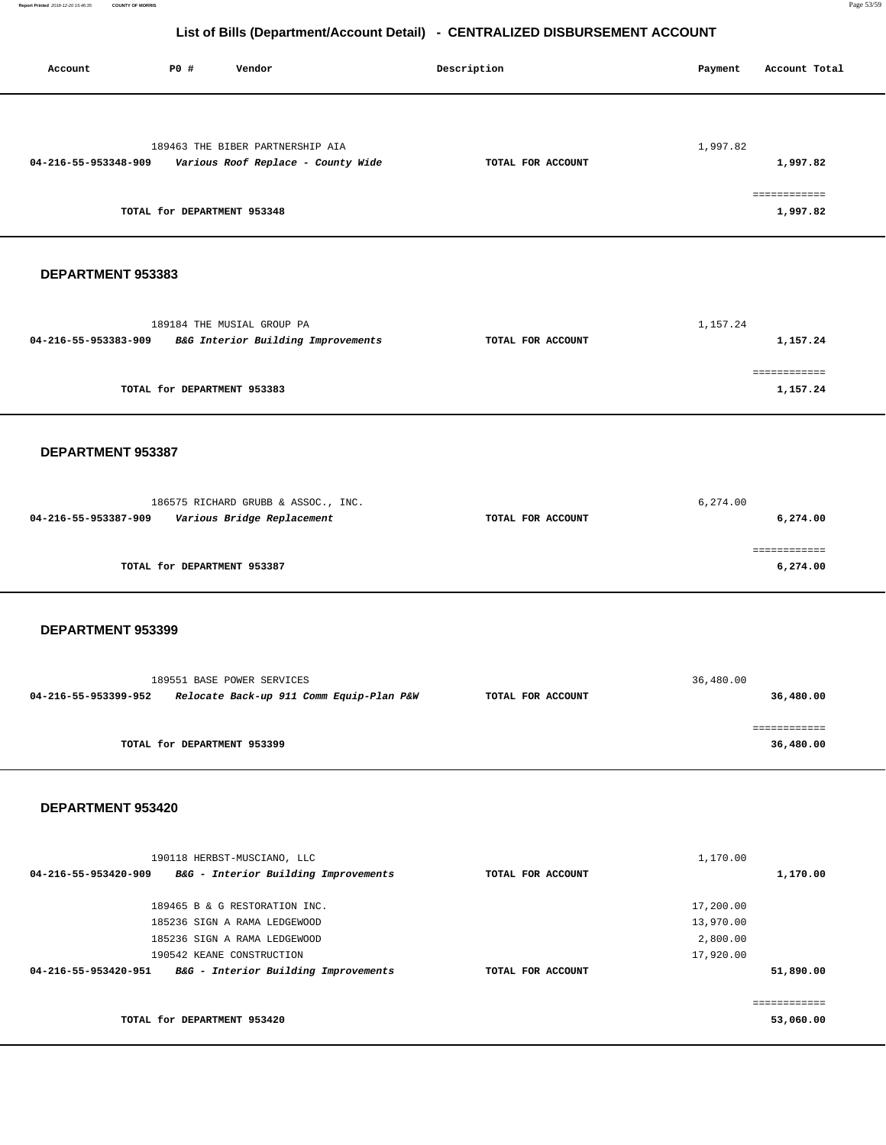Account **PO #** Vendor **Description Description Payment** Account Total

| 189463 THE BIBER PARTNERSHIP AIA                                 |                   | 1,997.82     |  |
|------------------------------------------------------------------|-------------------|--------------|--|
| 04-216-55-953348-909<br>Various Roof Replace - County Wide       | TOTAL FOR ACCOUNT | 1,997.82     |  |
|                                                                  |                   |              |  |
|                                                                  |                   | ============ |  |
| TOTAL for DEPARTMENT 953348                                      |                   | 1,997.82     |  |
|                                                                  |                   |              |  |
|                                                                  |                   |              |  |
|                                                                  |                   |              |  |
| DEPARTMENT 953383                                                |                   |              |  |
|                                                                  |                   |              |  |
| 189184 THE MUSIAL GROUP PA                                       |                   | 1,157.24     |  |
| 04-216-55-953383-909<br>B&G Interior Building Improvements       | TOTAL FOR ACCOUNT | 1,157.24     |  |
|                                                                  |                   |              |  |
|                                                                  |                   | ============ |  |
| TOTAL for DEPARTMENT 953383                                      |                   | 1,157.24     |  |
|                                                                  |                   |              |  |
|                                                                  |                   |              |  |
|                                                                  |                   |              |  |
| DEPARTMENT 953387                                                |                   |              |  |
|                                                                  |                   |              |  |
| 186575 RICHARD GRUBB & ASSOC., INC.                              |                   | 6,274.00     |  |
| 04-216-55-953387-909<br>Various Bridge Replacement               | TOTAL FOR ACCOUNT | 6,274.00     |  |
|                                                                  |                   |              |  |
|                                                                  |                   | ============ |  |
| TOTAL for DEPARTMENT 953387                                      |                   | 6,274.00     |  |
|                                                                  |                   |              |  |
|                                                                  |                   |              |  |
|                                                                  |                   |              |  |
| DEPARTMENT 953399                                                |                   |              |  |
|                                                                  |                   |              |  |
| 189551 BASE POWER SERVICES                                       |                   | 36,480.00    |  |
| 04-216-55-953399-952<br>Relocate Back-up 911 Comm Equip-Plan P&W | TOTAL FOR ACCOUNT | 36,480.00    |  |
|                                                                  |                   |              |  |
|                                                                  |                   | ============ |  |
| TOTAL for DEPARTMENT 953399                                      |                   | 36,480.00    |  |
|                                                                  |                   |              |  |
|                                                                  |                   |              |  |
| DEPARTMENT 953420                                                |                   |              |  |
|                                                                  |                   |              |  |
|                                                                  |                   |              |  |
| 190118 HERBST-MUSCIANO, LLC                                      |                   | 1,170.00     |  |
| 04-216-55-953420-909 B&G - Interior Building Improvements        | TOTAL FOR ACCOUNT | 1,170.00     |  |
|                                                                  |                   |              |  |
| 189465 B & G RESTORATION INC.                                    |                   | 17,200.00    |  |
| 185236 SIGN A RAMA LEDGEWOOD                                     |                   | 13,970.00    |  |
| 185236 SIGN A RAMA LEDGEWOOD                                     |                   | 2,800.00     |  |
| 190542 KEANE CONSTRUCTION                                        |                   | 17,920.00    |  |
| 04-216-55-953420-951 B&G - Interior Building Improvements        | TOTAL FOR ACCOUNT | 51,890.00    |  |
|                                                                  |                   | ============ |  |
| TOTAL for DEPARTMENT 953420                                      |                   | 53,060.00    |  |
|                                                                  |                   |              |  |
|                                                                  |                   |              |  |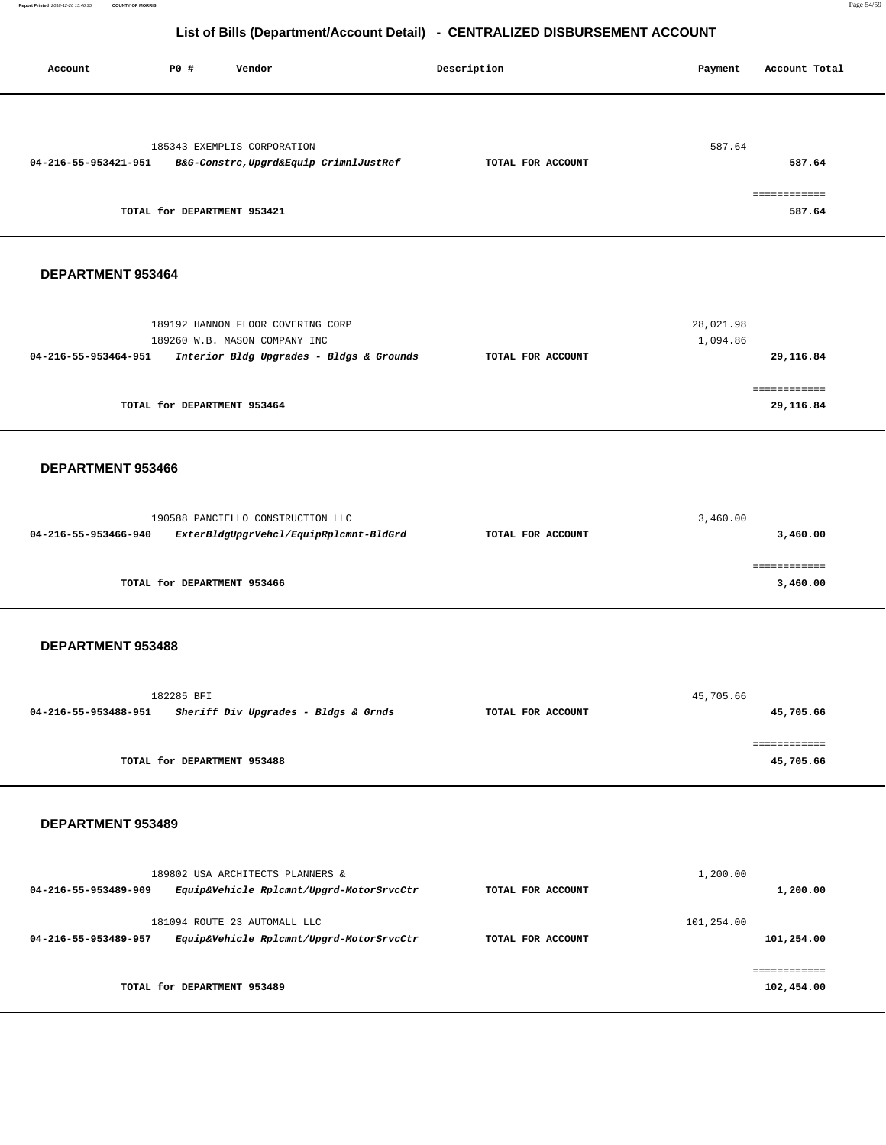**Report Printed** 2018-12-20 15:46:35 **COUNTY OF MORRIS** Page 54/59

# **List of Bills (Department/Account Detail) - CENTRALIZED DISBURSEMENT ACCOUNT**

| P0 #<br>Account<br>Vendor                                                                                                                                                                                | Description                            |                        |                                        |
|----------------------------------------------------------------------------------------------------------------------------------------------------------------------------------------------------------|----------------------------------------|------------------------|----------------------------------------|
| 185343 EXEMPLIS CORPORATION<br>B&G-Constrc, Upgrd&Equip CrimnlJustRef<br>04-216-55-953421-951<br>TOTAL for DEPARTMENT 953421                                                                             | TOTAL FOR ACCOUNT                      | 587.64                 | 587.64<br>587.64                       |
| DEPARTMENT 953464                                                                                                                                                                                        |                                        |                        |                                        |
| 189192 HANNON FLOOR COVERING CORP<br>189260 W.B. MASON COMPANY INC<br>04-216-55-953464-951<br>Interior Bldg Upgrades - Bldgs & Grounds<br>TOTAL for DEPARTMENT 953464                                    | TOTAL FOR ACCOUNT                      | 28,021.98<br>1,094.86  | 29,116.84<br>29,116.84                 |
| DEPARTMENT 953466                                                                                                                                                                                        |                                        |                        |                                        |
| 190588 PANCIELLO CONSTRUCTION LLC<br>04-216-55-953466-940<br>ExterBldgUpgrVehcl/EquipRplcmnt-BldGrd<br>TOTAL for DEPARTMENT 953466                                                                       | TOTAL FOR ACCOUNT                      | 3,460.00               | 3,460.00<br>3,460.00                   |
| DEPARTMENT 953488                                                                                                                                                                                        |                                        |                        |                                        |
| 182285 BFI<br>Sheriff Div Upgrades - Bldgs & Grnds<br>04-216-55-953488-951<br>TOTAL for DEPARTMENT 953488                                                                                                | TOTAL FOR ACCOUNT                      | 45,705.66              | 45,705.66<br>============<br>45,705.66 |
| DEPARTMENT 953489                                                                                                                                                                                        |                                        |                        |                                        |
| 189802 USA ARCHITECTS PLANNERS &<br>04-216-55-953489-909<br>Equip&Vehicle Rplcmnt/Upgrd-MotorSrvcCtr<br>181094 ROUTE 23 AUTOMALL LLC<br>Equip&Vehicle Rplcmnt/Upgrd-MotorSrvcCtr<br>04-216-55-953489-957 | TOTAL FOR ACCOUNT<br>TOTAL FOR ACCOUNT | 1,200.00<br>101,254.00 | 1,200.00<br>101,254.00                 |
| TOTAL for DEPARTMENT 953489                                                                                                                                                                              |                                        |                        | 102,454.00                             |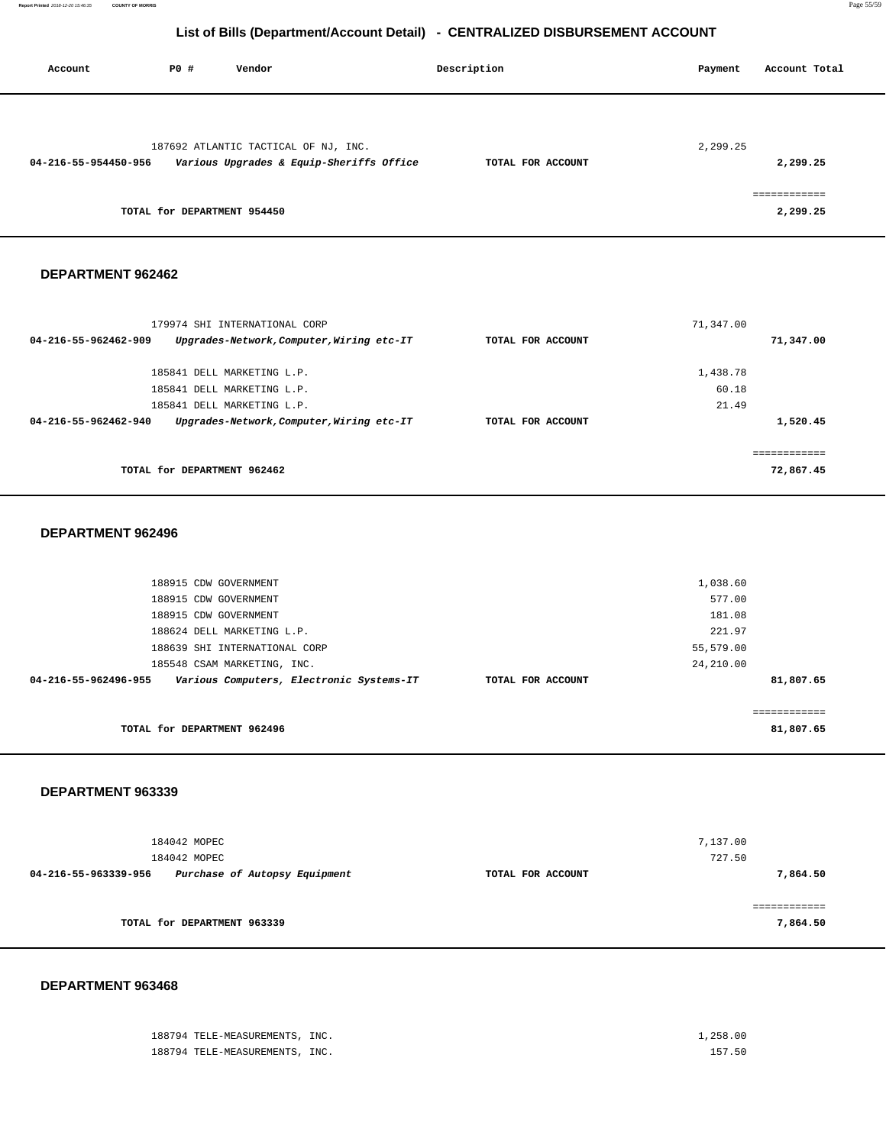**Report Printed** 2018-12-20 15:46:35 **COUNTY OF MORRIS** Page 55/59

### **List of Bills (Department/Account Detail) - CENTRALIZED DISBURSEMENT ACCOUNT**

| Account              | PO#                         | Vendor                                   | Description       | Payment  | Account Total          |
|----------------------|-----------------------------|------------------------------------------|-------------------|----------|------------------------|
|                      |                             |                                          |                   |          |                        |
|                      |                             | 187692 ATLANTIC TACTICAL OF NJ, INC.     |                   | 2,299.25 |                        |
| 04-216-55-954450-956 |                             | Various Upgrades & Equip-Sheriffs Office | TOTAL FOR ACCOUNT |          | 2,299.25               |
|                      | TOTAL for DEPARTMENT 954450 |                                          |                   |          | ----------<br>2,299.25 |

### **DEPARTMENT 962462**

| 179974 SHI INTERNATIONAL CORP                                     |                   | 71,347.00 |  |
|-------------------------------------------------------------------|-------------------|-----------|--|
| Upgrades-Network, Computer, Wiring etc-IT<br>04-216-55-962462-909 | TOTAL FOR ACCOUNT | 71,347.00 |  |
| 185841 DELL MARKETING L.P.                                        |                   | 1,438.78  |  |
| 185841 DELL MARKETING L.P.                                        |                   | 60.18     |  |
| 185841 DELL MARKETING L.P.                                        |                   | 21.49     |  |
| Upgrades-Network, Computer, Wiring etc-IT<br>04-216-55-962462-940 | TOTAL FOR ACCOUNT | 1,520.45  |  |
|                                                                   |                   |           |  |
| TOTAL for DEPARTMENT 962462                                       |                   | 72,867.45 |  |

### **DEPARTMENT 962496**

| 188915 CDW GOVERNMENT                                            |                   | 1,038.60     |  |
|------------------------------------------------------------------|-------------------|--------------|--|
| 188915 CDW GOVERNMENT                                            |                   | 577.00       |  |
| 188915 CDW GOVERNMENT                                            |                   | 181.08       |  |
| 188624 DELL MARKETING L.P.                                       |                   | 221.97       |  |
| 188639 SHI INTERNATIONAL CORP                                    |                   | 55,579.00    |  |
| 185548 CSAM MARKETING, INC.                                      |                   | 24,210.00    |  |
| Various Computers, Electronic Systems-IT<br>04-216-55-962496-955 | TOTAL FOR ACCOUNT | 81,807.65    |  |
|                                                                  |                   |              |  |
|                                                                  |                   | ============ |  |
| TOTAL for DEPARTMENT 962496                                      |                   | 81,807.65    |  |

### **DEPARTMENT 963339**

| 184042 MOPEC<br>184042 MOPEC |                               |                   | 7,137.00<br>727.50 |
|------------------------------|-------------------------------|-------------------|--------------------|
| 04-216-55-963339-956         | Purchase of Autopsy Equipment | TOTAL FOR ACCOUNT | 7,864.50           |
|                              |                               |                   |                    |
| TOTAL for DEPARTMENT 963339  |                               |                   | 7,864.50           |

### **DEPARTMENT 963468**

188794 TELE-MEASUREMENTS, INC. 1,258.00 188794 TELE-MEASUREMENTS, INC. 157.50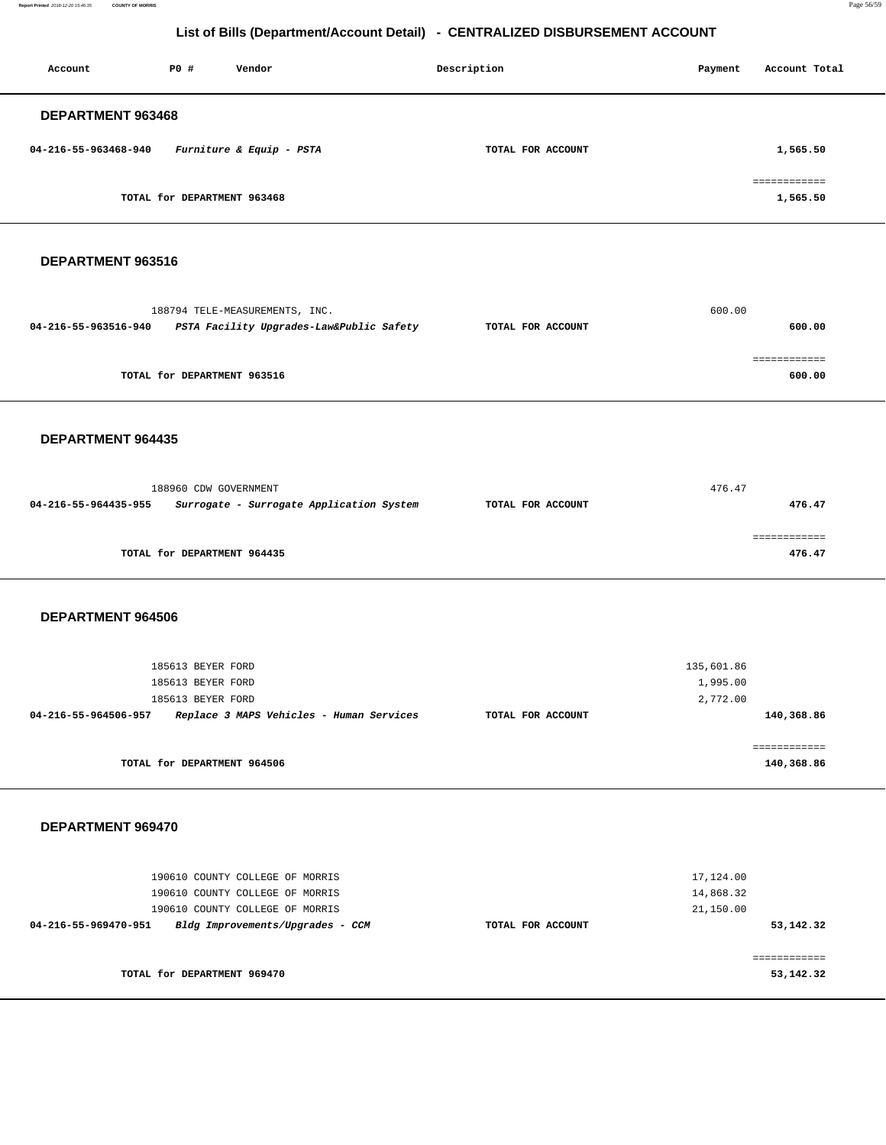**Report Printed** 2018-12-20 15:46:35 **COUNTY OF MORRIS** Page 56/59

# **List of Bills (Department/Account Detail) - CENTRALIZED DISBURSEMENT ACCOUNT**

| Account              | PO#                         | Vendor                   | Description       | Payment | Account Total            |
|----------------------|-----------------------------|--------------------------|-------------------|---------|--------------------------|
| DEPARTMENT 963468    |                             |                          |                   |         |                          |
| 04-216-55-963468-940 |                             | Furniture & Equip - PSTA | TOTAL FOR ACCOUNT |         | 1,565.50                 |
|                      | TOTAL for DEPARTMENT 963468 |                          |                   |         | ============<br>1,565.50 |

### **DEPARTMENT 963516**

|                      | 188794 TELE-MEASUREMENTS, INC.           |                   | 600.00 |
|----------------------|------------------------------------------|-------------------|--------|
| 04-216-55-963516-940 | PSTA Facility Upgrades-Law&Public Safety | TOTAL FOR ACCOUNT | 600.00 |
|                      |                                          |                   |        |
|                      |                                          |                   |        |
|                      | TOTAL for DEPARTMENT 963516              |                   | 600.00 |

### **DEPARTMENT 964435**

| 188960 CDW GOVERNMENT       |                                          |                   | 476.47 |
|-----------------------------|------------------------------------------|-------------------|--------|
| 04-216-55-964435-955        | Surrogate - Surrogate Application System | TOTAL FOR ACCOUNT | 476.47 |
|                             |                                          |                   |        |
|                             |                                          |                   |        |
| TOTAL for DEPARTMENT 964435 |                                          |                   | 476.47 |

### **DEPARTMENT 964506**

| 185613 BEYER FORD                                                |                   | 135,601.86           |  |
|------------------------------------------------------------------|-------------------|----------------------|--|
| 185613 BEYER FORD<br>185613 BEYER FORD                           |                   | 1,995.00<br>2,772.00 |  |
| Replace 3 MAPS Vehicles - Human Services<br>04-216-55-964506-957 | TOTAL FOR ACCOUNT | 140,368.86           |  |
|                                                                  |                   |                      |  |
| TOTAL for DEPARTMENT 964506                                      |                   | 140,368.86           |  |

### **DEPARTMENT 969470**

| 190610 COUNTY COLLEGE OF MORRIS<br>190610 COUNTY COLLEGE OF MORRIS                          |                   | 17,124.00<br>14,868.32 |
|---------------------------------------------------------------------------------------------|-------------------|------------------------|
| 190610 COUNTY COLLEGE OF MORRIS<br>Bldg Improvements/Upgrades - CCM<br>04-216-55-969470-951 | TOTAL FOR ACCOUNT | 21,150.00<br>53,142.32 |
| TOTAL for DEPARTMENT 969470                                                                 |                   | 53,142.32              |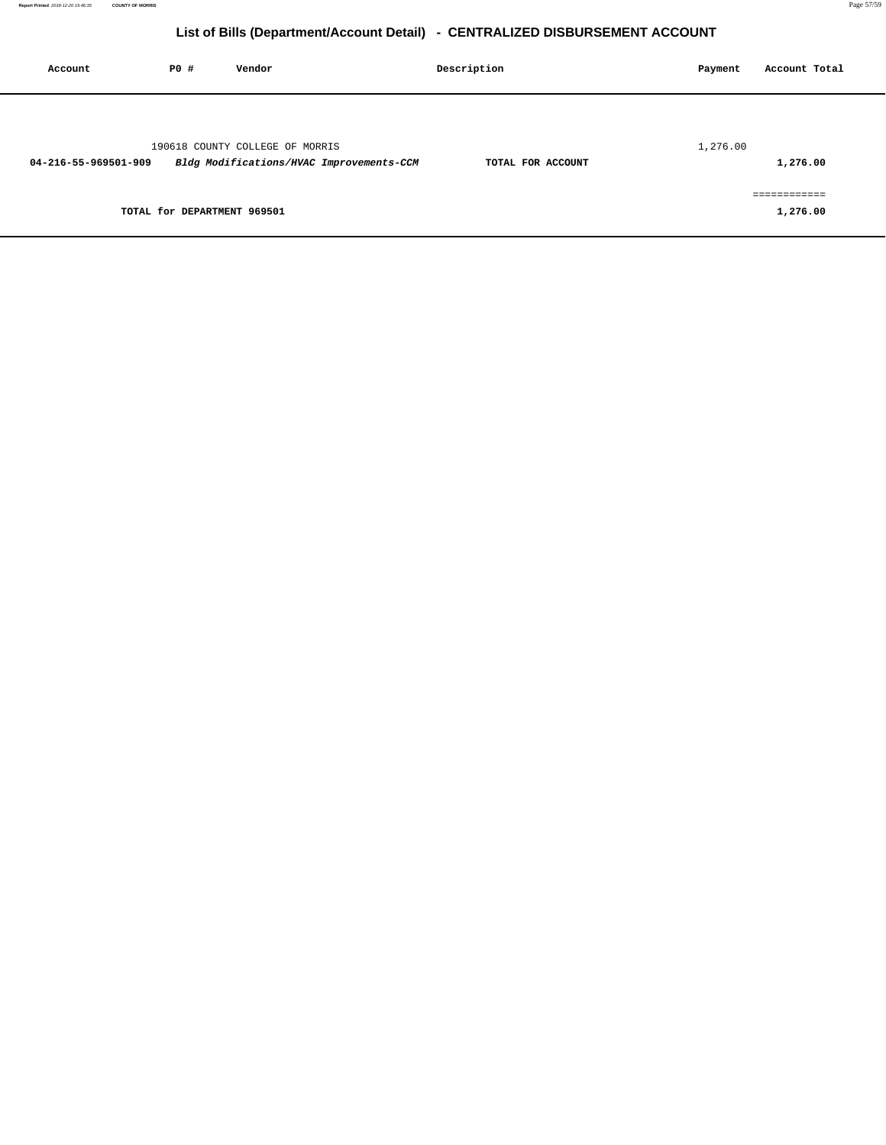| Account              | P0 #                        | Vendor                                                                      | Description       | Account Total<br>Payment |
|----------------------|-----------------------------|-----------------------------------------------------------------------------|-------------------|--------------------------|
| 04-216-55-969501-909 |                             | 190618 COUNTY COLLEGE OF MORRIS<br>Bldg Modifications/HVAC Improvements-CCM | TOTAL FOR ACCOUNT | 1,276.00<br>1,276.00     |
|                      | TOTAL for DEPARTMENT 969501 |                                                                             |                   | ============<br>1,276.00 |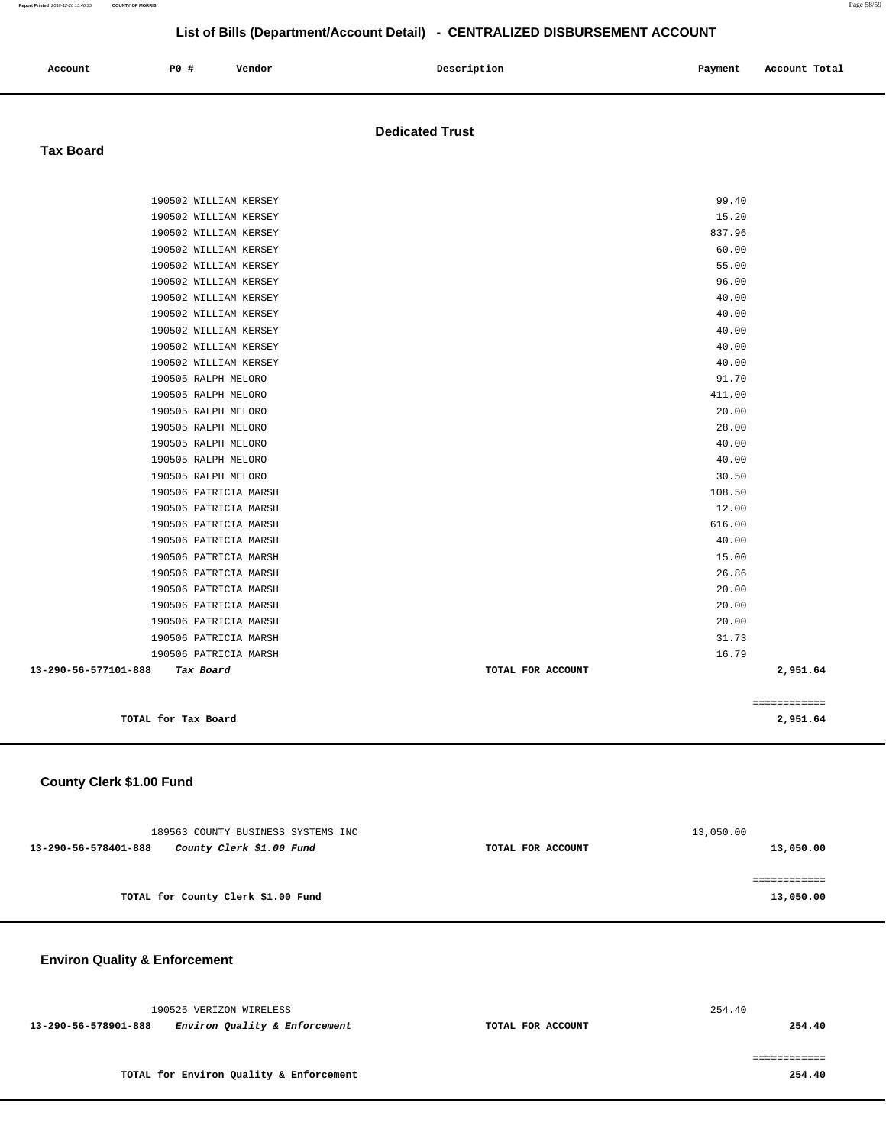| Account | <b>PO #</b> | Vendor | Description | Payment | Account Total |
|---------|-------------|--------|-------------|---------|---------------|
|         |             |        |             |         |               |

### **Dedicated Trust**

### **Tax Board**

|                                   |                   | ============ |
|-----------------------------------|-------------------|--------------|
|                                   |                   |              |
| 13-290-56-577101-888<br>Tax Board | TOTAL FOR ACCOUNT | 2,951.64     |
| 190506 PATRICIA MARSH             | 16.79             |              |
| 190506 PATRICIA MARSH             | 31.73             |              |
| 190506 PATRICIA MARSH             | 20.00             |              |
| 190506 PATRICIA MARSH             | 20.00             |              |
| 190506 PATRICIA MARSH             | 20.00             |              |
| 190506 PATRICIA MARSH             | 26.86             |              |
| 190506 PATRICIA MARSH             | 15.00             |              |
| 190506 PATRICIA MARSH             | 40.00             |              |
| 190506 PATRICIA MARSH             | 616.00            |              |
| 190506 PATRICIA MARSH             | 12.00             |              |
| 190506 PATRICIA MARSH             | 108.50            |              |
| 190505 RALPH MELORO               | 30.50             |              |
| 190505 RALPH MELORO               | 40.00             |              |
| 190505 RALPH MELORO               | 40.00             |              |
| 190505 RALPH MELORO               | 28.00             |              |
| 190505 RALPH MELORO               | 20.00             |              |
| 190505 RALPH MELORO               | 411.00            |              |
| 190505 RALPH MELORO               | 91.70             |              |
| 190502 WILLIAM KERSEY             | 40.00             |              |
| 190502 WILLIAM KERSEY             | 40.00             |              |
| 190502 WILLIAM KERSEY             | 40.00             |              |
| 190502 WILLIAM KERSEY             | 40.00             |              |
| 190502 WILLIAM KERSEY             | 40.00             |              |
| 190502 WILLIAM KERSEY             | 96.00             |              |
| 190502 WILLIAM KERSEY             | 55.00             |              |
| 190502 WILLIAM KERSEY             | 60.00             |              |
| 190502 WILLIAM KERSEY             | 837.96            |              |
| 190502 WILLIAM KERSEY             | 15.20             |              |
| 190502 WILLIAM KERSEY             | 99.40             |              |

### **County Clerk \$1.00 Fund**

|                                    | 189563 COUNTY BUSINESS SYSTEMS INC |                   | 13,050.00 |
|------------------------------------|------------------------------------|-------------------|-----------|
| 13-290-56-578401-888               | County Clerk \$1.00 Fund           | TOTAL FOR ACCOUNT | 13,050.00 |
|                                    |                                    |                   |           |
| TOTAL for County Clerk \$1.00 Fund |                                    |                   | 13,050.00 |
|                                    |                                    |                   |           |

**Environ Quality & Enforcement**

|                      | 190525 VERIZON WIRELESS                 |                   | 254.40 |
|----------------------|-----------------------------------------|-------------------|--------|
| 13-290-56-578901-888 | Environ Quality & Enforcement           | TOTAL FOR ACCOUNT | 254.40 |
|                      |                                         |                   |        |
|                      | TOTAL for Environ Quality & Enforcement |                   | 254.40 |